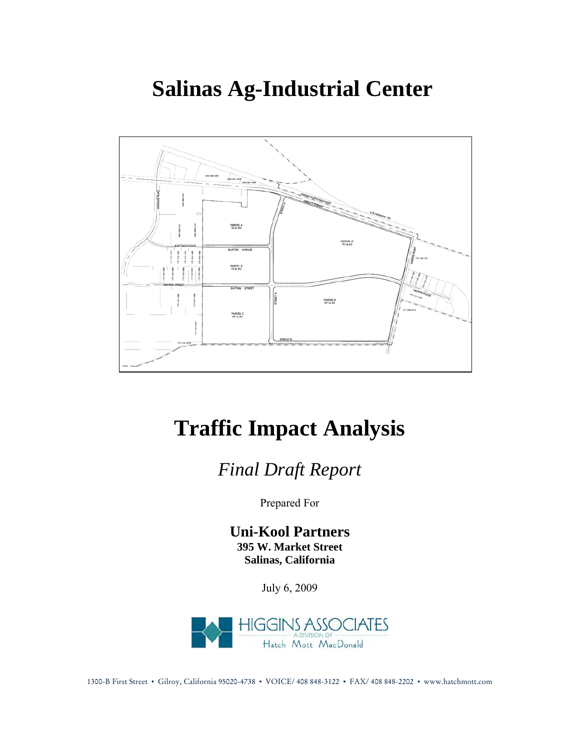# **Salinas Ag-Industrial Center**



# **Traffic Impact Analysis**

*Final Draft Report*

Prepared For

**Uni-Kool Partners 395 W. Market Street Salinas, California** 

July 6, 2009



1300-B First Street ▪ Gilroy, California 95020-4738 ▪ VOICE/ 408 848-3122 ▪ FAX/ 408 848-2202 ▪ www.hatchmott.com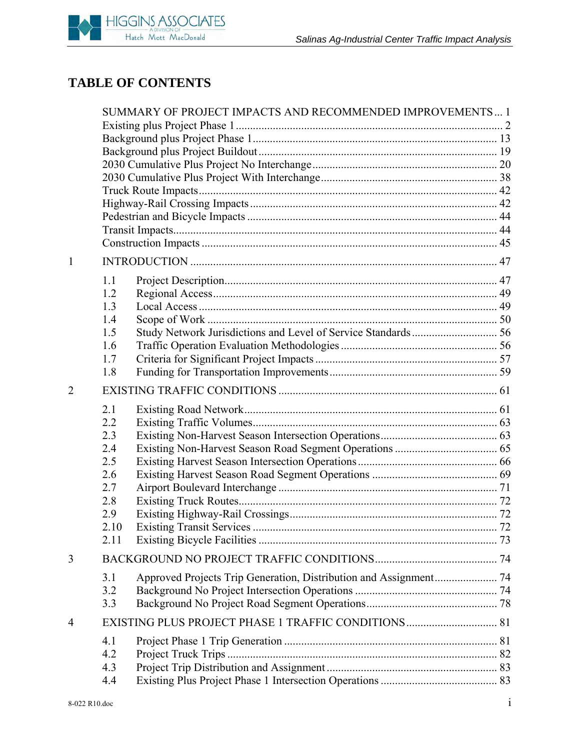# **TABLE OF CONTENTS**

|                | SUMMARY OF PROJECT IMPACTS AND RECOMMENDED IMPROVEMENTS 1 |                                                                   |  |  |
|----------------|-----------------------------------------------------------|-------------------------------------------------------------------|--|--|
|                |                                                           |                                                                   |  |  |
|                |                                                           |                                                                   |  |  |
|                |                                                           |                                                                   |  |  |
|                |                                                           |                                                                   |  |  |
|                |                                                           |                                                                   |  |  |
|                |                                                           |                                                                   |  |  |
|                |                                                           |                                                                   |  |  |
|                |                                                           |                                                                   |  |  |
|                |                                                           |                                                                   |  |  |
| 1              |                                                           |                                                                   |  |  |
|                | 1.1                                                       |                                                                   |  |  |
|                | 1.2                                                       |                                                                   |  |  |
|                | 1.3                                                       |                                                                   |  |  |
|                | 1.4                                                       |                                                                   |  |  |
|                | 1.5                                                       |                                                                   |  |  |
|                | 1.6                                                       |                                                                   |  |  |
|                | 1.7                                                       |                                                                   |  |  |
|                | 1.8                                                       |                                                                   |  |  |
| $\overline{2}$ |                                                           |                                                                   |  |  |
|                | 2.1                                                       |                                                                   |  |  |
|                | 2.2                                                       |                                                                   |  |  |
|                | 2.3<br>2.4                                                |                                                                   |  |  |
|                | 2.5                                                       |                                                                   |  |  |
|                | 2.6                                                       |                                                                   |  |  |
|                | 2.7                                                       |                                                                   |  |  |
|                | 2.8                                                       |                                                                   |  |  |
|                | 2.9                                                       |                                                                   |  |  |
|                | 2.10                                                      |                                                                   |  |  |
|                | 2.11                                                      |                                                                   |  |  |
| 3              |                                                           |                                                                   |  |  |
|                | 3.1                                                       | Approved Projects Trip Generation, Distribution and Assignment 74 |  |  |
|                | 3.2                                                       |                                                                   |  |  |
|                | 3.3                                                       |                                                                   |  |  |
| 4              |                                                           |                                                                   |  |  |
|                | 4.1                                                       |                                                                   |  |  |
|                | 4.2                                                       |                                                                   |  |  |
|                | 4.3                                                       |                                                                   |  |  |
|                | 4.4                                                       |                                                                   |  |  |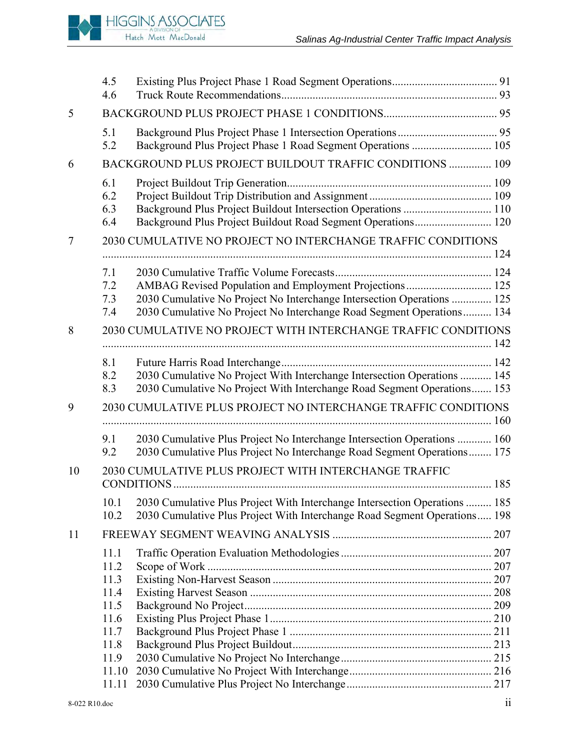**HIGGINS ASSOCIATES** Hatch Mott MacDonald

|    | 4.5<br>4.6                                                                             |                                                                                                                                                         |  |  |
|----|----------------------------------------------------------------------------------------|---------------------------------------------------------------------------------------------------------------------------------------------------------|--|--|
| 5  |                                                                                        |                                                                                                                                                         |  |  |
|    | 5.1<br>5.2                                                                             | Background Plus Project Phase 1 Road Segment Operations  105                                                                                            |  |  |
| 6  |                                                                                        | BACKGROUND PLUS PROJECT BUILDOUT TRAFFIC CONDITIONS  109                                                                                                |  |  |
|    | 6.1<br>6.2<br>6.3<br>6.4                                                               | Background Plus Project Buildout Intersection Operations  110<br>Background Plus Project Buildout Road Segment Operations 120                           |  |  |
| 7  | 2030 CUMULATIVE NO PROJECT NO INTERCHANGE TRAFFIC CONDITIONS                           |                                                                                                                                                         |  |  |
|    | 7.1<br>7.2<br>7.3<br>7.4                                                               | 2030 Cumulative No Project No Interchange Intersection Operations  125<br>2030 Cumulative No Project No Interchange Road Segment Operations 134         |  |  |
| 8  |                                                                                        | 2030 CUMULATIVE NO PROJECT WITH INTERCHANGE TRAFFIC CONDITIONS                                                                                          |  |  |
|    | 8.1<br>8.2<br>8.3                                                                      | 2030 Cumulative No Project With Interchange Intersection Operations  145<br>2030 Cumulative No Project With Interchange Road Segment Operations 153     |  |  |
| 9  |                                                                                        | 2030 CUMULATIVE PLUS PROJECT NO INTERCHANGE TRAFFIC CONDITIONS                                                                                          |  |  |
|    | 9.1<br>9.2                                                                             | 2030 Cumulative Plus Project No Interchange Intersection Operations  160<br>2030 Cumulative Plus Project No Interchange Road Segment Operations 175     |  |  |
| 10 |                                                                                        | 2030 CUMULATIVE PLUS PROJECT WITH INTERCHANGE TRAFFIC                                                                                                   |  |  |
|    | 10.1<br>10.2                                                                           | 2030 Cumulative Plus Project With Interchange Intersection Operations  185<br>2030 Cumulative Plus Project With Interchange Road Segment Operations 198 |  |  |
| 11 |                                                                                        |                                                                                                                                                         |  |  |
|    | 11.1<br>11.2<br>11.3<br>11.4<br>11.5<br>11.6<br>11.7<br>11.8<br>11.9<br>11.10<br>11.11 |                                                                                                                                                         |  |  |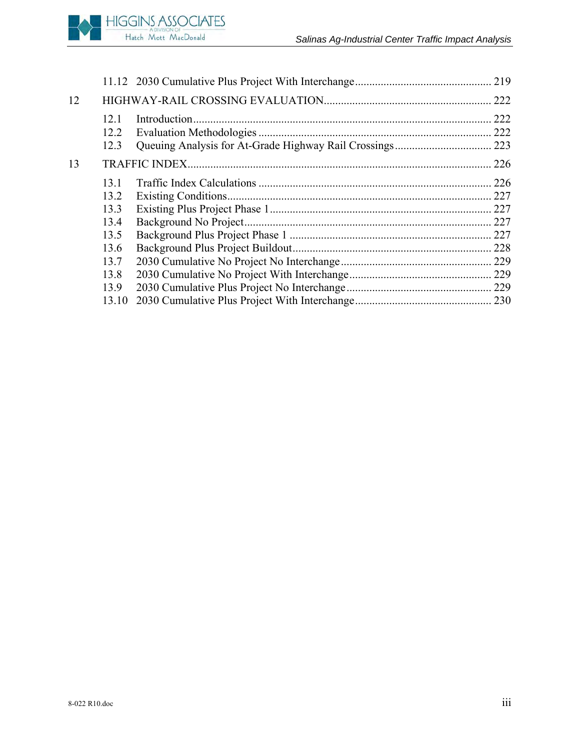

| 12 |       |               | 222  |
|----|-------|---------------|------|
|    | 12.1  | Introduction. | 222  |
|    | 12.2  |               | .222 |
|    | 12.3  |               |      |
| 13 |       |               | .226 |
|    | 131   |               |      |
|    | 13.2  |               |      |
|    | 13.3  |               |      |
|    | 13.4  |               |      |
|    | 13.5  |               |      |
|    | 13.6  |               |      |
|    | 13.7  |               |      |
|    | 13.8  |               |      |
|    | 13.9  |               |      |
|    | 13.10 |               |      |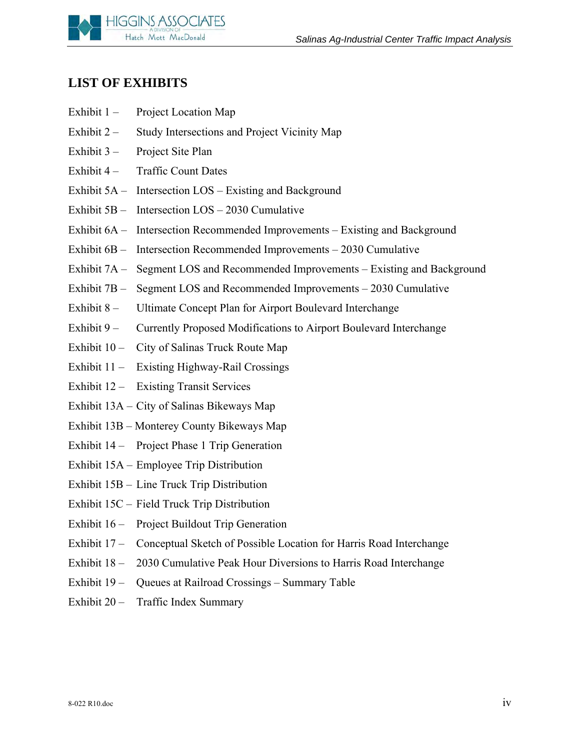

## **LIST OF EXHIBITS**

- Exhibit 1 Project Location Map
- Exhibit 2 Study Intersections and Project Vicinity Map
- Exhibit 3 Project Site Plan
- Exhibit 4 Traffic Count Dates
- Exhibit 5A Intersection LOS Existing and Background
- Exhibit 5B Intersection LOS 2030 Cumulative
- Exhibit 6A Intersection Recommended Improvements Existing and Background
- Exhibit 6B Intersection Recommended Improvements 2030 Cumulative
- Exhibit 7A Segment LOS and Recommended Improvements Existing and Background
- Exhibit 7B Segment LOS and Recommended Improvements 2030 Cumulative
- Exhibit 8 Ultimate Concept Plan for Airport Boulevard Interchange
- Exhibit 9 Currently Proposed Modifications to Airport Boulevard Interchange
- Exhibit 10 City of Salinas Truck Route Map
- Exhibit 11 Existing Highway-Rail Crossings
- Exhibit 12 Existing Transit Services
- Exhibit 13A City of Salinas Bikeways Map
- Exhibit 13B Monterey County Bikeways Map
- Exhibit 14 Project Phase 1 Trip Generation
- Exhibit 15A Employee Trip Distribution
- Exhibit 15B Line Truck Trip Distribution
- Exhibit 15C Field Truck Trip Distribution
- Exhibit 16 Project Buildout Trip Generation
- Exhibit 17 Conceptual Sketch of Possible Location for Harris Road Interchange
- Exhibit 18 2030 Cumulative Peak Hour Diversions to Harris Road Interchange
- Exhibit 19 Queues at Railroad Crossings Summary Table
- Exhibit 20 Traffic Index Summary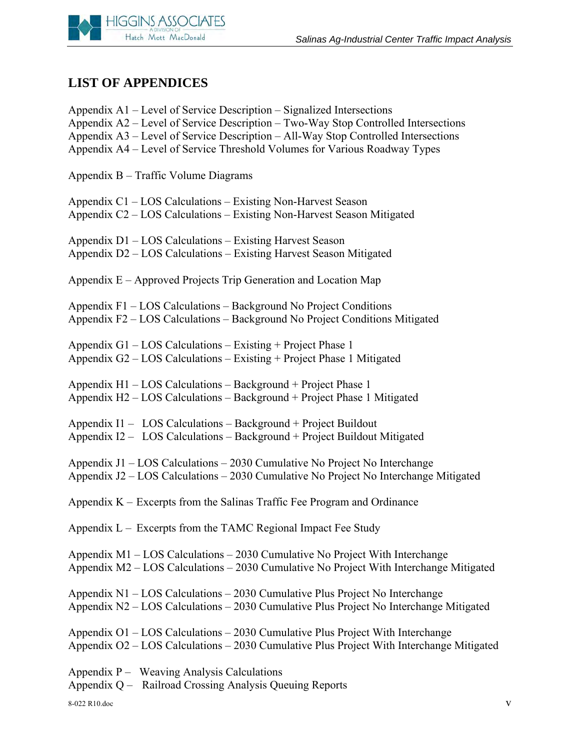

# **LIST OF APPENDICES**

| Appendix A1 – Level of Service Description – Signalized Intersections<br>Appendix A2 – Level of Service Description – Two-Way Stop Controlled Intersections<br>Appendix A3 – Level of Service Description – All-Way Stop Controlled Intersections<br>Appendix A4 – Level of Service Threshold Volumes for Various Roadway Types |
|---------------------------------------------------------------------------------------------------------------------------------------------------------------------------------------------------------------------------------------------------------------------------------------------------------------------------------|
| Appendix B - Traffic Volume Diagrams                                                                                                                                                                                                                                                                                            |
| Appendix C1 – LOS Calculations – Existing Non-Harvest Season<br>Appendix C2 – LOS Calculations – Existing Non-Harvest Season Mitigated                                                                                                                                                                                          |
| Appendix D1 – LOS Calculations – Existing Harvest Season<br>Appendix D2 – LOS Calculations – Existing Harvest Season Mitigated                                                                                                                                                                                                  |
| Appendix E – Approved Projects Trip Generation and Location Map                                                                                                                                                                                                                                                                 |
| Appendix F1 - LOS Calculations - Background No Project Conditions<br>Appendix F2 – LOS Calculations – Background No Project Conditions Mitigated                                                                                                                                                                                |
| Appendix G1 – LOS Calculations – Existing + Project Phase 1<br>Appendix G2 – LOS Calculations – Existing + Project Phase 1 Mitigated                                                                                                                                                                                            |
| Appendix H1 - LOS Calculations - Background + Project Phase 1<br>Appendix H2 – LOS Calculations – Background + Project Phase 1 Mitigated                                                                                                                                                                                        |
| Appendix I1 – LOS Calculations – Background + Project Buildout<br>Appendix I2 - LOS Calculations - Background + Project Buildout Mitigated                                                                                                                                                                                      |
| Appendix J1 - LOS Calculations - 2030 Cumulative No Project No Interchange<br>Appendix J2 - LOS Calculations - 2030 Cumulative No Project No Interchange Mitigated                                                                                                                                                              |
| Appendix $K$ – Excerpts from the Salinas Traffic Fee Program and Ordinance                                                                                                                                                                                                                                                      |
| Appendix L – Excerpts from the TAMC Regional Impact Fee Study                                                                                                                                                                                                                                                                   |
| Appendix M1 – LOS Calculations – 2030 Cumulative No Project With Interchange<br>Appendix M2 - LOS Calculations - 2030 Cumulative No Project With Interchange Mitigated                                                                                                                                                          |
| Appendix N1 – LOS Calculations – 2030 Cumulative Plus Project No Interchange<br>Appendix N2 – LOS Calculations – 2030 Cumulative Plus Project No Interchange Mitigated                                                                                                                                                          |
| Appendix O1 - LOS Calculations - 2030 Cumulative Plus Project With Interchange<br>Appendix O2 - LOS Calculations - 2030 Cumulative Plus Project With Interchange Mitigated                                                                                                                                                      |
| Appendix P – Weaving Analysis Calculations<br>Appendix Q - Railroad Crossing Analysis Queuing Reports                                                                                                                                                                                                                           |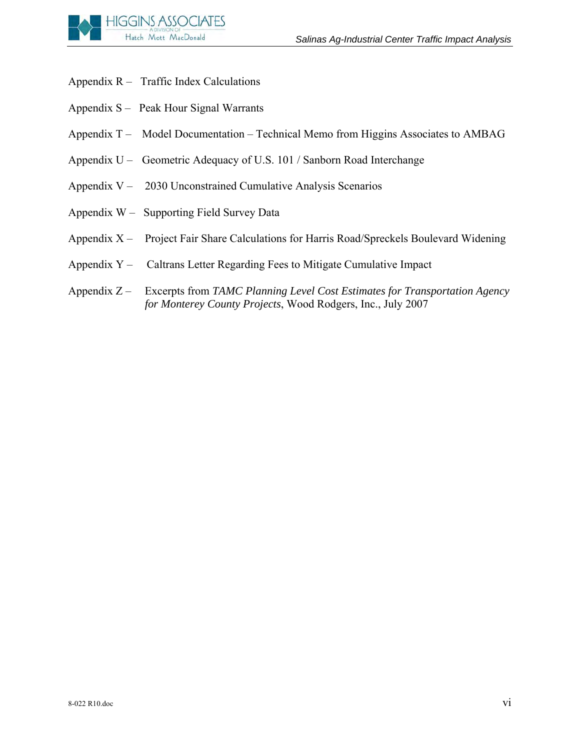

- Appendix  $R -$  Traffic Index Calculations
- Appendix S Peak Hour Signal Warrants
- Appendix T Model Documentation Technical Memo from Higgins Associates to AMBAG
- Appendix U Geometric Adequacy of U.S. 101 / Sanborn Road Interchange
- Appendix V 2030 Unconstrained Cumulative Analysis Scenarios
- Appendix W Supporting Field Survey Data
- Appendix X Project Fair Share Calculations for Harris Road/Spreckels Boulevard Widening
- Appendix Y Caltrans Letter Regarding Fees to Mitigate Cumulative Impact
- Appendix Z Excerpts from *TAMC Planning Level Cost Estimates for Transportation Agency for Monterey County Projects*, Wood Rodgers, Inc., July 2007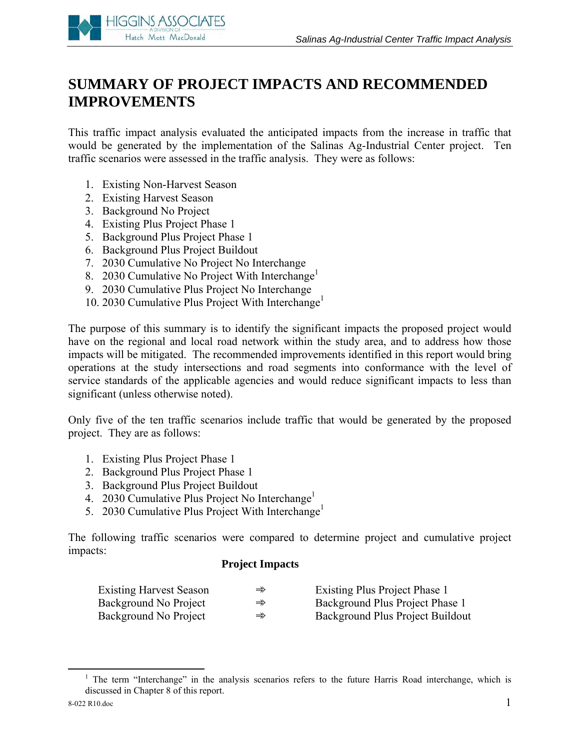

# **SUMMARY OF PROJECT IMPACTS AND RECOMMENDED IMPROVEMENTS**

This traffic impact analysis evaluated the anticipated impacts from the increase in traffic that would be generated by the implementation of the Salinas Ag-Industrial Center project. Ten traffic scenarios were assessed in the traffic analysis. They were as follows:

- 1. Existing Non-Harvest Season
- 2. Existing Harvest Season
- 3. Background No Project
- 4. Existing Plus Project Phase 1
- 5. Background Plus Project Phase 1
- 6. Background Plus Project Buildout
- 7. 2030 Cumulative No Project No Interchange
- 8. 2030 Cumulative No Project With Interchange<sup>1</sup>
- 9. 2030 Cumulative Plus Project No Interchange
- 10. 2030 Cumulative Plus Project With Interchange<sup>1</sup>

The purpose of this summary is to identify the significant impacts the proposed project would have on the regional and local road network within the study area, and to address how those impacts will be mitigated. The recommended improvements identified in this report would bring operations at the study intersections and road segments into conformance with the level of service standards of the applicable agencies and would reduce significant impacts to less than significant (unless otherwise noted).

Only five of the ten traffic scenarios include traffic that would be generated by the proposed project. They are as follows:

- 1. Existing Plus Project Phase 1
- 2. Background Plus Project Phase 1
- 3. Background Plus Project Buildout
- 4. 2030 Cumulative Plus Project No Interchange<sup>1</sup>
- 5. 2030 Cumulative Plus Project With Interchange<sup>1</sup>

The following traffic scenarios were compared to determine project and cumulative project impacts:

#### **Project Impacts**

| <b>Existing Harvest Season</b> | $\Rightarrow$ | Existing Plus Project Phase 1    |
|--------------------------------|---------------|----------------------------------|
| Background No Project          | $\Rightarrow$ | Background Plus Project Phase 1  |
| Background No Project          | $\Rightarrow$ | Background Plus Project Buildout |

 <sup>1</sup> <sup>1</sup> The term "Interchange" in the analysis scenarios refers to the future Harris Road interchange, which is discussed in Chapter 8 of this report.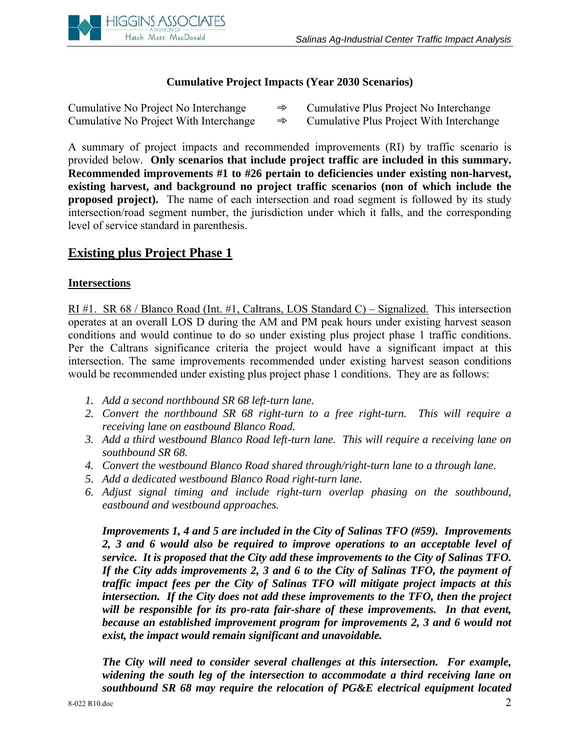

#### **Cumulative Project Impacts (Year 2030 Scenarios)**

| Cumulative No Project No Interchange   | $\Rightarrow$ | Cumulative Plus Project No Interchange   |
|----------------------------------------|---------------|------------------------------------------|
| Cumulative No Project With Interchange | $\Rightarrow$ | Cumulative Plus Project With Interchange |

A summary of project impacts and recommended improvements (RI) by traffic scenario is provided below. **Only scenarios that include project traffic are included in this summary. Recommended improvements #1 to #26 pertain to deficiencies under existing non-harvest, existing harvest, and background no project traffic scenarios (non of which include the proposed project).** The name of each intersection and road segment is followed by its study intersection/road segment number, the jurisdiction under which it falls, and the corresponding level of service standard in parenthesis.

#### **Existing plus Project Phase 1**

#### **Intersections**

RI #1. SR 68 / Blanco Road (Int. #1, Caltrans, LOS Standard C) – Signalized. This intersection operates at an overall LOS D during the AM and PM peak hours under existing harvest season conditions and would continue to do so under existing plus project phase 1 traffic conditions. Per the Caltrans significance criteria the project would have a significant impact at this intersection. The same improvements recommended under existing harvest season conditions would be recommended under existing plus project phase 1 conditions. They are as follows:

- *1. Add a second northbound SR 68 left-turn lane.*
- *2. Convert the northbound SR 68 right-turn to a free right-turn. This will require a receiving lane on eastbound Blanco Road.*
- *3. Add a third westbound Blanco Road left-turn lane. This will require a receiving lane on southbound SR 68.*
- *4. Convert the westbound Blanco Road shared through/right-turn lane to a through lane.*
- *5. Add a dedicated westbound Blanco Road right-turn lane.*
- *6. Adjust signal timing and include right-turn overlap phasing on the southbound, eastbound and westbound approaches.*

*Improvements 1, 4 and 5 are included in the City of Salinas TFO (#59). Improvements 2, 3 and 6 would also be required to improve operations to an acceptable level of service. It is proposed that the City add these improvements to the City of Salinas TFO. If the City adds improvements 2, 3 and 6 to the City of Salinas TFO, the payment of traffic impact fees per the City of Salinas TFO will mitigate project impacts at this intersection. If the City does not add these improvements to the TFO, then the project will be responsible for its pro-rata fair-share of these improvements. In that event, because an established improvement program for improvements 2, 3 and 6 would not exist, the impact would remain significant and unavoidable.* 

*The City will need to consider several challenges at this intersection. For example, widening the south leg of the intersection to accommodate a third receiving lane on southbound SR 68 may require the relocation of PG&E electrical equipment located*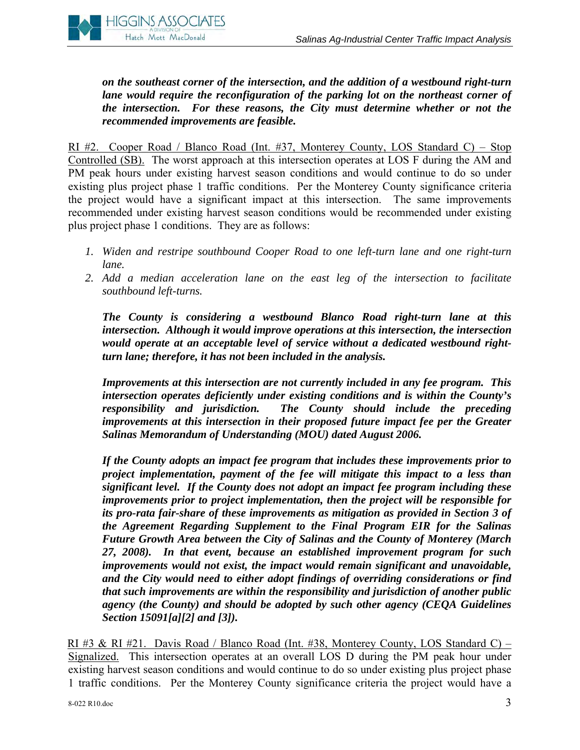

*on the southeast corner of the intersection, and the addition of a westbound right-turn lane would require the reconfiguration of the parking lot on the northeast corner of the intersection. For these reasons, the City must determine whether or not the recommended improvements are feasible.*

RI #2. Cooper Road / Blanco Road (Int. #37, Monterey County, LOS Standard C) – Stop Controlled (SB). The worst approach at this intersection operates at LOS F during the AM and PM peak hours under existing harvest season conditions and would continue to do so under existing plus project phase 1 traffic conditions. Per the Monterey County significance criteria the project would have a significant impact at this intersection. The same improvements recommended under existing harvest season conditions would be recommended under existing plus project phase 1 conditions. They are as follows:

- *1. Widen and restripe southbound Cooper Road to one left-turn lane and one right-turn lane.*
- *2. Add a median acceleration lane on the east leg of the intersection to facilitate southbound left-turns.*

*The County is considering a westbound Blanco Road right-turn lane at this intersection. Although it would improve operations at this intersection, the intersection would operate at an acceptable level of service without a dedicated westbound rightturn lane; therefore, it has not been included in the analysis.* 

*Improvements at this intersection are not currently included in any fee program. This intersection operates deficiently under existing conditions and is within the County's responsibility and jurisdiction. The County should include the preceding improvements at this intersection in their proposed future impact fee per the Greater Salinas Memorandum of Understanding (MOU) dated August 2006.* 

*If the County adopts an impact fee program that includes these improvements prior to project implementation, payment of the fee will mitigate this impact to a less than significant level. If the County does not adopt an impact fee program including these improvements prior to project implementation, then the project will be responsible for its pro-rata fair-share of these improvements as mitigation as provided in Section 3 of the Agreement Regarding Supplement to the Final Program EIR for the Salinas Future Growth Area between the City of Salinas and the County of Monterey (March 27, 2008). In that event, because an established improvement program for such improvements would not exist, the impact would remain significant and unavoidable, and the City would need to either adopt findings of overriding considerations or find that such improvements are within the responsibility and jurisdiction of another public agency (the County) and should be adopted by such other agency (CEQA Guidelines Section 15091[a][2] and [3]).* 

RI #3 & RI #21. Davis Road / Blanco Road (Int. #38, Monterey County, LOS Standard C) – Signalized. This intersection operates at an overall LOS D during the PM peak hour under existing harvest season conditions and would continue to do so under existing plus project phase 1 traffic conditions. Per the Monterey County significance criteria the project would have a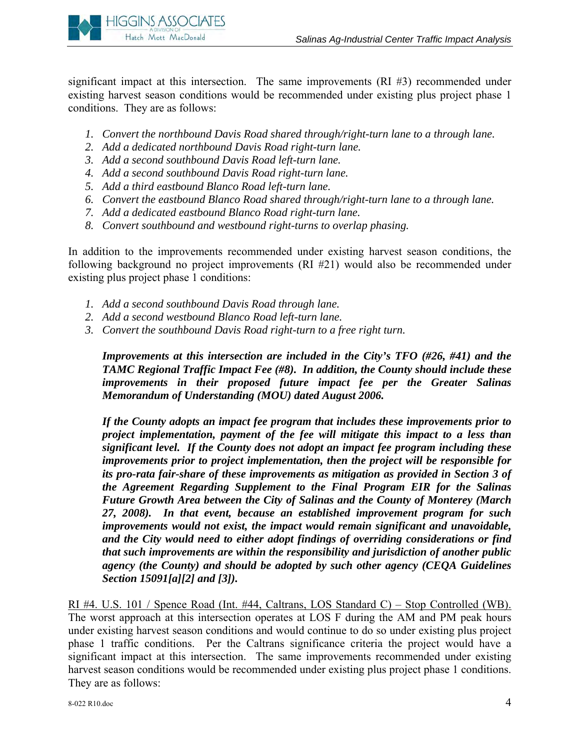

significant impact at this intersection. The same improvements (RI #3) recommended under existing harvest season conditions would be recommended under existing plus project phase 1 conditions. They are as follows:

- *1. Convert the northbound Davis Road shared through/right-turn lane to a through lane.*
- *2. Add a dedicated northbound Davis Road right-turn lane.*
- *3. Add a second southbound Davis Road left-turn lane.*
- *4. Add a second southbound Davis Road right-turn lane.*
- *5. Add a third eastbound Blanco Road left-turn lane.*
- *6. Convert the eastbound Blanco Road shared through/right-turn lane to a through lane.*
- *7. Add a dedicated eastbound Blanco Road right-turn lane.*
- *8. Convert southbound and westbound right-turns to overlap phasing.*

In addition to the improvements recommended under existing harvest season conditions, the following background no project improvements (RI #21) would also be recommended under existing plus project phase 1 conditions:

- *1. Add a second southbound Davis Road through lane.*
- *2. Add a second westbound Blanco Road left-turn lane.*
- *3. Convert the southbound Davis Road right-turn to a free right turn.*

*Improvements at this intersection are included in the City's TFO (#26, #41) and the TAMC Regional Traffic Impact Fee (#8). In addition, the County should include these improvements in their proposed future impact fee per the Greater Salinas Memorandum of Understanding (MOU) dated August 2006.* 

*If the County adopts an impact fee program that includes these improvements prior to project implementation, payment of the fee will mitigate this impact to a less than significant level. If the County does not adopt an impact fee program including these improvements prior to project implementation, then the project will be responsible for its pro-rata fair-share of these improvements as mitigation as provided in Section 3 of the Agreement Regarding Supplement to the Final Program EIR for the Salinas Future Growth Area between the City of Salinas and the County of Monterey (March 27, 2008). In that event, because an established improvement program for such improvements would not exist, the impact would remain significant and unavoidable, and the City would need to either adopt findings of overriding considerations or find that such improvements are within the responsibility and jurisdiction of another public agency (the County) and should be adopted by such other agency (CEQA Guidelines Section 15091[a][2] and [3]).* 

RI #4. U.S. 101 / Spence Road (Int. #44, Caltrans, LOS Standard C) – Stop Controlled (WB). The worst approach at this intersection operates at LOS F during the AM and PM peak hours under existing harvest season conditions and would continue to do so under existing plus project phase 1 traffic conditions. Per the Caltrans significance criteria the project would have a significant impact at this intersection. The same improvements recommended under existing harvest season conditions would be recommended under existing plus project phase 1 conditions. They are as follows: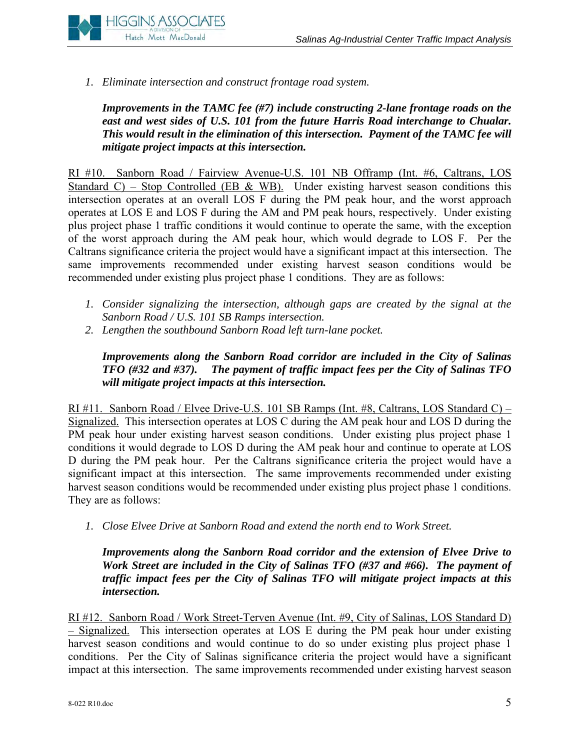

*1. Eliminate intersection and construct frontage road system.* 

*Improvements in the TAMC fee (#7) include constructing 2-lane frontage roads on the east and west sides of U.S. 101 from the future Harris Road interchange to Chualar. This would result in the elimination of this intersection. Payment of the TAMC fee will mitigate project impacts at this intersection.* 

RI #10. Sanborn Road / Fairview Avenue-U.S. 101 NB Offramp (Int. #6, Caltrans, LOS Standard C) – Stop Controlled (EB & WB). Under existing harvest season conditions this intersection operates at an overall LOS F during the PM peak hour, and the worst approach operates at LOS E and LOS F during the AM and PM peak hours, respectively. Under existing plus project phase 1 traffic conditions it would continue to operate the same, with the exception of the worst approach during the AM peak hour, which would degrade to LOS F. Per the Caltrans significance criteria the project would have a significant impact at this intersection. The same improvements recommended under existing harvest season conditions would be recommended under existing plus project phase 1 conditions. They are as follows:

- *1. Consider signalizing the intersection, although gaps are created by the signal at the Sanborn Road / U.S. 101 SB Ramps intersection.*
- *2. Lengthen the southbound Sanborn Road left turn-lane pocket.*

*Improvements along the Sanborn Road corridor are included in the City of Salinas TFO (#32 and #37). The payment of traffic impact fees per the City of Salinas TFO will mitigate project impacts at this intersection.* 

RI #11. Sanborn Road / Elvee Drive-U.S. 101 SB Ramps (Int. #8, Caltrans, LOS Standard C) – Signalized. This intersection operates at LOS C during the AM peak hour and LOS D during the PM peak hour under existing harvest season conditions. Under existing plus project phase 1 conditions it would degrade to LOS D during the AM peak hour and continue to operate at LOS D during the PM peak hour. Per the Caltrans significance criteria the project would have a significant impact at this intersection. The same improvements recommended under existing harvest season conditions would be recommended under existing plus project phase 1 conditions. They are as follows:

*1. Close Elvee Drive at Sanborn Road and extend the north end to Work Street.* 

*Improvements along the Sanborn Road corridor and the extension of Elvee Drive to Work Street are included in the City of Salinas TFO (#37 and #66). The payment of traffic impact fees per the City of Salinas TFO will mitigate project impacts at this intersection.* 

RI #12. Sanborn Road / Work Street-Terven Avenue (Int. #9, City of Salinas, LOS Standard D) – Signalized. This intersection operates at LOS E during the PM peak hour under existing harvest season conditions and would continue to do so under existing plus project phase 1 conditions. Per the City of Salinas significance criteria the project would have a significant impact at this intersection. The same improvements recommended under existing harvest season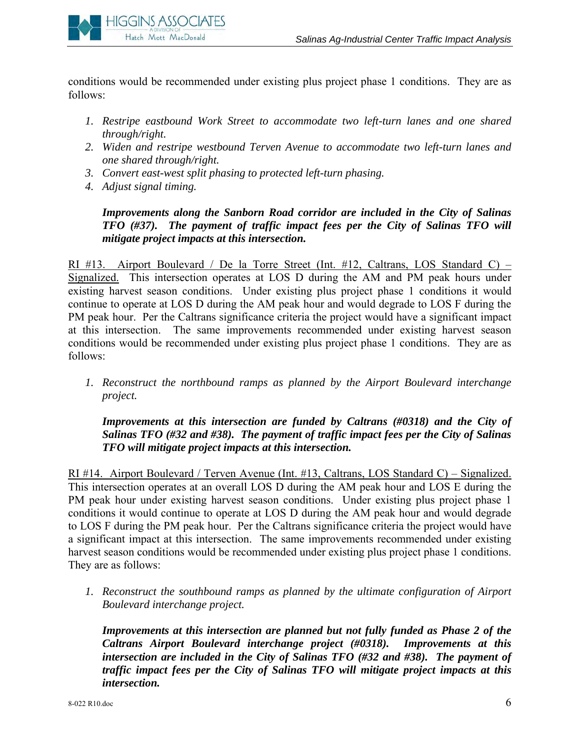

conditions would be recommended under existing plus project phase 1 conditions. They are as follows:

- *1. Restripe eastbound Work Street to accommodate two left-turn lanes and one shared through/right.*
- *2. Widen and restripe westbound Terven Avenue to accommodate two left-turn lanes and one shared through/right.*
- *3. Convert east-west split phasing to protected left-turn phasing.*
- *4. Adjust signal timing.*

*Improvements along the Sanborn Road corridor are included in the City of Salinas TFO (#37). The payment of traffic impact fees per the City of Salinas TFO will mitigate project impacts at this intersection.*

RI #13. Airport Boulevard / De la Torre Street (Int. #12, Caltrans, LOS Standard C) – Signalized. This intersection operates at LOS D during the AM and PM peak hours under existing harvest season conditions. Under existing plus project phase 1 conditions it would continue to operate at LOS D during the AM peak hour and would degrade to LOS F during the PM peak hour. Per the Caltrans significance criteria the project would have a significant impact at this intersection. The same improvements recommended under existing harvest season conditions would be recommended under existing plus project phase 1 conditions. They are as follows:

*1. Reconstruct the northbound ramps as planned by the Airport Boulevard interchange project.* 

*Improvements at this intersection are funded by Caltrans (#0318) and the City of Salinas TFO (#32 and #38). The payment of traffic impact fees per the City of Salinas TFO will mitigate project impacts at this intersection.* 

RI #14. Airport Boulevard / Terven Avenue (Int. #13, Caltrans, LOS Standard C) – Signalized. This intersection operates at an overall LOS D during the AM peak hour and LOS E during the PM peak hour under existing harvest season conditions. Under existing plus project phase 1 conditions it would continue to operate at LOS D during the AM peak hour and would degrade to LOS F during the PM peak hour. Per the Caltrans significance criteria the project would have a significant impact at this intersection. The same improvements recommended under existing harvest season conditions would be recommended under existing plus project phase 1 conditions. They are as follows:

*1. Reconstruct the southbound ramps as planned by the ultimate configuration of Airport Boulevard interchange project.* 

*Improvements at this intersection are planned but not fully funded as Phase 2 of the Caltrans Airport Boulevard interchange project (#0318). Improvements at this intersection are included in the City of Salinas TFO (#32 and #38). The payment of traffic impact fees per the City of Salinas TFO will mitigate project impacts at this intersection.*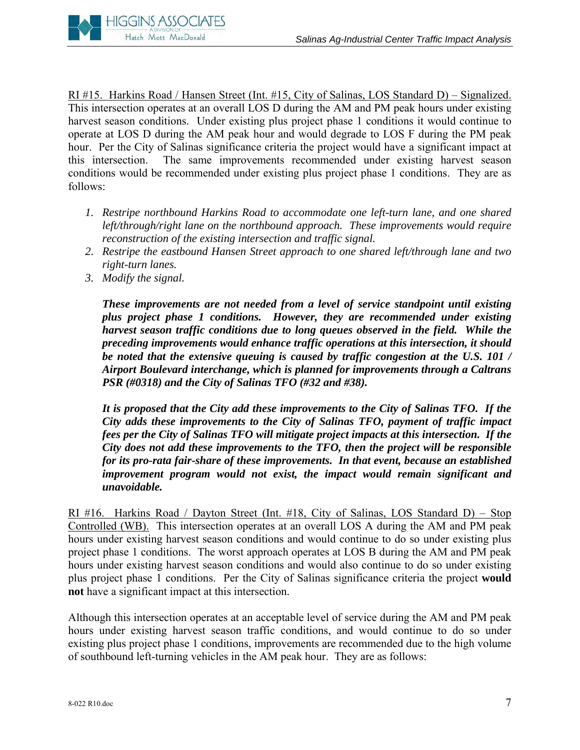

RI #15. Harkins Road / Hansen Street (Int. #15, City of Salinas, LOS Standard D) – Signalized. This intersection operates at an overall LOS D during the AM and PM peak hours under existing harvest season conditions. Under existing plus project phase 1 conditions it would continue to operate at LOS D during the AM peak hour and would degrade to LOS F during the PM peak hour. Per the City of Salinas significance criteria the project would have a significant impact at this intersection. The same improvements recommended under existing harvest season conditions would be recommended under existing plus project phase 1 conditions. They are as follows:

- *1. Restripe northbound Harkins Road to accommodate one left-turn lane, and one shared left/through/right lane on the northbound approach. These improvements would require reconstruction of the existing intersection and traffic signal.*
- *2. Restripe the eastbound Hansen Street approach to one shared left/through lane and two right-turn lanes.*
- *3. Modify the signal.*

*These improvements are not needed from a level of service standpoint until existing plus project phase 1 conditions. However, they are recommended under existing harvest season traffic conditions due to long queues observed in the field. While the preceding improvements would enhance traffic operations at this intersection, it should be noted that the extensive queuing is caused by traffic congestion at the U.S. 101 / Airport Boulevard interchange, which is planned for improvements through a Caltrans PSR (#0318) and the City of Salinas TFO (#32 and #38).*

*It is proposed that the City add these improvements to the City of Salinas TFO. If the City adds these improvements to the City of Salinas TFO, payment of traffic impact fees per the City of Salinas TFO will mitigate project impacts at this intersection. If the City does not add these improvements to the TFO, then the project will be responsible for its pro-rata fair-share of these improvements. In that event, because an established improvement program would not exist, the impact would remain significant and unavoidable.* 

RI #16. Harkins Road / Dayton Street (Int. #18, City of Salinas, LOS Standard D) – Stop Controlled (WB). This intersection operates at an overall LOS A during the AM and PM peak hours under existing harvest season conditions and would continue to do so under existing plus project phase 1 conditions. The worst approach operates at LOS B during the AM and PM peak hours under existing harvest season conditions and would also continue to do so under existing plus project phase 1 conditions. Per the City of Salinas significance criteria the project **would not** have a significant impact at this intersection.

Although this intersection operates at an acceptable level of service during the AM and PM peak hours under existing harvest season traffic conditions, and would continue to do so under existing plus project phase 1 conditions, improvements are recommended due to the high volume of southbound left-turning vehicles in the AM peak hour. They are as follows: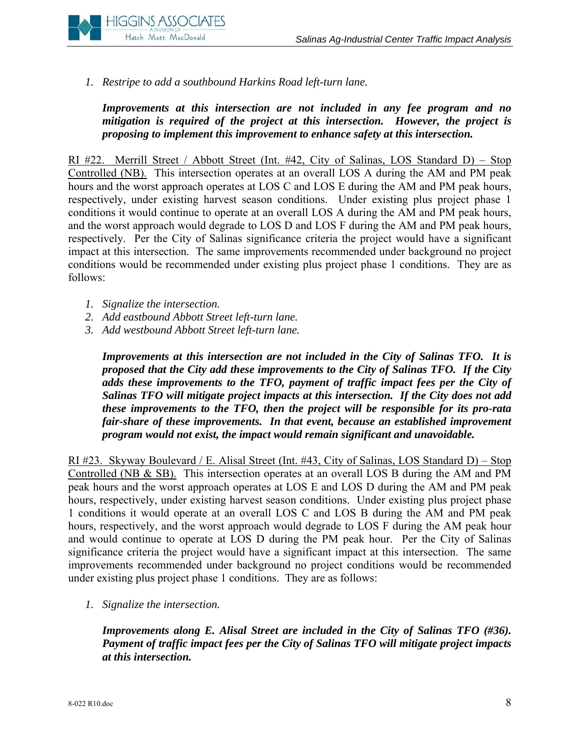

*1. Restripe to add a southbound Harkins Road left-turn lane.*

*Improvements at this intersection are not included in any fee program and no mitigation is required of the project at this intersection. However, the project is proposing to implement this improvement to enhance safety at this intersection.* 

RI #22. Merrill Street / Abbott Street (Int. #42, City of Salinas, LOS Standard D) – Stop Controlled (NB). This intersection operates at an overall LOS A during the AM and PM peak hours and the worst approach operates at LOS C and LOS E during the AM and PM peak hours, respectively, under existing harvest season conditions. Under existing plus project phase 1 conditions it would continue to operate at an overall LOS A during the AM and PM peak hours, and the worst approach would degrade to LOS D and LOS F during the AM and PM peak hours, respectively. Per the City of Salinas significance criteria the project would have a significant impact at this intersection. The same improvements recommended under background no project conditions would be recommended under existing plus project phase 1 conditions. They are as follows:

- *1. Signalize the intersection.*
- *2. Add eastbound Abbott Street left-turn lane.*
- *3. Add westb*o*und Abbott Street left-turn lane.*

*Improvements at this intersection are not included in the City of Salinas TFO. It is proposed that the City add these improvements to the City of Salinas TFO. If the City adds these improvements to the TFO, payment of traffic impact fees per the City of Salinas TFO will mitigate project impacts at this intersection. If the City does not add these improvements to the TFO, then the project will be responsible for its pro-rata fair-share of these improvements. In that event, because an established improvement program would not exist, the impact would remain significant and unavoidable.* 

RI #23. Skyway Boulevard / E. Alisal Street (Int. #43, City of Salinas, LOS Standard D) – Stop Controlled (NB & SB). This intersection operates at an overall LOS B during the AM and PM peak hours and the worst approach operates at LOS E and LOS D during the AM and PM peak hours, respectively, under existing harvest season conditions. Under existing plus project phase 1 conditions it would operate at an overall LOS C and LOS B during the AM and PM peak hours, respectively, and the worst approach would degrade to LOS F during the AM peak hour and would continue to operate at LOS D during the PM peak hour. Per the City of Salinas significance criteria the project would have a significant impact at this intersection. The same improvements recommended under background no project conditions would be recommended under existing plus project phase 1 conditions. They are as follows:

*1. Signalize the intersection.*

*Improvements along E. Alisal Street are included in the City of Salinas TFO (#36). Payment of traffic impact fees per the City of Salinas TFO will mitigate project impacts at this intersection.*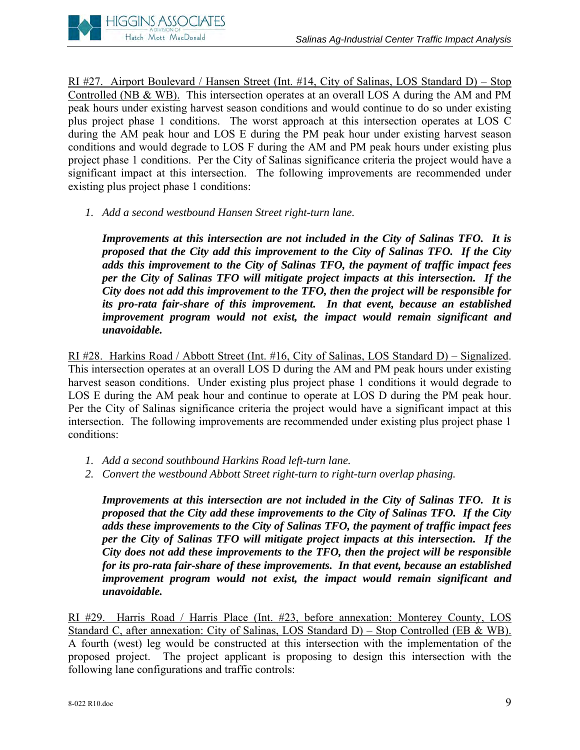

RI #27. Airport Boulevard / Hansen Street (Int. #14, City of Salinas, LOS Standard D) – Stop Controlled (NB & WB). This intersection operates at an overall LOS A during the AM and PM peak hours under existing harvest season conditions and would continue to do so under existing plus project phase 1 conditions. The worst approach at this intersection operates at LOS C during the AM peak hour and LOS E during the PM peak hour under existing harvest season conditions and would degrade to LOS F during the AM and PM peak hours under existing plus project phase 1 conditions. Per the City of Salinas significance criteria the project would have a significant impact at this intersection. The following improvements are recommended under existing plus project phase 1 conditions:

*1. Add a second westbound Hansen Street right-turn lane.* 

*Improvements at this intersection are not included in the City of Salinas TFO. It is proposed that the City add this improvement to the City of Salinas TFO. If the City adds this improvement to the City of Salinas TFO, the payment of traffic impact fees per the City of Salinas TFO will mitigate project impacts at this intersection. If the City does not add this improvement to the TFO, then the project will be responsible for its pro-rata fair-share of this improvement. In that event, because an established improvement program would not exist, the impact would remain significant and unavoidable.* 

RI #28. Harkins Road / Abbott Street (Int. #16, City of Salinas, LOS Standard D) – Signalized. This intersection operates at an overall LOS D during the AM and PM peak hours under existing harvest season conditions. Under existing plus project phase 1 conditions it would degrade to LOS E during the AM peak hour and continue to operate at LOS D during the PM peak hour. Per the City of Salinas significance criteria the project would have a significant impact at this intersection. The following improvements are recommended under existing plus project phase 1 conditions:

- *1. Add a second southbound Harkins Road left-turn lane.*
- *2. Convert the westbound Abbott Street right-turn to right-turn overlap phasing.*

*Improvements at this intersection are not included in the City of Salinas TFO. It is proposed that the City add these improvements to the City of Salinas TFO. If the City adds these improvements to the City of Salinas TFO, the payment of traffic impact fees per the City of Salinas TFO will mitigate project impacts at this intersection. If the City does not add these improvements to the TFO, then the project will be responsible for its pro-rata fair-share of these improvements. In that event, because an established improvement program would not exist, the impact would remain significant and unavoidable.* 

RI #29. Harris Road / Harris Place (Int. #23, before annexation: Monterey County, LOS Standard C, after annexation: City of Salinas, LOS Standard D) – Stop Controlled (EB & WB). A fourth (west) leg would be constructed at this intersection with the implementation of the proposed project. The project applicant is proposing to design this intersection with the following lane configurations and traffic controls: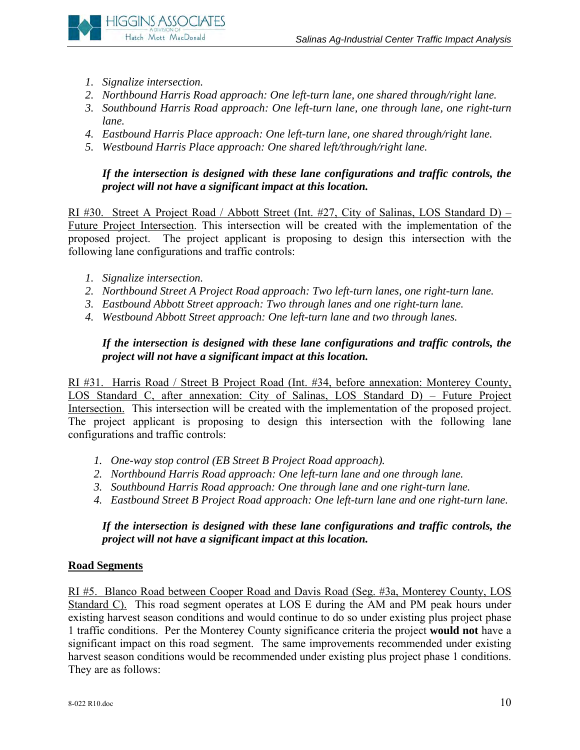

- *1. Signalize intersection.*
- *2. Northbound Harris Road approach: One left-turn lane, one shared through/right lane.*
- *3. Southbound Harris Road approach: One left-turn lane, one through lane, one right-turn lane.*
- *4. Eastbound Harris Place approach: One left-turn lane, one shared through/right lane.*
- *5. Westbound Harris Place approach: One shared left/through/right lane.*

*If the intersection is designed with these lane configurations and traffic controls, the project will not have a significant impact at this location.* 

RI #30. Street A Project Road / Abbott Street (Int. #27, City of Salinas, LOS Standard D) – Future Project Intersection. This intersection will be created with the implementation of the proposed project. The project applicant is proposing to design this intersection with the following lane configurations and traffic controls:

- *1. Signalize intersection.*
- *2. Northbound Street A Project Road approach: Two left-turn lanes, one right-turn lane.*
- *3. Eastbound Abbott Street approach: Two through lanes and one right-turn lane.*
- *4. Westbound Abbott Street approach: One left-turn lane and two through lanes.*

#### *If the intersection is designed with these lane configurations and traffic controls, the project will not have a significant impact at this location.*

RI #31. Harris Road / Street B Project Road (Int. #34, before annexation: Monterey County, LOS Standard C, after annexation: City of Salinas, LOS Standard D) – Future Project Intersection. This intersection will be created with the implementation of the proposed project. The project applicant is proposing to design this intersection with the following lane configurations and traffic controls:

- *1. One-way stop control (EB Street B Project Road approach).*
- *2. Northbound Harris Road approach: One left-turn lane and one through lane.*
- *3. Southbound Harris Road approach: One through lane and one right-turn lane.*
- *4. Eastbound Street B Project Road approach: One left-turn lane and one right-turn lane.*

#### *If the intersection is designed with these lane configurations and traffic controls, the project will not have a significant impact at this location.*

#### **Road Segments**

RI #5. Blanco Road between Cooper Road and Davis Road (Seg. #3a, Monterey County, LOS Standard C). This road segment operates at LOS E during the AM and PM peak hours under existing harvest season conditions and would continue to do so under existing plus project phase 1 traffic conditions. Per the Monterey County significance criteria the project **would not** have a significant impact on this road segment. The same improvements recommended under existing harvest season conditions would be recommended under existing plus project phase 1 conditions. They are as follows: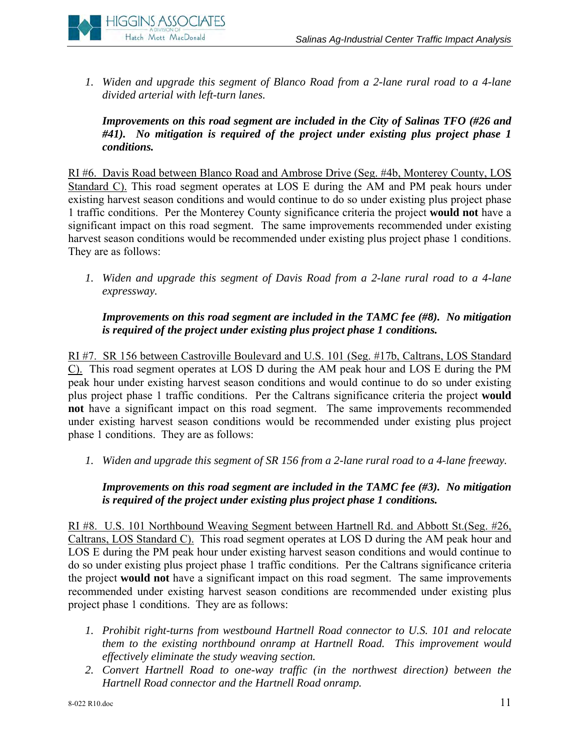

*1. Widen and upgrade this segment of Blanco Road from a 2-lane rural road to a 4-lane divided arterial with left-turn lanes.* 

*Improvements on this road segment are included in the City of Salinas TFO (#26 and #41). No mitigation is required of the project under existing plus project phase 1 conditions.* 

RI #6. Davis Road between Blanco Road and Ambrose Drive (Seg. #4b, Monterey County, LOS Standard C). This road segment operates at LOS E during the AM and PM peak hours under existing harvest season conditions and would continue to do so under existing plus project phase 1 traffic conditions. Per the Monterey County significance criteria the project **would not** have a significant impact on this road segment. The same improvements recommended under existing harvest season conditions would be recommended under existing plus project phase 1 conditions. They are as follows:

*1. Widen and upgrade this segment of Davis Road from a 2-lane rural road to a 4-lane expressway.* 

*Improvements on this road segment are included in the TAMC fee (#8). No mitigation is required of the project under existing plus project phase 1 conditions.* 

RI #7. SR 156 between Castroville Boulevard and U.S. 101 (Seg. #17b, Caltrans, LOS Standard C). This road segment operates at LOS D during the AM peak hour and LOS E during the PM peak hour under existing harvest season conditions and would continue to do so under existing plus project phase 1 traffic conditions. Per the Caltrans significance criteria the project **would not** have a significant impact on this road segment. The same improvements recommended under existing harvest season conditions would be recommended under existing plus project phase 1 conditions. They are as follows:

*1. Widen and upgrade this segment of SR 156 from a 2-lane rural road to a 4-lane freeway.* 

#### *Improvements on this road segment are included in the TAMC fee (#3). No mitigation is required of the project under existing plus project phase 1 conditions.*

RI #8. U.S. 101 Northbound Weaving Segment between Hartnell Rd. and Abbott St.(Seg. #26, Caltrans, LOS Standard C). This road segment operates at LOS D during the AM peak hour and LOS E during the PM peak hour under existing harvest season conditions and would continue to do so under existing plus project phase 1 traffic conditions. Per the Caltrans significance criteria the project **would not** have a significant impact on this road segment. The same improvements recommended under existing harvest season conditions are recommended under existing plus project phase 1 conditions. They are as follows:

- *1. Prohibit right-turns from westbound Hartnell Road connector to U.S. 101 and relocate them to the existing northbound onramp at Hartnell Road. This improvement would effectively eliminate the study weaving section.*
- *2. Convert Hartnell Road to one-way traffic (in the northwest direction) between the Hartnell Road connector and the Hartnell Road onramp.*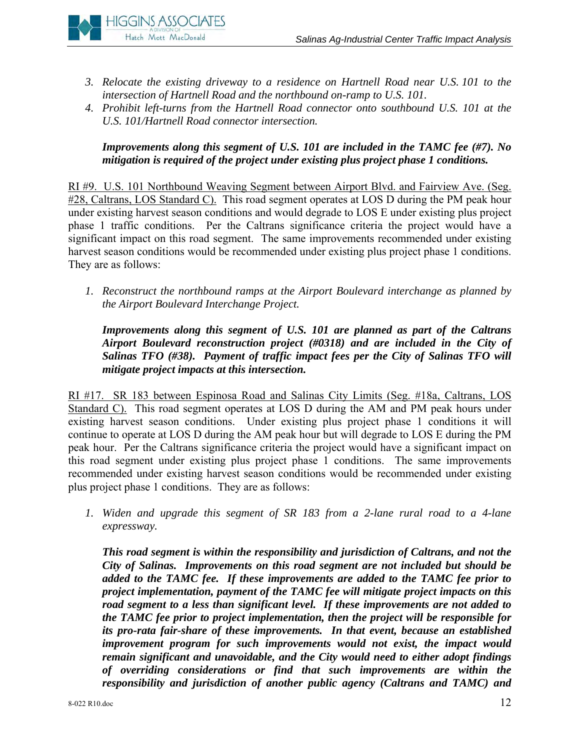- **HIGGINS ASSOCIATES** Hatch Mott MacDonald
	- *3. Relocate the existing driveway to a residence on Hartnell Road near U.S. 101 to the intersection of Hartnell Road and the northbound on-ramp to U.S. 101.*
	- *4. Prohibit left-turns from the Hartnell Road connector onto southbound U.S. 101 at the U.S. 101/Hartnell Road connector intersection.*

#### *Improvements along this segment of U.S. 101 are included in the TAMC fee (#7). No mitigation is required of the project under existing plus project phase 1 conditions.*

RI #9. U.S. 101 Northbound Weaving Segment between Airport Blvd. and Fairview Ave. (Seg. #28, Caltrans, LOS Standard C). This road segment operates at LOS D during the PM peak hour under existing harvest season conditions and would degrade to LOS E under existing plus project phase 1 traffic conditions. Per the Caltrans significance criteria the project would have a significant impact on this road segment. The same improvements recommended under existing harvest season conditions would be recommended under existing plus project phase 1 conditions. They are as follows:

*1. Reconstruct the northbound ramps at the Airport Boulevard interchange as planned by the Airport Boulevard Interchange Project.*

*Improvements along this segment of U.S. 101 are planned as part of the Caltrans Airport Boulevard reconstruction project (#0318) and are included in the City of Salinas TFO (#38). Payment of traffic impact fees per the City of Salinas TFO will mitigate project impacts at this intersection.* 

RI #17. SR 183 between Espinosa Road and Salinas City Limits (Seg. #18a, Caltrans, LOS Standard C). This road segment operates at LOS D during the AM and PM peak hours under existing harvest season conditions. Under existing plus project phase 1 conditions it will continue to operate at LOS D during the AM peak hour but will degrade to LOS E during the PM peak hour. Per the Caltrans significance criteria the project would have a significant impact on this road segment under existing plus project phase 1 conditions. The same improvements recommended under existing harvest season conditions would be recommended under existing plus project phase 1 conditions. They are as follows:

*1. Widen and upgrade this segment of SR 183 from a 2-lane rural road to a 4-lane expressway.* 

*This road segment is within the responsibility and jurisdiction of Caltrans, and not the City of Salinas. Improvements on this road segment are not included but should be added to the TAMC fee. If these improvements are added to the TAMC fee prior to project implementation, payment of the TAMC fee will mitigate project impacts on this road segment to a less than significant level. If these improvements are not added to the TAMC fee prior to project implementation, then the project will be responsible for its pro-rata fair-share of these improvements. In that event, because an established improvement program for such improvements would not exist, the impact would remain significant and unavoidable, and the City would need to either adopt findings of overriding considerations or find that such improvements are within the responsibility and jurisdiction of another public agency (Caltrans and TAMC) and*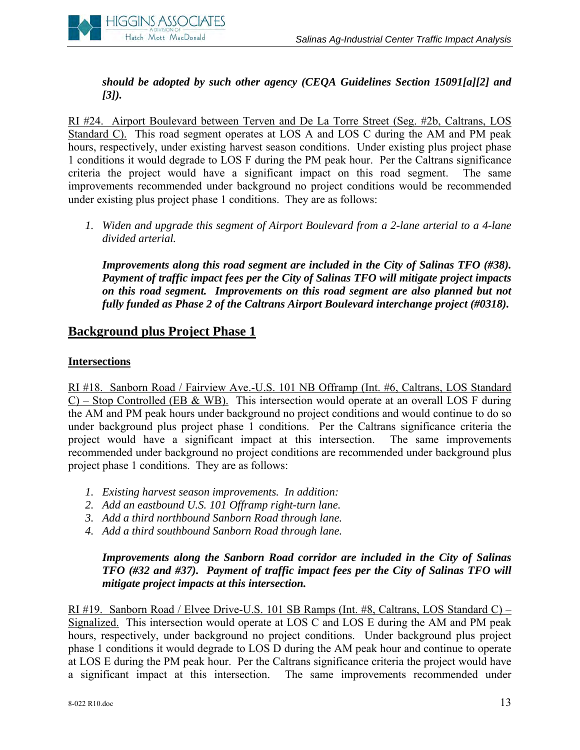

*should be adopted by such other agency (CEQA Guidelines Section 15091[a][2] and [3]).* 

RI #24. Airport Boulevard between Terven and De La Torre Street (Seg. #2b, Caltrans, LOS Standard C). This road segment operates at LOS A and LOS C during the AM and PM peak hours, respectively, under existing harvest season conditions. Under existing plus project phase 1 conditions it would degrade to LOS F during the PM peak hour. Per the Caltrans significance criteria the project would have a significant impact on this road segment. The same improvements recommended under background no project conditions would be recommended under existing plus project phase 1 conditions. They are as follows:

*1. Widen and upgrade this segment of Airport Boulevard from a 2-lane arterial to a 4-lane divided arterial.*

*Improvements along this road segment are included in the City of Salinas TFO (#38). Payment of traffic impact fees per the City of Salinas TFO will mitigate project impacts on this road segment. Improvements on this road segment are also planned but not fully funded as Phase 2 of the Caltrans Airport Boulevard interchange project (#0318).* 

## **Background plus Project Phase 1**

#### **Intersections**

RI #18. Sanborn Road / Fairview Ave.-U.S. 101 NB Offramp (Int. #6, Caltrans, LOS Standard  $C$ ) – Stop Controlled (EB & WB). This intersection would operate at an overall LOS F during the AM and PM peak hours under background no project conditions and would continue to do so under background plus project phase 1 conditions. Per the Caltrans significance criteria the project would have a significant impact at this intersection. The same improvements recommended under background no project conditions are recommended under background plus project phase 1 conditions. They are as follows:

- *1. Existing harvest season improvements. In addition:*
- *2. Add an eastbound U.S. 101 Offramp right-turn lane.*
- *3. Add a third northbound Sanborn Road through lane.*
- *4. Add a third southbound Sanborn Road through lane.*

#### *Improvements along the Sanborn Road corridor are included in the City of Salinas TFO (#32 and #37). Payment of traffic impact fees per the City of Salinas TFO will mitigate project impacts at this intersection.*

RI #19. Sanborn Road / Elvee Drive-U.S. 101 SB Ramps (Int. #8, Caltrans, LOS Standard C) – Signalized. This intersection would operate at LOS C and LOS E during the AM and PM peak hours, respectively, under background no project conditions. Under background plus project phase 1 conditions it would degrade to LOS D during the AM peak hour and continue to operate at LOS E during the PM peak hour. Per the Caltrans significance criteria the project would have a significant impact at this intersection. The same improvements recommended under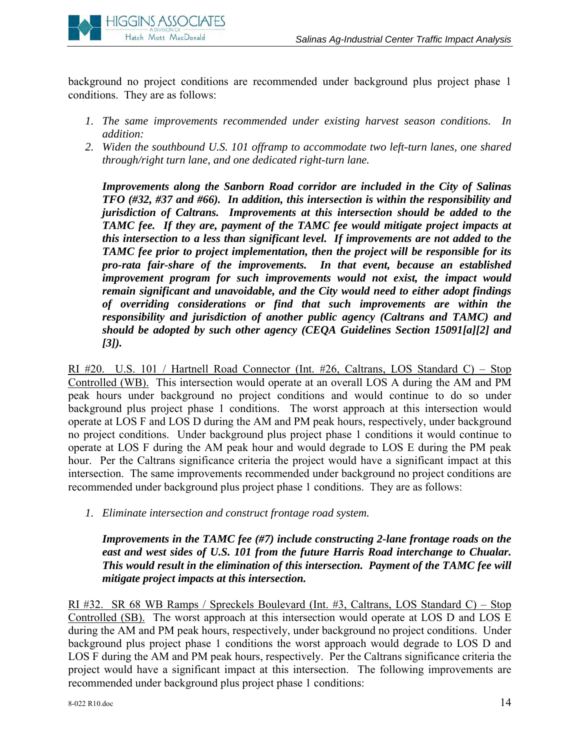

background no project conditions are recommended under background plus project phase 1 conditions. They are as follows:

- *1. The same improvements recommended under existing harvest season conditions. In addition:*
- *2. Widen the southbound U.S. 101 offramp to accommodate two left-turn lanes, one shared through/right turn lane, and one dedicated right-turn lane.*

*Improvements along the Sanborn Road corridor are included in the City of Salinas TFO (#32, #37 and #66). In addition, this intersection is within the responsibility and jurisdiction of Caltrans. Improvements at this intersection should be added to the TAMC fee. If they are, payment of the TAMC fee would mitigate project impacts at this intersection to a less than significant level. If improvements are not added to the TAMC fee prior to project implementation, then the project will be responsible for its pro-rata fair-share of the improvements. In that event, because an established improvement program for such improvements would not exist, the impact would remain significant and unavoidable, and the City would need to either adopt findings of overriding considerations or find that such improvements are within the responsibility and jurisdiction of another public agency (Caltrans and TAMC) and should be adopted by such other agency (CEQA Guidelines Section 15091[a][2] and [3]).* 

RI #20. U.S. 101 / Hartnell Road Connector (Int. #26, Caltrans, LOS Standard C) – Stop Controlled (WB). This intersection would operate at an overall LOS A during the AM and PM peak hours under background no project conditions and would continue to do so under background plus project phase 1 conditions. The worst approach at this intersection would operate at LOS F and LOS D during the AM and PM peak hours, respectively, under background no project conditions. Under background plus project phase 1 conditions it would continue to operate at LOS F during the AM peak hour and would degrade to LOS E during the PM peak hour. Per the Caltrans significance criteria the project would have a significant impact at this intersection. The same improvements recommended under background no project conditions are recommended under background plus project phase 1 conditions. They are as follows:

*1. Eliminate intersection and construct frontage road system.* 

*Improvements in the TAMC fee (#7) include constructing 2-lane frontage roads on the east and west sides of U.S. 101 from the future Harris Road interchange to Chualar. This would result in the elimination of this intersection. Payment of the TAMC fee will mitigate project impacts at this intersection.* 

RI #32. SR 68 WB Ramps / Spreckels Boulevard (Int. #3, Caltrans, LOS Standard C) – Stop Controlled (SB). The worst approach at this intersection would operate at LOS D and LOS E during the AM and PM peak hours, respectively, under background no project conditions. Under background plus project phase 1 conditions the worst approach would degrade to LOS D and LOS F during the AM and PM peak hours, respectively. Per the Caltrans significance criteria the project would have a significant impact at this intersection. The following improvements are recommended under background plus project phase 1 conditions: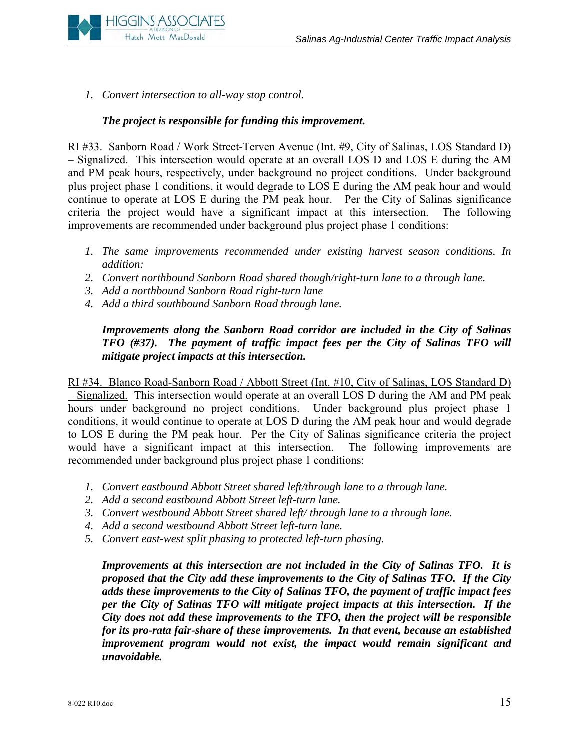

*1. Convert intersection to all-way stop control.*

#### *The project is responsible for funding this improvement.*

RI #33. Sanborn Road / Work Street-Terven Avenue (Int. #9, City of Salinas, LOS Standard D) – Signalized. This intersection would operate at an overall LOS D and LOS E during the AM and PM peak hours, respectively, under background no project conditions. Under background plus project phase 1 conditions, it would degrade to LOS E during the AM peak hour and would continue to operate at LOS E during the PM peak hour. Per the City of Salinas significance criteria the project would have a significant impact at this intersection. The following improvements are recommended under background plus project phase 1 conditions:

- *1. The same improvements recommended under existing harvest season conditions. In addition:*
- *2. Convert northbound Sanborn Road shared though/right-turn lane to a through lane.*
- *3. Add a northbound Sanborn Road right-turn lane*
- *4. Add a third southbound Sanborn Road through lane.*

#### *Improvements along the Sanborn Road corridor are included in the City of Salinas TFO (#37). The payment of traffic impact fees per the City of Salinas TFO will mitigate project impacts at this intersection.*

RI #34. Blanco Road-Sanborn Road / Abbott Street (Int. #10, City of Salinas, LOS Standard D) – Signalized. This intersection would operate at an overall LOS D during the AM and PM peak hours under background no project conditions. Under background plus project phase 1 conditions, it would continue to operate at LOS D during the AM peak hour and would degrade to LOS E during the PM peak hour. Per the City of Salinas significance criteria the project would have a significant impact at this intersection. The following improvements are recommended under background plus project phase 1 conditions:

- *1. Convert eastbound Abbott Street shared left/through lane to a through lane.*
- *2. Add a second eastbound Abbott Street left-turn lane.*
- *3. Convert westbound Abbott Street shared left/ through lane to a through lane.*
- *4. Add a second westbound Abbott Street left-turn lane.*
- *5. Convert east-west split phasing to protected left-turn phasing.*

*Improvements at this intersection are not included in the City of Salinas TFO. It is proposed that the City add these improvements to the City of Salinas TFO. If the City adds these improvements to the City of Salinas TFO, the payment of traffic impact fees per the City of Salinas TFO will mitigate project impacts at this intersection. If the City does not add these improvements to the TFO, then the project will be responsible for its pro-rata fair-share of these improvements. In that event, because an established improvement program would not exist, the impact would remain significant and unavoidable.*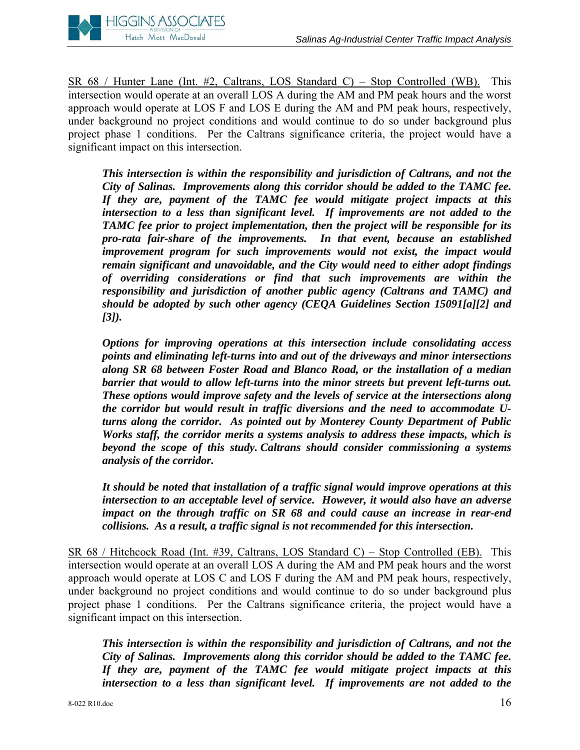

SR 68 / Hunter Lane (Int. #2, Caltrans, LOS Standard C) – Stop Controlled (WB). This intersection would operate at an overall LOS A during the AM and PM peak hours and the worst approach would operate at LOS F and LOS E during the AM and PM peak hours, respectively, under background no project conditions and would continue to do so under background plus project phase 1 conditions. Per the Caltrans significance criteria, the project would have a significant impact on this intersection.

*This intersection is within the responsibility and jurisdiction of Caltrans, and not the City of Salinas. Improvements along this corridor should be added to the TAMC fee. If they are, payment of the TAMC fee would mitigate project impacts at this intersection to a less than significant level. If improvements are not added to the TAMC fee prior to project implementation, then the project will be responsible for its pro-rata fair-share of the improvements. In that event, because an established improvement program for such improvements would not exist, the impact would remain significant and unavoidable, and the City would need to either adopt findings of overriding considerations or find that such improvements are within the responsibility and jurisdiction of another public agency (Caltrans and TAMC) and should be adopted by such other agency (CEQA Guidelines Section 15091[a][2] and [3]).* 

*Options for improving operations at this intersection include consolidating access points and eliminating left-turns into and out of the driveways and minor intersections along SR 68 between Foster Road and Blanco Road, or the installation of a median barrier that would to allow left-turns into the minor streets but prevent left-turns out. These options would improve safety and the levels of service at the intersections along the corridor but would result in traffic diversions and the need to accommodate Uturns along the corridor. As pointed out by Monterey County Department of Public Works staff, the corridor merits a systems analysis to address these impacts, which is beyond the scope of this study. Caltrans should consider commissioning a systems analysis of the corridor.* 

*It should be noted that installation of a traffic signal would improve operations at this intersection to an acceptable level of service. However, it would also have an adverse impact on the through traffic on SR 68 and could cause an increase in rear-end collisions. As a result, a traffic signal is not recommended for this intersection.* 

SR 68 / Hitchcock Road (Int. #39, Caltrans, LOS Standard C) – Stop Controlled (EB). This intersection would operate at an overall LOS A during the AM and PM peak hours and the worst approach would operate at LOS C and LOS F during the AM and PM peak hours, respectively, under background no project conditions and would continue to do so under background plus project phase 1 conditions. Per the Caltrans significance criteria, the project would have a significant impact on this intersection.

*This intersection is within the responsibility and jurisdiction of Caltrans, and not the City of Salinas. Improvements along this corridor should be added to the TAMC fee. If they are, payment of the TAMC fee would mitigate project impacts at this intersection to a less than significant level. If improvements are not added to the*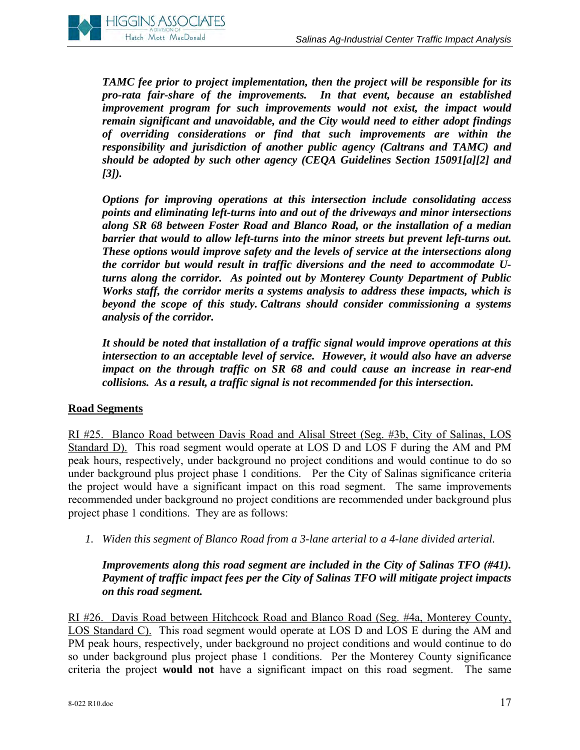

*TAMC fee prior to project implementation, then the project will be responsible for its pro-rata fair-share of the improvements. In that event, because an established improvement program for such improvements would not exist, the impact would remain significant and unavoidable, and the City would need to either adopt findings of overriding considerations or find that such improvements are within the responsibility and jurisdiction of another public agency (Caltrans and TAMC) and should be adopted by such other agency (CEQA Guidelines Section 15091[a][2] and [3]).* 

*Options for improving operations at this intersection include consolidating access points and eliminating left-turns into and out of the driveways and minor intersections along SR 68 between Foster Road and Blanco Road, or the installation of a median barrier that would to allow left-turns into the minor streets but prevent left-turns out. These options would improve safety and the levels of service at the intersections along the corridor but would result in traffic diversions and the need to accommodate Uturns along the corridor. As pointed out by Monterey County Department of Public Works staff, the corridor merits a systems analysis to address these impacts, which is beyond the scope of this study. Caltrans should consider commissioning a systems analysis of the corridor.* 

*It should be noted that installation of a traffic signal would improve operations at this intersection to an acceptable level of service. However, it would also have an adverse impact on the through traffic on SR 68 and could cause an increase in rear-end collisions. As a result, a traffic signal is not recommended for this intersection.* 

#### **Road Segments**

RI #25. Blanco Road between Davis Road and Alisal Street (Seg. #3b, City of Salinas, LOS Standard D). This road segment would operate at LOS D and LOS F during the AM and PM peak hours, respectively, under background no project conditions and would continue to do so under background plus project phase 1 conditions. Per the City of Salinas significance criteria the project would have a significant impact on this road segment. The same improvements recommended under background no project conditions are recommended under background plus project phase 1 conditions. They are as follows:

*1. Widen this segment of Blanco Road from a 3-lane arterial to a 4-lane divided arterial.*

*Improvements along this road segment are included in the City of Salinas TFO (#41). Payment of traffic impact fees per the City of Salinas TFO will mitigate project impacts on this road segment.* 

RI #26. Davis Road between Hitchcock Road and Blanco Road (Seg. #4a, Monterey County, LOS Standard C). This road segment would operate at LOS D and LOS E during the AM and PM peak hours, respectively, under background no project conditions and would continue to do so under background plus project phase 1 conditions. Per the Monterey County significance criteria the project **would not** have a significant impact on this road segment. The same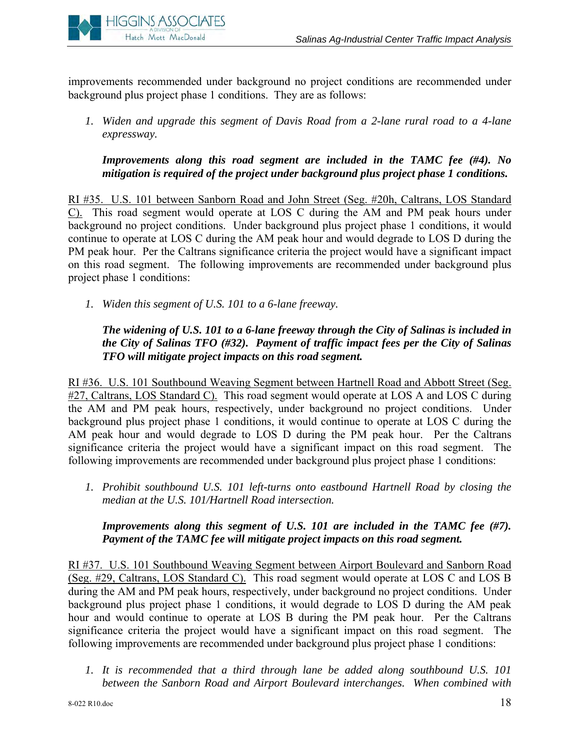

improvements recommended under background no project conditions are recommended under background plus project phase 1 conditions. They are as follows:

*1. Widen and upgrade this segment of Davis Road from a 2-lane rural road to a 4-lane expressway.* 

*Improvements along this road segment are included in the TAMC fee (#4). No mitigation is required of the project under background plus project phase 1 conditions.* 

RI #35. U.S. 101 between Sanborn Road and John Street (Seg. #20h, Caltrans, LOS Standard C). This road segment would operate at LOS C during the AM and PM peak hours under background no project conditions. Under background plus project phase 1 conditions, it would continue to operate at LOS C during the AM peak hour and would degrade to LOS D during the PM peak hour. Per the Caltrans significance criteria the project would have a significant impact on this road segment. The following improvements are recommended under background plus project phase 1 conditions:

*1. Widen this segment of U.S. 101 to a 6-lane freeway.* 

*The widening of U.S. 101 to a 6-lane freeway through the City of Salinas is included in the City of Salinas TFO (#32). Payment of traffic impact fees per the City of Salinas TFO will mitigate project impacts on this road segment.* 

RI #36. U.S. 101 Southbound Weaving Segment between Hartnell Road and Abbott Street (Seg. #27, Caltrans, LOS Standard C). This road segment would operate at LOS A and LOS C during the AM and PM peak hours, respectively, under background no project conditions. Under background plus project phase 1 conditions, it would continue to operate at LOS C during the AM peak hour and would degrade to LOS D during the PM peak hour. Per the Caltrans significance criteria the project would have a significant impact on this road segment. The following improvements are recommended under background plus project phase 1 conditions:

*1. Prohibit southbound U.S. 101 left-turns onto eastbound Hartnell Road by closing the median at the U.S. 101/Hartnell Road intersection.* 

#### *Improvements along this segment of U.S. 101 are included in the TAMC fee (#7). Payment of the TAMC fee will mitigate project impacts on this road segment.*

RI #37. U.S. 101 Southbound Weaving Segment between Airport Boulevard and Sanborn Road (Seg. #29, Caltrans, LOS Standard C). This road segment would operate at LOS C and LOS B during the AM and PM peak hours, respectively, under background no project conditions. Under background plus project phase 1 conditions, it would degrade to LOS D during the AM peak hour and would continue to operate at LOS B during the PM peak hour. Per the Caltrans significance criteria the project would have a significant impact on this road segment. The following improvements are recommended under background plus project phase 1 conditions:

*1. It is recommended that a third through lane be added along southbound U.S. 101 between the Sanborn Road and Airport Boulevard interchanges. When combined with*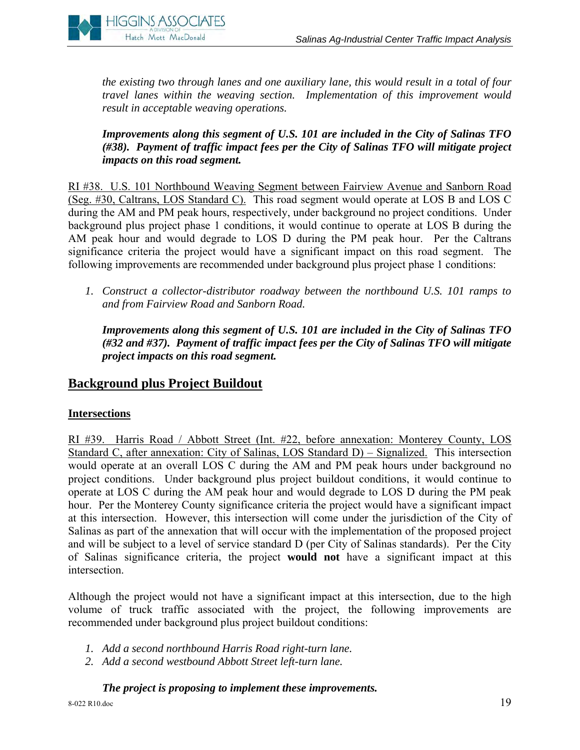

*the existing two through lanes and one auxiliary lane, this would result in a total of four travel lanes within the weaving section. Implementation of this improvement would result in acceptable weaving operations.* 

*Improvements along this segment of U.S. 101 are included in the City of Salinas TFO (#38). Payment of traffic impact fees per the City of Salinas TFO will mitigate project impacts on this road segment.* 

RI #38. U.S. 101 Northbound Weaving Segment between Fairview Avenue and Sanborn Road (Seg. #30, Caltrans, LOS Standard C). This road segment would operate at LOS B and LOS C during the AM and PM peak hours, respectively, under background no project conditions. Under background plus project phase 1 conditions, it would continue to operate at LOS B during the AM peak hour and would degrade to LOS D during the PM peak hour. Per the Caltrans significance criteria the project would have a significant impact on this road segment. The following improvements are recommended under background plus project phase 1 conditions:

*1. Construct a collector-distributor roadway between the northbound U.S. 101 ramps to and from Fairview Road and Sanborn Road.* 

*Improvements along this segment of U.S. 101 are included in the City of Salinas TFO (#32 and #37). Payment of traffic impact fees per the City of Salinas TFO will mitigate project impacts on this road segment.* 

## **Background plus Project Buildout**

#### **Intersections**

RI #39. Harris Road / Abbott Street (Int. #22, before annexation: Monterey County, LOS Standard C, after annexation: City of Salinas, LOS Standard D) – Signalized. This intersection would operate at an overall LOS C during the AM and PM peak hours under background no project conditions. Under background plus project buildout conditions, it would continue to operate at LOS C during the AM peak hour and would degrade to LOS D during the PM peak hour. Per the Monterey County significance criteria the project would have a significant impact at this intersection. However, this intersection will come under the jurisdiction of the City of Salinas as part of the annexation that will occur with the implementation of the proposed project and will be subject to a level of service standard D (per City of Salinas standards). Per the City of Salinas significance criteria, the project **would not** have a significant impact at this intersection.

Although the project would not have a significant impact at this intersection, due to the high volume of truck traffic associated with the project, the following improvements are recommended under background plus project buildout conditions:

- *1. Add a second northbound Harris Road right-turn lane.*
- *2. Add a second westbound Abbott Street left-turn lane.*

*The project is proposing to implement these improvements.*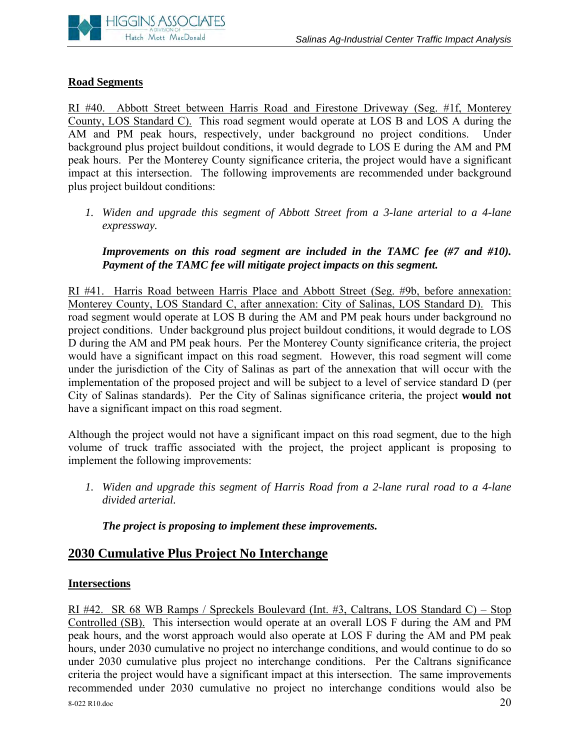#### **Road Segments**

RI #40. Abbott Street between Harris Road and Firestone Driveway (Seg. #1f, Monterey County, LOS Standard C). This road segment would operate at LOS B and LOS A during the AM and PM peak hours, respectively, under background no project conditions. Under background plus project buildout conditions, it would degrade to LOS E during the AM and PM peak hours. Per the Monterey County significance criteria, the project would have a significant impact at this intersection. The following improvements are recommended under background plus project buildout conditions:

*1. Widen and upgrade this segment of Abbott Street from a 3-lane arterial to a 4-lane expressway.* 

#### *Improvements on this road segment are included in the TAMC fee (#7 and #10). Payment of the TAMC fee will mitigate project impacts on this segment.*

RI #41. Harris Road between Harris Place and Abbott Street (Seg. #9b, before annexation: Monterey County, LOS Standard C, after annexation: City of Salinas, LOS Standard D). This road segment would operate at LOS B during the AM and PM peak hours under background no project conditions. Under background plus project buildout conditions, it would degrade to LOS D during the AM and PM peak hours. Per the Monterey County significance criteria, the project would have a significant impact on this road segment. However, this road segment will come under the jurisdiction of the City of Salinas as part of the annexation that will occur with the implementation of the proposed project and will be subject to a level of service standard D (per City of Salinas standards). Per the City of Salinas significance criteria, the project **would not** have a significant impact on this road segment.

Although the project would not have a significant impact on this road segment, due to the high volume of truck traffic associated with the project, the project applicant is proposing to implement the following improvements:

*1. Widen and upgrade this segment of Harris Road from a 2-lane rural road to a 4-lane divided arterial.* 

#### *The project is proposing to implement these improvements.*

## **2030 Cumulative Plus Project No Interchange**

#### **Intersections**

8-022 R10.doc 20 RI #42. SR 68 WB Ramps / Spreckels Boulevard (Int. #3, Caltrans, LOS Standard C) – Stop Controlled (SB). This intersection would operate at an overall LOS F during the AM and PM peak hours, and the worst approach would also operate at LOS F during the AM and PM peak hours, under 2030 cumulative no project no interchange conditions, and would continue to do so under 2030 cumulative plus project no interchange conditions. Per the Caltrans significance criteria the project would have a significant impact at this intersection. The same improvements recommended under 2030 cumulative no project no interchange conditions would also be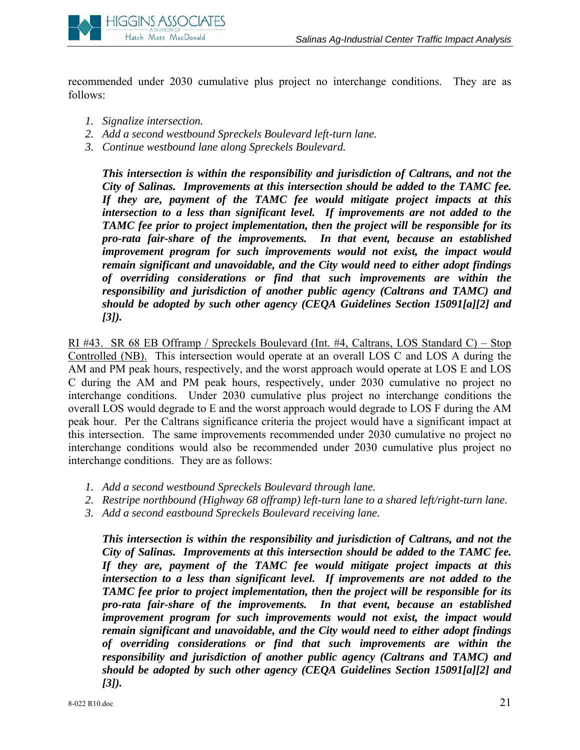

recommended under 2030 cumulative plus project no interchange conditions. They are as follows:

- *1. Signalize intersection.*
- *2. Add a second westbound Spreckels Boulevard left-turn lane.*
- *3. Continue westbound lane along Spreckels Boulevard.*

*This intersection is within the responsibility and jurisdiction of Caltrans, and not the City of Salinas. Improvements at this intersection should be added to the TAMC fee. If they are, payment of the TAMC fee would mitigate project impacts at this intersection to a less than significant level. If improvements are not added to the TAMC fee prior to project implementation, then the project will be responsible for its pro-rata fair-share of the improvements. In that event, because an established improvement program for such improvements would not exist, the impact would remain significant and unavoidable, and the City would need to either adopt findings of overriding considerations or find that such improvements are within the responsibility and jurisdiction of another public agency (Caltrans and TAMC) and should be adopted by such other agency (CEQA Guidelines Section 15091[a][2] and [3]).* 

RI #43. SR 68 EB Offramp / Spreckels Boulevard (Int. #4, Caltrans, LOS Standard C) – Stop Controlled (NB). This intersection would operate at an overall LOS C and LOS A during the AM and PM peak hours, respectively, and the worst approach would operate at LOS E and LOS C during the AM and PM peak hours, respectively, under 2030 cumulative no project no interchange conditions. Under 2030 cumulative plus project no interchange conditions the overall LOS would degrade to E and the worst approach would degrade to LOS F during the AM peak hour. Per the Caltrans significance criteria the project would have a significant impact at this intersection. The same improvements recommended under 2030 cumulative no project no interchange conditions would also be recommended under 2030 cumulative plus project no interchange conditions. They are as follows:

- *1. Add a second westbound Spreckels Boulevard through lane.*
- *2. Restripe northbound (Highway 68 offramp) left-turn lane to a shared left/right-turn lane.*
- *3. Add a second eastbound Spreckels Boulevard receiving lane.*

*This intersection is within the responsibility and jurisdiction of Caltrans, and not the City of Salinas. Improvements at this intersection should be added to the TAMC fee. If they are, payment of the TAMC fee would mitigate project impacts at this intersection to a less than significant level. If improvements are not added to the TAMC fee prior to project implementation, then the project will be responsible for its pro-rata fair-share of the improvements. In that event, because an established improvement program for such improvements would not exist, the impact would remain significant and unavoidable, and the City would need to either adopt findings of overriding considerations or find that such improvements are within the responsibility and jurisdiction of another public agency (Caltrans and TAMC) and should be adopted by such other agency (CEQA Guidelines Section 15091[a][2] and [3]).*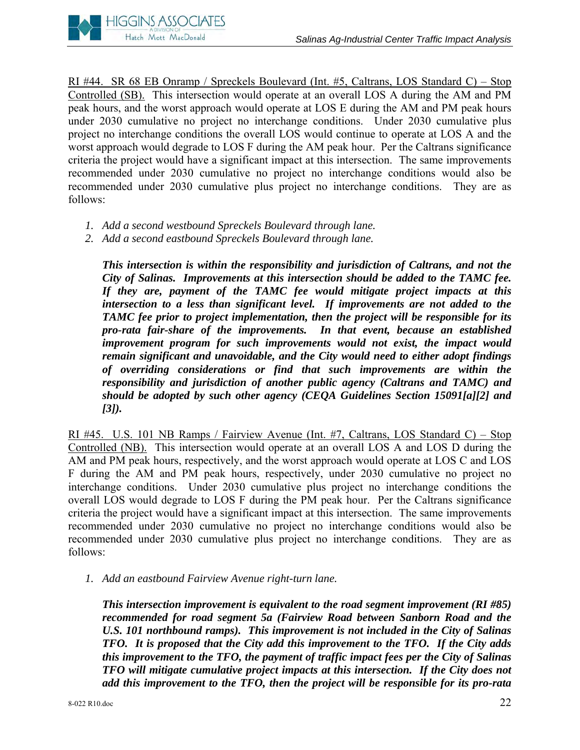

RI #44. SR 68 EB Onramp / Spreckels Boulevard (Int. #5, Caltrans, LOS Standard C) – Stop Controlled (SB). This intersection would operate at an overall LOS A during the AM and PM peak hours, and the worst approach would operate at LOS E during the AM and PM peak hours under 2030 cumulative no project no interchange conditions. Under 2030 cumulative plus project no interchange conditions the overall LOS would continue to operate at LOS A and the worst approach would degrade to LOS F during the AM peak hour. Per the Caltrans significance criteria the project would have a significant impact at this intersection. The same improvements recommended under 2030 cumulative no project no interchange conditions would also be recommended under 2030 cumulative plus project no interchange conditions. They are as follows:

- *1. Add a second westbound Spreckels Boulevard through lane.*
- *2. Add a second eastbound Spreckels Boulevard through lane.*

*This intersection is within the responsibility and jurisdiction of Caltrans, and not the City of Salinas. Improvements at this intersection should be added to the TAMC fee. If they are, payment of the TAMC fee would mitigate project impacts at this intersection to a less than significant level. If improvements are not added to the TAMC fee prior to project implementation, then the project will be responsible for its pro-rata fair-share of the improvements. In that event, because an established improvement program for such improvements would not exist, the impact would remain significant and unavoidable, and the City would need to either adopt findings of overriding considerations or find that such improvements are within the responsibility and jurisdiction of another public agency (Caltrans and TAMC) and should be adopted by such other agency (CEQA Guidelines Section 15091[a][2] and [3]).* 

RI #45. U.S. 101 NB Ramps / Fairview Avenue (Int. #7, Caltrans, LOS Standard C) – Stop Controlled (NB). This intersection would operate at an overall LOS A and LOS D during the AM and PM peak hours, respectively, and the worst approach would operate at LOS C and LOS F during the AM and PM peak hours, respectively, under 2030 cumulative no project no interchange conditions. Under 2030 cumulative plus project no interchange conditions the overall LOS would degrade to LOS F during the PM peak hour. Per the Caltrans significance criteria the project would have a significant impact at this intersection. The same improvements recommended under 2030 cumulative no project no interchange conditions would also be recommended under 2030 cumulative plus project no interchange conditions. They are as follows:

*1. Add an eastbound Fairview Avenue right-turn lane.* 

*This intersection improvement is equivalent to the road segment improvement (RI #85) recommended for road segment 5a (Fairview Road between Sanborn Road and the U.S. 101 northbound ramps). This improvement is not included in the City of Salinas TFO. It is proposed that the City add this improvement to the TFO. If the City adds this improvement to the TFO, the payment of traffic impact fees per the City of Salinas TFO will mitigate cumulative project impacts at this intersection. If the City does not add this improvement to the TFO, then the project will be responsible for its pro-rata*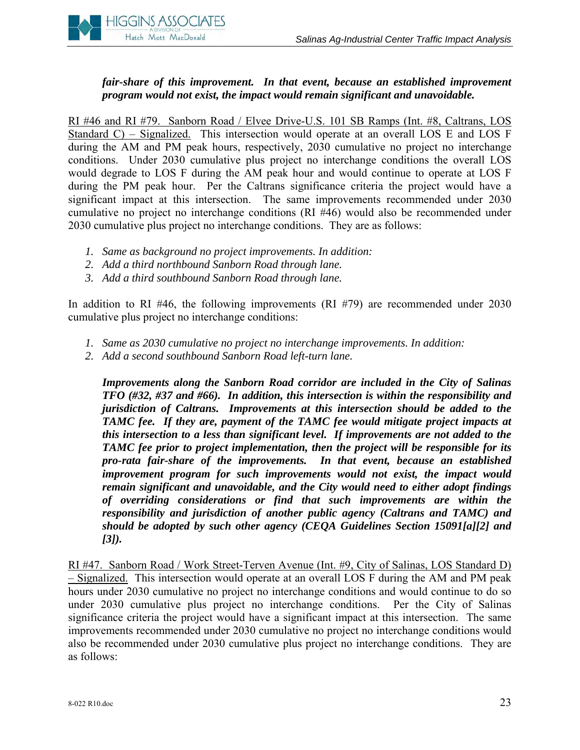

#### *fair-share of this improvement. In that event, because an established improvement program would not exist, the impact would remain significant and unavoidable.*

RI #46 and RI #79. Sanborn Road / Elvee Drive-U.S. 101 SB Ramps (Int. #8, Caltrans, LOS Standard C) – Signalized. This intersection would operate at an overall LOS E and LOS F during the AM and PM peak hours, respectively, 2030 cumulative no project no interchange conditions. Under 2030 cumulative plus project no interchange conditions the overall LOS would degrade to LOS F during the AM peak hour and would continue to operate at LOS F during the PM peak hour. Per the Caltrans significance criteria the project would have a significant impact at this intersection. The same improvements recommended under 2030 cumulative no project no interchange conditions (RI #46) would also be recommended under 2030 cumulative plus project no interchange conditions. They are as follows:

- *1. Same as background no project improvements. In addition:*
- *2. Add a third northbound Sanborn Road through lane.*
- *3. Add a third southbound Sanborn Road through lane.*

In addition to RI #46, the following improvements (RI #79) are recommended under 2030 cumulative plus project no interchange conditions:

- *1. Same as 2030 cumulative no project no interchange improvements. In addition:*
- *2. Add a second southbound Sanborn Road left-turn lane.*

*Improvements along the Sanborn Road corridor are included in the City of Salinas TFO (#32, #37 and #66). In addition, this intersection is within the responsibility and jurisdiction of Caltrans. Improvements at this intersection should be added to the TAMC fee. If they are, payment of the TAMC fee would mitigate project impacts at this intersection to a less than significant level. If improvements are not added to the TAMC fee prior to project implementation, then the project will be responsible for its pro-rata fair-share of the improvements. In that event, because an established improvement program for such improvements would not exist, the impact would remain significant and unavoidable, and the City would need to either adopt findings of overriding considerations or find that such improvements are within the responsibility and jurisdiction of another public agency (Caltrans and TAMC) and should be adopted by such other agency (CEQA Guidelines Section 15091[a][2] and [3]).* 

RI #47. Sanborn Road / Work Street-Terven Avenue (Int. #9, City of Salinas, LOS Standard D) – Signalized. This intersection would operate at an overall LOS F during the AM and PM peak hours under 2030 cumulative no project no interchange conditions and would continue to do so under 2030 cumulative plus project no interchange conditions. Per the City of Salinas significance criteria the project would have a significant impact at this intersection. The same improvements recommended under 2030 cumulative no project no interchange conditions would also be recommended under 2030 cumulative plus project no interchange conditions. They are as follows: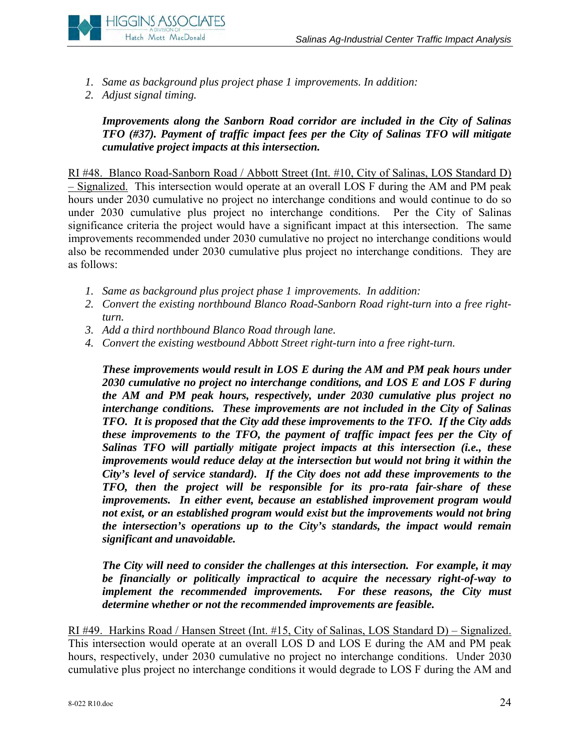

- *1. Same as background plus project phase 1 improvements. In addition:*
- *2. Adjust signal timing.*

*Improvements along the Sanborn Road corridor are included in the City of Salinas TFO (#37). Payment of traffic impact fees per the City of Salinas TFO will mitigate cumulative project impacts at this intersection.* 

RI #48. Blanco Road-Sanborn Road / Abbott Street (Int. #10, City of Salinas, LOS Standard D) – Signalized. This intersection would operate at an overall LOS F during the AM and PM peak hours under 2030 cumulative no project no interchange conditions and would continue to do so under 2030 cumulative plus project no interchange conditions. Per the City of Salinas significance criteria the project would have a significant impact at this intersection. The same improvements recommended under 2030 cumulative no project no interchange conditions would also be recommended under 2030 cumulative plus project no interchange conditions. They are as follows:

- *1. Same as background plus project phase 1 improvements. In addition:*
- *2. Convert the existing northbound Blanco Road-Sanborn Road right-turn into a free rightturn.*
- *3. Add a third northbound Blanco Road through lane.*
- *4. Convert the existing westbound Abbott Street right-turn into a free right-turn.*

*These improvements would result in LOS E during the AM and PM peak hours under 2030 cumulative no project no interchange conditions, and LOS E and LOS F during the AM and PM peak hours, respectively, under 2030 cumulative plus project no interchange conditions. These improvements are not included in the City of Salinas TFO. It is proposed that the City add these improvements to the TFO. If the City adds these improvements to the TFO, the payment of traffic impact fees per the City of Salinas TFO will partially mitigate project impacts at this intersection (i.e., these improvements would reduce delay at the intersection but would not bring it within the City's level of service standard). If the City does not add these improvements to the TFO, then the project will be responsible for its pro-rata fair-share of these improvements. In either event, because an established improvement program would not exist, or an established program would exist but the improvements would not bring the intersection's operations up to the City's standards, the impact would remain significant and unavoidable.* 

*The City will need to consider the challenges at this intersection. For example, it may be financially or politically impractical to acquire the necessary right-of-way to implement the recommended improvements. For these reasons, the City must determine whether or not the recommended improvements are feasible.*

RI #49. Harkins Road / Hansen Street (Int. #15, City of Salinas, LOS Standard D) – Signalized. This intersection would operate at an overall LOS D and LOS E during the AM and PM peak hours, respectively, under 2030 cumulative no project no interchange conditions. Under 2030 cumulative plus project no interchange conditions it would degrade to LOS F during the AM and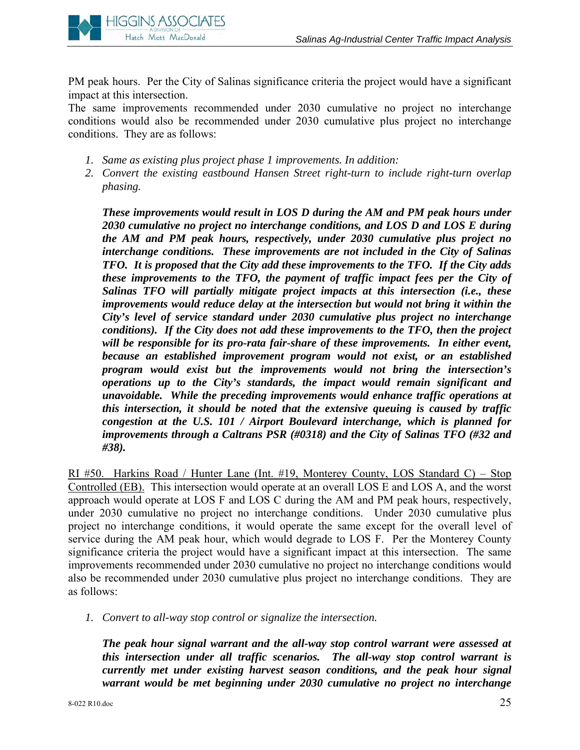

PM peak hours. Per the City of Salinas significance criteria the project would have a significant impact at this intersection.

The same improvements recommended under 2030 cumulative no project no interchange conditions would also be recommended under 2030 cumulative plus project no interchange conditions. They are as follows:

- *1. Same as existing plus project phase 1 improvements. In addition:*
- *2. Convert the existing eastbound Hansen Street right-turn to include right-turn overlap phasing.*

*These improvements would result in LOS D during the AM and PM peak hours under 2030 cumulative no project no interchange conditions, and LOS D and LOS E during the AM and PM peak hours, respectively, under 2030 cumulative plus project no interchange conditions. These improvements are not included in the City of Salinas TFO. It is proposed that the City add these improvements to the TFO. If the City adds these improvements to the TFO, the payment of traffic impact fees per the City of Salinas TFO will partially mitigate project impacts at this intersection (i.e., these improvements would reduce delay at the intersection but would not bring it within the City's level of service standard under 2030 cumulative plus project no interchange conditions). If the City does not add these improvements to the TFO, then the project will be responsible for its pro-rata fair-share of these improvements. In either event, because an established improvement program would not exist, or an established program would exist but the improvements would not bring the intersection's operations up to the City's standards, the impact would remain significant and unavoidable. While the preceding improvements would enhance traffic operations at this intersection, it should be noted that the extensive queuing is caused by traffic congestion at the U.S. 101 / Airport Boulevard interchange, which is planned for improvements through a Caltrans PSR (#0318) and the City of Salinas TFO (#32 and #38).* 

RI #50. Harkins Road / Hunter Lane (Int. #19, Monterey County, LOS Standard C) – Stop Controlled (EB). This intersection would operate at an overall LOS E and LOS A, and the worst approach would operate at LOS F and LOS C during the AM and PM peak hours, respectively, under 2030 cumulative no project no interchange conditions. Under 2030 cumulative plus project no interchange conditions, it would operate the same except for the overall level of service during the AM peak hour, which would degrade to LOS F. Per the Monterey County significance criteria the project would have a significant impact at this intersection. The same improvements recommended under 2030 cumulative no project no interchange conditions would also be recommended under 2030 cumulative plus project no interchange conditions. They are as follows:

*1. Convert to all-way stop control or signalize the intersection.* 

*The peak hour signal warrant and the all-way stop control warrant were assessed at this intersection under all traffic scenarios. The all-way stop control warrant is currently met under existing harvest season conditions, and the peak hour signal warrant would be met beginning under 2030 cumulative no project no interchange*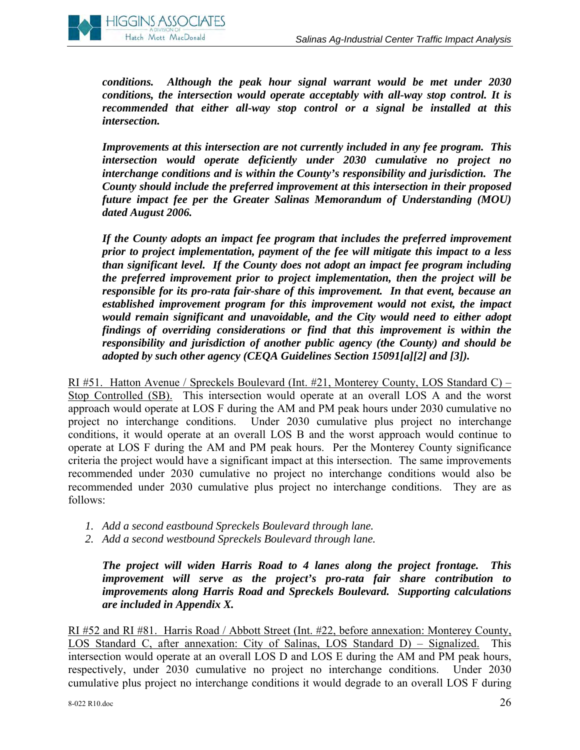

*conditions. Although the peak hour signal warrant would be met under 2030 conditions, the intersection would operate acceptably with all-way stop control. It is recommended that either all-way stop control or a signal be installed at this intersection.* 

*Improvements at this intersection are not currently included in any fee program. This intersection would operate deficiently under 2030 cumulative no project no interchange conditions and is within the County's responsibility and jurisdiction. The County should include the preferred improvement at this intersection in their proposed future impact fee per the Greater Salinas Memorandum of Understanding (MOU) dated August 2006.* 

*If the County adopts an impact fee program that includes the preferred improvement prior to project implementation, payment of the fee will mitigate this impact to a less than significant level. If the County does not adopt an impact fee program including the preferred improvement prior to project implementation, then the project will be responsible for its pro-rata fair-share of this improvement. In that event, because an established improvement program for this improvement would not exist, the impact would remain significant and unavoidable, and the City would need to either adopt findings of overriding considerations or find that this improvement is within the responsibility and jurisdiction of another public agency (the County) and should be adopted by such other agency (CEQA Guidelines Section 15091[a][2] and [3]).* 

RI #51. Hatton Avenue / Spreckels Boulevard (Int. #21, Monterey County, LOS Standard C) – Stop Controlled (SB). This intersection would operate at an overall LOS A and the worst approach would operate at LOS F during the AM and PM peak hours under 2030 cumulative no project no interchange conditions. Under 2030 cumulative plus project no interchange conditions, it would operate at an overall LOS B and the worst approach would continue to operate at LOS F during the AM and PM peak hours. Per the Monterey County significance criteria the project would have a significant impact at this intersection. The same improvements recommended under 2030 cumulative no project no interchange conditions would also be recommended under 2030 cumulative plus project no interchange conditions. They are as follows:

- *1. Add a second eastbound Spreckels Boulevard through lane.*
- *2. Add a second westbound Spreckels Boulevard through lane.*

*The project will widen Harris Road to 4 lanes along the project frontage. This improvement will serve as the project's pro-rata fair share contribution to improvements along Harris Road and Spreckels Boulevard. Supporting calculations are included in Appendix X.* 

RI #52 and RI #81. Harris Road / Abbott Street (Int. #22, before annexation: Monterey County, LOS Standard C, after annexation: City of Salinas, LOS Standard D) – Signalized. This intersection would operate at an overall LOS D and LOS E during the AM and PM peak hours, respectively, under 2030 cumulative no project no interchange conditions. Under 2030 cumulative plus project no interchange conditions it would degrade to an overall LOS F during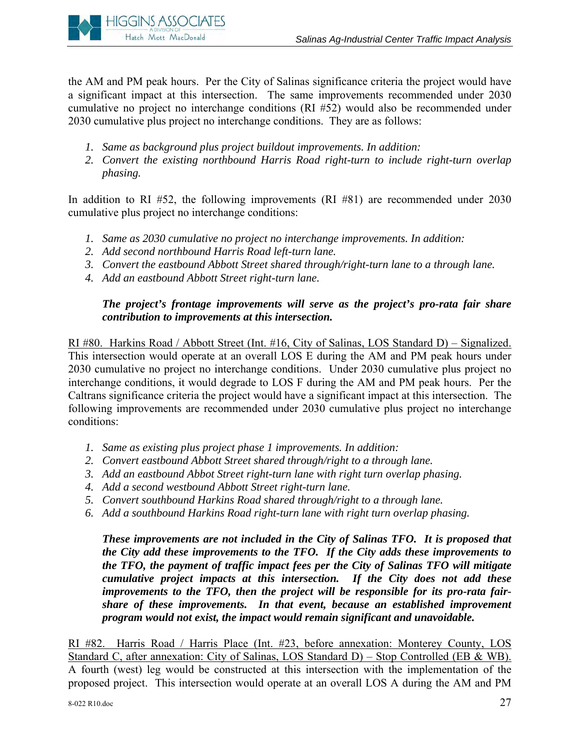

the AM and PM peak hours. Per the City of Salinas significance criteria the project would have a significant impact at this intersection. The same improvements recommended under 2030 cumulative no project no interchange conditions (RI #52) would also be recommended under 2030 cumulative plus project no interchange conditions. They are as follows:

- *1. Same as background plus project buildout improvements. In addition:*
- *2. Convert the existing northbound Harris Road right-turn to include right-turn overlap phasing.*

In addition to RI #52, the following improvements (RI #81) are recommended under 2030 cumulative plus project no interchange conditions:

- *1. Same as 2030 cumulative no project no interchange improvements. In addition:*
- *2. Add second northbound Harris Road left-turn lane.*
- *3. Convert the eastbound Abbott Street shared through/right-turn lane to a through lane.*
- *4. Add an eastbound Abbott Street right-turn lane.*

#### *The project's frontage improvements will serve as the project's pro-rata fair share contribution to improvements at this intersection.*

RI #80. Harkins Road / Abbott Street (Int. #16, City of Salinas, LOS Standard D) – Signalized. This intersection would operate at an overall LOS E during the AM and PM peak hours under 2030 cumulative no project no interchange conditions. Under 2030 cumulative plus project no interchange conditions, it would degrade to LOS F during the AM and PM peak hours. Per the Caltrans significance criteria the project would have a significant impact at this intersection. The following improvements are recommended under 2030 cumulative plus project no interchange conditions:

- *1. Same as existing plus project phase 1 improvements. In addition:*
- *2. Convert eastbound Abbott Street shared through/right to a through lane.*
- *3. Add an eastbound Abbot Street right-turn lane with right turn overlap phasing.*
- *4. Add a second westbound Abbott Street right-turn lane.*
- *5. Convert southbound Harkins Road shared through/right to a through lane.*
- *6. Add a southbound Harkins Road right-turn lane with right turn overlap phasing.*

*These improvements are not included in the City of Salinas TFO. It is proposed that the City add these improvements to the TFO. If the City adds these improvements to the TFO, the payment of traffic impact fees per the City of Salinas TFO will mitigate cumulative project impacts at this intersection. If the City does not add these improvements to the TFO, then the project will be responsible for its pro-rata fairshare of these improvements. In that event, because an established improvement program would not exist, the impact would remain significant and unavoidable.* 

RI #82. Harris Road / Harris Place (Int. #23, before annexation: Monterey County, LOS Standard C, after annexation: City of Salinas, LOS Standard D) – Stop Controlled (EB & WB). A fourth (west) leg would be constructed at this intersection with the implementation of the proposed project. This intersection would operate at an overall LOS A during the AM and PM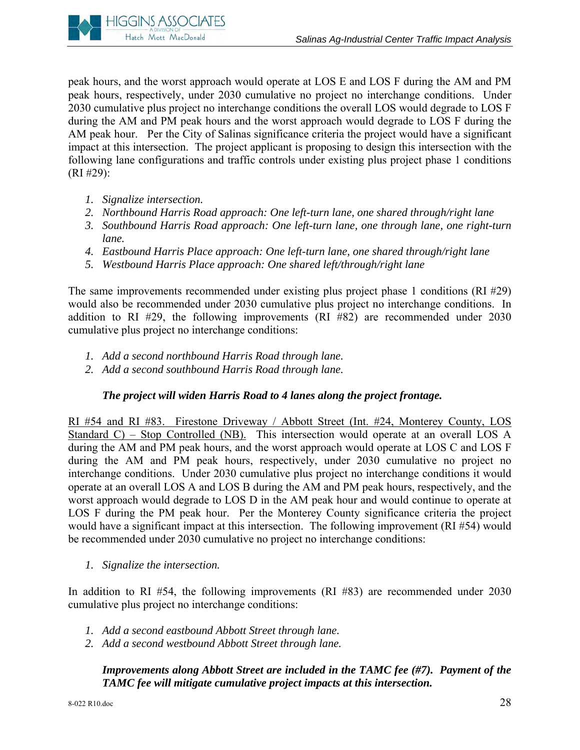

peak hours, and the worst approach would operate at LOS E and LOS F during the AM and PM peak hours, respectively, under 2030 cumulative no project no interchange conditions. Under 2030 cumulative plus project no interchange conditions the overall LOS would degrade to LOS F during the AM and PM peak hours and the worst approach would degrade to LOS F during the AM peak hour. Per the City of Salinas significance criteria the project would have a significant impact at this intersection. The project applicant is proposing to design this intersection with the following lane configurations and traffic controls under existing plus project phase 1 conditions (RI #29):

- *1. Signalize intersection.*
- *2. Northbound Harris Road approach: One left-turn lane, one shared through/right lane*
- *3. Southbound Harris Road approach: One left-turn lane, one through lane, one right-turn lane.*
- *4. Eastbound Harris Place approach: One left-turn lane, one shared through/right lane*
- *5. Westbound Harris Place approach: One shared left/through/right lane*

The same improvements recommended under existing plus project phase 1 conditions (RI #29) would also be recommended under 2030 cumulative plus project no interchange conditions. In addition to RI #29, the following improvements (RI #82) are recommended under 2030 cumulative plus project no interchange conditions:

- *1. Add a second northbound Harris Road through lane.*
- *2. Add a second southbound Harris Road through lane.*

#### *The project will widen Harris Road to 4 lanes along the project frontage.*

RI #54 and RI #83. Firestone Driveway / Abbott Street (Int. #24, Monterey County, LOS Standard C) – Stop Controlled (NB). This intersection would operate at an overall LOS A during the AM and PM peak hours, and the worst approach would operate at LOS C and LOS F during the AM and PM peak hours, respectively, under 2030 cumulative no project no interchange conditions. Under 2030 cumulative plus project no interchange conditions it would operate at an overall LOS A and LOS B during the AM and PM peak hours, respectively, and the worst approach would degrade to LOS D in the AM peak hour and would continue to operate at LOS F during the PM peak hour. Per the Monterey County significance criteria the project would have a significant impact at this intersection. The following improvement (RI #54) would be recommended under 2030 cumulative no project no interchange conditions:

*1. Signalize the intersection.* 

In addition to RI #54, the following improvements (RI #83) are recommended under 2030 cumulative plus project no interchange conditions:

- *1. Add a second eastbound Abbott Street through lane.*
- *2. Add a second westbound Abbott Street through lane.*

*Improvements along Abbott Street are included in the TAMC fee (#7). Payment of the TAMC fee will mitigate cumulative project impacts at this intersection.*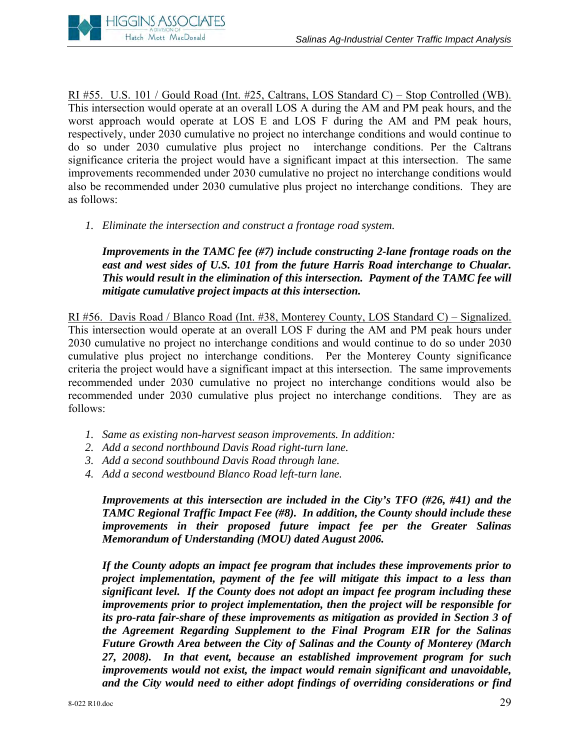

RI #55. U.S. 101 / Gould Road (Int. #25, Caltrans, LOS Standard C) – Stop Controlled (WB). This intersection would operate at an overall LOS A during the AM and PM peak hours, and the worst approach would operate at LOS E and LOS F during the AM and PM peak hours, respectively, under 2030 cumulative no project no interchange conditions and would continue to do so under 2030 cumulative plus project no interchange conditions. Per the Caltrans significance criteria the project would have a significant impact at this intersection. The same improvements recommended under 2030 cumulative no project no interchange conditions would also be recommended under 2030 cumulative plus project no interchange conditions. They are as follows:

*1. Eliminate the intersection and construct a frontage road system.* 

*Improvements in the TAMC fee (#7) include constructing 2-lane frontage roads on the east and west sides of U.S. 101 from the future Harris Road interchange to Chualar. This would result in the elimination of this intersection. Payment of the TAMC fee will mitigate cumulative project impacts at this intersection.* 

RI #56. Davis Road / Blanco Road (Int. #38, Monterey County, LOS Standard C) – Signalized. This intersection would operate at an overall LOS F during the AM and PM peak hours under 2030 cumulative no project no interchange conditions and would continue to do so under 2030 cumulative plus project no interchange conditions. Per the Monterey County significance criteria the project would have a significant impact at this intersection. The same improvements recommended under 2030 cumulative no project no interchange conditions would also be recommended under 2030 cumulative plus project no interchange conditions. They are as follows:

- *1. Same as existing non-harvest season improvements. In addition:*
- *2. Add a second northbound Davis Road right-turn lane.*
- *3. Add a second southbound Davis Road through lane.*
- *4. Add a second westbound Blanco Road left-turn lane.*

*Improvements at this intersection are included in the City's TFO (#26, #41) and the TAMC Regional Traffic Impact Fee (#8). In addition, the County should include these improvements in their proposed future impact fee per the Greater Salinas Memorandum of Understanding (MOU) dated August 2006.* 

*If the County adopts an impact fee program that includes these improvements prior to project implementation, payment of the fee will mitigate this impact to a less than significant level. If the County does not adopt an impact fee program including these improvements prior to project implementation, then the project will be responsible for its pro-rata fair-share of these improvements as mitigation as provided in Section 3 of the Agreement Regarding Supplement to the Final Program EIR for the Salinas Future Growth Area between the City of Salinas and the County of Monterey (March 27, 2008). In that event, because an established improvement program for such improvements would not exist, the impact would remain significant and unavoidable, and the City would need to either adopt findings of overriding considerations or find*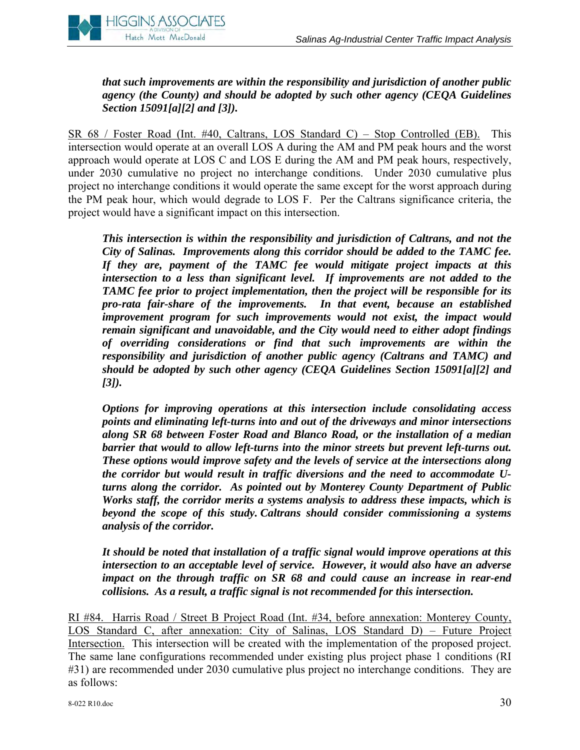

*that such improvements are within the responsibility and jurisdiction of another public agency (the County) and should be adopted by such other agency (CEQA Guidelines Section 15091[a][2] and [3]).* 

SR 68 / Foster Road (Int. #40, Caltrans, LOS Standard C) – Stop Controlled (EB). This intersection would operate at an overall LOS A during the AM and PM peak hours and the worst approach would operate at LOS C and LOS E during the AM and PM peak hours, respectively, under 2030 cumulative no project no interchange conditions. Under 2030 cumulative plus project no interchange conditions it would operate the same except for the worst approach during the PM peak hour, which would degrade to LOS F. Per the Caltrans significance criteria, the project would have a significant impact on this intersection.

*This intersection is within the responsibility and jurisdiction of Caltrans, and not the City of Salinas. Improvements along this corridor should be added to the TAMC fee. If they are, payment of the TAMC fee would mitigate project impacts at this intersection to a less than significant level. If improvements are not added to the TAMC fee prior to project implementation, then the project will be responsible for its pro-rata fair-share of the improvements. In that event, because an established improvement program for such improvements would not exist, the impact would remain significant and unavoidable, and the City would need to either adopt findings of overriding considerations or find that such improvements are within the responsibility and jurisdiction of another public agency (Caltrans and TAMC) and should be adopted by such other agency (CEQA Guidelines Section 15091[a][2] and [3]).* 

*Options for improving operations at this intersection include consolidating access points and eliminating left-turns into and out of the driveways and minor intersections along SR 68 between Foster Road and Blanco Road, or the installation of a median barrier that would to allow left-turns into the minor streets but prevent left-turns out. These options would improve safety and the levels of service at the intersections along the corridor but would result in traffic diversions and the need to accommodate Uturns along the corridor. As pointed out by Monterey County Department of Public Works staff, the corridor merits a systems analysis to address these impacts, which is beyond the scope of this study. Caltrans should consider commissioning a systems analysis of the corridor.* 

*It should be noted that installation of a traffic signal would improve operations at this intersection to an acceptable level of service. However, it would also have an adverse impact on the through traffic on SR 68 and could cause an increase in rear-end collisions. As a result, a traffic signal is not recommended for this intersection.* 

RI #84. Harris Road / Street B Project Road (Int. #34, before annexation: Monterey County, LOS Standard C, after annexation: City of Salinas, LOS Standard D) – Future Project Intersection. This intersection will be created with the implementation of the proposed project. The same lane configurations recommended under existing plus project phase 1 conditions (RI #31) are recommended under 2030 cumulative plus project no interchange conditions. They are as follows: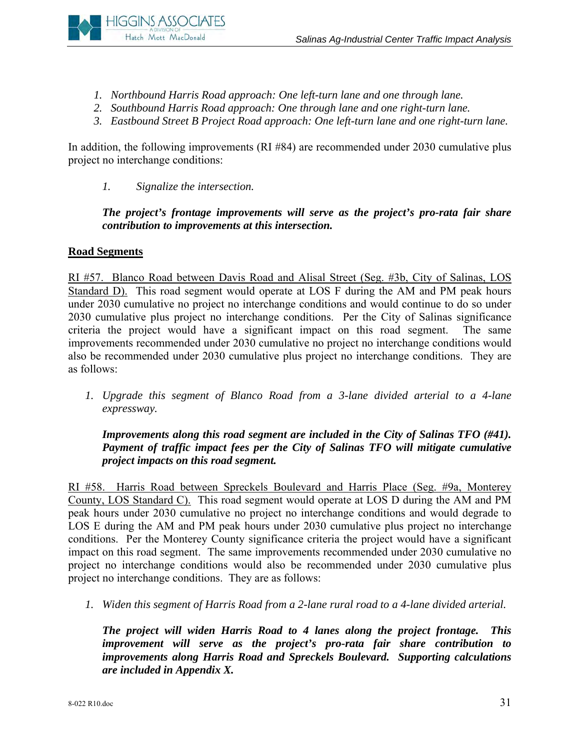

- *1. Northbound Harris Road approach: One left-turn lane and one through lane.*
- *2. Southbound Harris Road approach: One through lane and one right-turn lane.*
- *3. Eastbound Street B Project Road approach: One left-turn lane and one right-turn lane.*

In addition, the following improvements (RI #84) are recommended under 2030 cumulative plus project no interchange conditions:

*1. Signalize the intersection.* 

# *The project's frontage improvements will serve as the project's pro-rata fair share contribution to improvements at this intersection.*

# **Road Segments**

RI #57. Blanco Road between Davis Road and Alisal Street (Seg. #3b, City of Salinas, LOS Standard D). This road segment would operate at LOS F during the AM and PM peak hours under 2030 cumulative no project no interchange conditions and would continue to do so under 2030 cumulative plus project no interchange conditions. Per the City of Salinas significance criteria the project would have a significant impact on this road segment. The same improvements recommended under 2030 cumulative no project no interchange conditions would also be recommended under 2030 cumulative plus project no interchange conditions. They are as follows:

*1. Upgrade this segment of Blanco Road from a 3-lane divided arterial to a 4-lane expressway.* 

# *Improvements along this road segment are included in the City of Salinas TFO (#41). Payment of traffic impact fees per the City of Salinas TFO will mitigate cumulative project impacts on this road segment.*

RI #58. Harris Road between Spreckels Boulevard and Harris Place (Seg. #9a, Monterey County, LOS Standard C). This road segment would operate at LOS D during the AM and PM peak hours under 2030 cumulative no project no interchange conditions and would degrade to LOS E during the AM and PM peak hours under 2030 cumulative plus project no interchange conditions. Per the Monterey County significance criteria the project would have a significant impact on this road segment. The same improvements recommended under 2030 cumulative no project no interchange conditions would also be recommended under 2030 cumulative plus project no interchange conditions. They are as follows:

*1. Widen this segment of Harris Road from a 2-lane rural road to a 4-lane divided arterial.* 

*The project will widen Harris Road to 4 lanes along the project frontage. This improvement will serve as the project's pro-rata fair share contribution to improvements along Harris Road and Spreckels Boulevard. Supporting calculations are included in Appendix X.*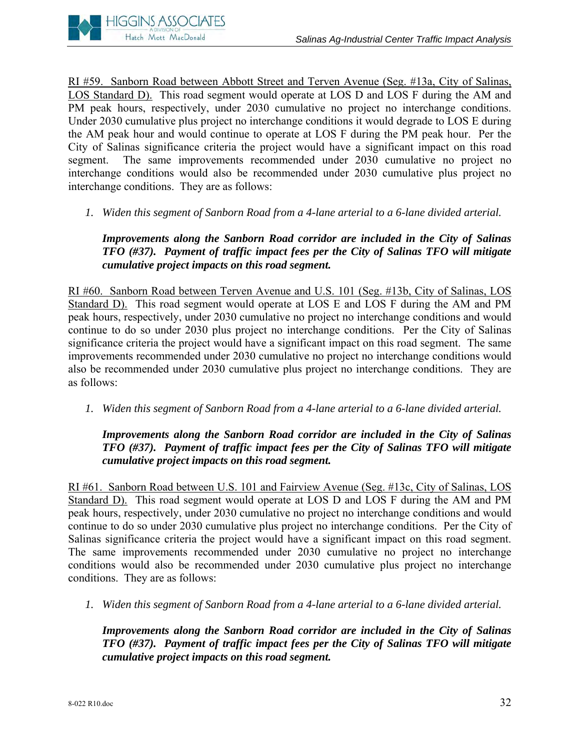

RI #59. Sanborn Road between Abbott Street and Terven Avenue (Seg. #13a, City of Salinas, LOS Standard D). This road segment would operate at LOS D and LOS F during the AM and PM peak hours, respectively, under 2030 cumulative no project no interchange conditions. Under 2030 cumulative plus project no interchange conditions it would degrade to LOS E during the AM peak hour and would continue to operate at LOS F during the PM peak hour. Per the City of Salinas significance criteria the project would have a significant impact on this road segment. The same improvements recommended under 2030 cumulative no project no interchange conditions would also be recommended under 2030 cumulative plus project no interchange conditions. They are as follows:

*1. Widen this segment of Sanborn Road from a 4-lane arterial to a 6-lane divided arterial.* 

*Improvements along the Sanborn Road corridor are included in the City of Salinas TFO (#37). Payment of traffic impact fees per the City of Salinas TFO will mitigate cumulative project impacts on this road segment.* 

RI #60. Sanborn Road between Terven Avenue and U.S. 101 (Seg. #13b, City of Salinas, LOS Standard D). This road segment would operate at LOS E and LOS F during the AM and PM peak hours, respectively, under 2030 cumulative no project no interchange conditions and would continue to do so under 2030 plus project no interchange conditions. Per the City of Salinas significance criteria the project would have a significant impact on this road segment. The same improvements recommended under 2030 cumulative no project no interchange conditions would also be recommended under 2030 cumulative plus project no interchange conditions. They are as follows:

*1. Widen this segment of Sanborn Road from a 4-lane arterial to a 6-lane divided arterial.* 

*Improvements along the Sanborn Road corridor are included in the City of Salinas TFO (#37). Payment of traffic impact fees per the City of Salinas TFO will mitigate cumulative project impacts on this road segment.* 

RI #61. Sanborn Road between U.S. 101 and Fairview Avenue (Seg. #13c, City of Salinas, LOS Standard D). This road segment would operate at LOS D and LOS F during the AM and PM peak hours, respectively, under 2030 cumulative no project no interchange conditions and would continue to do so under 2030 cumulative plus project no interchange conditions. Per the City of Salinas significance criteria the project would have a significant impact on this road segment. The same improvements recommended under 2030 cumulative no project no interchange conditions would also be recommended under 2030 cumulative plus project no interchange conditions. They are as follows:

*1. Widen this segment of Sanborn Road from a 4-lane arterial to a 6-lane divided arterial.* 

*Improvements along the Sanborn Road corridor are included in the City of Salinas TFO (#37). Payment of traffic impact fees per the City of Salinas TFO will mitigate cumulative project impacts on this road segment.*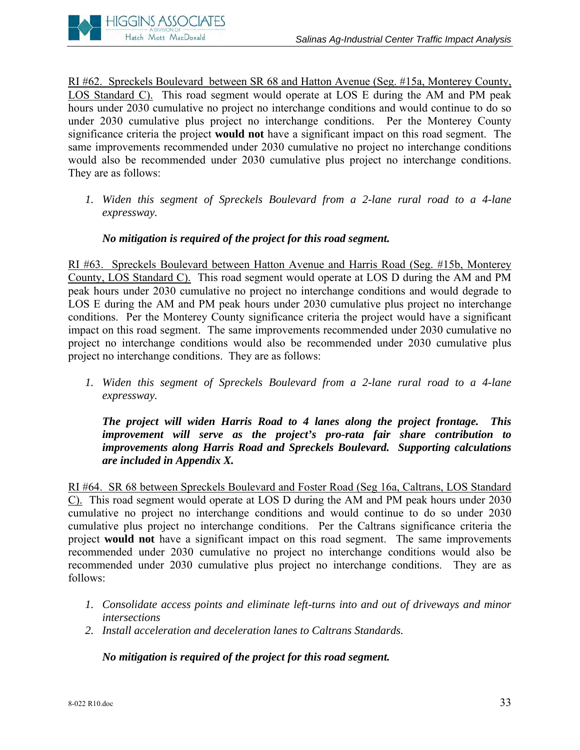

RI #62. Spreckels Boulevard between SR 68 and Hatton Avenue (Seg. #15a, Monterey County, LOS Standard C). This road segment would operate at LOS E during the AM and PM peak hours under 2030 cumulative no project no interchange conditions and would continue to do so under 2030 cumulative plus project no interchange conditions. Per the Monterey County significance criteria the project **would not** have a significant impact on this road segment. The same improvements recommended under 2030 cumulative no project no interchange conditions would also be recommended under 2030 cumulative plus project no interchange conditions. They are as follows:

*1. Widen this segment of Spreckels Boulevard from a 2-lane rural road to a 4-lane expressway.* 

# *No mitigation is required of the project for this road segment.*

RI #63. Spreckels Boulevard between Hatton Avenue and Harris Road (Seg. #15b, Monterey County, LOS Standard C). This road segment would operate at LOS D during the AM and PM peak hours under 2030 cumulative no project no interchange conditions and would degrade to LOS E during the AM and PM peak hours under 2030 cumulative plus project no interchange conditions. Per the Monterey County significance criteria the project would have a significant impact on this road segment. The same improvements recommended under 2030 cumulative no project no interchange conditions would also be recommended under 2030 cumulative plus project no interchange conditions. They are as follows:

*1. Widen this segment of Spreckels Boulevard from a 2-lane rural road to a 4-lane expressway.* 

*The project will widen Harris Road to 4 lanes along the project frontage. This improvement will serve as the project's pro-rata fair share contribution to improvements along Harris Road and Spreckels Boulevard. Supporting calculations are included in Appendix X.* 

RI #64. SR 68 between Spreckels Boulevard and Foster Road (Seg 16a, Caltrans, LOS Standard C). This road segment would operate at LOS D during the AM and PM peak hours under 2030 cumulative no project no interchange conditions and would continue to do so under 2030 cumulative plus project no interchange conditions. Per the Caltrans significance criteria the project **would not** have a significant impact on this road segment. The same improvements recommended under 2030 cumulative no project no interchange conditions would also be recommended under 2030 cumulative plus project no interchange conditions. They are as follows:

- *1. Consolidate access points and eliminate left-turns into and out of driveways and minor intersections*
- *2. Install acceleration and deceleration lanes to Caltrans Standards.*

*No mitigation is required of the project for this road segment.*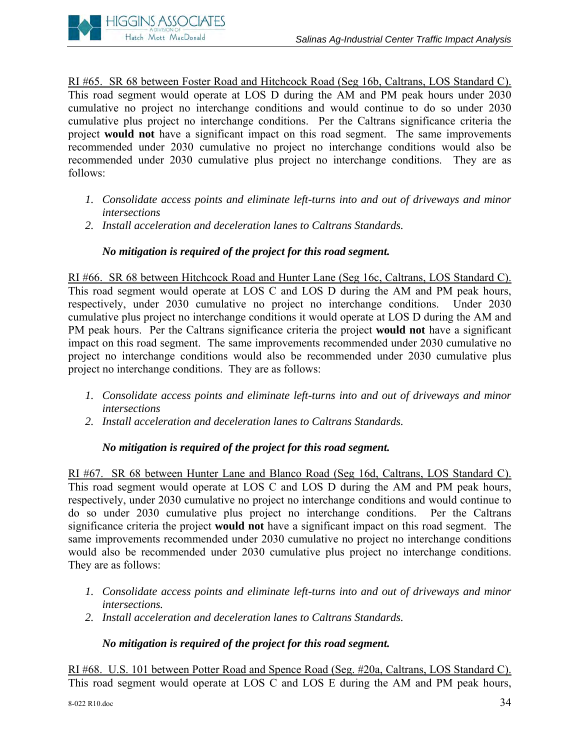

RI #65. SR 68 between Foster Road and Hitchcock Road (Seg 16b, Caltrans, LOS Standard C). This road segment would operate at LOS D during the AM and PM peak hours under 2030 cumulative no project no interchange conditions and would continue to do so under 2030 cumulative plus project no interchange conditions. Per the Caltrans significance criteria the project **would not** have a significant impact on this road segment. The same improvements recommended under 2030 cumulative no project no interchange conditions would also be recommended under 2030 cumulative plus project no interchange conditions. They are as follows:

- *1. Consolidate access points and eliminate left-turns into and out of driveways and minor intersections*
- *2. Install acceleration and deceleration lanes to Caltrans Standards.*

# *No mitigation is required of the project for this road segment.*

RI #66. SR 68 between Hitchcock Road and Hunter Lane (Seg 16c, Caltrans, LOS Standard C). This road segment would operate at LOS C and LOS D during the AM and PM peak hours, respectively, under 2030 cumulative no project no interchange conditions. Under 2030 cumulative plus project no interchange conditions it would operate at LOS D during the AM and PM peak hours. Per the Caltrans significance criteria the project **would not** have a significant impact on this road segment. The same improvements recommended under 2030 cumulative no project no interchange conditions would also be recommended under 2030 cumulative plus project no interchange conditions. They are as follows:

- *1. Consolidate access points and eliminate left-turns into and out of driveways and minor intersections*
- *2. Install acceleration and deceleration lanes to Caltrans Standards.*

# *No mitigation is required of the project for this road segment.*

RI #67. SR 68 between Hunter Lane and Blanco Road (Seg 16d, Caltrans, LOS Standard C). This road segment would operate at LOS C and LOS D during the AM and PM peak hours, respectively, under 2030 cumulative no project no interchange conditions and would continue to do so under 2030 cumulative plus project no interchange conditions. Per the Caltrans significance criteria the project **would not** have a significant impact on this road segment. The same improvements recommended under 2030 cumulative no project no interchange conditions would also be recommended under 2030 cumulative plus project no interchange conditions. They are as follows:

- *1. Consolidate access points and eliminate left-turns into and out of driveways and minor intersections.*
- *2. Install acceleration and deceleration lanes to Caltrans Standards.*

# *No mitigation is required of the project for this road segment.*

RI #68. U.S. 101 between Potter Road and Spence Road (Seg. #20a, Caltrans, LOS Standard C). This road segment would operate at LOS C and LOS E during the AM and PM peak hours,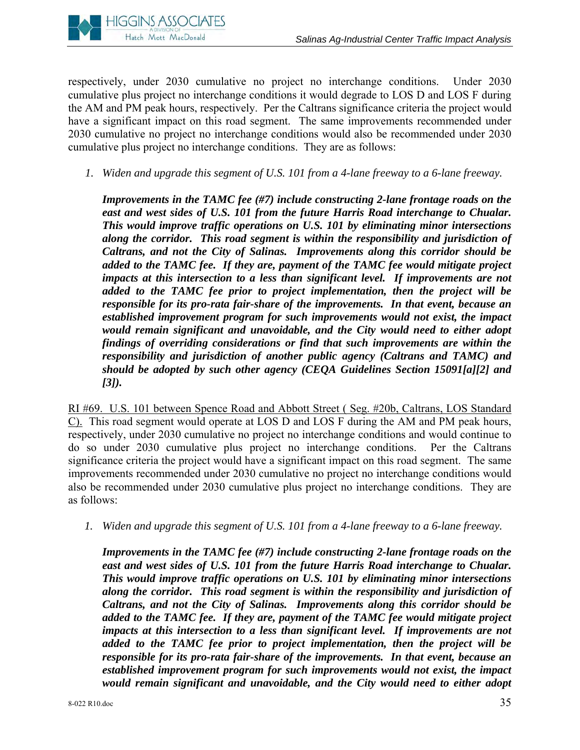

respectively, under 2030 cumulative no project no interchange conditions. Under 2030 cumulative plus project no interchange conditions it would degrade to LOS D and LOS F during the AM and PM peak hours, respectively. Per the Caltrans significance criteria the project would have a significant impact on this road segment. The same improvements recommended under 2030 cumulative no project no interchange conditions would also be recommended under 2030 cumulative plus project no interchange conditions. They are as follows:

*1. Widen and upgrade this segment of U.S. 101 from a 4-lane freeway to a 6-lane freeway.* 

*Improvements in the TAMC fee (#7) include constructing 2-lane frontage roads on the*  east and west sides of U.S. 101 from the future Harris Road interchange to Chualar. *This would improve traffic operations on U.S. 101 by eliminating minor intersections along the corridor. This road segment is within the responsibility and jurisdiction of Caltrans, and not the City of Salinas. Improvements along this corridor should be added to the TAMC fee. If they are, payment of the TAMC fee would mitigate project impacts at this intersection to a less than significant level. If improvements are not added to the TAMC fee prior to project implementation, then the project will be responsible for its pro-rata fair-share of the improvements. In that event, because an established improvement program for such improvements would not exist, the impact would remain significant and unavoidable, and the City would need to either adopt findings of overriding considerations or find that such improvements are within the responsibility and jurisdiction of another public agency (Caltrans and TAMC) and should be adopted by such other agency (CEQA Guidelines Section 15091[a][2] and [3]).* 

RI #69. U.S. 101 between Spence Road and Abbott Street ( Seg. #20b, Caltrans, LOS Standard C). This road segment would operate at LOS D and LOS F during the AM and PM peak hours, respectively, under 2030 cumulative no project no interchange conditions and would continue to do so under 2030 cumulative plus project no interchange conditions. Per the Caltrans significance criteria the project would have a significant impact on this road segment. The same improvements recommended under 2030 cumulative no project no interchange conditions would also be recommended under 2030 cumulative plus project no interchange conditions. They are as follows:

*1. Widen and upgrade this segment of U.S. 101 from a 4-lane freeway to a 6-lane freeway.* 

*Improvements in the TAMC fee (#7) include constructing 2-lane frontage roads on the*  east and west sides of U.S. 101 from the future Harris Road interchange to Chualar. *This would improve traffic operations on U.S. 101 by eliminating minor intersections along the corridor. This road segment is within the responsibility and jurisdiction of Caltrans, and not the City of Salinas. Improvements along this corridor should be added to the TAMC fee. If they are, payment of the TAMC fee would mitigate project impacts at this intersection to a less than significant level. If improvements are not added to the TAMC fee prior to project implementation, then the project will be responsible for its pro-rata fair-share of the improvements. In that event, because an established improvement program for such improvements would not exist, the impact would remain significant and unavoidable, and the City would need to either adopt*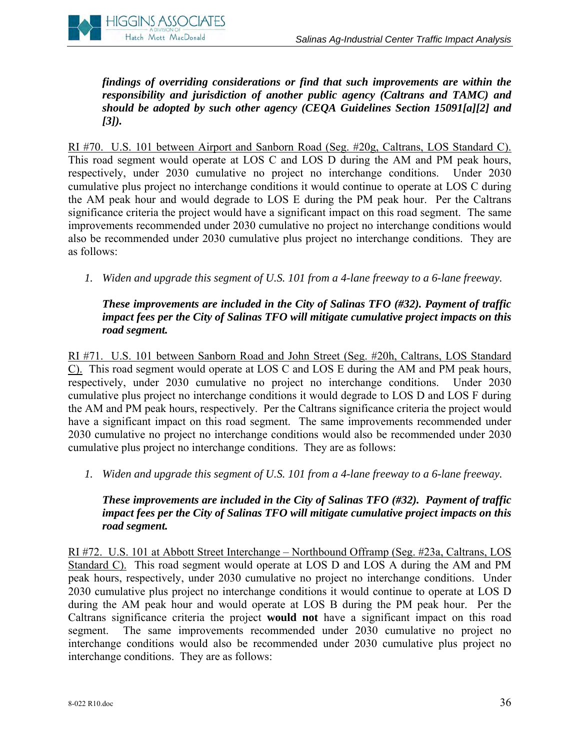

*findings of overriding considerations or find that such improvements are within the responsibility and jurisdiction of another public agency (Caltrans and TAMC) and should be adopted by such other agency (CEQA Guidelines Section 15091[a][2] and [3]).* 

RI #70. U.S. 101 between Airport and Sanborn Road (Seg. #20g, Caltrans, LOS Standard C). This road segment would operate at LOS C and LOS D during the AM and PM peak hours, respectively, under 2030 cumulative no project no interchange conditions. Under 2030 cumulative plus project no interchange conditions it would continue to operate at LOS C during the AM peak hour and would degrade to LOS E during the PM peak hour. Per the Caltrans significance criteria the project would have a significant impact on this road segment. The same improvements recommended under 2030 cumulative no project no interchange conditions would also be recommended under 2030 cumulative plus project no interchange conditions. They are as follows:

*1. Widen and upgrade this segment of U.S. 101 from a 4-lane freeway to a 6-lane freeway.* 

# *These improvements are included in the City of Salinas TFO (#32). Payment of traffic impact fees per the City of Salinas TFO will mitigate cumulative project impacts on this road segment.*

RI #71. U.S. 101 between Sanborn Road and John Street (Seg. #20h, Caltrans, LOS Standard C). This road segment would operate at LOS C and LOS E during the AM and PM peak hours, respectively, under 2030 cumulative no project no interchange conditions. Under 2030 cumulative plus project no interchange conditions it would degrade to LOS D and LOS F during the AM and PM peak hours, respectively. Per the Caltrans significance criteria the project would have a significant impact on this road segment. The same improvements recommended under 2030 cumulative no project no interchange conditions would also be recommended under 2030 cumulative plus project no interchange conditions. They are as follows:

*1. Widen and upgrade this segment of U.S. 101 from a 4-lane freeway to a 6-lane freeway.* 

### *These improvements are included in the City of Salinas TFO (#32). Payment of traffic impact fees per the City of Salinas TFO will mitigate cumulative project impacts on this road segment.*

RI #72. U.S. 101 at Abbott Street Interchange – Northbound Offramp (Seg. #23a, Caltrans, LOS Standard C). This road segment would operate at LOS D and LOS A during the AM and PM peak hours, respectively, under 2030 cumulative no project no interchange conditions. Under 2030 cumulative plus project no interchange conditions it would continue to operate at LOS D during the AM peak hour and would operate at LOS B during the PM peak hour. Per the Caltrans significance criteria the project **would not** have a significant impact on this road segment. The same improvements recommended under 2030 cumulative no project no interchange conditions would also be recommended under 2030 cumulative plus project no interchange conditions. They are as follows: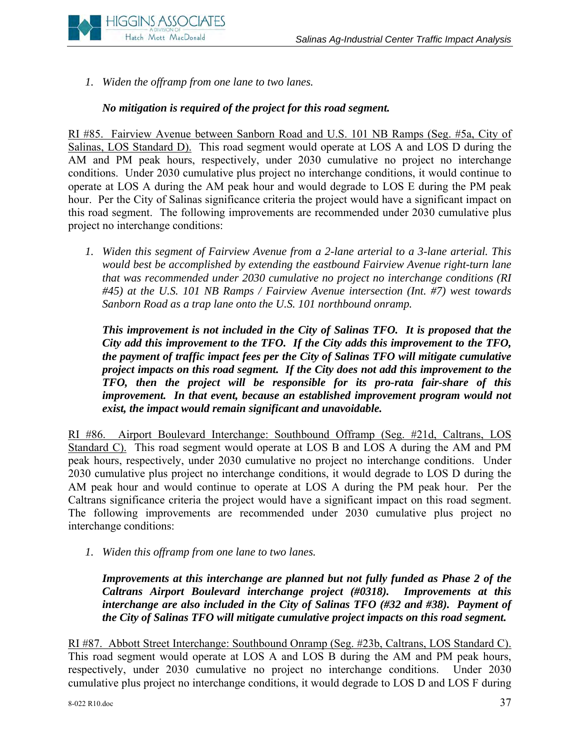

*1. Widen the offramp from one lane to two lanes.* 

### *No mitigation is required of the project for this road segment.*

RI #85. Fairview Avenue between Sanborn Road and U.S. 101 NB Ramps (Seg. #5a, City of Salinas, LOS Standard D). This road segment would operate at LOS A and LOS D during the AM and PM peak hours, respectively, under 2030 cumulative no project no interchange conditions. Under 2030 cumulative plus project no interchange conditions, it would continue to operate at LOS A during the AM peak hour and would degrade to LOS E during the PM peak hour. Per the City of Salinas significance criteria the project would have a significant impact on this road segment. The following improvements are recommended under 2030 cumulative plus project no interchange conditions:

*1. Widen this segment of Fairview Avenue from a 2-lane arterial to a 3-lane arterial. This would best be accomplished by extending the eastbound Fairview Avenue right-turn lane that was recommended under 2030 cumulative no project no interchange conditions (RI #45) at the U.S. 101 NB Ramps / Fairview Avenue intersection (Int. #7) west towards Sanborn Road as a trap lane onto the U.S. 101 northbound onramp.* 

*This improvement is not included in the City of Salinas TFO. It is proposed that the City add this improvement to the TFO. If the City adds this improvement to the TFO, the payment of traffic impact fees per the City of Salinas TFO will mitigate cumulative project impacts on this road segment. If the City does not add this improvement to the TFO, then the project will be responsible for its pro-rata fair-share of this improvement. In that event, because an established improvement program would not exist, the impact would remain significant and unavoidable.* 

RI #86. Airport Boulevard Interchange: Southbound Offramp (Seg. #21d, Caltrans, LOS Standard C). This road segment would operate at LOS B and LOS A during the AM and PM peak hours, respectively, under 2030 cumulative no project no interchange conditions. Under 2030 cumulative plus project no interchange conditions, it would degrade to LOS D during the AM peak hour and would continue to operate at LOS A during the PM peak hour. Per the Caltrans significance criteria the project would have a significant impact on this road segment. The following improvements are recommended under 2030 cumulative plus project no interchange conditions:

*1. Widen this offramp from one lane to two lanes.* 

*Improvements at this interchange are planned but not fully funded as Phase 2 of the Caltrans Airport Boulevard interchange project (#0318). Improvements at this interchange are also included in the City of Salinas TFO (#32 and #38). Payment of the City of Salinas TFO will mitigate cumulative project impacts on this road segment.* 

RI #87. Abbott Street Interchange: Southbound Onramp (Seg. #23b, Caltrans, LOS Standard C). This road segment would operate at LOS A and LOS B during the AM and PM peak hours, respectively, under 2030 cumulative no project no interchange conditions. Under 2030 cumulative plus project no interchange conditions, it would degrade to LOS D and LOS F during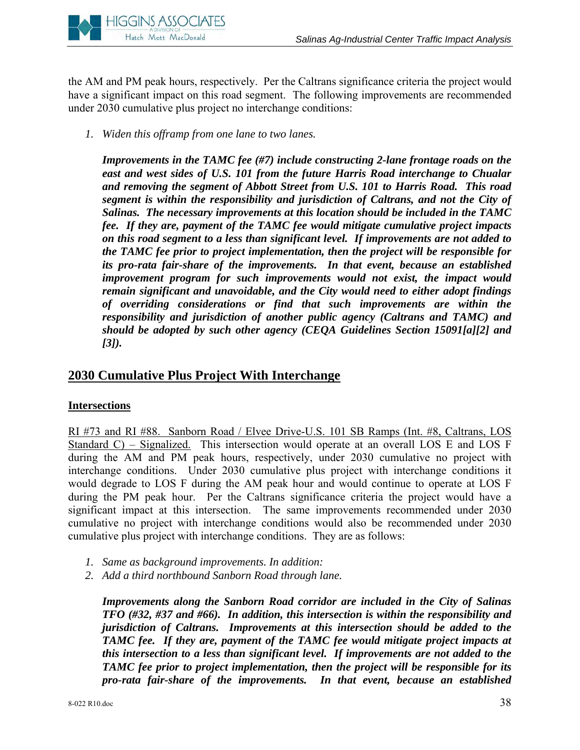

the AM and PM peak hours, respectively. Per the Caltrans significance criteria the project would have a significant impact on this road segment. The following improvements are recommended under 2030 cumulative plus project no interchange conditions:

*1. Widen this offramp from one lane to two lanes.* 

*Improvements in the TAMC fee (#7) include constructing 2-lane frontage roads on the east and west sides of U.S. 101 from the future Harris Road interchange to Chualar and removing the segment of Abbott Street from U.S. 101 to Harris Road. This road segment is within the responsibility and jurisdiction of Caltrans, and not the City of Salinas. The necessary improvements at this location should be included in the TAMC fee. If they are, payment of the TAMC fee would mitigate cumulative project impacts on this road segment to a less than significant level. If improvements are not added to the TAMC fee prior to project implementation, then the project will be responsible for its pro-rata fair-share of the improvements. In that event, because an established improvement program for such improvements would not exist, the impact would remain significant and unavoidable, and the City would need to either adopt findings of overriding considerations or find that such improvements are within the responsibility and jurisdiction of another public agency (Caltrans and TAMC) and should be adopted by such other agency (CEQA Guidelines Section 15091[a][2] and [3]).* 

# **2030 Cumulative Plus Project With Interchange**

# **Intersections**

RI #73 and RI #88. Sanborn Road / Elvee Drive-U.S. 101 SB Ramps (Int. #8, Caltrans, LOS Standard C) – Signalized. This intersection would operate at an overall LOS E and LOS F during the AM and PM peak hours, respectively, under 2030 cumulative no project with interchange conditions. Under 2030 cumulative plus project with interchange conditions it would degrade to LOS F during the AM peak hour and would continue to operate at LOS F during the PM peak hour. Per the Caltrans significance criteria the project would have a significant impact at this intersection. The same improvements recommended under 2030 cumulative no project with interchange conditions would also be recommended under 2030 cumulative plus project with interchange conditions. They are as follows:

- *1. Same as background improvements. In addition:*
- *2. Add a third northbound Sanborn Road through lane.*

*Improvements along the Sanborn Road corridor are included in the City of Salinas TFO (#32, #37 and #66). In addition, this intersection is within the responsibility and jurisdiction of Caltrans. Improvements at this intersection should be added to the TAMC fee. If they are, payment of the TAMC fee would mitigate project impacts at this intersection to a less than significant level. If improvements are not added to the TAMC fee prior to project implementation, then the project will be responsible for its pro-rata fair-share of the improvements. In that event, because an established*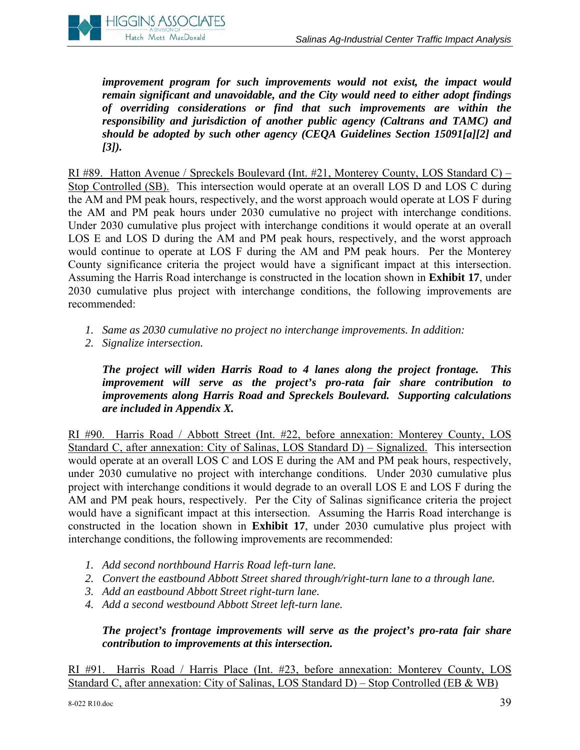

*improvement program for such improvements would not exist, the impact would remain significant and unavoidable, and the City would need to either adopt findings of overriding considerations or find that such improvements are within the responsibility and jurisdiction of another public agency (Caltrans and TAMC) and should be adopted by such other agency (CEQA Guidelines Section 15091[a][2] and [3]).* 

RI #89. Hatton Avenue / Spreckels Boulevard (Int. #21, Monterey County, LOS Standard C) – Stop Controlled (SB). This intersection would operate at an overall LOS D and LOS C during the AM and PM peak hours, respectively, and the worst approach would operate at LOS F during the AM and PM peak hours under 2030 cumulative no project with interchange conditions. Under 2030 cumulative plus project with interchange conditions it would operate at an overall LOS E and LOS D during the AM and PM peak hours, respectively, and the worst approach would continue to operate at LOS F during the AM and PM peak hours. Per the Monterey County significance criteria the project would have a significant impact at this intersection. Assuming the Harris Road interchange is constructed in the location shown in **Exhibit 17**, under 2030 cumulative plus project with interchange conditions, the following improvements are recommended:

- *1. Same as 2030 cumulative no project no interchange improvements. In addition:*
- *2. Signalize intersection.*

*The project will widen Harris Road to 4 lanes along the project frontage. This improvement will serve as the project's pro-rata fair share contribution to improvements along Harris Road and Spreckels Boulevard. Supporting calculations are included in Appendix X.* 

RI #90. Harris Road / Abbott Street (Int. #22, before annexation: Monterey County, LOS Standard C, after annexation: City of Salinas, LOS Standard D) – Signalized. This intersection would operate at an overall LOS C and LOS E during the AM and PM peak hours, respectively, under 2030 cumulative no project with interchange conditions. Under 2030 cumulative plus project with interchange conditions it would degrade to an overall LOS E and LOS F during the AM and PM peak hours, respectively. Per the City of Salinas significance criteria the project would have a significant impact at this intersection. Assuming the Harris Road interchange is constructed in the location shown in **Exhibit 17**, under 2030 cumulative plus project with interchange conditions, the following improvements are recommended:

- *1. Add second northbound Harris Road left-turn lane.*
- *2. Convert the eastbound Abbott Street shared through/right-turn lane to a through lane.*
- *3. Add an eastbound Abbott Street right-turn lane.*
- *4. Add a second westbound Abbott Street left-turn lane.*

### *The project's frontage improvements will serve as the project's pro-rata fair share contribution to improvements at this intersection.*

RI #91. Harris Road / Harris Place (Int. #23, before annexation: Monterey County, LOS Standard C, after annexation: City of Salinas, LOS Standard D) – Stop Controlled (EB & WB)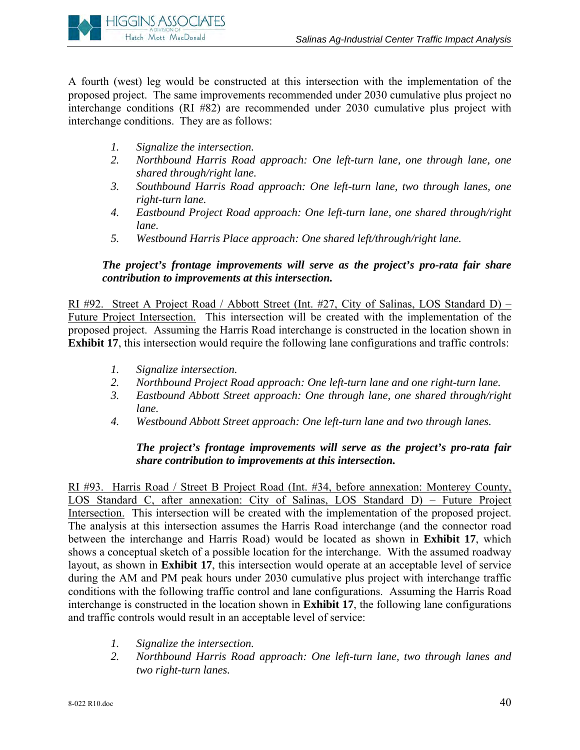

A fourth (west) leg would be constructed at this intersection with the implementation of the proposed project. The same improvements recommended under 2030 cumulative plus project no interchange conditions (RI #82) are recommended under 2030 cumulative plus project with interchange conditions. They are as follows:

- *1. Signalize the intersection.*
- *2. Northbound Harris Road approach: One left-turn lane, one through lane, one shared through/right lane.*
- *3. Southbound Harris Road approach: One left-turn lane, two through lanes, one right-turn lane.*
- *4. Eastbound Project Road approach: One left-turn lane, one shared through/right lane.*
- *5. Westbound Harris Place approach: One shared left/through/right lane.*

### *The project's frontage improvements will serve as the project's pro-rata fair share contribution to improvements at this intersection.*

RI #92. Street A Project Road / Abbott Street (Int. #27, City of Salinas, LOS Standard D) – Future Project Intersection. This intersection will be created with the implementation of the proposed project. Assuming the Harris Road interchange is constructed in the location shown in **Exhibit 17**, this intersection would require the following lane configurations and traffic controls:

- *1. Signalize intersection.*
- *2. Northbound Project Road approach: One left-turn lane and one right-turn lane.*
- *3. Eastbound Abbott Street approach: One through lane, one shared through/right lane.*
- *4. Westbound Abbott Street approach: One left-turn lane and two through lanes.*

### *The project's frontage improvements will serve as the project's pro-rata fair share contribution to improvements at this intersection.*

RI #93. Harris Road / Street B Project Road (Int. #34, before annexation: Monterey County, LOS Standard C, after annexation: City of Salinas, LOS Standard D) – Future Project Intersection. This intersection will be created with the implementation of the proposed project. The analysis at this intersection assumes the Harris Road interchange (and the connector road between the interchange and Harris Road) would be located as shown in **Exhibit 17**, which shows a conceptual sketch of a possible location for the interchange. With the assumed roadway layout, as shown in **Exhibit 17**, this intersection would operate at an acceptable level of service during the AM and PM peak hours under 2030 cumulative plus project with interchange traffic conditions with the following traffic control and lane configurations. Assuming the Harris Road interchange is constructed in the location shown in **Exhibit 17**, the following lane configurations and traffic controls would result in an acceptable level of service:

- *1. Signalize the intersection.*
- *2. Northbound Harris Road approach: One left-turn lane, two through lanes and two right-turn lanes.*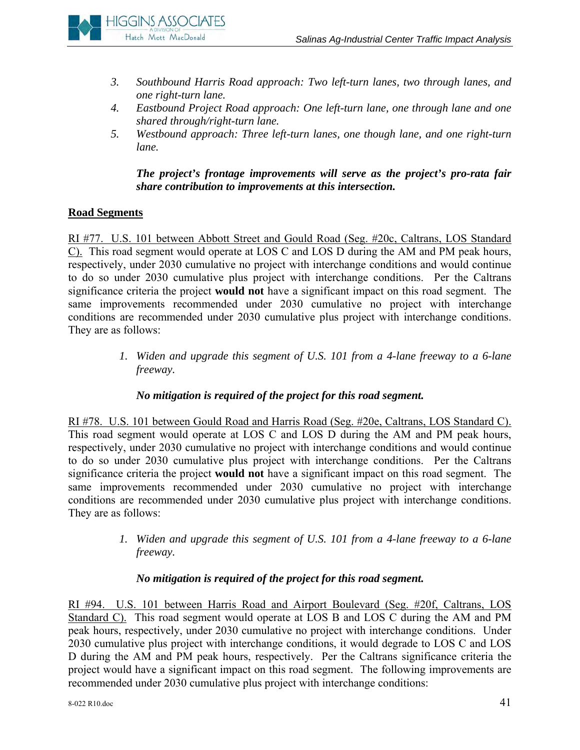

- *3. Southbound Harris Road approach: Two left-turn lanes, two through lanes, and one right-turn lane.*
- *4. Eastbound Project Road approach: One left-turn lane, one through lane and one shared through/right-turn lane.*
- *5. Westbound approach: Three left-turn lanes, one though lane, and one right-turn lane.*

# *The project's frontage improvements will serve as the project's pro-rata fair share contribution to improvements at this intersection.*

# **Road Segments**

RI #77. U.S. 101 between Abbott Street and Gould Road (Seg. #20c, Caltrans, LOS Standard C). This road segment would operate at LOS C and LOS D during the AM and PM peak hours, respectively, under 2030 cumulative no project with interchange conditions and would continue to do so under 2030 cumulative plus project with interchange conditions. Per the Caltrans significance criteria the project **would not** have a significant impact on this road segment. The same improvements recommended under 2030 cumulative no project with interchange conditions are recommended under 2030 cumulative plus project with interchange conditions. They are as follows:

> *1. Widen and upgrade this segment of U.S. 101 from a 4-lane freeway to a 6-lane freeway.*

# *No mitigation is required of the project for this road segment.*

RI #78. U.S. 101 between Gould Road and Harris Road (Seg. #20e, Caltrans, LOS Standard C). This road segment would operate at LOS C and LOS D during the AM and PM peak hours, respectively, under 2030 cumulative no project with interchange conditions and would continue to do so under 2030 cumulative plus project with interchange conditions. Per the Caltrans significance criteria the project **would not** have a significant impact on this road segment. The same improvements recommended under 2030 cumulative no project with interchange conditions are recommended under 2030 cumulative plus project with interchange conditions. They are as follows:

> *1. Widen and upgrade this segment of U.S. 101 from a 4-lane freeway to a 6-lane freeway.*

# *No mitigation is required of the project for this road segment.*

RI #94. U.S. 101 between Harris Road and Airport Boulevard (Seg. #20f, Caltrans, LOS Standard C). This road segment would operate at LOS B and LOS C during the AM and PM peak hours, respectively, under 2030 cumulative no project with interchange conditions. Under 2030 cumulative plus project with interchange conditions, it would degrade to LOS C and LOS D during the AM and PM peak hours, respectively. Per the Caltrans significance criteria the project would have a significant impact on this road segment. The following improvements are recommended under 2030 cumulative plus project with interchange conditions: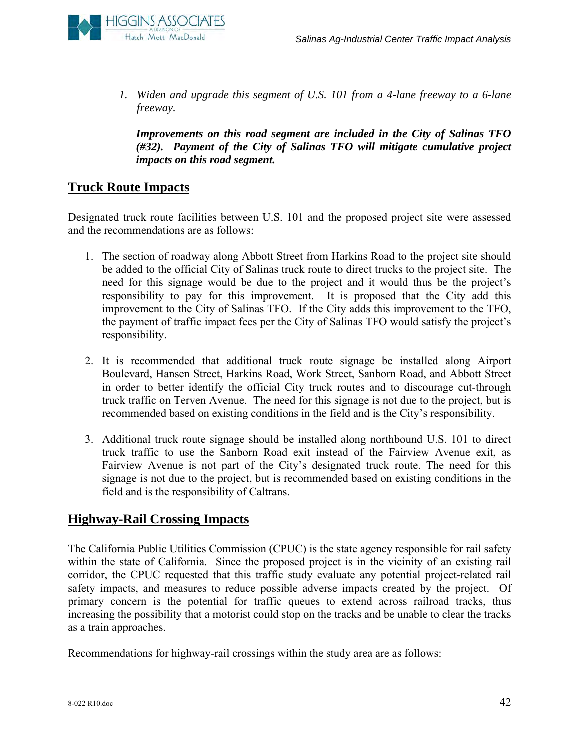

*1. Widen and upgrade this segment of U.S. 101 from a 4-lane freeway to a 6-lane freeway.* 

*Improvements on this road segment are included in the City of Salinas TFO (#32). Payment of the City of Salinas TFO will mitigate cumulative project impacts on this road segment.* 

# **Truck Route Impacts**

Designated truck route facilities between U.S. 101 and the proposed project site were assessed and the recommendations are as follows:

- 1. The section of roadway along Abbott Street from Harkins Road to the project site should be added to the official City of Salinas truck route to direct trucks to the project site. The need for this signage would be due to the project and it would thus be the project's responsibility to pay for this improvement. It is proposed that the City add this improvement to the City of Salinas TFO. If the City adds this improvement to the TFO, the payment of traffic impact fees per the City of Salinas TFO would satisfy the project's responsibility.
- 2. It is recommended that additional truck route signage be installed along Airport Boulevard, Hansen Street, Harkins Road, Work Street, Sanborn Road, and Abbott Street in order to better identify the official City truck routes and to discourage cut-through truck traffic on Terven Avenue. The need for this signage is not due to the project, but is recommended based on existing conditions in the field and is the City's responsibility.
- 3. Additional truck route signage should be installed along northbound U.S. 101 to direct truck traffic to use the Sanborn Road exit instead of the Fairview Avenue exit, as Fairview Avenue is not part of the City's designated truck route. The need for this signage is not due to the project, but is recommended based on existing conditions in the field and is the responsibility of Caltrans.

# **Highway-Rail Crossing Impacts**

The California Public Utilities Commission (CPUC) is the state agency responsible for rail safety within the state of California. Since the proposed project is in the vicinity of an existing rail corridor, the CPUC requested that this traffic study evaluate any potential project-related rail safety impacts, and measures to reduce possible adverse impacts created by the project. Of primary concern is the potential for traffic queues to extend across railroad tracks, thus increasing the possibility that a motorist could stop on the tracks and be unable to clear the tracks as a train approaches.

Recommendations for highway-rail crossings within the study area are as follows: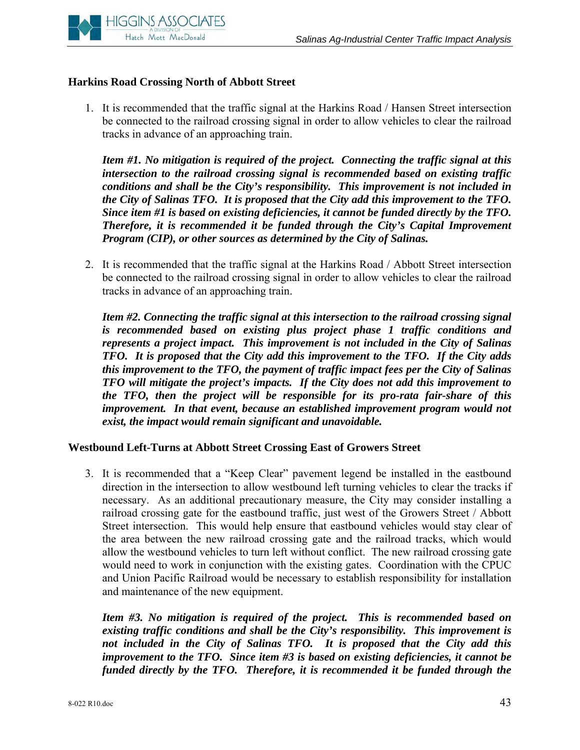

### **Harkins Road Crossing North of Abbott Street**

1. It is recommended that the traffic signal at the Harkins Road / Hansen Street intersection be connected to the railroad crossing signal in order to allow vehicles to clear the railroad tracks in advance of an approaching train.

*Item #1. No mitigation is required of the project. Connecting the traffic signal at this intersection to the railroad crossing signal is recommended based on existing traffic conditions and shall be the City's responsibility. This improvement is not included in the City of Salinas TFO. It is proposed that the City add this improvement to the TFO. Since item #1 is based on existing deficiencies, it cannot be funded directly by the TFO. Therefore, it is recommended it be funded through the City's Capital Improvement Program (CIP), or other sources as determined by the City of Salinas.* 

2. It is recommended that the traffic signal at the Harkins Road / Abbott Street intersection be connected to the railroad crossing signal in order to allow vehicles to clear the railroad tracks in advance of an approaching train.

*Item #2. Connecting the traffic signal at this intersection to the railroad crossing signal is recommended based on existing plus project phase 1 traffic conditions and represents a project impact. This improvement is not included in the City of Salinas TFO. It is proposed that the City add this improvement to the TFO. If the City adds this improvement to the TFO, the payment of traffic impact fees per the City of Salinas TFO will mitigate the project's impacts. If the City does not add this improvement to the TFO, then the project will be responsible for its pro-rata fair-share of this improvement. In that event, because an established improvement program would not exist, the impact would remain significant and unavoidable.* 

#### **Westbound Left-Turns at Abbott Street Crossing East of Growers Street**

3. It is recommended that a "Keep Clear" pavement legend be installed in the eastbound direction in the intersection to allow westbound left turning vehicles to clear the tracks if necessary. As an additional precautionary measure, the City may consider installing a railroad crossing gate for the eastbound traffic, just west of the Growers Street / Abbott Street intersection. This would help ensure that eastbound vehicles would stay clear of the area between the new railroad crossing gate and the railroad tracks, which would allow the westbound vehicles to turn left without conflict. The new railroad crossing gate would need to work in conjunction with the existing gates. Coordination with the CPUC and Union Pacific Railroad would be necessary to establish responsibility for installation and maintenance of the new equipment.

*Item #3. No mitigation is required of the project. This is recommended based on existing traffic conditions and shall be the City's responsibility. This improvement is not included in the City of Salinas TFO. It is proposed that the City add this improvement to the TFO. Since item #3 is based on existing deficiencies, it cannot be funded directly by the TFO. Therefore, it is recommended it be funded through the*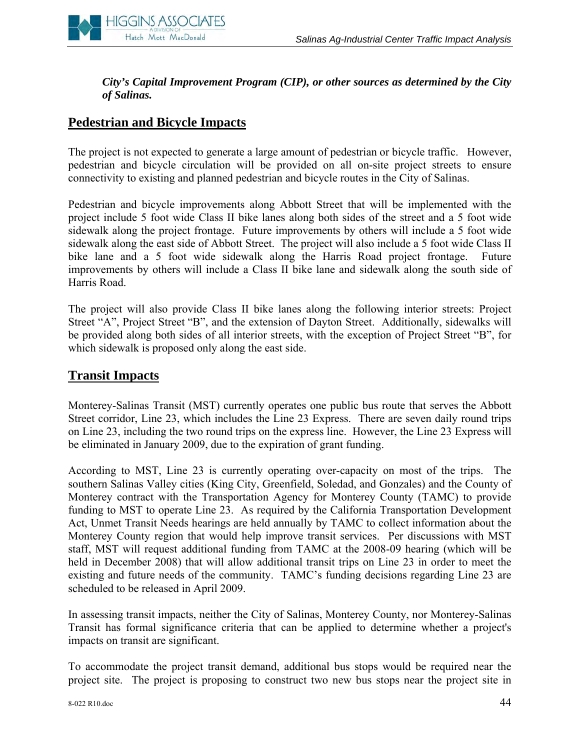# *City's Capital Improvement Program (CIP), or other sources as determined by the City of Salinas.*

# **Pedestrian and Bicycle Impacts**

**HIGGINS ASSOCIATES** Hatch Mott MacDonald

The project is not expected to generate a large amount of pedestrian or bicycle traffic. However, pedestrian and bicycle circulation will be provided on all on-site project streets to ensure connectivity to existing and planned pedestrian and bicycle routes in the City of Salinas.

Pedestrian and bicycle improvements along Abbott Street that will be implemented with the project include 5 foot wide Class II bike lanes along both sides of the street and a 5 foot wide sidewalk along the project frontage. Future improvements by others will include a 5 foot wide sidewalk along the east side of Abbott Street. The project will also include a 5 foot wide Class II bike lane and a 5 foot wide sidewalk along the Harris Road project frontage. Future improvements by others will include a Class II bike lane and sidewalk along the south side of Harris Road.

The project will also provide Class II bike lanes along the following interior streets: Project Street "A", Project Street "B", and the extension of Dayton Street. Additionally, sidewalks will be provided along both sides of all interior streets, with the exception of Project Street "B", for which sidewalk is proposed only along the east side.

# **Transit Impacts**

Monterey-Salinas Transit (MST) currently operates one public bus route that serves the Abbott Street corridor, Line 23, which includes the Line 23 Express. There are seven daily round trips on Line 23, including the two round trips on the express line. However, the Line 23 Express will be eliminated in January 2009, due to the expiration of grant funding.

According to MST, Line 23 is currently operating over-capacity on most of the trips. The southern Salinas Valley cities (King City, Greenfield, Soledad, and Gonzales) and the County of Monterey contract with the Transportation Agency for Monterey County (TAMC) to provide funding to MST to operate Line 23. As required by the California Transportation Development Act, Unmet Transit Needs hearings are held annually by TAMC to collect information about the Monterey County region that would help improve transit services. Per discussions with MST staff, MST will request additional funding from TAMC at the 2008-09 hearing (which will be held in December 2008) that will allow additional transit trips on Line 23 in order to meet the existing and future needs of the community. TAMC's funding decisions regarding Line 23 are scheduled to be released in April 2009.

In assessing transit impacts, neither the City of Salinas, Monterey County, nor Monterey-Salinas Transit has formal significance criteria that can be applied to determine whether a project's impacts on transit are significant.

To accommodate the project transit demand, additional bus stops would be required near the project site. The project is proposing to construct two new bus stops near the project site in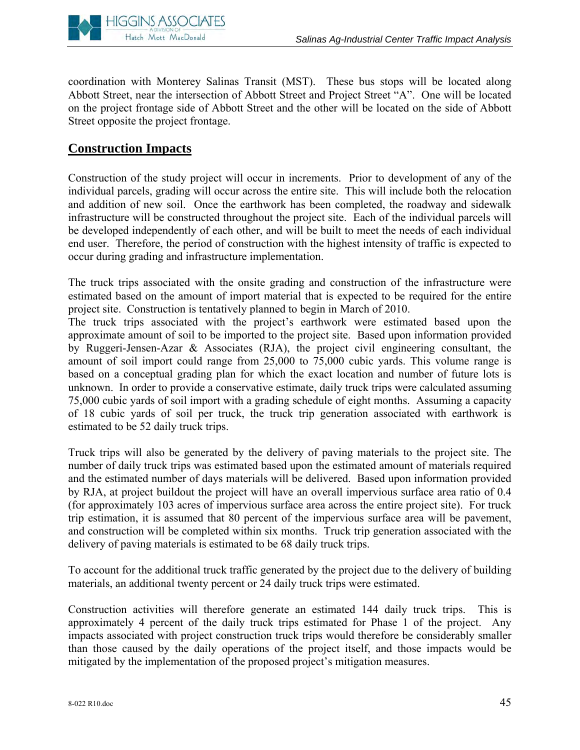

coordination with Monterey Salinas Transit (MST). These bus stops will be located along Abbott Street, near the intersection of Abbott Street and Project Street "A". One will be located on the project frontage side of Abbott Street and the other will be located on the side of Abbott Street opposite the project frontage.

# **Construction Impacts**

Construction of the study project will occur in increments. Prior to development of any of the individual parcels, grading will occur across the entire site. This will include both the relocation and addition of new soil. Once the earthwork has been completed, the roadway and sidewalk infrastructure will be constructed throughout the project site. Each of the individual parcels will be developed independently of each other, and will be built to meet the needs of each individual end user. Therefore, the period of construction with the highest intensity of traffic is expected to occur during grading and infrastructure implementation.

The truck trips associated with the onsite grading and construction of the infrastructure were estimated based on the amount of import material that is expected to be required for the entire project site. Construction is tentatively planned to begin in March of 2010.

The truck trips associated with the project's earthwork were estimated based upon the approximate amount of soil to be imported to the project site. Based upon information provided by Ruggeri-Jensen-Azar & Associates (RJA), the project civil engineering consultant, the amount of soil import could range from 25,000 to 75,000 cubic yards. This volume range is based on a conceptual grading plan for which the exact location and number of future lots is unknown. In order to provide a conservative estimate, daily truck trips were calculated assuming 75,000 cubic yards of soil import with a grading schedule of eight months. Assuming a capacity of 18 cubic yards of soil per truck, the truck trip generation associated with earthwork is estimated to be 52 daily truck trips.

Truck trips will also be generated by the delivery of paving materials to the project site. The number of daily truck trips was estimated based upon the estimated amount of materials required and the estimated number of days materials will be delivered. Based upon information provided by RJA, at project buildout the project will have an overall impervious surface area ratio of 0.4 (for approximately 103 acres of impervious surface area across the entire project site). For truck trip estimation, it is assumed that 80 percent of the impervious surface area will be pavement, and construction will be completed within six months. Truck trip generation associated with the delivery of paving materials is estimated to be 68 daily truck trips.

To account for the additional truck traffic generated by the project due to the delivery of building materials, an additional twenty percent or 24 daily truck trips were estimated.

Construction activities will therefore generate an estimated 144 daily truck trips. This is approximately 4 percent of the daily truck trips estimated for Phase 1 of the project. Any impacts associated with project construction truck trips would therefore be considerably smaller than those caused by the daily operations of the project itself, and those impacts would be mitigated by the implementation of the proposed project's mitigation measures.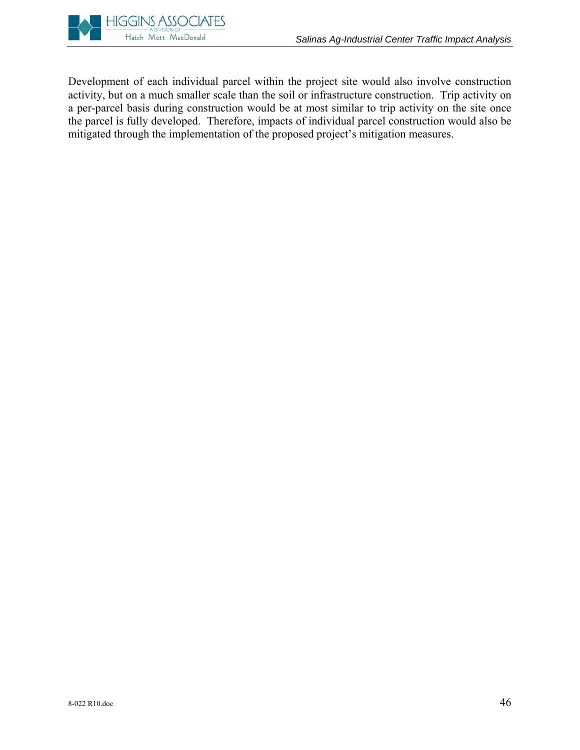Development of each individual parcel within the project site would also involve construction activity, but on a much smaller scale than the soil or infrastructure construction. Trip activity on a per-parcel basis during construction would be at most similar to trip activity on the site once the parcel is fully developed. Therefore, impacts of individual parcel construction would also be mitigated through the implementation of the proposed project's mitigation measures.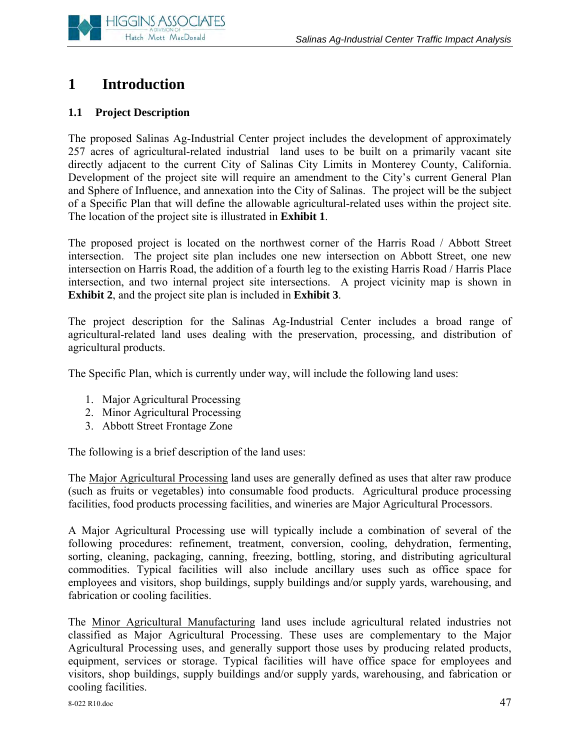

# **1 Introduction**

# **1.1 Project Description**

The proposed Salinas Ag-Industrial Center project includes the development of approximately 257 acres of agricultural-related industrial land uses to be built on a primarily vacant site directly adjacent to the current City of Salinas City Limits in Monterey County, California. Development of the project site will require an amendment to the City's current General Plan and Sphere of Influence, and annexation into the City of Salinas. The project will be the subject of a Specific Plan that will define the allowable agricultural-related uses within the project site. The location of the project site is illustrated in **Exhibit 1**.

The proposed project is located on the northwest corner of the Harris Road / Abbott Street intersection. The project site plan includes one new intersection on Abbott Street, one new intersection on Harris Road, the addition of a fourth leg to the existing Harris Road / Harris Place intersection, and two internal project site intersections. A project vicinity map is shown in **Exhibit 2**, and the project site plan is included in **Exhibit 3**.

The project description for the Salinas Ag-Industrial Center includes a broad range of agricultural-related land uses dealing with the preservation, processing, and distribution of agricultural products.

The Specific Plan, which is currently under way, will include the following land uses:

- 1. Major Agricultural Processing
- 2. Minor Agricultural Processing
- 3. Abbott Street Frontage Zone

The following is a brief description of the land uses:

The Major Agricultural Processing land uses are generally defined as uses that alter raw produce (such as fruits or vegetables) into consumable food products. Agricultural produce processing facilities, food products processing facilities, and wineries are Major Agricultural Processors.

A Major Agricultural Processing use will typically include a combination of several of the following procedures: refinement, treatment, conversion, cooling, dehydration, fermenting, sorting, cleaning, packaging, canning, freezing, bottling, storing, and distributing agricultural commodities. Typical facilities will also include ancillary uses such as office space for employees and visitors, shop buildings, supply buildings and/or supply yards, warehousing, and fabrication or cooling facilities.

The Minor Agricultural Manufacturing land uses include agricultural related industries not classified as Major Agricultural Processing. These uses are complementary to the Major Agricultural Processing uses, and generally support those uses by producing related products, equipment, services or storage. Typical facilities will have office space for employees and visitors, shop buildings, supply buildings and/or supply yards, warehousing, and fabrication or cooling facilities.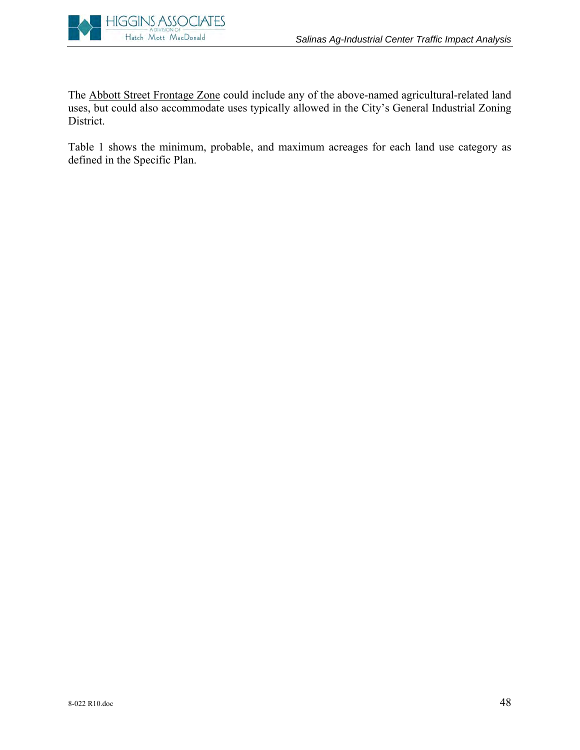

The Abbott Street Frontage Zone could include any of the above-named agricultural-related land uses, but could also accommodate uses typically allowed in the City's General Industrial Zoning District.

Table 1 shows the minimum, probable, and maximum acreages for each land use category as defined in the Specific Plan.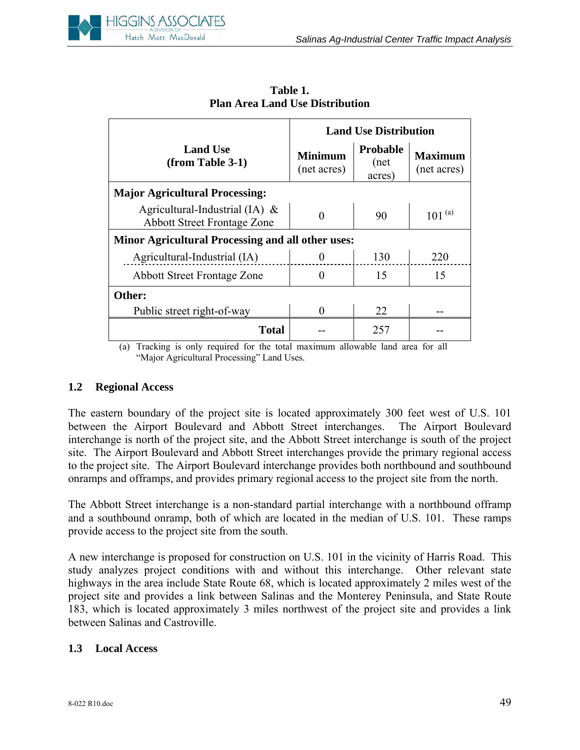

|                                                                         | <b>Land Use Distribution</b>  |                            |                               |  |  |
|-------------------------------------------------------------------------|-------------------------------|----------------------------|-------------------------------|--|--|
| <b>Land Use</b><br>(from Table 3-1)                                     | <b>Minimum</b><br>(net acres) | Probable<br>(net<br>acres) | <b>Maximum</b><br>(net acres) |  |  |
| <b>Major Agricultural Processing:</b>                                   |                               |                            |                               |  |  |
| Agricultural-Industrial (IA) $\&$<br><b>Abbott Street Frontage Zone</b> |                               | 90                         | $101^{(a)}$                   |  |  |
| <b>Minor Agricultural Processing and all other uses:</b>                |                               |                            |                               |  |  |
| Agricultural-Industrial (IA)                                            |                               | 130                        | 220                           |  |  |
| <b>Abbott Street Frontage Zone</b>                                      | 0                             | 15                         | 15                            |  |  |
| Other:                                                                  |                               |                            |                               |  |  |
| Public street right-of-way                                              | 0                             | 22                         |                               |  |  |
| <b>Total</b><br>$\cdot$<br>$\sim$<br>$\sim$ $\sim$ $\sim$ $\sim$        | 11.                           | 257<br>.                   | 11.                           |  |  |

**Table 1. Plan Area Land Use Distribution** 

(a) Tracking is only required for the total maximum allowable land area for all "Major Agricultural Processing" Land Uses.

#### **1.2 Regional Access**

The eastern boundary of the project site is located approximately 300 feet west of U.S. 101 between the Airport Boulevard and Abbott Street interchanges. The Airport Boulevard interchange is north of the project site, and the Abbott Street interchange is south of the project site. The Airport Boulevard and Abbott Street interchanges provide the primary regional access to the project site. The Airport Boulevard interchange provides both northbound and southbound onramps and offramps, and provides primary regional access to the project site from the north.

The Abbott Street interchange is a non-standard partial interchange with a northbound offramp and a southbound onramp, both of which are located in the median of U.S. 101. These ramps provide access to the project site from the south.

A new interchange is proposed for construction on U.S. 101 in the vicinity of Harris Road. This study analyzes project conditions with and without this interchange. Other relevant state highways in the area include State Route 68, which is located approximately 2 miles west of the project site and provides a link between Salinas and the Monterey Peninsula, and State Route 183, which is located approximately 3 miles northwest of the project site and provides a link between Salinas and Castroville.

#### **1.3 Local Access**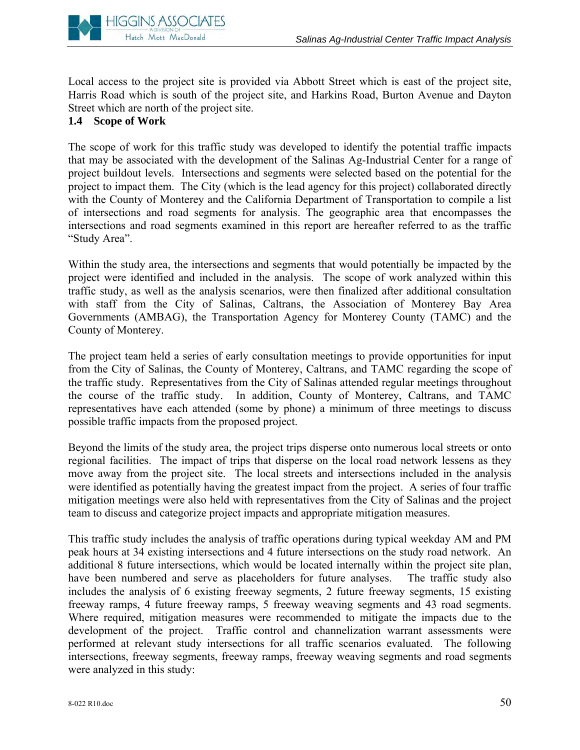

Local access to the project site is provided via Abbott Street which is east of the project site, Harris Road which is south of the project site, and Harkins Road, Burton Avenue and Dayton Street which are north of the project site.

# **1.4 Scope of Work**

The scope of work for this traffic study was developed to identify the potential traffic impacts that may be associated with the development of the Salinas Ag-Industrial Center for a range of project buildout levels. Intersections and segments were selected based on the potential for the project to impact them. The City (which is the lead agency for this project) collaborated directly with the County of Monterey and the California Department of Transportation to compile a list of intersections and road segments for analysis. The geographic area that encompasses the intersections and road segments examined in this report are hereafter referred to as the traffic "Study Area".

Within the study area, the intersections and segments that would potentially be impacted by the project were identified and included in the analysis. The scope of work analyzed within this traffic study, as well as the analysis scenarios, were then finalized after additional consultation with staff from the City of Salinas, Caltrans, the Association of Monterey Bay Area Governments (AMBAG), the Transportation Agency for Monterey County (TAMC) and the County of Monterey.

The project team held a series of early consultation meetings to provide opportunities for input from the City of Salinas, the County of Monterey, Caltrans, and TAMC regarding the scope of the traffic study. Representatives from the City of Salinas attended regular meetings throughout the course of the traffic study. In addition, County of Monterey, Caltrans, and TAMC representatives have each attended (some by phone) a minimum of three meetings to discuss possible traffic impacts from the proposed project.

Beyond the limits of the study area, the project trips disperse onto numerous local streets or onto regional facilities. The impact of trips that disperse on the local road network lessens as they move away from the project site. The local streets and intersections included in the analysis were identified as potentially having the greatest impact from the project. A series of four traffic mitigation meetings were also held with representatives from the City of Salinas and the project team to discuss and categorize project impacts and appropriate mitigation measures.

This traffic study includes the analysis of traffic operations during typical weekday AM and PM peak hours at 34 existing intersections and 4 future intersections on the study road network. An additional 8 future intersections, which would be located internally within the project site plan, have been numbered and serve as placeholders for future analyses. The traffic study also includes the analysis of 6 existing freeway segments, 2 future freeway segments, 15 existing freeway ramps, 4 future freeway ramps, 5 freeway weaving segments and 43 road segments. Where required, mitigation measures were recommended to mitigate the impacts due to the development of the project. Traffic control and channelization warrant assessments were performed at relevant study intersections for all traffic scenarios evaluated. The following intersections, freeway segments, freeway ramps, freeway weaving segments and road segments were analyzed in this study: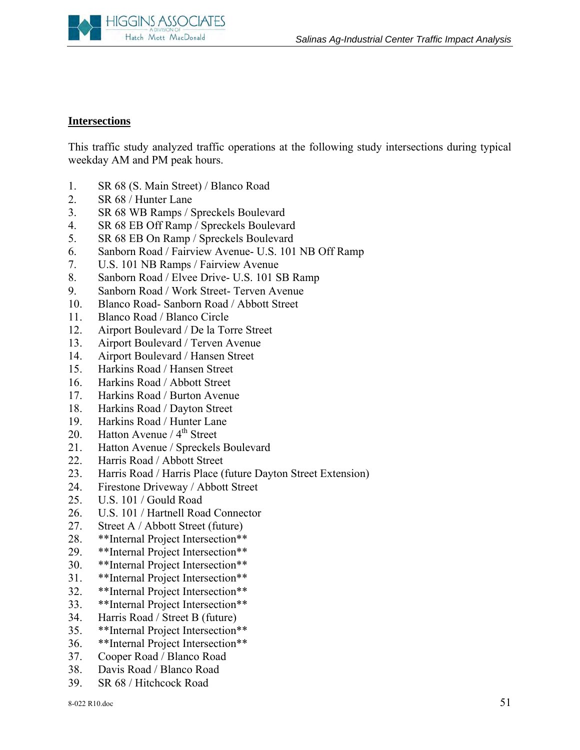

#### **Intersections**

This traffic study analyzed traffic operations at the following study intersections during typical weekday AM and PM peak hours.

- 1. SR 68 (S. Main Street) / Blanco Road
- 2. SR 68 / Hunter Lane
- 3. SR 68 WB Ramps / Spreckels Boulevard
- 4. SR 68 EB Off Ramp / Spreckels Boulevard
- 5. SR 68 EB On Ramp / Spreckels Boulevard
- 6. Sanborn Road / Fairview Avenue- U.S. 101 NB Off Ramp
- 7. U.S. 101 NB Ramps / Fairview Avenue
- 8. Sanborn Road / Elvee Drive- U.S. 101 SB Ramp
- 9. Sanborn Road / Work Street- Terven Avenue
- 10. Blanco Road- Sanborn Road / Abbott Street
- 11. Blanco Road / Blanco Circle
- 12. Airport Boulevard / De la Torre Street
- 13. Airport Boulevard / Terven Avenue
- 14. Airport Boulevard / Hansen Street
- 15. Harkins Road / Hansen Street
- 16. Harkins Road / Abbott Street
- 17. Harkins Road / Burton Avenue
- 18. Harkins Road / Dayton Street
- 19. Harkins Road / Hunter Lane
- 20. Hatton Avenue /  $4<sup>th</sup>$  Street
- 21. Hatton Avenue / Spreckels Boulevard
- 22. Harris Road / Abbott Street
- 23. Harris Road / Harris Place (future Dayton Street Extension)
- 24. Firestone Driveway / Abbott Street
- 25. U.S. 101 / Gould Road
- 26. U.S. 101 / Hartnell Road Connector
- 27. Street A / Abbott Street (future)
- 28. \*\*Internal Project Intersection\*\*
- 29. \*\*Internal Project Intersection\*\*
- 30. \*\*Internal Project Intersection\*\*
- 31. \*\*Internal Project Intersection\*\*
- 32. \*\*Internal Project Intersection\*\*
- 33. \*\*Internal Project Intersection\*\*
- 34. Harris Road / Street B (future)
- 35. \*\*Internal Project Intersection\*\*
- 36. \*\*Internal Project Intersection\*\*
- 37. Cooper Road / Blanco Road
- 38. Davis Road / Blanco Road
- 39. SR 68 / Hitchcock Road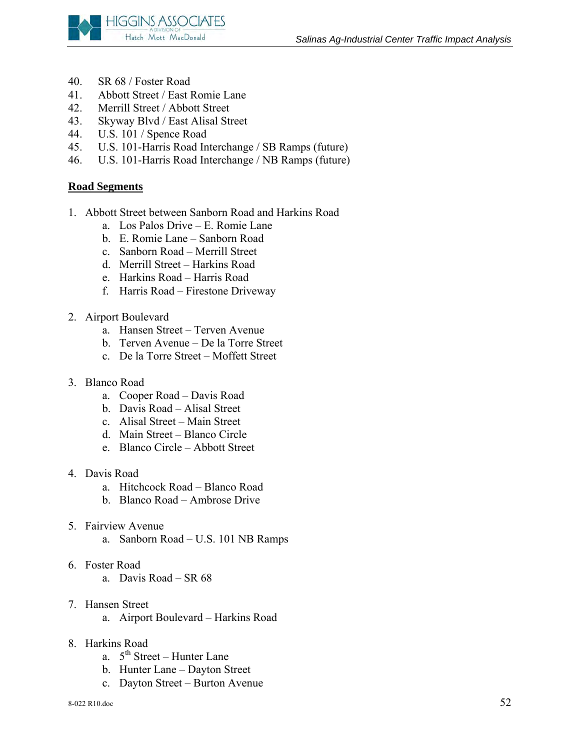

- 40. SR 68 / Foster Road
- 41. Abbott Street / East Romie Lane
- 42. Merrill Street / Abbott Street
- 43. Skyway Blvd / East Alisal Street
- 44. U.S. 101 / Spence Road
- 45. U.S. 101-Harris Road Interchange / SB Ramps (future)
- 46. U.S. 101-Harris Road Interchange / NB Ramps (future)

### **Road Segments**

- 1. Abbott Street between Sanborn Road and Harkins Road
	- a. Los Palos Drive E. Romie Lane
	- b. E. Romie Lane Sanborn Road
	- c. Sanborn Road Merrill Street
	- d. Merrill Street Harkins Road
	- e. Harkins Road Harris Road
	- f. Harris Road Firestone Driveway
- 2. Airport Boulevard
	- a. Hansen Street Terven Avenue
	- b. Terven Avenue De la Torre Street
	- c. De la Torre Street Moffett Street
- 3. Blanco Road
	- a. Cooper Road Davis Road
	- b. Davis Road Alisal Street
	- c. Alisal Street Main Street
	- d. Main Street Blanco Circle
	- e. Blanco Circle Abbott Street
- 4. Davis Road
	- a. Hitchcock Road Blanco Road
	- b. Blanco Road Ambrose Drive
- 5. Fairview Avenue
	- a. Sanborn Road U.S. 101 NB Ramps
- 6. Foster Road
	- a. Davis Road SR 68
- 7. Hansen Street
	- a. Airport Boulevard Harkins Road
- 8. Harkins Road
	- a.  $5^{th}$  Street Hunter Lane
	- b. Hunter Lane Dayton Street
	- c. Dayton Street Burton Avenue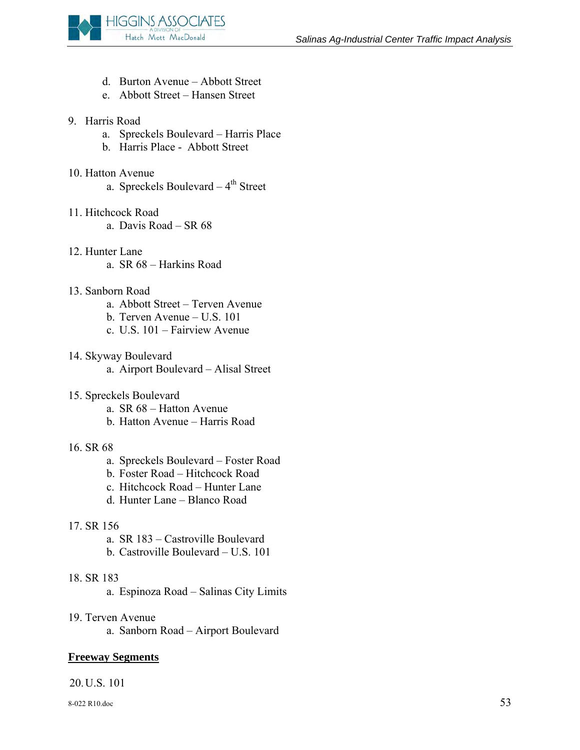

- d. Burton Avenue Abbott Street
- e. Abbott Street Hansen Street

#### 9. Harris Road

- a. Spreckels Boulevard Harris Place
- b. Harris Place Abbott Street

#### 10. Hatton Avenue

a. Spreckels Boulevard  $-4$ <sup>th</sup> Street

#### 11. Hitchcock Road

- a. Davis Road SR 68
- 12. Hunter Lane
	- a. SR 68 Harkins Road

#### 13. Sanborn Road

- a. Abbott Street Terven Avenue
- b. Terven Avenue U.S. 101
- c. U.S. 101 Fairview Avenue
- 14. Skyway Boulevard
	- a. Airport Boulevard Alisal Street
- 15. Spreckels Boulevard
	- a. SR 68 Hatton Avenue
	- b. Hatton Avenue Harris Road
- 16. SR 68
	- a. Spreckels Boulevard Foster Road
	- b. Foster Road Hitchcock Road
	- c. Hitchcock Road Hunter Lane
	- d. Hunter Lane Blanco Road

#### 17. SR 156

- a. SR 183 Castroville Boulevard
- b. Castroville Boulevard U.S. 101

#### 18. SR 183

- a. Espinoza Road Salinas City Limits
- 19. Terven Avenue
	- a. Sanborn Road Airport Boulevard

#### **Freeway Segments**

# 20.U.S. 101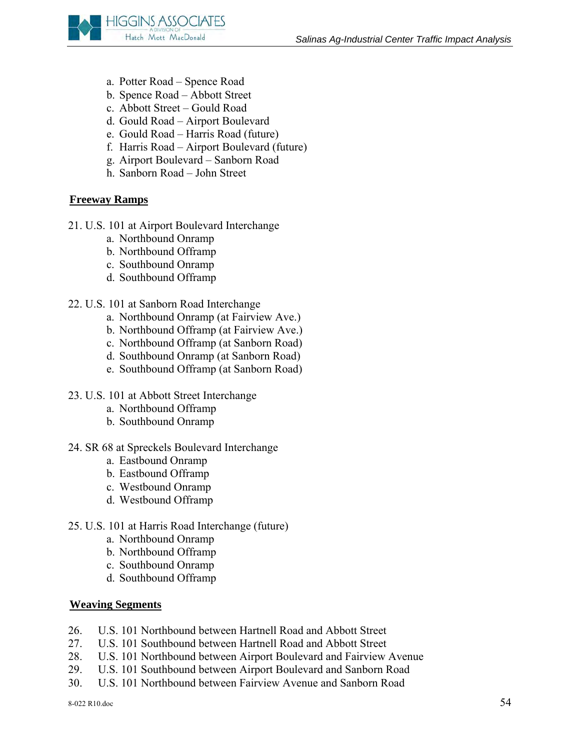

- a. Potter Road Spence Road
- b. Spence Road Abbott Street
- c. Abbott Street Gould Road
- d. Gould Road Airport Boulevard
- e. Gould Road Harris Road (future)
- f. Harris Road Airport Boulevard (future)
- g. Airport Boulevard Sanborn Road
- h. Sanborn Road John Street

# **Freeway Ramps**

- 21. U.S. 101 at Airport Boulevard Interchange
	- a. Northbound Onramp
	- b. Northbound Offramp
	- c. Southbound Onramp
	- d. Southbound Offramp
- 22. U.S. 101 at Sanborn Road Interchange
	- a. Northbound Onramp (at Fairview Ave.)
	- b. Northbound Offramp (at Fairview Ave.)
	- c. Northbound Offramp (at Sanborn Road)
	- d. Southbound Onramp (at Sanborn Road)
	- e. Southbound Offramp (at Sanborn Road)
- 23. U.S. 101 at Abbott Street Interchange
	- a. Northbound Offramp
	- b. Southbound Onramp
- 24. SR 68 at Spreckels Boulevard Interchange
	- a. Eastbound Onramp
	- b. Eastbound Offramp
	- c. Westbound Onramp
	- d. Westbound Offramp
- 25. U.S. 101 at Harris Road Interchange (future)
	- a. Northbound Onramp
	- b. Northbound Offramp
	- c. Southbound Onramp
	- d. Southbound Offramp

#### **Weaving Segments**

- 26. U.S. 101 Northbound between Hartnell Road and Abbott Street
- 27. U.S. 101 Southbound between Hartnell Road and Abbott Street
- 28. U.S. 101 Northbound between Airport Boulevard and Fairview Avenue
- 29. U.S. 101 Southbound between Airport Boulevard and Sanborn Road
- 30. U.S. 101 Northbound between Fairview Avenue and Sanborn Road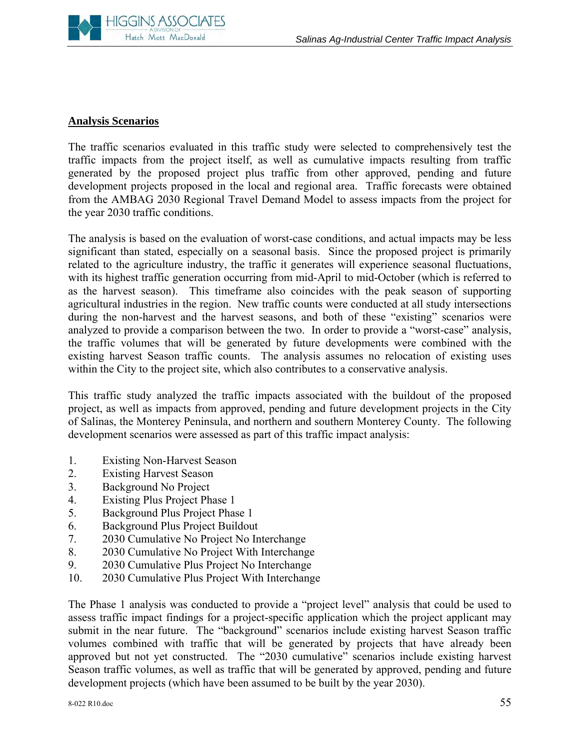

#### **Analysis Scenarios**

The traffic scenarios evaluated in this traffic study were selected to comprehensively test the traffic impacts from the project itself, as well as cumulative impacts resulting from traffic generated by the proposed project plus traffic from other approved, pending and future development projects proposed in the local and regional area. Traffic forecasts were obtained from the AMBAG 2030 Regional Travel Demand Model to assess impacts from the project for the year 2030 traffic conditions.

The analysis is based on the evaluation of worst-case conditions, and actual impacts may be less significant than stated, especially on a seasonal basis. Since the proposed project is primarily related to the agriculture industry, the traffic it generates will experience seasonal fluctuations, with its highest traffic generation occurring from mid-April to mid-October (which is referred to as the harvest season). This timeframe also coincides with the peak season of supporting agricultural industries in the region. New traffic counts were conducted at all study intersections during the non-harvest and the harvest seasons, and both of these "existing" scenarios were analyzed to provide a comparison between the two. In order to provide a "worst-case" analysis, the traffic volumes that will be generated by future developments were combined with the existing harvest Season traffic counts. The analysis assumes no relocation of existing uses within the City to the project site, which also contributes to a conservative analysis.

This traffic study analyzed the traffic impacts associated with the buildout of the proposed project, as well as impacts from approved, pending and future development projects in the City of Salinas, the Monterey Peninsula, and northern and southern Monterey County. The following development scenarios were assessed as part of this traffic impact analysis:

- 1. Existing Non-Harvest Season
- 2. Existing Harvest Season
- 3. Background No Project
- 4. Existing Plus Project Phase 1
- 5. Background Plus Project Phase 1
- 6. Background Plus Project Buildout
- 7. 2030 Cumulative No Project No Interchange
- 8. 2030 Cumulative No Project With Interchange
- 9. 2030 Cumulative Plus Project No Interchange
- 10. 2030 Cumulative Plus Project With Interchange

The Phase 1 analysis was conducted to provide a "project level" analysis that could be used to assess traffic impact findings for a project-specific application which the project applicant may submit in the near future. The "background" scenarios include existing harvest Season traffic volumes combined with traffic that will be generated by projects that have already been approved but not yet constructed. The "2030 cumulative" scenarios include existing harvest Season traffic volumes, as well as traffic that will be generated by approved, pending and future development projects (which have been assumed to be built by the year 2030).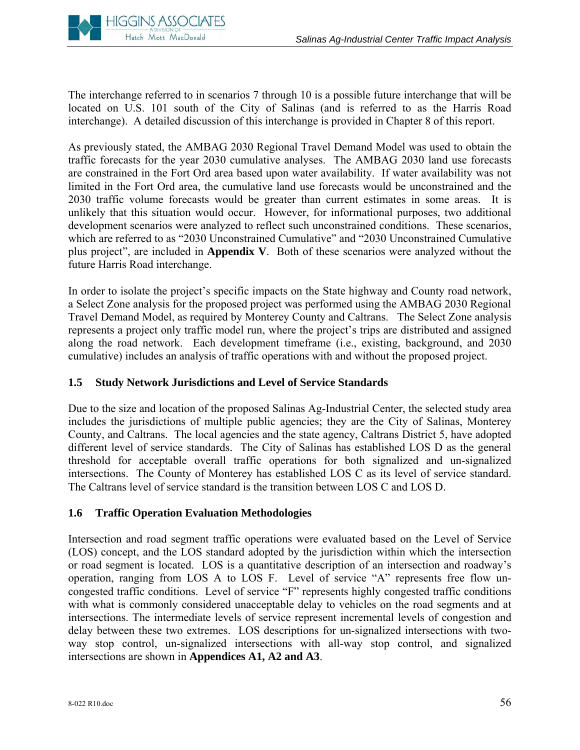

The interchange referred to in scenarios 7 through 10 is a possible future interchange that will be located on U.S. 101 south of the City of Salinas (and is referred to as the Harris Road interchange). A detailed discussion of this interchange is provided in Chapter 8 of this report.

As previously stated, the AMBAG 2030 Regional Travel Demand Model was used to obtain the traffic forecasts for the year 2030 cumulative analyses. The AMBAG 2030 land use forecasts are constrained in the Fort Ord area based upon water availability. If water availability was not limited in the Fort Ord area, the cumulative land use forecasts would be unconstrained and the 2030 traffic volume forecasts would be greater than current estimates in some areas. It is unlikely that this situation would occur. However, for informational purposes, two additional development scenarios were analyzed to reflect such unconstrained conditions. These scenarios, which are referred to as "2030 Unconstrained Cumulative" and "2030 Unconstrained Cumulative plus project", are included in **Appendix V**. Both of these scenarios were analyzed without the future Harris Road interchange.

In order to isolate the project's specific impacts on the State highway and County road network, a Select Zone analysis for the proposed project was performed using the AMBAG 2030 Regional Travel Demand Model, as required by Monterey County and Caltrans. The Select Zone analysis represents a project only traffic model run, where the project's trips are distributed and assigned along the road network. Each development timeframe (i.e., existing, background, and 2030 cumulative) includes an analysis of traffic operations with and without the proposed project.

# **1.5 Study Network Jurisdictions and Level of Service Standards**

Due to the size and location of the proposed Salinas Ag-Industrial Center, the selected study area includes the jurisdictions of multiple public agencies; they are the City of Salinas, Monterey County, and Caltrans. The local agencies and the state agency, Caltrans District 5, have adopted different level of service standards. The City of Salinas has established LOS D as the general threshold for acceptable overall traffic operations for both signalized and un-signalized intersections. The County of Monterey has established LOS C as its level of service standard. The Caltrans level of service standard is the transition between LOS C and LOS D.

# **1.6 Traffic Operation Evaluation Methodologies**

Intersection and road segment traffic operations were evaluated based on the Level of Service (LOS) concept, and the LOS standard adopted by the jurisdiction within which the intersection or road segment is located. LOS is a quantitative description of an intersection and roadway's operation, ranging from LOS A to LOS F. Level of service "A" represents free flow uncongested traffic conditions. Level of service "F" represents highly congested traffic conditions with what is commonly considered unacceptable delay to vehicles on the road segments and at intersections. The intermediate levels of service represent incremental levels of congestion and delay between these two extremes. LOS descriptions for un-signalized intersections with twoway stop control, un-signalized intersections with all-way stop control, and signalized intersections are shown in **Appendices A1, A2 and A3**.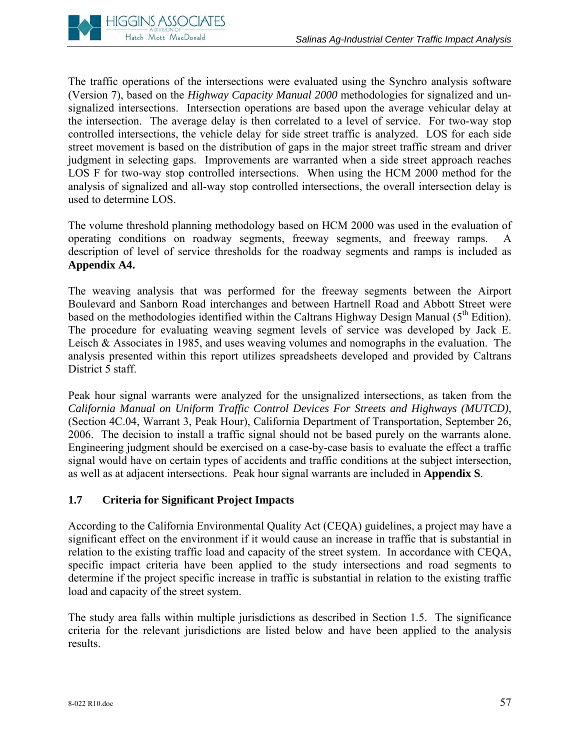

The traffic operations of the intersections were evaluated using the Synchro analysis software (Version 7), based on the *Highway Capacity Manual 2000* methodologies for signalized and unsignalized intersections. Intersection operations are based upon the average vehicular delay at the intersection. The average delay is then correlated to a level of service. For two-way stop controlled intersections, the vehicle delay for side street traffic is analyzed. LOS for each side street movement is based on the distribution of gaps in the major street traffic stream and driver judgment in selecting gaps. Improvements are warranted when a side street approach reaches LOS F for two-way stop controlled intersections. When using the HCM 2000 method for the analysis of signalized and all-way stop controlled intersections, the overall intersection delay is used to determine LOS.

The volume threshold planning methodology based on HCM 2000 was used in the evaluation of operating conditions on roadway segments, freeway segments, and freeway ramps. A description of level of service thresholds for the roadway segments and ramps is included as **Appendix A4.**

The weaving analysis that was performed for the freeway segments between the Airport Boulevard and Sanborn Road interchanges and between Hartnell Road and Abbott Street were based on the methodologies identified within the Caltrans Highway Design Manual  $(5<sup>th</sup> Edition)$ . The procedure for evaluating weaving segment levels of service was developed by Jack E. Leisch & Associates in 1985, and uses weaving volumes and nomographs in the evaluation. The analysis presented within this report utilizes spreadsheets developed and provided by Caltrans District 5 staff.

Peak hour signal warrants were analyzed for the unsignalized intersections, as taken from the *California Manual on Uniform Traffic Control Devices For Streets and Highways (MUTCD)*, (Section 4C.04, Warrant 3, Peak Hour), California Department of Transportation, September 26, 2006. The decision to install a traffic signal should not be based purely on the warrants alone. Engineering judgment should be exercised on a case-by-case basis to evaluate the effect a traffic signal would have on certain types of accidents and traffic conditions at the subject intersection, as well as at adjacent intersections. Peak hour signal warrants are included in **Appendix S**.

# **1.7 Criteria for Significant Project Impacts**

According to the California Environmental Quality Act (CEQA) guidelines, a project may have a significant effect on the environment if it would cause an increase in traffic that is substantial in relation to the existing traffic load and capacity of the street system. In accordance with CEQA, specific impact criteria have been applied to the study intersections and road segments to determine if the project specific increase in traffic is substantial in relation to the existing traffic load and capacity of the street system.

The study area falls within multiple jurisdictions as described in Section 1.5. The significance criteria for the relevant jurisdictions are listed below and have been applied to the analysis results.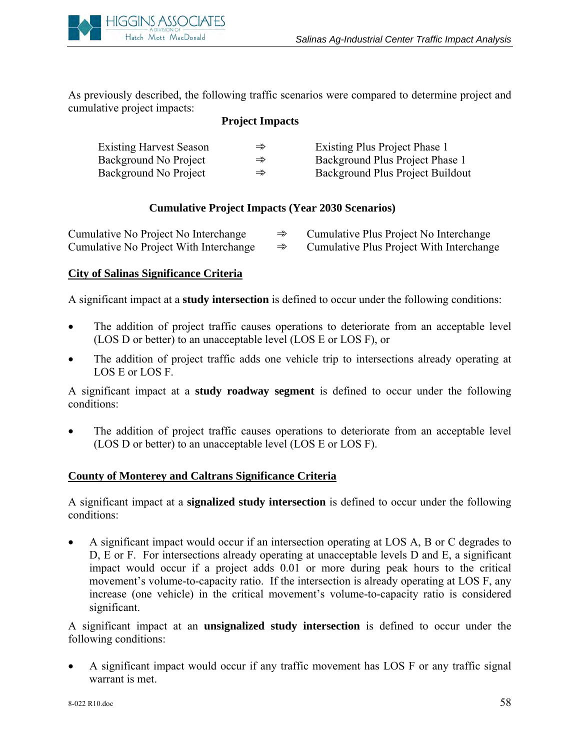

As previously described, the following traffic scenarios were compared to determine project and cumulative project impacts:

#### **Project Impacts**

| <b>Existing Harvest Season</b> | $\Rightarrow$ | Existing Plus Project Phase 1    |
|--------------------------------|---------------|----------------------------------|
| Background No Project          | $\Rightarrow$ | Background Plus Project Phase 1  |
| Background No Project          | $\Rightarrow$ | Background Plus Project Buildout |

### **Cumulative Project Impacts (Year 2030 Scenarios)**

| Cumulative No Project No Interchange   | Cumulative Plus Project No Interchange   |
|----------------------------------------|------------------------------------------|
| Cumulative No Project With Interchange | Cumulative Plus Project With Interchange |

#### **City of Salinas Significance Criteria**

A significant impact at a **study intersection** is defined to occur under the following conditions:

- The addition of project traffic causes operations to deteriorate from an acceptable level (LOS D or better) to an unacceptable level (LOS E or LOS F), or
- The addition of project traffic adds one vehicle trip to intersections already operating at LOS E or LOS F.

A significant impact at a **study roadway segment** is defined to occur under the following conditions:

The addition of project traffic causes operations to deteriorate from an acceptable level (LOS D or better) to an unacceptable level (LOS E or LOS F).

#### **County of Monterey and Caltrans Significance Criteria**

A significant impact at a **signalized study intersection** is defined to occur under the following conditions:

• A significant impact would occur if an intersection operating at LOS A, B or C degrades to D, E or F. For intersections already operating at unacceptable levels D and E, a significant impact would occur if a project adds 0.01 or more during peak hours to the critical movement's volume-to-capacity ratio. If the intersection is already operating at LOS F, any increase (one vehicle) in the critical movement's volume-to-capacity ratio is considered significant.

A significant impact at an **unsignalized study intersection** is defined to occur under the following conditions:

• A significant impact would occur if any traffic movement has LOS F or any traffic signal warrant is met.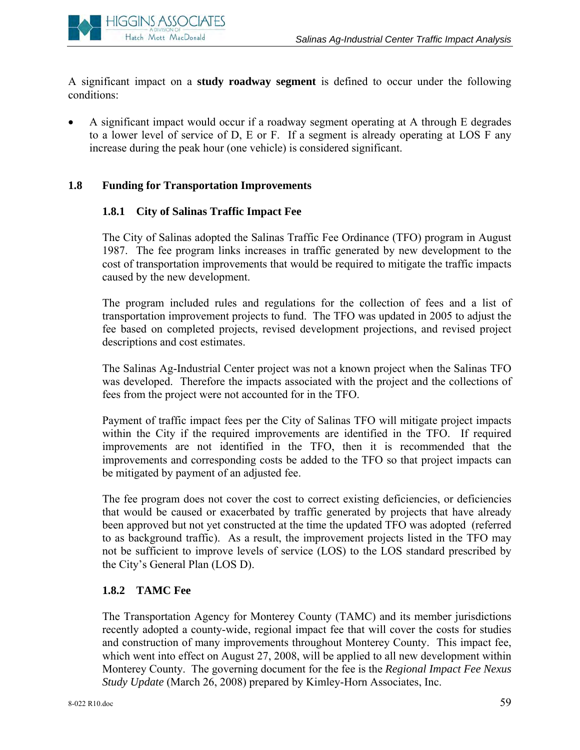

A significant impact on a **study roadway segment** is defined to occur under the following conditions:

• A significant impact would occur if a roadway segment operating at A through E degrades to a lower level of service of D, E or F. If a segment is already operating at LOS F any increase during the peak hour (one vehicle) is considered significant.

### **1.8 Funding for Transportation Improvements**

### **1.8.1 City of Salinas Traffic Impact Fee**

The City of Salinas adopted the Salinas Traffic Fee Ordinance (TFO) program in August 1987. The fee program links increases in traffic generated by new development to the cost of transportation improvements that would be required to mitigate the traffic impacts caused by the new development.

The program included rules and regulations for the collection of fees and a list of transportation improvement projects to fund. The TFO was updated in 2005 to adjust the fee based on completed projects, revised development projections, and revised project descriptions and cost estimates.

The Salinas Ag-Industrial Center project was not a known project when the Salinas TFO was developed. Therefore the impacts associated with the project and the collections of fees from the project were not accounted for in the TFO.

Payment of traffic impact fees per the City of Salinas TFO will mitigate project impacts within the City if the required improvements are identified in the TFO. If required improvements are not identified in the TFO, then it is recommended that the improvements and corresponding costs be added to the TFO so that project impacts can be mitigated by payment of an adjusted fee.

The fee program does not cover the cost to correct existing deficiencies, or deficiencies that would be caused or exacerbated by traffic generated by projects that have already been approved but not yet constructed at the time the updated TFO was adopted (referred to as background traffic). As a result, the improvement projects listed in the TFO may not be sufficient to improve levels of service (LOS) to the LOS standard prescribed by the City's General Plan (LOS D).

# **1.8.2 TAMC Fee**

The Transportation Agency for Monterey County (TAMC) and its member jurisdictions recently adopted a county-wide, regional impact fee that will cover the costs for studies and construction of many improvements throughout Monterey County. This impact fee, which went into effect on August 27, 2008, will be applied to all new development within Monterey County. The governing document for the fee is the *Regional Impact Fee Nexus Study Update* (March 26, 2008) prepared by Kimley-Horn Associates, Inc.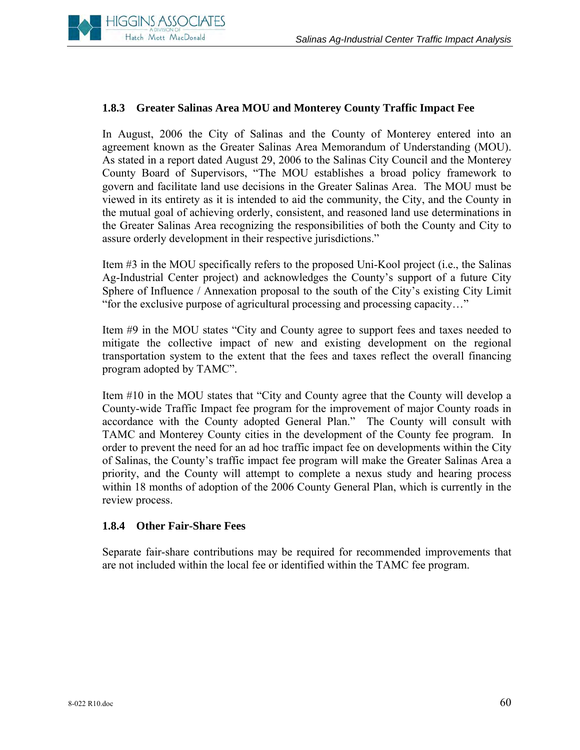

#### **1.8.3 Greater Salinas Area MOU and Monterey County Traffic Impact Fee**

In August, 2006 the City of Salinas and the County of Monterey entered into an agreement known as the Greater Salinas Area Memorandum of Understanding (MOU). As stated in a report dated August 29, 2006 to the Salinas City Council and the Monterey County Board of Supervisors, "The MOU establishes a broad policy framework to govern and facilitate land use decisions in the Greater Salinas Area. The MOU must be viewed in its entirety as it is intended to aid the community, the City, and the County in the mutual goal of achieving orderly, consistent, and reasoned land use determinations in the Greater Salinas Area recognizing the responsibilities of both the County and City to assure orderly development in their respective jurisdictions."

Item #3 in the MOU specifically refers to the proposed Uni-Kool project (i.e., the Salinas Ag-Industrial Center project) and acknowledges the County's support of a future City Sphere of Influence / Annexation proposal to the south of the City's existing City Limit "for the exclusive purpose of agricultural processing and processing capacity…"

Item #9 in the MOU states "City and County agree to support fees and taxes needed to mitigate the collective impact of new and existing development on the regional transportation system to the extent that the fees and taxes reflect the overall financing program adopted by TAMC".

Item #10 in the MOU states that "City and County agree that the County will develop a County-wide Traffic Impact fee program for the improvement of major County roads in accordance with the County adopted General Plan." The County will consult with TAMC and Monterey County cities in the development of the County fee program. In order to prevent the need for an ad hoc traffic impact fee on developments within the City of Salinas, the County's traffic impact fee program will make the Greater Salinas Area a priority, and the County will attempt to complete a nexus study and hearing process within 18 months of adoption of the 2006 County General Plan, which is currently in the review process.

#### **1.8.4 Other Fair-Share Fees**

Separate fair-share contributions may be required for recommended improvements that are not included within the local fee or identified within the TAMC fee program.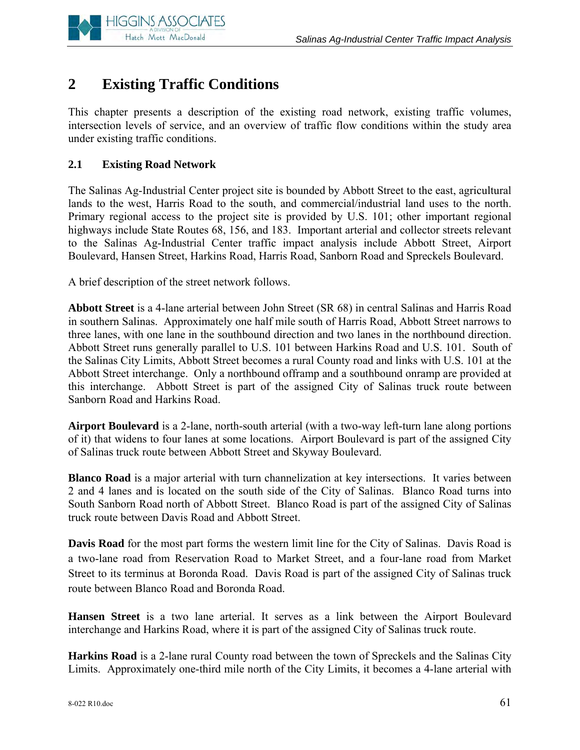

# **2 Existing Traffic Conditions**

This chapter presents a description of the existing road network, existing traffic volumes, intersection levels of service, and an overview of traffic flow conditions within the study area under existing traffic conditions.

# **2.1 Existing Road Network**

The Salinas Ag-Industrial Center project site is bounded by Abbott Street to the east, agricultural lands to the west, Harris Road to the south, and commercial/industrial land uses to the north. Primary regional access to the project site is provided by U.S. 101; other important regional highways include State Routes 68, 156, and 183. Important arterial and collector streets relevant to the Salinas Ag-Industrial Center traffic impact analysis include Abbott Street, Airport Boulevard, Hansen Street, Harkins Road, Harris Road, Sanborn Road and Spreckels Boulevard.

A brief description of the street network follows.

**Abbott Street** is a 4-lane arterial between John Street (SR 68) in central Salinas and Harris Road in southern Salinas. Approximately one half mile south of Harris Road, Abbott Street narrows to three lanes, with one lane in the southbound direction and two lanes in the northbound direction. Abbott Street runs generally parallel to U.S. 101 between Harkins Road and U.S. 101. South of the Salinas City Limits, Abbott Street becomes a rural County road and links with U.S. 101 at the Abbott Street interchange. Only a northbound offramp and a southbound onramp are provided at this interchange. Abbott Street is part of the assigned City of Salinas truck route between Sanborn Road and Harkins Road.

**Airport Boulevard** is a 2-lane, north-south arterial (with a two-way left-turn lane along portions of it) that widens to four lanes at some locations. Airport Boulevard is part of the assigned City of Salinas truck route between Abbott Street and Skyway Boulevard.

**Blanco Road** is a major arterial with turn channelization at key intersections. It varies between 2 and 4 lanes and is located on the south side of the City of Salinas. Blanco Road turns into South Sanborn Road north of Abbott Street. Blanco Road is part of the assigned City of Salinas truck route between Davis Road and Abbott Street.

**Davis Road** for the most part forms the western limit line for the City of Salinas. Davis Road is a two-lane road from Reservation Road to Market Street, and a four-lane road from Market Street to its terminus at Boronda Road. Davis Road is part of the assigned City of Salinas truck route between Blanco Road and Boronda Road.

**Hansen Street** is a two lane arterial. It serves as a link between the Airport Boulevard interchange and Harkins Road, where it is part of the assigned City of Salinas truck route.

**Harkins Road** is a 2-lane rural County road between the town of Spreckels and the Salinas City Limits. Approximately one-third mile north of the City Limits, it becomes a 4-lane arterial with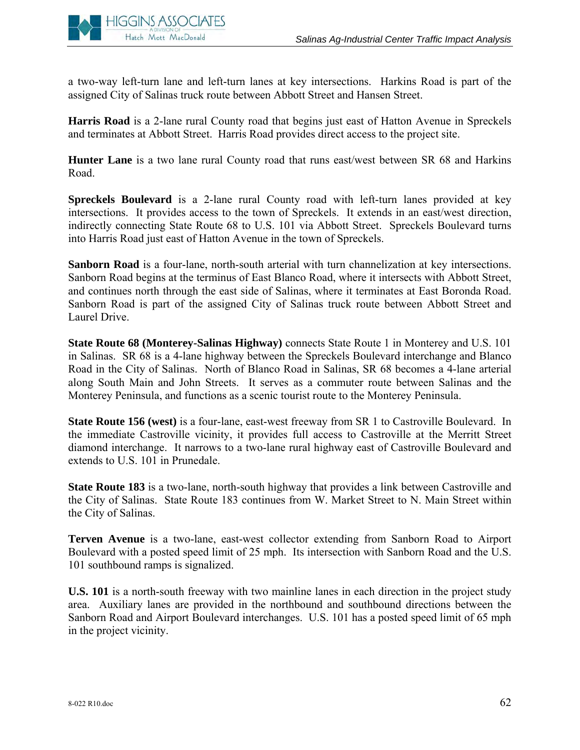

a two-way left-turn lane and left-turn lanes at key intersections. Harkins Road is part of the assigned City of Salinas truck route between Abbott Street and Hansen Street.

**Harris Road** is a 2-lane rural County road that begins just east of Hatton Avenue in Spreckels and terminates at Abbott Street. Harris Road provides direct access to the project site.

**Hunter Lane** is a two lane rural County road that runs east/west between SR 68 and Harkins Road.

**Spreckels Boulevard** is a 2-lane rural County road with left-turn lanes provided at key intersections. It provides access to the town of Spreckels. It extends in an east/west direction, indirectly connecting State Route 68 to U.S. 101 via Abbott Street. Spreckels Boulevard turns into Harris Road just east of Hatton Avenue in the town of Spreckels.

**Sanborn Road** is a four-lane, north-south arterial with turn channelization at key intersections. Sanborn Road begins at the terminus of East Blanco Road, where it intersects with Abbott Street, and continues north through the east side of Salinas, where it terminates at East Boronda Road. Sanborn Road is part of the assigned City of Salinas truck route between Abbott Street and Laurel Drive.

**State Route 68 (Monterey-Salinas Highway)** connects State Route 1 in Monterey and U.S. 101 in Salinas. SR 68 is a 4-lane highway between the Spreckels Boulevard interchange and Blanco Road in the City of Salinas. North of Blanco Road in Salinas, SR 68 becomes a 4-lane arterial along South Main and John Streets. It serves as a commuter route between Salinas and the Monterey Peninsula, and functions as a scenic tourist route to the Monterey Peninsula.

**State Route 156 (west)** is a four-lane, east-west freeway from SR 1 to Castroville Boulevard. In the immediate Castroville vicinity, it provides full access to Castroville at the Merritt Street diamond interchange. It narrows to a two-lane rural highway east of Castroville Boulevard and extends to U.S. 101 in Prunedale.

**State Route 183** is a two-lane, north-south highway that provides a link between Castroville and the City of Salinas. State Route 183 continues from W. Market Street to N. Main Street within the City of Salinas.

**Terven Avenue** is a two-lane, east-west collector extending from Sanborn Road to Airport Boulevard with a posted speed limit of 25 mph. Its intersection with Sanborn Road and the U.S. 101 southbound ramps is signalized.

**U.S. 101** is a north-south freeway with two mainline lanes in each direction in the project study area. Auxiliary lanes are provided in the northbound and southbound directions between the Sanborn Road and Airport Boulevard interchanges. U.S. 101 has a posted speed limit of 65 mph in the project vicinity.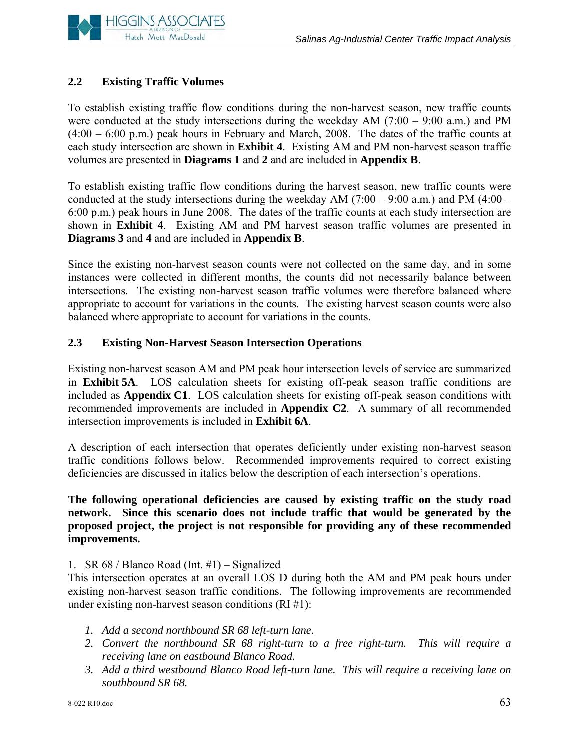

# **2.2 Existing Traffic Volumes**

To establish existing traffic flow conditions during the non-harvest season, new traffic counts were conducted at the study intersections during the weekday AM (7:00 – 9:00 a.m.) and PM  $(4:00 - 6:00 \text{ p.m.})$  peak hours in February and March, 2008. The dates of the traffic counts at each study intersection are shown in **Exhibit 4**. Existing AM and PM non-harvest season traffic volumes are presented in **Diagrams 1** and **2** and are included in **Appendix B**.

To establish existing traffic flow conditions during the harvest season, new traffic counts were conducted at the study intersections during the weekday AM (7:00 – 9:00 a.m.) and PM (4:00 – 6:00 p.m.) peak hours in June 2008. The dates of the traffic counts at each study intersection are shown in **Exhibit 4**. Existing AM and PM harvest season traffic volumes are presented in **Diagrams 3** and **4** and are included in **Appendix B**.

Since the existing non-harvest season counts were not collected on the same day, and in some instances were collected in different months, the counts did not necessarily balance between intersections. The existing non-harvest season traffic volumes were therefore balanced where appropriate to account for variations in the counts. The existing harvest season counts were also balanced where appropriate to account for variations in the counts.

# **2.3 Existing Non-Harvest Season Intersection Operations**

Existing non-harvest season AM and PM peak hour intersection levels of service are summarized in **Exhibit 5A**. LOS calculation sheets for existing off-peak season traffic conditions are included as **Appendix C1**. LOS calculation sheets for existing off-peak season conditions with recommended improvements are included in **Appendix C2**. A summary of all recommended intersection improvements is included in **Exhibit 6A**.

A description of each intersection that operates deficiently under existing non-harvest season traffic conditions follows below. Recommended improvements required to correct existing deficiencies are discussed in italics below the description of each intersection's operations.

### **The following operational deficiencies are caused by existing traffic on the study road network. Since this scenario does not include traffic that would be generated by the proposed project, the project is not responsible for providing any of these recommended improvements.**

# 1. SR  $68 /$  Blanco Road (Int. #1) – Signalized

This intersection operates at an overall LOS D during both the AM and PM peak hours under existing non-harvest season traffic conditions. The following improvements are recommended under existing non-harvest season conditions (RI #1):

- *1. Add a second northbound SR 68 left-turn lane.*
- 2. Convert the northbound SR 68 right-turn to a free right-turn. This will require a *receiving lane on eastbound Blanco Road.*
- *3. Add a third westbound Blanco Road left-turn lane. This will require a receiving lane on southbound SR 68.*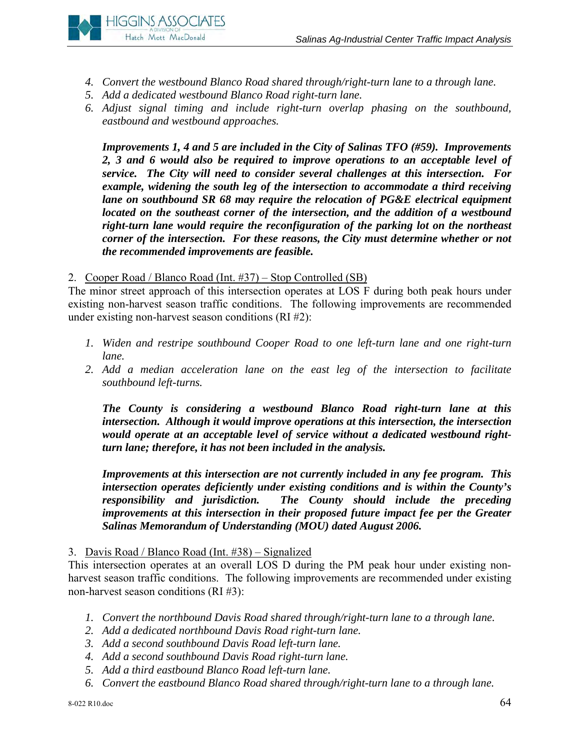

- *4. Convert the westbound Blanco Road shared through/right-turn lane to a through lane.*
- *5. Add a dedicated westbound Blanco Road right-turn lane.*
- *6. Adjust signal timing and include right-turn overlap phasing on the southbound, eastbound and westbound approaches.*

*Improvements 1, 4 and 5 are included in the City of Salinas TFO (#59). Improvements*  2, 3 and 6 would also be required to improve operations to an acceptable level of *service. The City will need to consider several challenges at this intersection. For example, widening the south leg of the intersection to accommodate a third receiving lane on southbound SR 68 may require the relocation of PG&E electrical equipment located on the southeast corner of the intersection, and the addition of a westbound right-turn lane would require the reconfiguration of the parking lot on the northeast corner of the intersection. For these reasons, the City must determine whether or not the recommended improvements are feasible.*

2. Cooper Road / Blanco Road (Int. #37) – Stop Controlled (SB)

The minor street approach of this intersection operates at LOS F during both peak hours under existing non-harvest season traffic conditions. The following improvements are recommended under existing non-harvest season conditions (RI #2):

- *1. Widen and restripe southbound Cooper Road to one left-turn lane and one right-turn lane.*
- 2. Add a median acceleration lane on the east leg of the intersection to facilitate *southbound left-turns.*

*The County is considering a westbound Blanco Road right-turn lane at this intersection. Although it would improve operations at this intersection, the intersection would operate at an acceptable level of service without a dedicated westbound rightturn lane; therefore, it has not been included in the analysis.* 

*Improvements at this intersection are not currently included in any fee program. This intersection operates deficiently under existing conditions and is within the County's responsibility and jurisdiction. The County should include the preceding improvements at this intersection in their proposed future impact fee per the Greater Salinas Memorandum of Understanding (MOU) dated August 2006.* 

# 3. Davis Road / Blanco Road (Int. #38) – Signalized

This intersection operates at an overall LOS D during the PM peak hour under existing nonharvest season traffic conditions. The following improvements are recommended under existing non-harvest season conditions (RI #3):

- *1. Convert the northbound Davis Road shared through/right-turn lane to a through lane.*
- *2. Add a dedicated northbound Davis Road right-turn lane.*
- *3. Add a second southbound Davis Road left-turn lane.*
- *4. Add a second southbound Davis Road right-turn lane.*
- *5. Add a third eastbound Blanco Road left-turn lane.*
- *6. Convert the eastbound Blanco Road shared through/right-turn lane to a through lane.*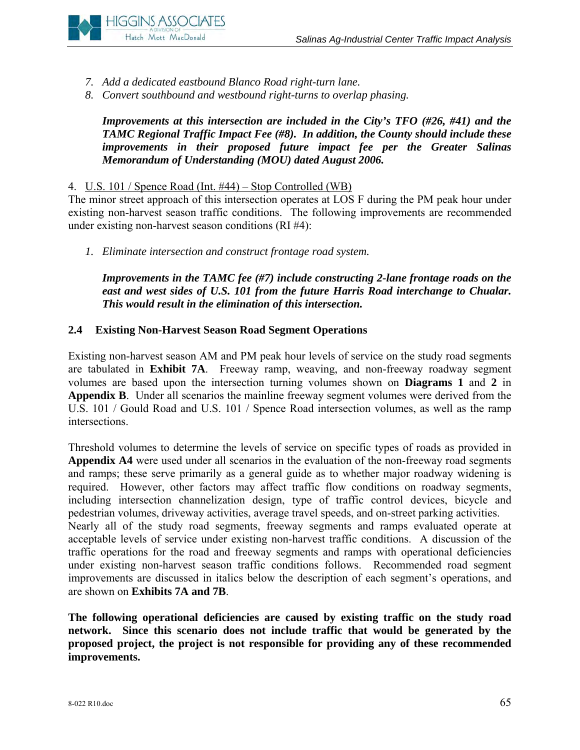

- *7. Add a dedicated eastbound Blanco Road right-turn lane.*
- *8. Convert southbound and westbound right-turns to overlap phasing.*

*Improvements at this intersection are included in the City's TFO (#26, #41) and the TAMC Regional Traffic Impact Fee (#8). In addition, the County should include these improvements in their proposed future impact fee per the Greater Salinas Memorandum of Understanding (MOU) dated August 2006.* 

#### 4. U.S. 101 / Spence Road (Int. #44) – Stop Controlled (WB)

The minor street approach of this intersection operates at LOS F during the PM peak hour under existing non-harvest season traffic conditions. The following improvements are recommended under existing non-harvest season conditions (RI #4):

*1. Eliminate intersection and construct frontage road system.* 

*Improvements in the TAMC fee (#7) include constructing 2-lane frontage roads on the east and west sides of U.S. 101 from the future Harris Road interchange to Chualar. This would result in the elimination of this intersection.* 

#### **2.4 Existing Non-Harvest Season Road Segment Operations**

Existing non-harvest season AM and PM peak hour levels of service on the study road segments are tabulated in **Exhibit 7A**. Freeway ramp, weaving, and non-freeway roadway segment volumes are based upon the intersection turning volumes shown on **Diagrams 1** and **2** in **Appendix B**. Under all scenarios the mainline freeway segment volumes were derived from the U.S. 101 / Gould Road and U.S. 101 / Spence Road intersection volumes, as well as the ramp intersections.

Threshold volumes to determine the levels of service on specific types of roads as provided in **Appendix A4** were used under all scenarios in the evaluation of the non-freeway road segments and ramps; these serve primarily as a general guide as to whether major roadway widening is required. However, other factors may affect traffic flow conditions on roadway segments, including intersection channelization design, type of traffic control devices, bicycle and pedestrian volumes, driveway activities, average travel speeds, and on-street parking activities. Nearly all of the study road segments, freeway segments and ramps evaluated operate at acceptable levels of service under existing non-harvest traffic conditions. A discussion of the traffic operations for the road and freeway segments and ramps with operational deficiencies under existing non-harvest season traffic conditions follows. Recommended road segment improvements are discussed in italics below the description of each segment's operations, and are shown on **Exhibits 7A and 7B**.

**The following operational deficiencies are caused by existing traffic on the study road network. Since this scenario does not include traffic that would be generated by the proposed project, the project is not responsible for providing any of these recommended improvements.**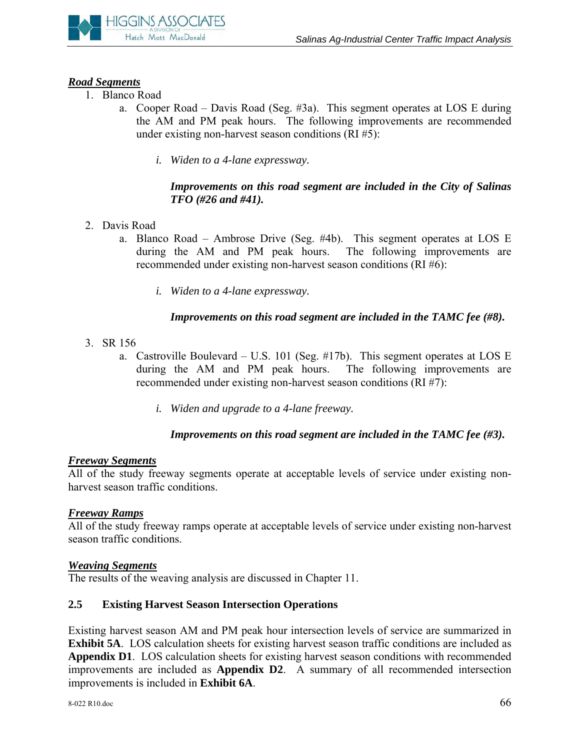

# *Road Segments*

- 1. Blanco Road
	- a. Cooper Road Davis Road (Seg. #3a). This segment operates at LOS E during the AM and PM peak hours. The following improvements are recommended under existing non-harvest season conditions (RI #5):
		- *i. Widen to a 4-lane expressway.*

#### *Improvements on this road segment are included in the City of Salinas TFO (#26 and #41).*

- 2. Davis Road
	- a. Blanco Road Ambrose Drive (Seg. #4b). This segment operates at LOS E during the AM and PM peak hours. The following improvements are recommended under existing non-harvest season conditions (RI #6):
		- *i. Widen to a 4-lane expressway.*

## *Improvements on this road segment are included in the TAMC fee (#8).*

- 3. SR 156
	- a. Castroville Boulevard U.S. 101 (Seg. #17b). This segment operates at LOS E during the AM and PM peak hours. The following improvements are recommended under existing non-harvest season conditions (RI #7):
		- *i. Widen and upgrade to a 4-lane freeway.*

# *Improvements on this road segment are included in the TAMC fee (#3).*

#### *Freeway Segments*

All of the study freeway segments operate at acceptable levels of service under existing nonharvest season traffic conditions.

#### *Freeway Ramps*

All of the study freeway ramps operate at acceptable levels of service under existing non-harvest season traffic conditions.

#### *Weaving Segments*

The results of the weaving analysis are discussed in Chapter 11.

# **2.5 Existing Harvest Season Intersection Operations**

Existing harvest season AM and PM peak hour intersection levels of service are summarized in **Exhibit 5A**. LOS calculation sheets for existing harvest season traffic conditions are included as **Appendix D1**. LOS calculation sheets for existing harvest season conditions with recommended improvements are included as **Appendix D2**. A summary of all recommended intersection improvements is included in **Exhibit 6A**.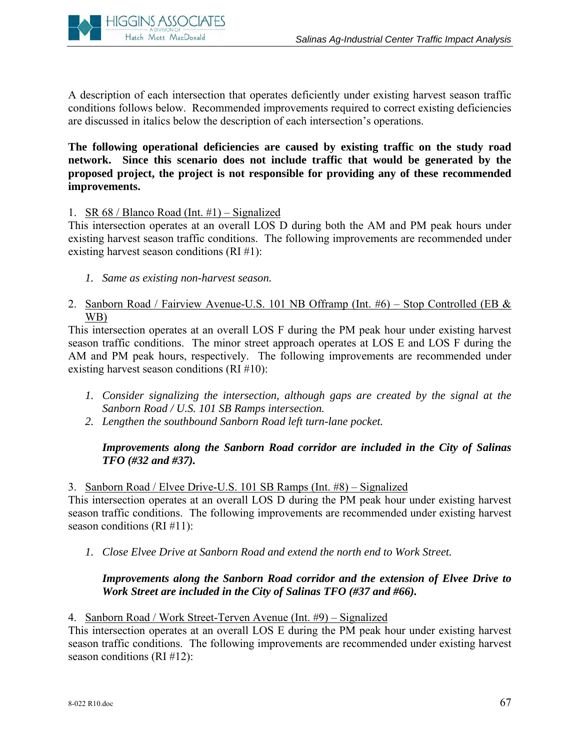

A description of each intersection that operates deficiently under existing harvest season traffic conditions follows below. Recommended improvements required to correct existing deficiencies are discussed in italics below the description of each intersection's operations.

**The following operational deficiencies are caused by existing traffic on the study road network. Since this scenario does not include traffic that would be generated by the proposed project, the project is not responsible for providing any of these recommended improvements.**

#### 1. SR 68 / Blanco Road (Int. #1) – Signalized

This intersection operates at an overall LOS D during both the AM and PM peak hours under existing harvest season traffic conditions. The following improvements are recommended under existing harvest season conditions (RI #1):

- *1. Same as existing non-harvest season.*
- 2. Sanborn Road / Fairview Avenue-U.S. 101 NB Offramp (Int. #6) Stop Controlled (EB & WB)

This intersection operates at an overall LOS F during the PM peak hour under existing harvest season traffic conditions. The minor street approach operates at LOS E and LOS F during the AM and PM peak hours, respectively. The following improvements are recommended under existing harvest season conditions (RI #10):

- *1. Consider signalizing the intersection, although gaps are created by the signal at the Sanborn Road / U.S. 101 SB Ramps intersection.*
- *2. Lengthen the southbound Sanborn Road left turn-lane pocket.*

# *Improvements along the Sanborn Road corridor are included in the City of Salinas TFO (#32 and #37).*

3. Sanborn Road / Elvee Drive-U.S. 101 SB Ramps (Int. #8) – Signalized

This intersection operates at an overall LOS D during the PM peak hour under existing harvest season traffic conditions. The following improvements are recommended under existing harvest season conditions (RI #11):

*1. Close Elvee Drive at Sanborn Road and extend the north end to Work Street.* 

## *Improvements along the Sanborn Road corridor and the extension of Elvee Drive to Work Street are included in the City of Salinas TFO (#37 and #66).*

4. Sanborn Road / Work Street-Terven Avenue (Int. #9) – Signalized

This intersection operates at an overall LOS E during the PM peak hour under existing harvest season traffic conditions. The following improvements are recommended under existing harvest season conditions (RI #12):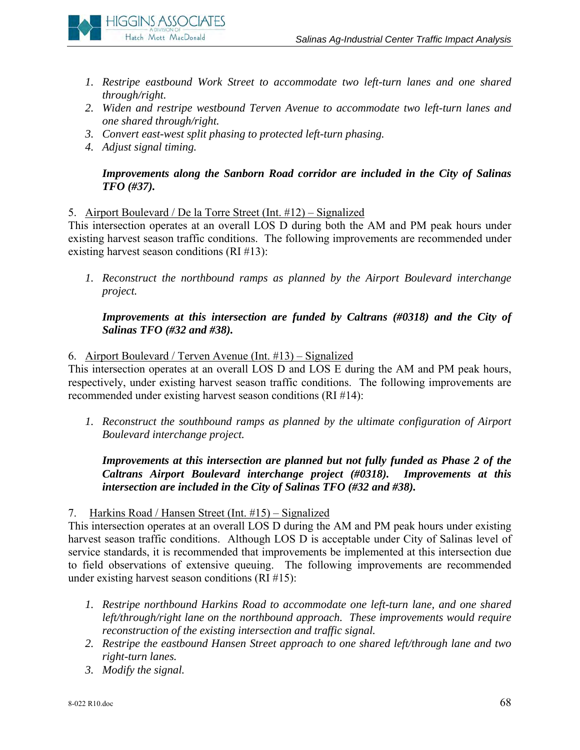

- *1. Restripe eastbound Work Street to accommodate two left-turn lanes and one shared through/right.*
- *2. Widen and restripe westbound Terven Avenue to accommodate two left-turn lanes and one shared through/right.*
- *3. Convert east-west split phasing to protected left-turn phasing.*
- *4. Adjust signal timing.*

# *Improvements along the Sanborn Road corridor are included in the City of Salinas TFO (#37).*

5. Airport Boulevard / De la Torre Street (Int. #12) – Signalized

This intersection operates at an overall LOS D during both the AM and PM peak hours under existing harvest season traffic conditions. The following improvements are recommended under existing harvest season conditions (RI #13):

*1. Reconstruct the northbound ramps as planned by the Airport Boulevard interchange project.* 

*Improvements at this intersection are funded by Caltrans (#0318) and the City of Salinas TFO (#32 and #38).* 

# 6. Airport Boulevard / Terven Avenue (Int. #13) – Signalized

This intersection operates at an overall LOS D and LOS E during the AM and PM peak hours, respectively, under existing harvest season traffic conditions. The following improvements are recommended under existing harvest season conditions (RI #14):

*1. Reconstruct the southbound ramps as planned by the ultimate configuration of Airport Boulevard interchange project.* 

# *Improvements at this intersection are planned but not fully funded as Phase 2 of the Caltrans Airport Boulevard interchange project (#0318). Improvements at this intersection are included in the City of Salinas TFO (#32 and #38).*

7. Harkins Road / Hansen Street (Int. #15) – Signalized

This intersection operates at an overall LOS D during the AM and PM peak hours under existing harvest season traffic conditions. Although LOS D is acceptable under City of Salinas level of service standards, it is recommended that improvements be implemented at this intersection due to field observations of extensive queuing. The following improvements are recommended under existing harvest season conditions (RI #15):

- *1. Restripe northbound Harkins Road to accommodate one left-turn lane, and one shared left/through/right lane on the northbound approach. These improvements would require reconstruction of the existing intersection and traffic signal.*
- *2. Restripe the eastbound Hansen Street approach to one shared left/through lane and two right-turn lanes.*
- *3. Modify the signal.*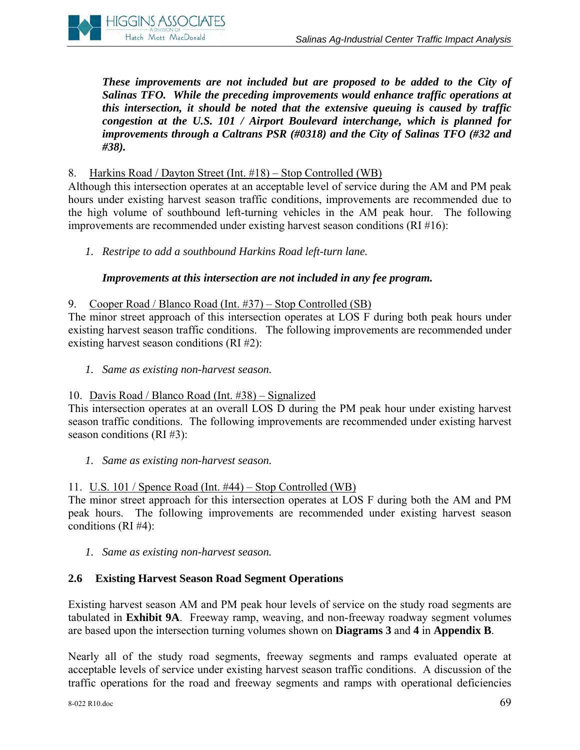

*These improvements are not included but are proposed to be added to the City of Salinas TFO. While the preceding improvements would enhance traffic operations at this intersection, it should be noted that the extensive queuing is caused by traffic congestion at the U.S. 101 / Airport Boulevard interchange, which is planned for improvements through a Caltrans PSR (#0318) and the City of Salinas TFO (#32 and #38).* 

## 8. Harkins Road / Dayton Street (Int. #18) – Stop Controlled (WB)

Although this intersection operates at an acceptable level of service during the AM and PM peak hours under existing harvest season traffic conditions, improvements are recommended due to the high volume of southbound left-turning vehicles in the AM peak hour. The following improvements are recommended under existing harvest season conditions (RI #16):

*1. Restripe to add a southbound Harkins Road left-turn lane.*

## *Improvements at this intersection are not included in any fee program.*

## 9. Cooper Road / Blanco Road (Int. #37) – Stop Controlled (SB)

The minor street approach of this intersection operates at LOS F during both peak hours under existing harvest season traffic conditions. The following improvements are recommended under existing harvest season conditions (RI #2):

*1. Same as existing non-harvest season.*

#### 10. Davis Road / Blanco Road (Int. #38) – Signalized

This intersection operates at an overall LOS D during the PM peak hour under existing harvest season traffic conditions. The following improvements are recommended under existing harvest season conditions (RI #3):

*1. Same as existing non-harvest season.*

# 11. U.S. 101 / Spence Road (Int. #44) – Stop Controlled (WB)

The minor street approach for this intersection operates at LOS F during both the AM and PM peak hours. The following improvements are recommended under existing harvest season conditions (RI #4):

*1. Same as existing non-harvest season.* 

# **2.6 Existing Harvest Season Road Segment Operations**

Existing harvest season AM and PM peak hour levels of service on the study road segments are tabulated in **Exhibit 9A**. Freeway ramp, weaving, and non-freeway roadway segment volumes are based upon the intersection turning volumes shown on **Diagrams 3** and **4** in **Appendix B**.

Nearly all of the study road segments, freeway segments and ramps evaluated operate at acceptable levels of service under existing harvest season traffic conditions. A discussion of the traffic operations for the road and freeway segments and ramps with operational deficiencies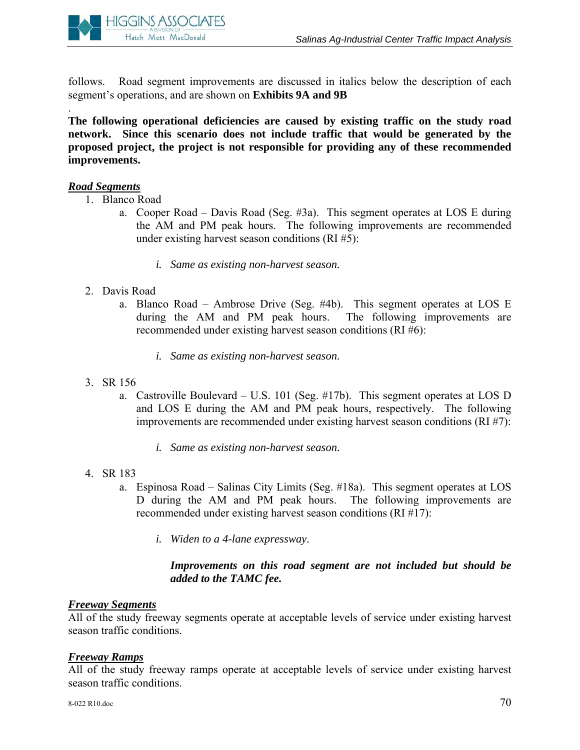

follows. Road segment improvements are discussed in italics below the description of each segment's operations, and are shown on **Exhibits 9A and 9B** 

**The following operational deficiencies are caused by existing traffic on the study road network. Since this scenario does not include traffic that would be generated by the proposed project, the project is not responsible for providing any of these recommended improvements.**

#### *Road Segments*

.

- 1. Blanco Road
	- a. Cooper Road Davis Road (Seg. #3a). This segment operates at LOS E during the AM and PM peak hours. The following improvements are recommended under existing harvest season conditions (RI #5):
		- *i. Same as existing non-harvest season.*
- 2. Davis Road
	- a. Blanco Road Ambrose Drive (Seg. #4b). This segment operates at LOS E during the AM and PM peak hours. The following improvements are recommended under existing harvest season conditions (RI #6):
		- *i. Same as existing non-harvest season.*
- 3. SR 156
	- a. Castroville Boulevard U.S. 101 (Seg. #17b). This segment operates at LOS D and LOS E during the AM and PM peak hours, respectively. The following improvements are recommended under existing harvest season conditions (RI #7):
		- *i. Same as existing non-harvest season.*
- 4. SR 183
	- a. Espinosa Road Salinas City Limits (Seg. #18a). This segment operates at LOS D during the AM and PM peak hours. The following improvements are recommended under existing harvest season conditions (RI #17):
		- *i. Widen to a 4-lane expressway.*

*Improvements on this road segment are not included but should be added to the TAMC fee.* 

## *Freeway Segments*

All of the study freeway segments operate at acceptable levels of service under existing harvest season traffic conditions.

#### *Freeway Ramps*

All of the study freeway ramps operate at acceptable levels of service under existing harvest season traffic conditions.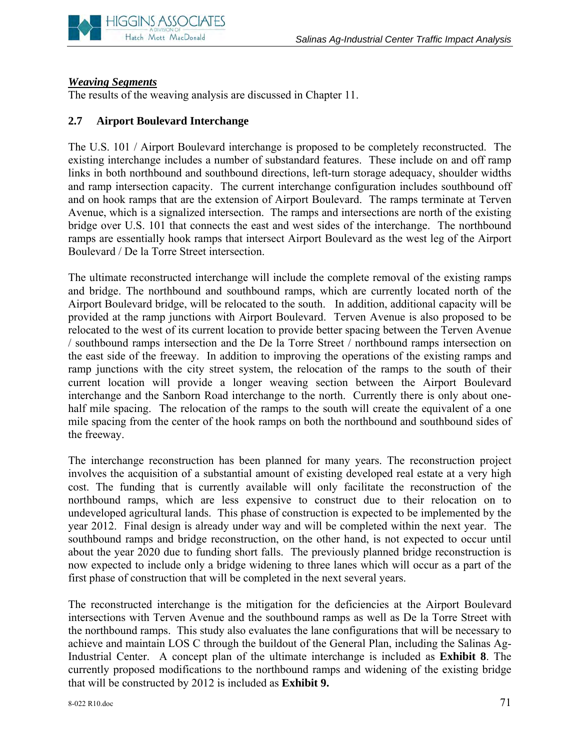

#### *Weaving Segments*

The results of the weaving analysis are discussed in Chapter 11.

#### **2.7 Airport Boulevard Interchange**

The U.S. 101 / Airport Boulevard interchange is proposed to be completely reconstructed. The existing interchange includes a number of substandard features. These include on and off ramp links in both northbound and southbound directions, left-turn storage adequacy, shoulder widths and ramp intersection capacity. The current interchange configuration includes southbound off and on hook ramps that are the extension of Airport Boulevard. The ramps terminate at Terven Avenue, which is a signalized intersection. The ramps and intersections are north of the existing bridge over U.S. 101 that connects the east and west sides of the interchange. The northbound ramps are essentially hook ramps that intersect Airport Boulevard as the west leg of the Airport Boulevard / De la Torre Street intersection.

The ultimate reconstructed interchange will include the complete removal of the existing ramps and bridge. The northbound and southbound ramps, which are currently located north of the Airport Boulevard bridge, will be relocated to the south. In addition, additional capacity will be provided at the ramp junctions with Airport Boulevard. Terven Avenue is also proposed to be relocated to the west of its current location to provide better spacing between the Terven Avenue / southbound ramps intersection and the De la Torre Street / northbound ramps intersection on the east side of the freeway. In addition to improving the operations of the existing ramps and ramp junctions with the city street system, the relocation of the ramps to the south of their current location will provide a longer weaving section between the Airport Boulevard interchange and the Sanborn Road interchange to the north. Currently there is only about onehalf mile spacing. The relocation of the ramps to the south will create the equivalent of a one mile spacing from the center of the hook ramps on both the northbound and southbound sides of the freeway.

The interchange reconstruction has been planned for many years. The reconstruction project involves the acquisition of a substantial amount of existing developed real estate at a very high cost. The funding that is currently available will only facilitate the reconstruction of the northbound ramps, which are less expensive to construct due to their relocation on to undeveloped agricultural lands. This phase of construction is expected to be implemented by the year 2012. Final design is already under way and will be completed within the next year. The southbound ramps and bridge reconstruction, on the other hand, is not expected to occur until about the year 2020 due to funding short falls. The previously planned bridge reconstruction is now expected to include only a bridge widening to three lanes which will occur as a part of the first phase of construction that will be completed in the next several years.

The reconstructed interchange is the mitigation for the deficiencies at the Airport Boulevard intersections with Terven Avenue and the southbound ramps as well as De la Torre Street with the northbound ramps. This study also evaluates the lane configurations that will be necessary to achieve and maintain LOS C through the buildout of the General Plan, including the Salinas Ag-Industrial Center. A concept plan of the ultimate interchange is included as **Exhibit 8**. The currently proposed modifications to the northbound ramps and widening of the existing bridge that will be constructed by 2012 is included as **Exhibit 9.**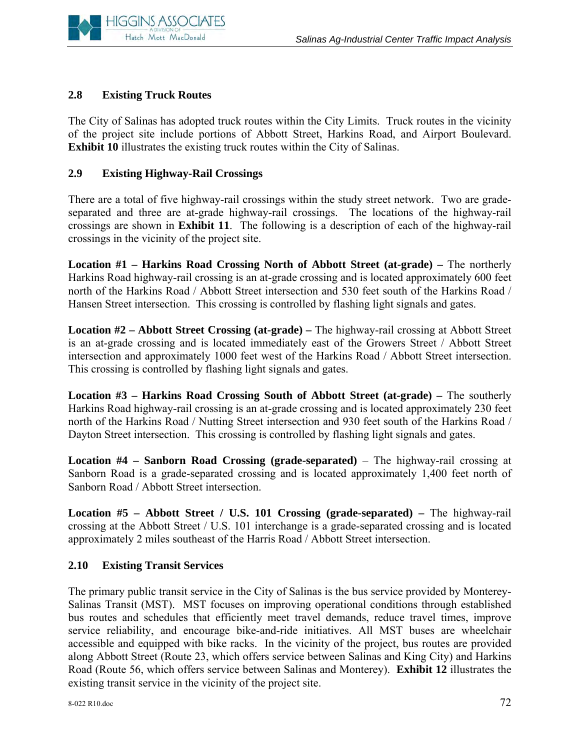

# **2.8 Existing Truck Routes**

The City of Salinas has adopted truck routes within the City Limits. Truck routes in the vicinity of the project site include portions of Abbott Street, Harkins Road, and Airport Boulevard. **Exhibit 10** illustrates the existing truck routes within the City of Salinas.

# **2.9 Existing Highway-Rail Crossings**

There are a total of five highway-rail crossings within the study street network. Two are gradeseparated and three are at-grade highway-rail crossings. The locations of the highway-rail crossings are shown in **Exhibit 11**. The following is a description of each of the highway-rail crossings in the vicinity of the project site.

**Location #1 – Harkins Road Crossing North of Abbott Street (at-grade) –** The northerly Harkins Road highway-rail crossing is an at-grade crossing and is located approximately 600 feet north of the Harkins Road / Abbott Street intersection and 530 feet south of the Harkins Road / Hansen Street intersection. This crossing is controlled by flashing light signals and gates.

**Location #2 – Abbott Street Crossing (at-grade) –** The highway-rail crossing at Abbott Street is an at-grade crossing and is located immediately east of the Growers Street / Abbott Street intersection and approximately 1000 feet west of the Harkins Road / Abbott Street intersection. This crossing is controlled by flashing light signals and gates.

**Location #3 – Harkins Road Crossing South of Abbott Street (at-grade) – The southerly** Harkins Road highway-rail crossing is an at-grade crossing and is located approximately 230 feet north of the Harkins Road / Nutting Street intersection and 930 feet south of the Harkins Road / Dayton Street intersection. This crossing is controlled by flashing light signals and gates.

**Location #4 – Sanborn Road Crossing (grade-separated)** – The highway-rail crossing at Sanborn Road is a grade-separated crossing and is located approximately 1,400 feet north of Sanborn Road / Abbott Street intersection.

**Location #5 – Abbott Street / U.S. 101 Crossing (grade-separated) –** The highway-rail crossing at the Abbott Street / U.S. 101 interchange is a grade-separated crossing and is located approximately 2 miles southeast of the Harris Road / Abbott Street intersection.

# **2.10 Existing Transit Services**

The primary public transit service in the City of Salinas is the bus service provided by Monterey-Salinas Transit (MST). MST focuses on improving operational conditions through established bus routes and schedules that efficiently meet travel demands, reduce travel times, improve service reliability, and encourage bike-and-ride initiatives. All MST buses are wheelchair accessible and equipped with bike racks. In the vicinity of the project, bus routes are provided along Abbott Street (Route 23, which offers service between Salinas and King City) and Harkins Road (Route 56, which offers service between Salinas and Monterey). **Exhibit 12** illustrates the existing transit service in the vicinity of the project site.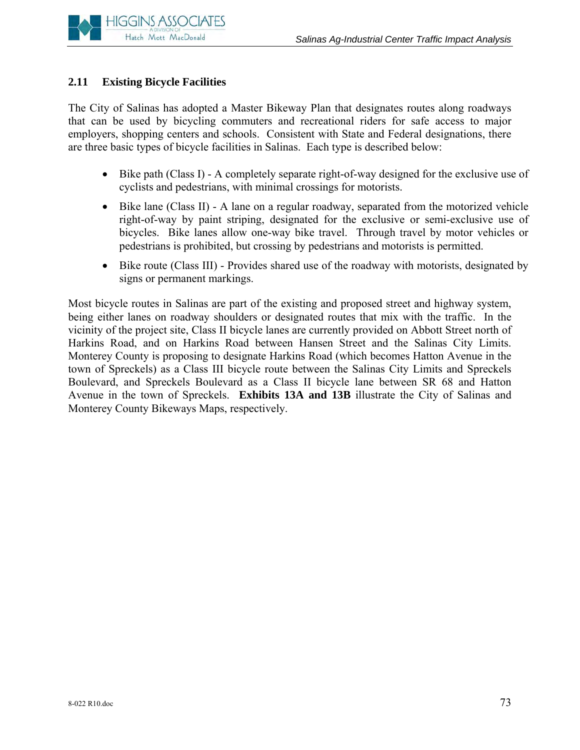

# **2.11 Existing Bicycle Facilities**

The City of Salinas has adopted a Master Bikeway Plan that designates routes along roadways that can be used by bicycling commuters and recreational riders for safe access to major employers, shopping centers and schools. Consistent with State and Federal designations, there are three basic types of bicycle facilities in Salinas. Each type is described below:

- Bike path (Class I) A completely separate right-of-way designed for the exclusive use of cyclists and pedestrians, with minimal crossings for motorists.
- Bike lane (Class II) A lane on a regular roadway, separated from the motorized vehicle right-of-way by paint striping, designated for the exclusive or semi-exclusive use of bicycles. Bike lanes allow one-way bike travel. Through travel by motor vehicles or pedestrians is prohibited, but crossing by pedestrians and motorists is permitted.
- Bike route (Class III) Provides shared use of the roadway with motorists, designated by signs or permanent markings.

Most bicycle routes in Salinas are part of the existing and proposed street and highway system, being either lanes on roadway shoulders or designated routes that mix with the traffic. In the vicinity of the project site, Class II bicycle lanes are currently provided on Abbott Street north of Harkins Road, and on Harkins Road between Hansen Street and the Salinas City Limits. Monterey County is proposing to designate Harkins Road (which becomes Hatton Avenue in the town of Spreckels) as a Class III bicycle route between the Salinas City Limits and Spreckels Boulevard, and Spreckels Boulevard as a Class II bicycle lane between SR 68 and Hatton Avenue in the town of Spreckels. **Exhibits 13A and 13B** illustrate the City of Salinas and Monterey County Bikeways Maps, respectively.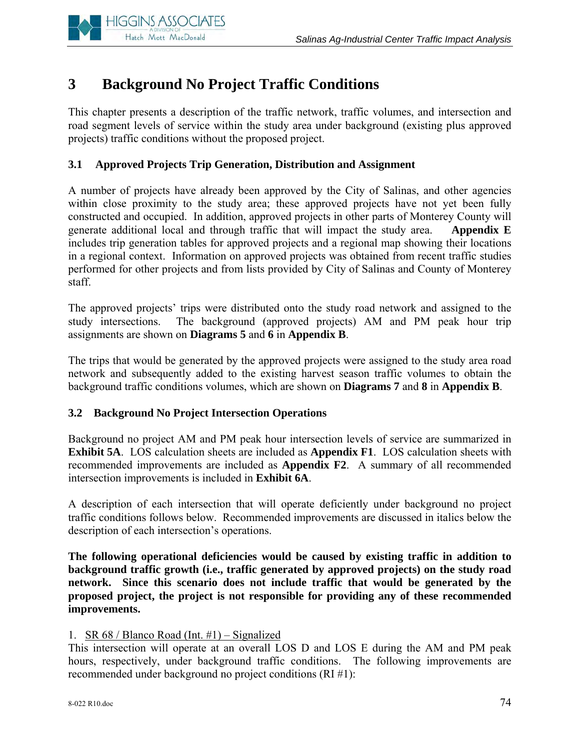

# **3 Background No Project Traffic Conditions**

This chapter presents a description of the traffic network, traffic volumes, and intersection and road segment levels of service within the study area under background (existing plus approved projects) traffic conditions without the proposed project.

# **3.1 Approved Projects Trip Generation, Distribution and Assignment**

A number of projects have already been approved by the City of Salinas, and other agencies within close proximity to the study area; these approved projects have not yet been fully constructed and occupied. In addition, approved projects in other parts of Monterey County will generate additional local and through traffic that will impact the study area. **Appendix E** includes trip generation tables for approved projects and a regional map showing their locations in a regional context. Information on approved projects was obtained from recent traffic studies performed for other projects and from lists provided by City of Salinas and County of Monterey staff.

The approved projects' trips were distributed onto the study road network and assigned to the study intersections. The background (approved projects) AM and PM peak hour trip assignments are shown on **Diagrams 5** and **6** in **Appendix B**.

The trips that would be generated by the approved projects were assigned to the study area road network and subsequently added to the existing harvest season traffic volumes to obtain the background traffic conditions volumes, which are shown on **Diagrams 7** and **8** in **Appendix B**.

# **3.2 Background No Project Intersection Operations**

Background no project AM and PM peak hour intersection levels of service are summarized in **Exhibit 5A**. LOS calculation sheets are included as **Appendix F1**. LOS calculation sheets with recommended improvements are included as **Appendix F2**. A summary of all recommended intersection improvements is included in **Exhibit 6A**.

A description of each intersection that will operate deficiently under background no project traffic conditions follows below. Recommended improvements are discussed in italics below the description of each intersection's operations.

**The following operational deficiencies would be caused by existing traffic in addition to background traffic growth (i.e., traffic generated by approved projects) on the study road network. Since this scenario does not include traffic that would be generated by the proposed project, the project is not responsible for providing any of these recommended improvements.**

#### 1. SR 68 / Blanco Road (Int. #1) – Signalized

This intersection will operate at an overall LOS D and LOS E during the AM and PM peak hours, respectively, under background traffic conditions. The following improvements are recommended under background no project conditions (RI #1):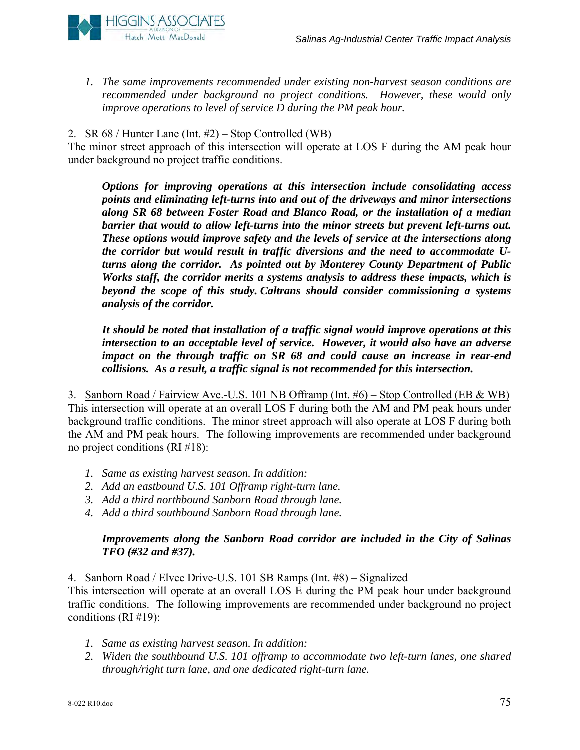

*1. The same improvements recommended under existing non-harvest season conditions are recommended under background no project conditions. However, these would only improve operations to level of service D during the PM peak hour.* 

## 2.  $\overline{SR}$  68 / Hunter Lane (Int. #2) – Stop Controlled (WB)

The minor street approach of this intersection will operate at LOS F during the AM peak hour under background no project traffic conditions.

*Options for improving operations at this intersection include consolidating access points and eliminating left-turns into and out of the driveways and minor intersections along SR 68 between Foster Road and Blanco Road, or the installation of a median barrier that would to allow left-turns into the minor streets but prevent left-turns out. These options would improve safety and the levels of service at the intersections along the corridor but would result in traffic diversions and the need to accommodate Uturns along the corridor. As pointed out by Monterey County Department of Public Works staff, the corridor merits a systems analysis to address these impacts, which is beyond the scope of this study. Caltrans should consider commissioning a systems analysis of the corridor.* 

*It should be noted that installation of a traffic signal would improve operations at this intersection to an acceptable level of service. However, it would also have an adverse impact on the through traffic on SR 68 and could cause an increase in rear-end collisions. As a result, a traffic signal is not recommended for this intersection.* 

3. Sanborn Road / Fairview Ave.-U.S. 101 NB Offramp (Int. #6) – Stop Controlled (EB & WB) This intersection will operate at an overall LOS F during both the AM and PM peak hours under background traffic conditions. The minor street approach will also operate at LOS F during both the AM and PM peak hours. The following improvements are recommended under background no project conditions (RI #18):

- *1. Same as existing harvest season. In addition:*
- *2. Add an eastbound U.S. 101 Offramp right-turn lane.*
- *3. Add a third northbound Sanborn Road through lane.*
- *4. Add a third southbound Sanborn Road through lane.*

## *Improvements along the Sanborn Road corridor are included in the City of Salinas TFO (#32 and #37).*

4. Sanborn Road / Elvee Drive-U.S. 101 SB Ramps (Int. #8) – Signalized

This intersection will operate at an overall LOS E during the PM peak hour under background traffic conditions. The following improvements are recommended under background no project conditions (RI #19):

- *1. Same as existing harvest season. In addition:*
- *2. Widen the southbound U.S. 101 offramp to accommodate two left-turn lanes, one shared through/right turn lane, and one dedicated right-turn lane.*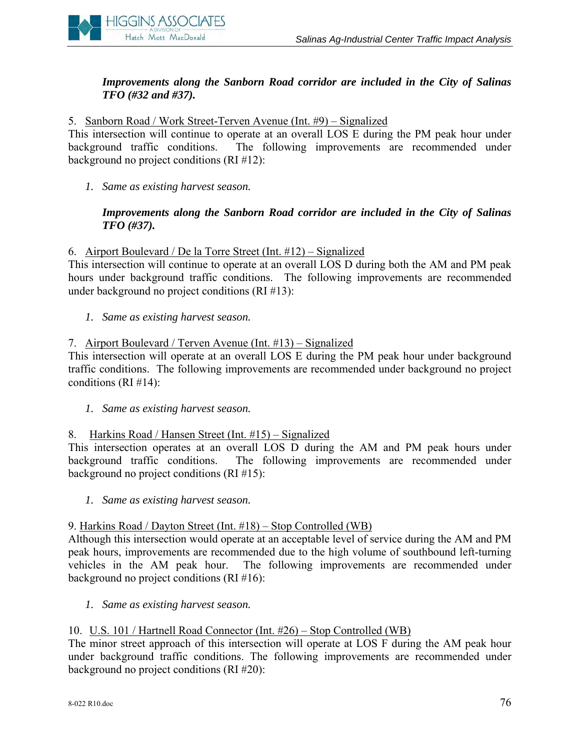

# *Improvements along the Sanborn Road corridor are included in the City of Salinas TFO (#32 and #37).*

#### 5. Sanborn Road / Work Street-Terven Avenue (Int. #9) – Signalized

This intersection will continue to operate at an overall LOS E during the PM peak hour under background traffic conditions. The following improvements are recommended under background no project conditions (RI #12):

*1. Same as existing harvest season.* 

#### *Improvements along the Sanborn Road corridor are included in the City of Salinas TFO (#37).*

#### 6. Airport Boulevard / De la Torre Street (Int. #12) – Signalized

This intersection will continue to operate at an overall LOS D during both the AM and PM peak hours under background traffic conditions. The following improvements are recommended under background no project conditions (RI #13):

*1. Same as existing harvest season.*

#### 7. Airport Boulevard / Terven Avenue (Int. #13) – Signalized

This intersection will operate at an overall LOS E during the PM peak hour under background traffic conditions. The following improvements are recommended under background no project conditions (RI #14):

*1. Same as existing harvest season.*

#### 8. Harkins Road / Hansen Street (Int. #15) – Signalized

This intersection operates at an overall LOS D during the AM and PM peak hours under background traffic conditions. The following improvements are recommended under background no project conditions (RI #15):

*1. Same as existing harvest season.* 

#### 9. Harkins Road / Dayton Street (Int. #18) – Stop Controlled (WB)

Although this intersection would operate at an acceptable level of service during the AM and PM peak hours, improvements are recommended due to the high volume of southbound left-turning vehicles in the AM peak hour. The following improvements are recommended under background no project conditions (RI #16):

*1. Same as existing harvest season.*

#### 10. U.S. 101 / Hartnell Road Connector (Int. #26) – Stop Controlled (WB)

The minor street approach of this intersection will operate at LOS F during the AM peak hour under background traffic conditions. The following improvements are recommended under background no project conditions (RI #20):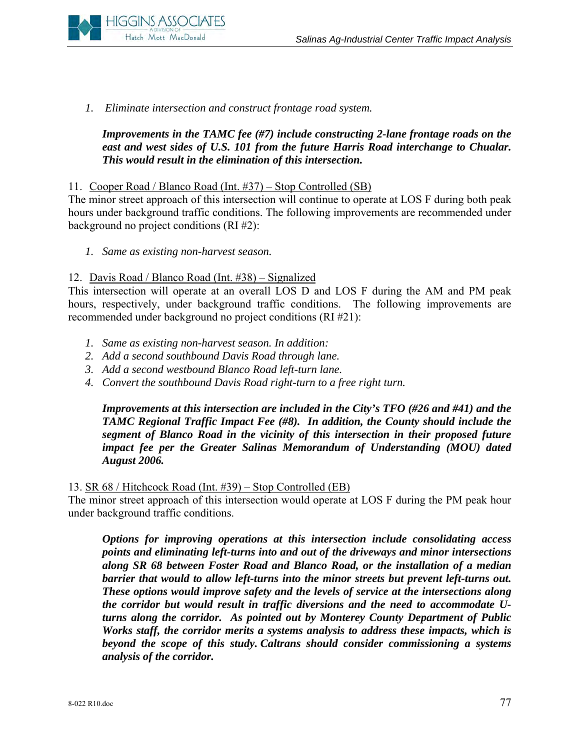

*1. Eliminate intersection and construct frontage road system.* 

# *Improvements in the TAMC fee (#7) include constructing 2-lane frontage roads on the*  east and west sides of U.S. 101 from the future Harris Road interchange to Chualar. *This would result in the elimination of this intersection.*

#### 11. Cooper Road / Blanco Road (Int. #37) – Stop Controlled (SB)

The minor street approach of this intersection will continue to operate at LOS F during both peak hours under background traffic conditions. The following improvements are recommended under background no project conditions (RI #2):

*1. Same as existing non-harvest season.*

#### 12. Davis Road / Blanco Road (Int. #38) – Signalized

This intersection will operate at an overall LOS D and LOS F during the AM and PM peak hours, respectively, under background traffic conditions. The following improvements are recommended under background no project conditions (RI #21):

- *1. Same as existing non-harvest season. In addition:*
- *2. Add a second southbound Davis Road through lane.*
- *3. Add a second westbound Blanco Road left-turn lane.*
- *4. Convert the southbound Davis Road right-turn to a free right turn.*

*Improvements at this intersection are included in the City's TFO (#26 and #41) and the TAMC Regional Traffic Impact Fee (#8). In addition, the County should include the segment of Blanco Road in the vicinity of this intersection in their proposed future impact fee per the Greater Salinas Memorandum of Understanding (MOU) dated August 2006.* 

13. SR 68 / Hitchcock Road (Int. #39) – Stop Controlled (EB)

The minor street approach of this intersection would operate at LOS F during the PM peak hour under background traffic conditions.

*Options for improving operations at this intersection include consolidating access points and eliminating left-turns into and out of the driveways and minor intersections along SR 68 between Foster Road and Blanco Road, or the installation of a median barrier that would to allow left-turns into the minor streets but prevent left-turns out. These options would improve safety and the levels of service at the intersections along the corridor but would result in traffic diversions and the need to accommodate Uturns along the corridor. As pointed out by Monterey County Department of Public Works staff, the corridor merits a systems analysis to address these impacts, which is beyond the scope of this study. Caltrans should consider commissioning a systems analysis of the corridor.*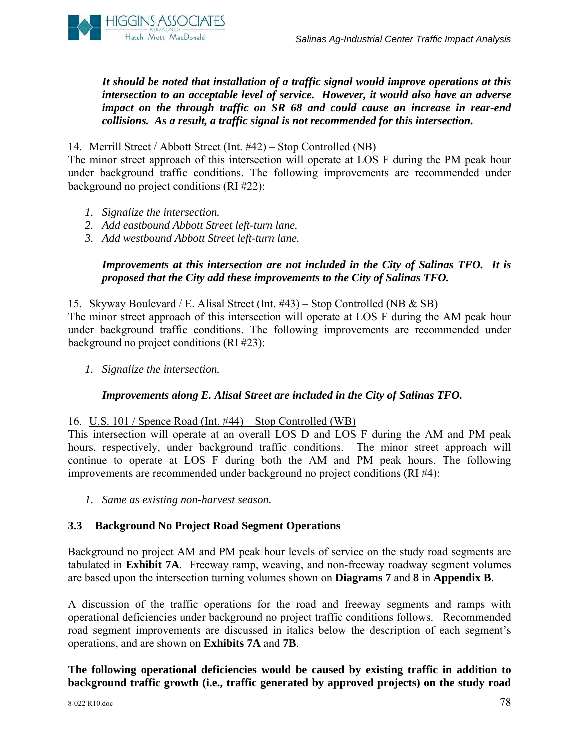

*It should be noted that installation of a traffic signal would improve operations at this intersection to an acceptable level of service. However, it would also have an adverse impact on the through traffic on SR 68 and could cause an increase in rear-end collisions. As a result, a traffic signal is not recommended for this intersection.* 

#### 14. Merrill Street / Abbott Street (Int. #42) – Stop Controlled (NB)

The minor street approach of this intersection will operate at LOS F during the PM peak hour under background traffic conditions. The following improvements are recommended under background no project conditions (RI #22):

- *1. Signalize the intersection.*
- *2. Add eastbound Abbott Street left-turn lane.*
- *3. Add westb*o*und Abbott Street left-turn lane.*

#### *Improvements at this intersection are not included in the City of Salinas TFO. It is proposed that the City add these improvements to the City of Salinas TFO.*

#### 15. Skyway Boulevard / E. Alisal Street (Int. #43) – Stop Controlled (NB & SB)

The minor street approach of this intersection will operate at LOS F during the AM peak hour under background traffic conditions. The following improvements are recommended under background no project conditions (RI #23):

*1. Signalize the intersection.*

#### *Improvements along E. Alisal Street are included in the City of Salinas TFO.*

#### 16. U.S. 101 / Spence Road (Int. #44) – Stop Controlled (WB)

This intersection will operate at an overall LOS D and LOS F during the AM and PM peak hours, respectively, under background traffic conditions. The minor street approach will continue to operate at LOS F during both the AM and PM peak hours. The following improvements are recommended under background no project conditions (RI #4):

*1. Same as existing non-harvest season.*

#### **3.3 Background No Project Road Segment Operations**

Background no project AM and PM peak hour levels of service on the study road segments are tabulated in **Exhibit 7A**. Freeway ramp, weaving, and non-freeway roadway segment volumes are based upon the intersection turning volumes shown on **Diagrams 7** and **8** in **Appendix B**.

A discussion of the traffic operations for the road and freeway segments and ramps with operational deficiencies under background no project traffic conditions follows. Recommended road segment improvements are discussed in italics below the description of each segment's operations, and are shown on **Exhibits 7A** and **7B**.

**The following operational deficiencies would be caused by existing traffic in addition to background traffic growth (i.e., traffic generated by approved projects) on the study road**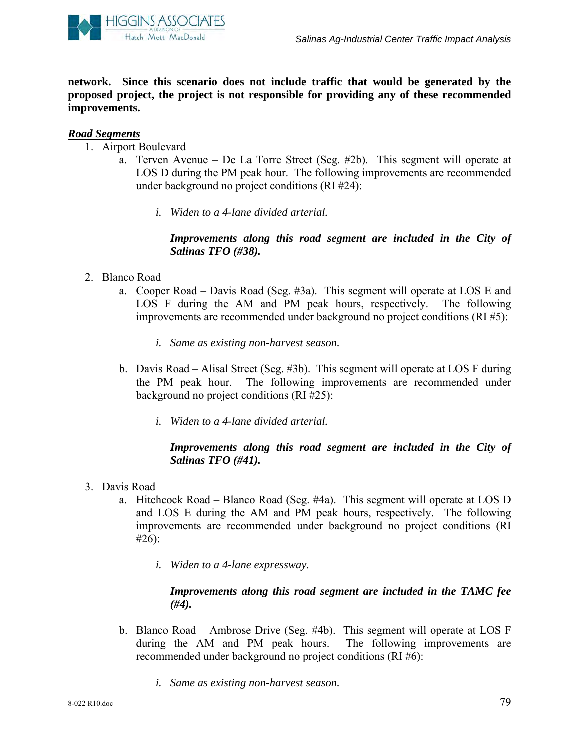

**network. Since this scenario does not include traffic that would be generated by the proposed project, the project is not responsible for providing any of these recommended improvements.**

# *Road Segments*

- 1. Airport Boulevard
	- a. Terven Avenue De La Torre Street (Seg. #2b). This segment will operate at LOS D during the PM peak hour. The following improvements are recommended under background no project conditions (RI #24):
		- *i. Widen to a 4-lane divided arterial.*

# *Improvements along this road segment are included in the City of Salinas TFO (#38).*

- 2. Blanco Road
	- a. Cooper Road Davis Road (Seg. #3a). This segment will operate at LOS E and LOS F during the AM and PM peak hours, respectively. The following improvements are recommended under background no project conditions (RI #5):
		- *i. Same as existing non-harvest season.*
	- b. Davis Road Alisal Street (Seg. #3b). This segment will operate at LOS F during the PM peak hour. The following improvements are recommended under background no project conditions (RI #25):
		- *i. Widen to a 4-lane divided arterial.*

# *Improvements along this road segment are included in the City of Salinas TFO (#41).*

- 3. Davis Road
	- a. Hitchcock Road Blanco Road (Seg. #4a). This segment will operate at LOS D and LOS E during the AM and PM peak hours, respectively. The following improvements are recommended under background no project conditions (RI #26):
		- *i. Widen to a 4-lane expressway.*

# *Improvements along this road segment are included in the TAMC fee (#4).*

- b. Blanco Road Ambrose Drive (Seg. #4b). This segment will operate at LOS F during the AM and PM peak hours. The following improvements are recommended under background no project conditions (RI #6):
	- *i. Same as existing non-harvest season.*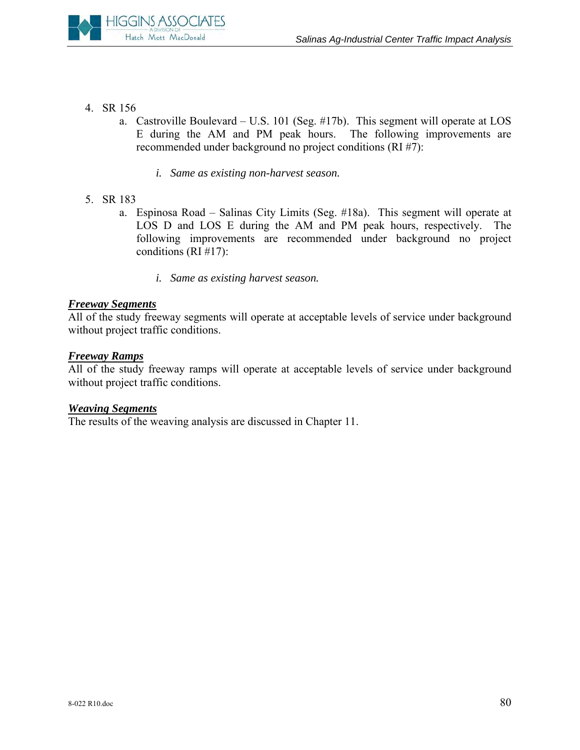

- 4. SR 156
	- a. Castroville Boulevard U.S. 101 (Seg. #17b). This segment will operate at LOS E during the AM and PM peak hours. The following improvements are recommended under background no project conditions (RI #7):
		- *i. Same as existing non-harvest season.*
- 5. SR 183
	- a. Espinosa Road Salinas City Limits (Seg. #18a). This segment will operate at LOS D and LOS E during the AM and PM peak hours, respectively. The following improvements are recommended under background no project conditions (RI #17):
		- *i. Same as existing harvest season.*

#### *Freeway Segments*

All of the study freeway segments will operate at acceptable levels of service under background without project traffic conditions.

#### *Freeway Ramps*

All of the study freeway ramps will operate at acceptable levels of service under background without project traffic conditions.

#### *Weaving Segments*

The results of the weaving analysis are discussed in Chapter 11.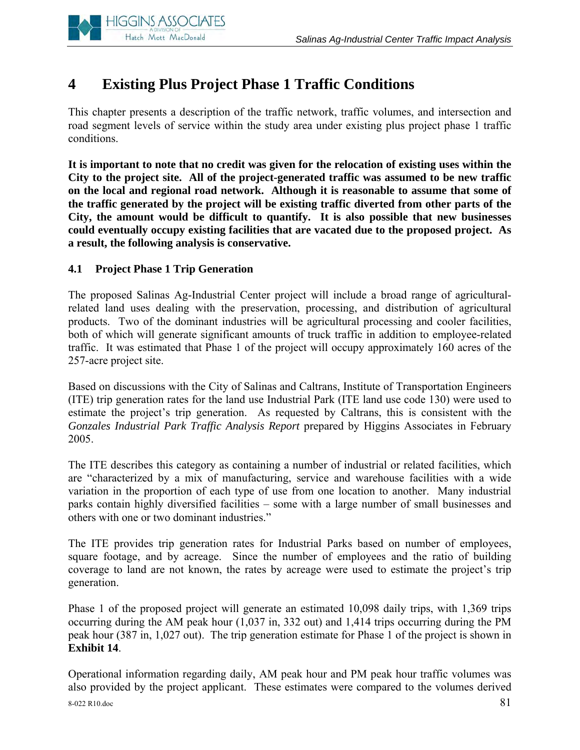

# **4 Existing Plus Project Phase 1 Traffic Conditions**

This chapter presents a description of the traffic network, traffic volumes, and intersection and road segment levels of service within the study area under existing plus project phase 1 traffic conditions.

**It is important to note that no credit was given for the relocation of existing uses within the City to the project site. All of the project-generated traffic was assumed to be new traffic on the local and regional road network. Although it is reasonable to assume that some of the traffic generated by the project will be existing traffic diverted from other parts of the City, the amount would be difficult to quantify. It is also possible that new businesses could eventually occupy existing facilities that are vacated due to the proposed project. As a result, the following analysis is conservative.** 

# **4.1 Project Phase 1 Trip Generation**

The proposed Salinas Ag-Industrial Center project will include a broad range of agriculturalrelated land uses dealing with the preservation, processing, and distribution of agricultural products. Two of the dominant industries will be agricultural processing and cooler facilities, both of which will generate significant amounts of truck traffic in addition to employee-related traffic. It was estimated that Phase 1 of the project will occupy approximately 160 acres of the 257-acre project site.

Based on discussions with the City of Salinas and Caltrans, Institute of Transportation Engineers (ITE) trip generation rates for the land use Industrial Park (ITE land use code 130) were used to estimate the project's trip generation. As requested by Caltrans, this is consistent with the *Gonzales Industrial Park Traffic Analysis Report* prepared by Higgins Associates in February 2005.

The ITE describes this category as containing a number of industrial or related facilities, which are "characterized by a mix of manufacturing, service and warehouse facilities with a wide variation in the proportion of each type of use from one location to another. Many industrial parks contain highly diversified facilities – some with a large number of small businesses and others with one or two dominant industries."

The ITE provides trip generation rates for Industrial Parks based on number of employees, square footage, and by acreage. Since the number of employees and the ratio of building coverage to land are not known, the rates by acreage were used to estimate the project's trip generation.

Phase 1 of the proposed project will generate an estimated 10,098 daily trips, with 1,369 trips occurring during the AM peak hour (1,037 in, 332 out) and 1,414 trips occurring during the PM peak hour (387 in, 1,027 out). The trip generation estimate for Phase 1 of the project is shown in **Exhibit 14**.

 $8-022$  R10.doc  $81$ Operational information regarding daily, AM peak hour and PM peak hour traffic volumes was also provided by the project applicant. These estimates were compared to the volumes derived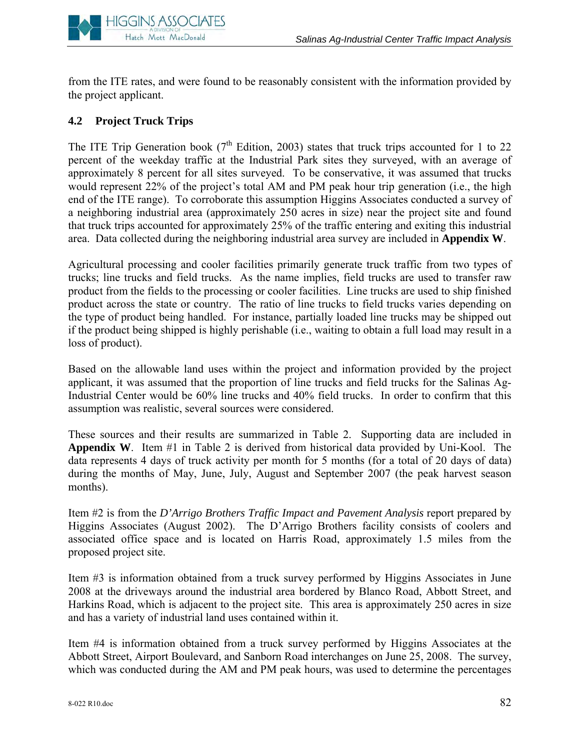

from the ITE rates, and were found to be reasonably consistent with the information provided by the project applicant.

# **4.2 Project Truck Trips**

The ITE Trip Generation book ( $7<sup>th</sup>$  Edition, 2003) states that truck trips accounted for 1 to 22 percent of the weekday traffic at the Industrial Park sites they surveyed, with an average of approximately 8 percent for all sites surveyed. To be conservative, it was assumed that trucks would represent 22% of the project's total AM and PM peak hour trip generation (i.e., the high end of the ITE range). To corroborate this assumption Higgins Associates conducted a survey of a neighboring industrial area (approximately 250 acres in size) near the project site and found that truck trips accounted for approximately 25% of the traffic entering and exiting this industrial area. Data collected during the neighboring industrial area survey are included in **Appendix W**.

Agricultural processing and cooler facilities primarily generate truck traffic from two types of trucks; line trucks and field trucks. As the name implies, field trucks are used to transfer raw product from the fields to the processing or cooler facilities. Line trucks are used to ship finished product across the state or country. The ratio of line trucks to field trucks varies depending on the type of product being handled. For instance, partially loaded line trucks may be shipped out if the product being shipped is highly perishable (i.e., waiting to obtain a full load may result in a loss of product).

Based on the allowable land uses within the project and information provided by the project applicant, it was assumed that the proportion of line trucks and field trucks for the Salinas Ag-Industrial Center would be 60% line trucks and 40% field trucks. In order to confirm that this assumption was realistic, several sources were considered.

These sources and their results are summarized in Table 2. Supporting data are included in **Appendix W**. Item #1 in Table 2 is derived from historical data provided by Uni-Kool. The data represents 4 days of truck activity per month for 5 months (for a total of 20 days of data) during the months of May, June, July, August and September 2007 (the peak harvest season months).

Item #2 is from the *D'Arrigo Brothers Traffic Impact and Pavement Analysis* report prepared by Higgins Associates (August 2002). The D'Arrigo Brothers facility consists of coolers and associated office space and is located on Harris Road, approximately 1.5 miles from the proposed project site.

Item #3 is information obtained from a truck survey performed by Higgins Associates in June 2008 at the driveways around the industrial area bordered by Blanco Road, Abbott Street, and Harkins Road, which is adjacent to the project site. This area is approximately 250 acres in size and has a variety of industrial land uses contained within it.

Item #4 is information obtained from a truck survey performed by Higgins Associates at the Abbott Street, Airport Boulevard, and Sanborn Road interchanges on June 25, 2008. The survey, which was conducted during the AM and PM peak hours, was used to determine the percentages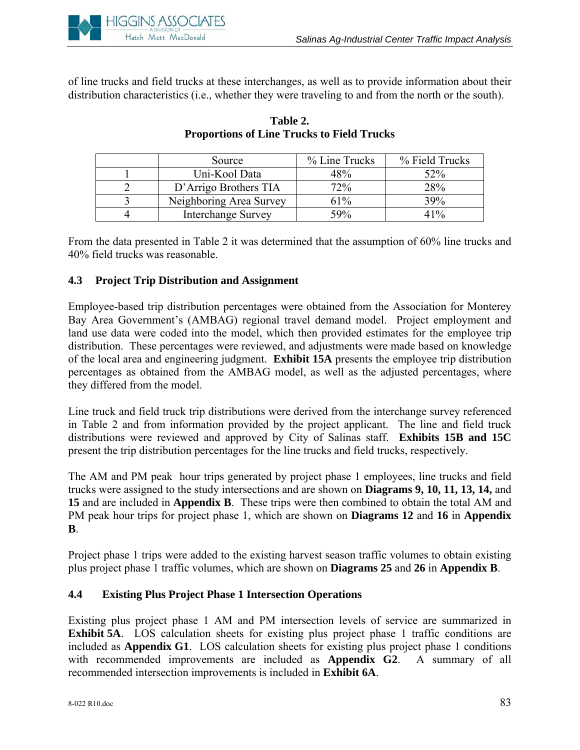

of line trucks and field trucks at these interchanges, as well as to provide information about their distribution characteristics (i.e., whether they were traveling to and from the north or the south).

| Source                    | % Line Trucks | % Field Trucks |
|---------------------------|---------------|----------------|
| Uni-Kool Data             | 48%           | 52%            |
| D'Arrigo Brothers TIA     | 72%           | 28%            |
| Neighboring Area Survey   | 61%           | 39%            |
| <b>Interchange Survey</b> | 59%           | 41%            |

# **Table 2. Proportions of Line Trucks to Field Trucks**

From the data presented in Table 2 it was determined that the assumption of 60% line trucks and 40% field trucks was reasonable.

# **4.3 Project Trip Distribution and Assignment**

Employee-based trip distribution percentages were obtained from the Association for Monterey Bay Area Government's (AMBAG) regional travel demand model. Project employment and land use data were coded into the model, which then provided estimates for the employee trip distribution. These percentages were reviewed, and adjustments were made based on knowledge of the local area and engineering judgment. **Exhibit 15A** presents the employee trip distribution percentages as obtained from the AMBAG model, as well as the adjusted percentages, where they differed from the model.

Line truck and field truck trip distributions were derived from the interchange survey referenced in Table 2 and from information provided by the project applicant. The line and field truck distributions were reviewed and approved by City of Salinas staff. **Exhibits 15B and 15C**  present the trip distribution percentages for the line trucks and field trucks, respectively.

The AM and PM peak hour trips generated by project phase 1 employees, line trucks and field trucks were assigned to the study intersections and are shown on **Diagrams 9, 10, 11, 13, 14,** and **15** and are included in **Appendix B**. These trips were then combined to obtain the total AM and PM peak hour trips for project phase 1, which are shown on **Diagrams 12** and 16 in Appendix **B**.

Project phase 1 trips were added to the existing harvest season traffic volumes to obtain existing plus project phase 1 traffic volumes, which are shown on **Diagrams 25** and **26** in **Appendix B**.

# **4.4 Existing Plus Project Phase 1 Intersection Operations**

Existing plus project phase 1 AM and PM intersection levels of service are summarized in **Exhibit 5A**. LOS calculation sheets for existing plus project phase 1 traffic conditions are included as **Appendix G1**. LOS calculation sheets for existing plus project phase 1 conditions with recommended improvements are included as **Appendix G2**. A summary of all recommended intersection improvements is included in **Exhibit 6A**.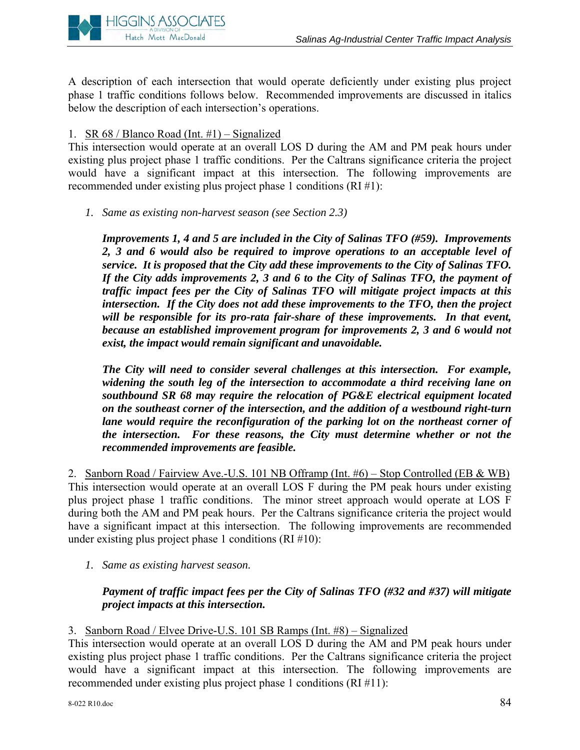

A description of each intersection that would operate deficiently under existing plus project phase 1 traffic conditions follows below. Recommended improvements are discussed in italics below the description of each intersection's operations.

# 1. SR  $68 /$  Blanco Road (Int. #1) – Signalized

This intersection would operate at an overall LOS D during the AM and PM peak hours under existing plus project phase 1 traffic conditions. Per the Caltrans significance criteria the project would have a significant impact at this intersection. The following improvements are recommended under existing plus project phase 1 conditions (RI #1):

*1. Same as existing non-harvest season (see Section 2.3)* 

*Improvements 1, 4 and 5 are included in the City of Salinas TFO (#59). Improvements 2, 3 and 6 would also be required to improve operations to an acceptable level of service. It is proposed that the City add these improvements to the City of Salinas TFO. If the City adds improvements 2, 3 and 6 to the City of Salinas TFO, the payment of traffic impact fees per the City of Salinas TFO will mitigate project impacts at this intersection. If the City does not add these improvements to the TFO, then the project*  will be responsible for its pro-rata fair-share of these improvements. In that event, *because an established improvement program for improvements 2, 3 and 6 would not exist, the impact would remain significant and unavoidable.* 

*The City will need to consider several challenges at this intersection. For example, widening the south leg of the intersection to accommodate a third receiving lane on southbound SR 68 may require the relocation of PG&E electrical equipment located on the southeast corner of the intersection, and the addition of a westbound right-turn lane would require the reconfiguration of the parking lot on the northeast corner of the intersection. For these reasons, the City must determine whether or not the recommended improvements are feasible.*

2. Sanborn Road / Fairview Ave.-U.S. 101 NB Offramp (Int. #6) – Stop Controlled (EB & WB) This intersection would operate at an overall LOS F during the PM peak hours under existing plus project phase 1 traffic conditions. The minor street approach would operate at LOS F during both the AM and PM peak hours. Per the Caltrans significance criteria the project would have a significant impact at this intersection. The following improvements are recommended under existing plus project phase 1 conditions  $(RI \# 10)$ :

*1. Same as existing harvest season.* 

# *Payment of traffic impact fees per the City of Salinas TFO (#32 and #37) will mitigate project impacts at this intersection.*

3. Sanborn Road / Elvee Drive-U.S. 101 SB Ramps (Int. #8) – Signalized

This intersection would operate at an overall LOS D during the AM and PM peak hours under existing plus project phase 1 traffic conditions. Per the Caltrans significance criteria the project would have a significant impact at this intersection. The following improvements are recommended under existing plus project phase 1 conditions (RI #11):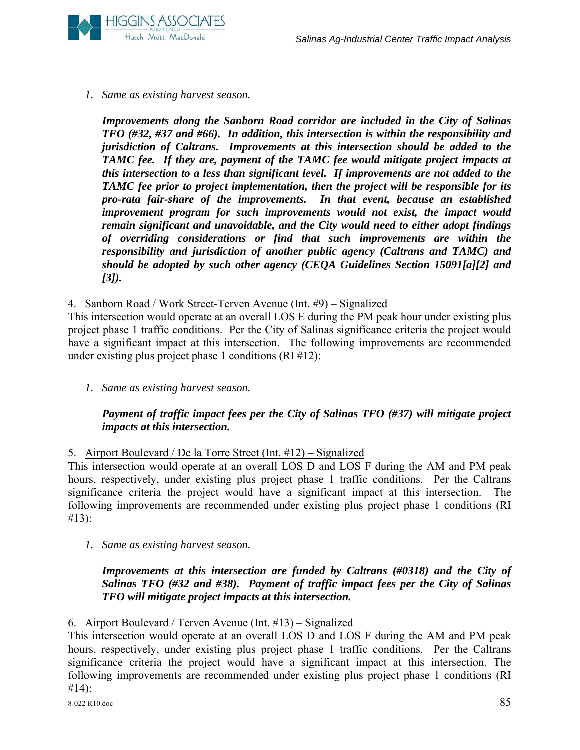

# *1. Same as existing harvest season.*

*Improvements along the Sanborn Road corridor are included in the City of Salinas TFO (#32, #37 and #66). In addition, this intersection is within the responsibility and jurisdiction of Caltrans. Improvements at this intersection should be added to the TAMC fee. If they are, payment of the TAMC fee would mitigate project impacts at this intersection to a less than significant level. If improvements are not added to the TAMC fee prior to project implementation, then the project will be responsible for its pro-rata fair-share of the improvements. In that event, because an established improvement program for such improvements would not exist, the impact would remain significant and unavoidable, and the City would need to either adopt findings of overriding considerations or find that such improvements are within the responsibility and jurisdiction of another public agency (Caltrans and TAMC) and should be adopted by such other agency (CEQA Guidelines Section 15091[a][2] and [3]).* 

## 4. Sanborn Road / Work Street-Terven Avenue (Int. #9) – Signalized

This intersection would operate at an overall LOS E during the PM peak hour under existing plus project phase 1 traffic conditions. Per the City of Salinas significance criteria the project would have a significant impact at this intersection. The following improvements are recommended under existing plus project phase 1 conditions  $(RI \#12)$ :

*1. Same as existing harvest season.* 

# *Payment of traffic impact fees per the City of Salinas TFO (#37) will mitigate project impacts at this intersection.*

5. Airport Boulevard / De la Torre Street (Int. #12) – Signalized

This intersection would operate at an overall LOS D and LOS F during the AM and PM peak hours, respectively, under existing plus project phase 1 traffic conditions. Per the Caltrans significance criteria the project would have a significant impact at this intersection. The following improvements are recommended under existing plus project phase 1 conditions (RI #13):

*1. Same as existing harvest season.* 

# *Improvements at this intersection are funded by Caltrans (#0318) and the City of Salinas TFO (#32 and #38). Payment of traffic impact fees per the City of Salinas TFO will mitigate project impacts at this intersection.*

#### 6. Airport Boulevard / Terven Avenue (Int. #13) – Signalized

This intersection would operate at an overall LOS D and LOS F during the AM and PM peak hours, respectively, under existing plus project phase 1 traffic conditions. Per the Caltrans significance criteria the project would have a significant impact at this intersection. The following improvements are recommended under existing plus project phase 1 conditions (RI #14):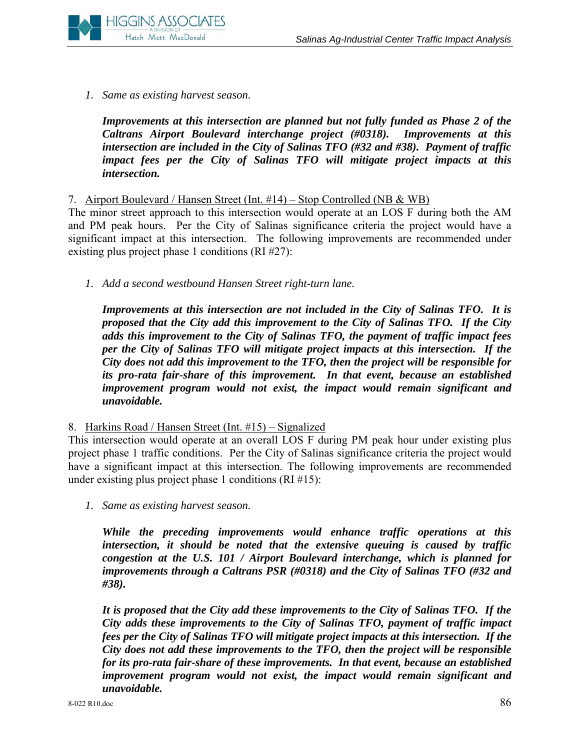

*1. Same as existing harvest season.* 

*Improvements at this intersection are planned but not fully funded as Phase 2 of the Caltrans Airport Boulevard interchange project (#0318). Improvements at this intersection are included in the City of Salinas TFO (#32 and #38). Payment of traffic impact fees per the City of Salinas TFO will mitigate project impacts at this intersection.* 

#### 7. Airport Boulevard / Hansen Street (Int. #14) – Stop Controlled (NB & WB)

The minor street approach to this intersection would operate at an LOS F during both the AM and PM peak hours. Per the City of Salinas significance criteria the project would have a significant impact at this intersection. The following improvements are recommended under existing plus project phase 1 conditions (RI #27):

*1. Add a second westbound Hansen Street right-turn lane.* 

*Improvements at this intersection are not included in the City of Salinas TFO. It is proposed that the City add this improvement to the City of Salinas TFO. If the City adds this improvement to the City of Salinas TFO, the payment of traffic impact fees per the City of Salinas TFO will mitigate project impacts at this intersection. If the City does not add this improvement to the TFO, then the project will be responsible for its pro-rata fair-share of this improvement. In that event, because an established improvement program would not exist, the impact would remain significant and unavoidable.* 

8. Harkins Road / Hansen Street (Int. #15) – Signalized

This intersection would operate at an overall LOS F during PM peak hour under existing plus project phase 1 traffic conditions. Per the City of Salinas significance criteria the project would have a significant impact at this intersection. The following improvements are recommended under existing plus project phase 1 conditions (RI #15):

*1. Same as existing harvest season.* 

*While the preceding improvements would enhance traffic operations at this intersection, it should be noted that the extensive queuing is caused by traffic congestion at the U.S. 101 / Airport Boulevard interchange, which is planned for improvements through a Caltrans PSR (#0318) and the City of Salinas TFO (#32 and #38).*

*It is proposed that the City add these improvements to the City of Salinas TFO. If the City adds these improvements to the City of Salinas TFO, payment of traffic impact fees per the City of Salinas TFO will mitigate project impacts at this intersection. If the City does not add these improvements to the TFO, then the project will be responsible for its pro-rata fair-share of these improvements. In that event, because an established improvement program would not exist, the impact would remain significant and unavoidable.*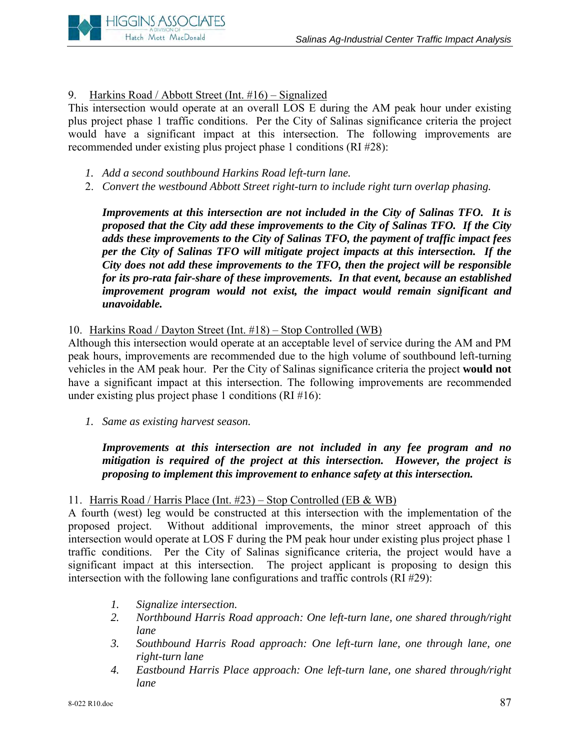

# 9. Harkins Road / Abbott Street (Int. #16) – Signalized

This intersection would operate at an overall LOS E during the AM peak hour under existing plus project phase 1 traffic conditions. Per the City of Salinas significance criteria the project would have a significant impact at this intersection. The following improvements are recommended under existing plus project phase 1 conditions (RI #28):

- *1. Add a second southbound Harkins Road left-turn lane.*
- 2. *Convert the westbound Abbott Street right-turn to include right turn overlap phasing.*

*Improvements at this intersection are not included in the City of Salinas TFO. It is proposed that the City add these improvements to the City of Salinas TFO. If the City adds these improvements to the City of Salinas TFO, the payment of traffic impact fees per the City of Salinas TFO will mitigate project impacts at this intersection. If the City does not add these improvements to the TFO, then the project will be responsible for its pro-rata fair-share of these improvements. In that event, because an established improvement program would not exist, the impact would remain significant and unavoidable.* 

# 10. Harkins Road / Dayton Street (Int. #18) – Stop Controlled (WB)

Although this intersection would operate at an acceptable level of service during the AM and PM peak hours, improvements are recommended due to the high volume of southbound left-turning vehicles in the AM peak hour. Per the City of Salinas significance criteria the project **would not** have a significant impact at this intersection. The following improvements are recommended under existing plus project phase 1 conditions  $(RI \# 16)$ :

*1. Same as existing harvest season.* 

*Improvements at this intersection are not included in any fee program and no mitigation is required of the project at this intersection. However, the project is proposing to implement this improvement to enhance safety at this intersection.* 

# 11. Harris Road / Harris Place (Int. #23) – Stop Controlled (EB & WB)

A fourth (west) leg would be constructed at this intersection with the implementation of the proposed project. Without additional improvements, the minor street approach of this intersection would operate at LOS F during the PM peak hour under existing plus project phase 1 traffic conditions. Per the City of Salinas significance criteria, the project would have a significant impact at this intersection. The project applicant is proposing to design this intersection with the following lane configurations and traffic controls (RI #29):

- *1. Signalize intersection.*
- *2. Northbound Harris Road approach: One left-turn lane, one shared through/right lane*
- *3. Southbound Harris Road approach: One left-turn lane, one through lane, one right-turn lane*
- *4. Eastbound Harris Place approach: One left-turn lane, one shared through/right lane*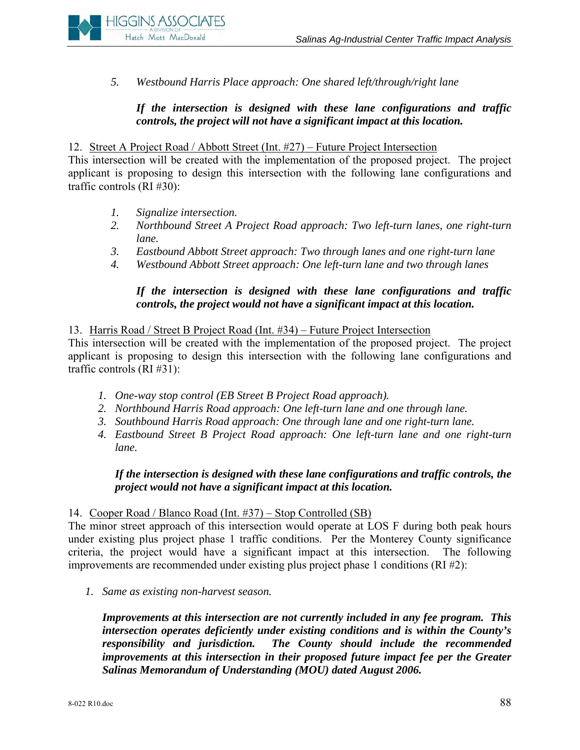

*5. Westbound Harris Place approach: One shared left/through/right lane* 

# *If the intersection is designed with these lane configurations and traffic controls, the project will not have a significant impact at this location.*

#### 12. Street A Project Road / Abbott Street (Int. #27) – Future Project Intersection

This intersection will be created with the implementation of the proposed project. The project applicant is proposing to design this intersection with the following lane configurations and traffic controls (RI #30):

- *1. Signalize intersection.*
- *2. Northbound Street A Project Road approach: Two left-turn lanes, one right-turn lane.*
- *3. Eastbound Abbott Street approach: Two through lanes and one right-turn lane*
- *4. Westbound Abbott Street approach: One left-turn lane and two through lanes*

# *If the intersection is designed with these lane configurations and traffic controls, the project would not have a significant impact at this location.*

13. Harris Road / Street B Project Road (Int. #34) – Future Project Intersection

This intersection will be created with the implementation of the proposed project. The project applicant is proposing to design this intersection with the following lane configurations and traffic controls (RI #31):

- *1. One-way stop control (EB Street B Project Road approach).*
- *2. Northbound Harris Road approach: One left-turn lane and one through lane.*
- *3. Southbound Harris Road approach: One through lane and one right-turn lane.*
- *4. Eastbound Street B Project Road approach: One left-turn lane and one right-turn lane.*

## *If the intersection is designed with these lane configurations and traffic controls, the project would not have a significant impact at this location.*

#### 14. Cooper Road / Blanco Road (Int. #37) – Stop Controlled (SB)

The minor street approach of this intersection would operate at LOS F during both peak hours under existing plus project phase 1 traffic conditions. Per the Monterey County significance criteria, the project would have a significant impact at this intersection. The following improvements are recommended under existing plus project phase 1 conditions (RI #2):

*1. Same as existing non-harvest season.* 

*Improvements at this intersection are not currently included in any fee program. This intersection operates deficiently under existing conditions and is within the County's responsibility and jurisdiction. The County should include the recommended improvements at this intersection in their proposed future impact fee per the Greater Salinas Memorandum of Understanding (MOU) dated August 2006.*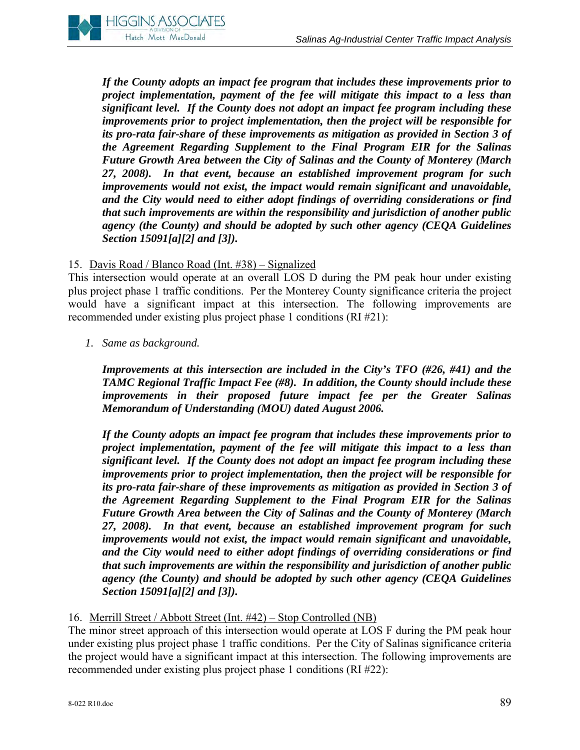

*If the County adopts an impact fee program that includes these improvements prior to project implementation, payment of the fee will mitigate this impact to a less than significant level. If the County does not adopt an impact fee program including these improvements prior to project implementation, then the project will be responsible for its pro-rata fair-share of these improvements as mitigation as provided in Section 3 of the Agreement Regarding Supplement to the Final Program EIR for the Salinas Future Growth Area between the City of Salinas and the County of Monterey (March 27, 2008). In that event, because an established improvement program for such improvements would not exist, the impact would remain significant and unavoidable, and the City would need to either adopt findings of overriding considerations or find that such improvements are within the responsibility and jurisdiction of another public agency (the County) and should be adopted by such other agency (CEQA Guidelines Section 15091[a][2] and [3]).* 

## 15. Davis Road / Blanco Road (Int. #38) – Signalized

This intersection would operate at an overall LOS D during the PM peak hour under existing plus project phase 1 traffic conditions. Per the Monterey County significance criteria the project would have a significant impact at this intersection. The following improvements are recommended under existing plus project phase 1 conditions (RI #21):

*1. Same as background.* 

*Improvements at this intersection are included in the City's TFO (#26, #41) and the TAMC Regional Traffic Impact Fee (#8). In addition, the County should include these improvements in their proposed future impact fee per the Greater Salinas Memorandum of Understanding (MOU) dated August 2006.* 

*If the County adopts an impact fee program that includes these improvements prior to project implementation, payment of the fee will mitigate this impact to a less than significant level. If the County does not adopt an impact fee program including these improvements prior to project implementation, then the project will be responsible for its pro-rata fair-share of these improvements as mitigation as provided in Section 3 of the Agreement Regarding Supplement to the Final Program EIR for the Salinas Future Growth Area between the City of Salinas and the County of Monterey (March 27, 2008). In that event, because an established improvement program for such improvements would not exist, the impact would remain significant and unavoidable, and the City would need to either adopt findings of overriding considerations or find that such improvements are within the responsibility and jurisdiction of another public agency (the County) and should be adopted by such other agency (CEQA Guidelines Section 15091[a][2] and [3]).* 

#### 16. Merrill Street / Abbott Street (Int. #42) – Stop Controlled (NB)

The minor street approach of this intersection would operate at LOS F during the PM peak hour under existing plus project phase 1 traffic conditions. Per the City of Salinas significance criteria the project would have a significant impact at this intersection. The following improvements are recommended under existing plus project phase 1 conditions (RI #22):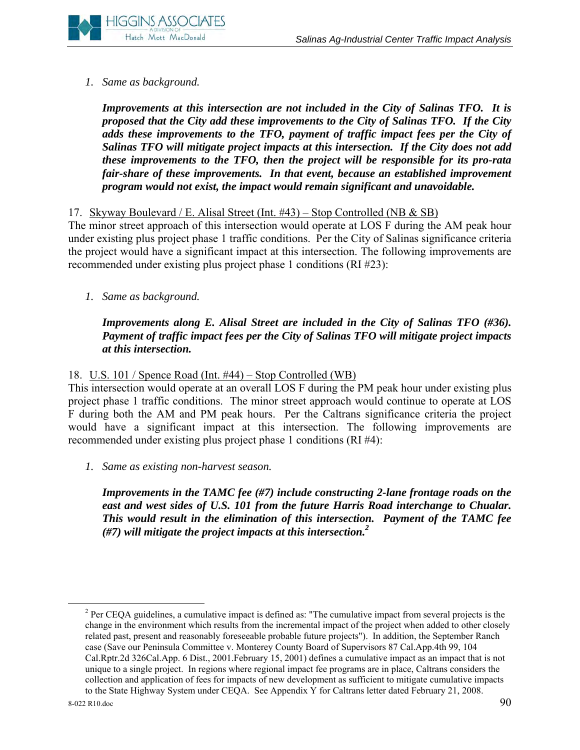# *1. Same as background.*

*Improvements at this intersection are not included in the City of Salinas TFO. It is proposed that the City add these improvements to the City of Salinas TFO. If the City adds these improvements to the TFO, payment of traffic impact fees per the City of Salinas TFO will mitigate project impacts at this intersection. If the City does not add these improvements to the TFO, then the project will be responsible for its pro-rata fair-share of these improvements. In that event, because an established improvement program would not exist, the impact would remain significant and unavoidable.* 

# 17. Skyway Boulevard / E. Alisal Street (Int. #43) – Stop Controlled (NB & SB)

The minor street approach of this intersection would operate at LOS F during the AM peak hour under existing plus project phase 1 traffic conditions. Per the City of Salinas significance criteria the project would have a significant impact at this intersection. The following improvements are recommended under existing plus project phase 1 conditions (RI #23):

*1. Same as background.* 

*Improvements along E. Alisal Street are included in the City of Salinas TFO (#36). Payment of traffic impact fees per the City of Salinas TFO will mitigate project impacts at this intersection.* 

# 18. U.S. 101 / Spence Road (Int. #44) – Stop Controlled (WB)

This intersection would operate at an overall LOS F during the PM peak hour under existing plus project phase 1 traffic conditions. The minor street approach would continue to operate at LOS F during both the AM and PM peak hours. Per the Caltrans significance criteria the project would have a significant impact at this intersection. The following improvements are recommended under existing plus project phase 1 conditions (RI #4):

*1. Same as existing non-harvest season.* 

*Improvements in the TAMC fee (#7) include constructing 2-lane frontage roads on the*  east and west sides of U.S. 101 from the future Harris Road interchange to Chualar. *This would result in the elimination of this intersection. Payment of the TAMC fee (#7) will mitigate the project impacts at this intersection.2*

 $\frac{1}{2}$ <sup>2</sup> Per CEQA guidelines, a cumulative impact is defined as: "The cumulative impact from several projects is the change in the environment which results from the incremental impact of the project when added to other closely related past, present and reasonably foreseeable probable future projects"). In addition, the September Ranch case (Save our Peninsula Committee v. Monterey County Board of Supervisors 87 Cal.App.4th 99, 104 Cal.Rptr.2d 326Cal.App. 6 Dist., 2001.February 15, 2001) defines a cumulative impact as an impact that is not unique to a single project. In regions where regional impact fee programs are in place, Caltrans considers the collection and application of fees for impacts of new development as sufficient to mitigate cumulative impacts to the State Highway System under CEQA. See Appendix Y for Caltrans letter dated February 21, 2008.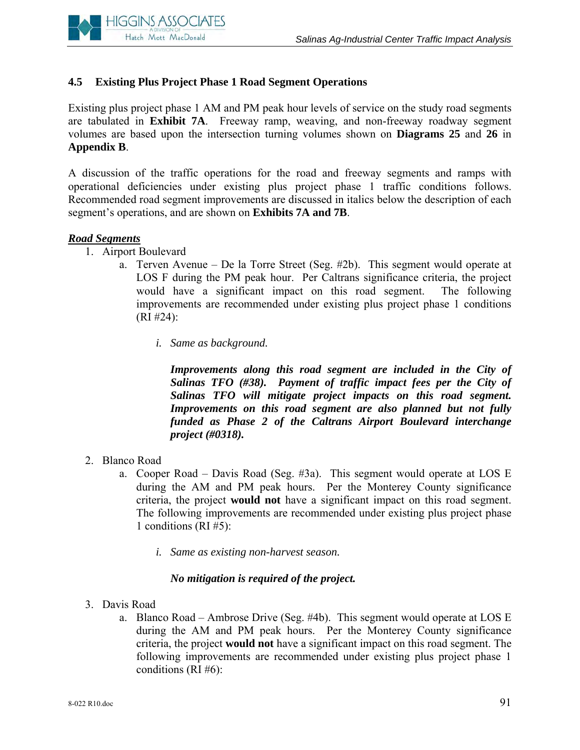

# **4.5 Existing Plus Project Phase 1 Road Segment Operations**

Existing plus project phase 1 AM and PM peak hour levels of service on the study road segments are tabulated in **Exhibit 7A**. Freeway ramp, weaving, and non-freeway roadway segment volumes are based upon the intersection turning volumes shown on **Diagrams 25** and **26** in **Appendix B**.

A discussion of the traffic operations for the road and freeway segments and ramps with operational deficiencies under existing plus project phase 1 traffic conditions follows. Recommended road segment improvements are discussed in italics below the description of each segment's operations, and are shown on **Exhibits 7A and 7B**.

#### *Road Segments*

- 1. Airport Boulevard
	- a. Terven Avenue De la Torre Street (Seg. #2b). This segment would operate at LOS F during the PM peak hour. Per Caltrans significance criteria, the project would have a significant impact on this road segment. The following improvements are recommended under existing plus project phase 1 conditions  $(RI \#24)$ :
		- *i. Same as background.*

*Improvements along this road segment are included in the City of Salinas TFO (#38). Payment of traffic impact fees per the City of Salinas TFO will mitigate project impacts on this road segment. Improvements on this road segment are also planned but not fully funded as Phase 2 of the Caltrans Airport Boulevard interchange project (#0318).* 

- 2. Blanco Road
	- a. Cooper Road Davis Road (Seg. #3a). This segment would operate at LOS E during the AM and PM peak hours. Per the Monterey County significance criteria, the project **would not** have a significant impact on this road segment. The following improvements are recommended under existing plus project phase 1 conditions (RI #5):
		- *i. Same as existing non-harvest season.*

#### *No mitigation is required of the project.*

- 3. Davis Road
	- a. Blanco Road Ambrose Drive (Seg. #4b). This segment would operate at LOS E during the AM and PM peak hours. Per the Monterey County significance criteria, the project **would not** have a significant impact on this road segment. The following improvements are recommended under existing plus project phase 1 conditions (RI #6):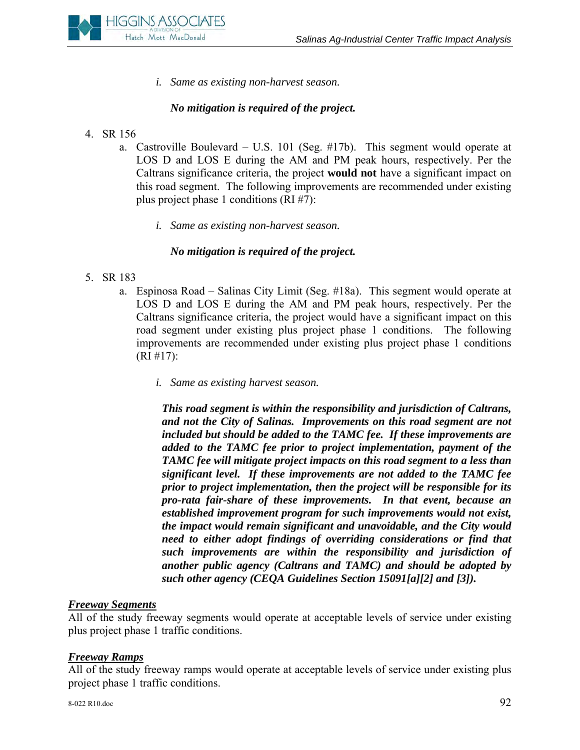

*i. Same as existing non-harvest season.* 

# *No mitigation is required of the project.*

- 4. SR 156
	- a. Castroville Boulevard U.S. 101 (Seg. #17b). This segment would operate at LOS D and LOS E during the AM and PM peak hours, respectively. Per the Caltrans significance criteria, the project **would not** have a significant impact on this road segment. The following improvements are recommended under existing plus project phase 1 conditions (RI #7):
		- *i. Same as existing non-harvest season.*

## *No mitigation is required of the project.*

- 5. SR 183
	- a. Espinosa Road Salinas City Limit (Seg. #18a). This segment would operate at LOS D and LOS E during the AM and PM peak hours, respectively. Per the Caltrans significance criteria, the project would have a significant impact on this road segment under existing plus project phase 1 conditions. The following improvements are recommended under existing plus project phase 1 conditions (RI #17):
		- *i. Same as existing harvest season.*

*This road segment is within the responsibility and jurisdiction of Caltrans, and not the City of Salinas. Improvements on this road segment are not included but should be added to the TAMC fee. If these improvements are added to the TAMC fee prior to project implementation, payment of the TAMC fee will mitigate project impacts on this road segment to a less than significant level. If these improvements are not added to the TAMC fee prior to project implementation, then the project will be responsible for its pro-rata fair-share of these improvements. In that event, because an established improvement program for such improvements would not exist, the impact would remain significant and unavoidable, and the City would need to either adopt findings of overriding considerations or find that such improvements are within the responsibility and jurisdiction of another public agency (Caltrans and TAMC) and should be adopted by such other agency (CEQA Guidelines Section 15091[a][2] and [3]).* 

#### *Freeway Segments*

All of the study freeway segments would operate at acceptable levels of service under existing plus project phase 1 traffic conditions.

#### *Freeway Ramps*

All of the study freeway ramps would operate at acceptable levels of service under existing plus project phase 1 traffic conditions.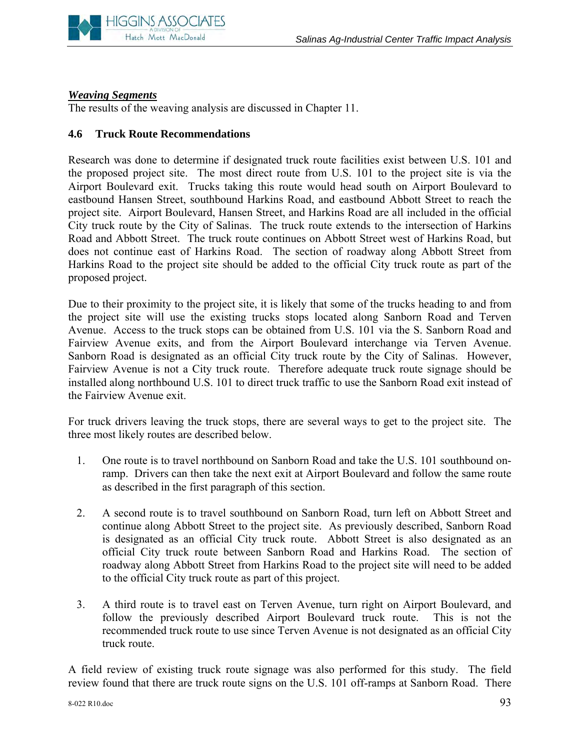

#### *Weaving Segments*

The results of the weaving analysis are discussed in Chapter 11.

#### **4.6 Truck Route Recommendations**

Research was done to determine if designated truck route facilities exist between U.S. 101 and the proposed project site. The most direct route from U.S. 101 to the project site is via the Airport Boulevard exit. Trucks taking this route would head south on Airport Boulevard to eastbound Hansen Street, southbound Harkins Road, and eastbound Abbott Street to reach the project site. Airport Boulevard, Hansen Street, and Harkins Road are all included in the official City truck route by the City of Salinas. The truck route extends to the intersection of Harkins Road and Abbott Street. The truck route continues on Abbott Street west of Harkins Road, but does not continue east of Harkins Road. The section of roadway along Abbott Street from Harkins Road to the project site should be added to the official City truck route as part of the proposed project.

Due to their proximity to the project site, it is likely that some of the trucks heading to and from the project site will use the existing trucks stops located along Sanborn Road and Terven Avenue. Access to the truck stops can be obtained from U.S. 101 via the S. Sanborn Road and Fairview Avenue exits, and from the Airport Boulevard interchange via Terven Avenue. Sanborn Road is designated as an official City truck route by the City of Salinas. However, Fairview Avenue is not a City truck route. Therefore adequate truck route signage should be installed along northbound U.S. 101 to direct truck traffic to use the Sanborn Road exit instead of the Fairview Avenue exit.

For truck drivers leaving the truck stops, there are several ways to get to the project site. The three most likely routes are described below.

- 1. One route is to travel northbound on Sanborn Road and take the U.S. 101 southbound onramp. Drivers can then take the next exit at Airport Boulevard and follow the same route as described in the first paragraph of this section.
- 2. A second route is to travel southbound on Sanborn Road, turn left on Abbott Street and continue along Abbott Street to the project site. As previously described, Sanborn Road is designated as an official City truck route. Abbott Street is also designated as an official City truck route between Sanborn Road and Harkins Road. The section of roadway along Abbott Street from Harkins Road to the project site will need to be added to the official City truck route as part of this project.
- 3. A third route is to travel east on Terven Avenue, turn right on Airport Boulevard, and follow the previously described Airport Boulevard truck route. This is not the recommended truck route to use since Terven Avenue is not designated as an official City truck route.

A field review of existing truck route signage was also performed for this study. The field review found that there are truck route signs on the U.S. 101 off-ramps at Sanborn Road. There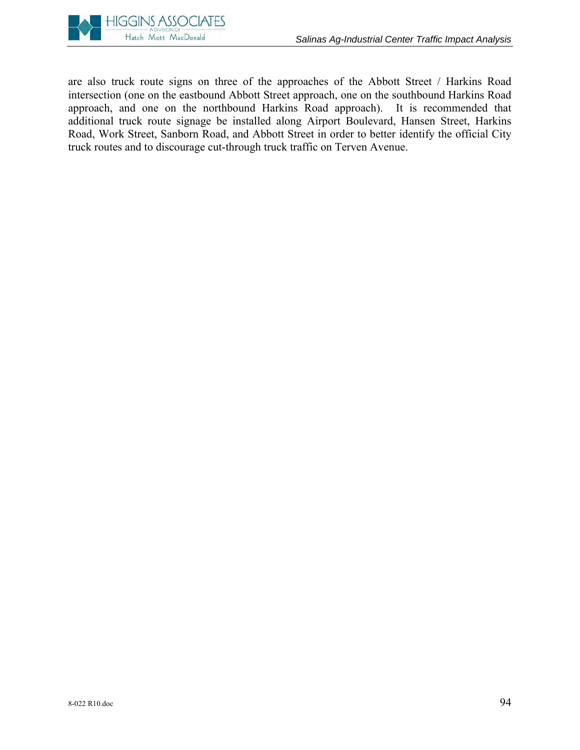

are also truck route signs on three of the approaches of the Abbott Street / Harkins Road intersection (one on the eastbound Abbott Street approach, one on the southbound Harkins Road approach, and one on the northbound Harkins Road approach). It is recommended that additional truck route signage be installed along Airport Boulevard, Hansen Street, Harkins Road, Work Street, Sanborn Road, and Abbott Street in order to better identify the official City truck routes and to discourage cut-through truck traffic on Terven Avenue.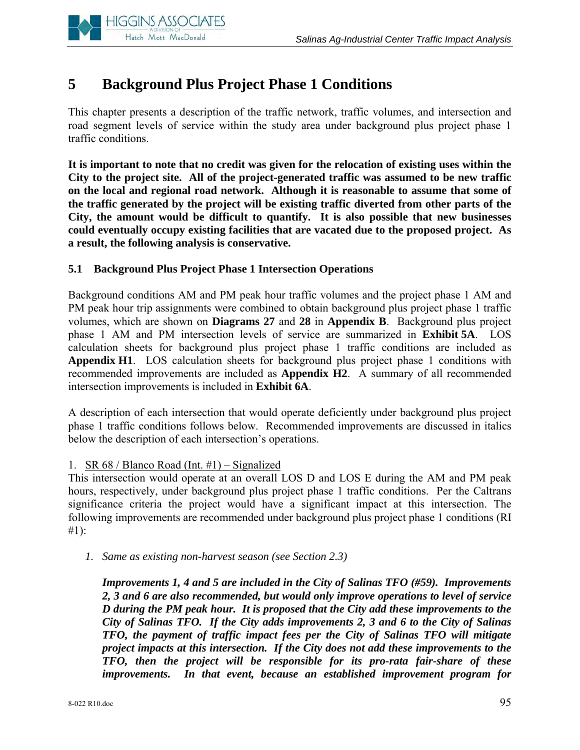

# **5 Background Plus Project Phase 1 Conditions**

This chapter presents a description of the traffic network, traffic volumes, and intersection and road segment levels of service within the study area under background plus project phase 1 traffic conditions.

**It is important to note that no credit was given for the relocation of existing uses within the City to the project site. All of the project-generated traffic was assumed to be new traffic on the local and regional road network. Although it is reasonable to assume that some of the traffic generated by the project will be existing traffic diverted from other parts of the City, the amount would be difficult to quantify. It is also possible that new businesses could eventually occupy existing facilities that are vacated due to the proposed project. As a result, the following analysis is conservative.** 

# **5.1 Background Plus Project Phase 1 Intersection Operations**

Background conditions AM and PM peak hour traffic volumes and the project phase 1 AM and PM peak hour trip assignments were combined to obtain background plus project phase 1 traffic volumes, which are shown on **Diagrams 27** and **28** in **Appendix B**. Background plus project phase 1 AM and PM intersection levels of service are summarized in **Exhibit 5A**. LOS calculation sheets for background plus project phase 1 traffic conditions are included as **Appendix H1**. LOS calculation sheets for background plus project phase 1 conditions with recommended improvements are included as **Appendix H2**. A summary of all recommended intersection improvements is included in **Exhibit 6A**.

A description of each intersection that would operate deficiently under background plus project phase 1 traffic conditions follows below. Recommended improvements are discussed in italics below the description of each intersection's operations.

#### 1. SR 68 / Blanco Road (Int. #1) – Signalized

This intersection would operate at an overall LOS D and LOS E during the AM and PM peak hours, respectively, under background plus project phase 1 traffic conditions. Per the Caltrans significance criteria the project would have a significant impact at this intersection. The following improvements are recommended under background plus project phase 1 conditions (RI #1):

*1. Same as existing non-harvest season (see Section 2.3)* 

*Improvements 1, 4 and 5 are included in the City of Salinas TFO (#59). Improvements 2, 3 and 6 are also recommended, but would only improve operations to level of service D during the PM peak hour. It is proposed that the City add these improvements to the City of Salinas TFO. If the City adds improvements 2, 3 and 6 to the City of Salinas TFO, the payment of traffic impact fees per the City of Salinas TFO will mitigate project impacts at this intersection. If the City does not add these improvements to the TFO, then the project will be responsible for its pro-rata fair-share of these improvements. In that event, because an established improvement program for*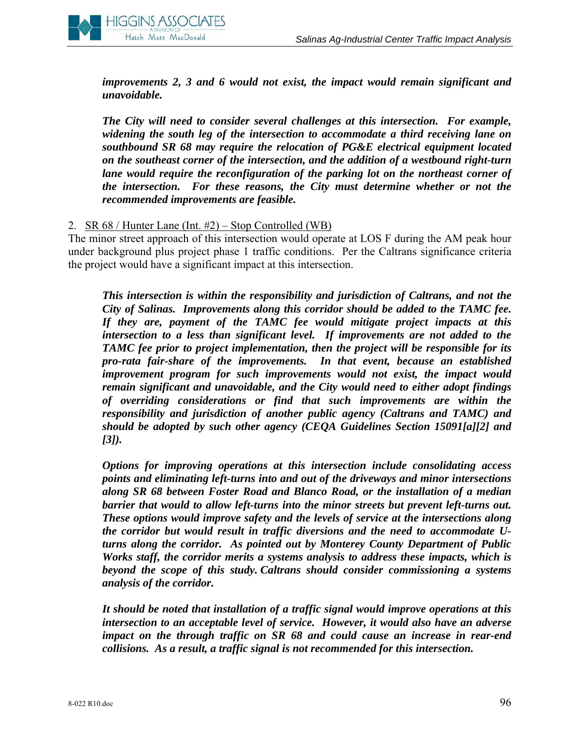

*improvements 2, 3 and 6 would not exist, the impact would remain significant and unavoidable.* 

*The City will need to consider several challenges at this intersection. For example, widening the south leg of the intersection to accommodate a third receiving lane on southbound SR 68 may require the relocation of PG&E electrical equipment located on the southeast corner of the intersection, and the addition of a westbound right-turn lane would require the reconfiguration of the parking lot on the northeast corner of the intersection. For these reasons, the City must determine whether or not the recommended improvements are feasible.*

#### 2. SR 68 / Hunter Lane (Int. #2) – Stop Controlled (WB)

The minor street approach of this intersection would operate at LOS F during the AM peak hour under background plus project phase 1 traffic conditions. Per the Caltrans significance criteria the project would have a significant impact at this intersection.

*This intersection is within the responsibility and jurisdiction of Caltrans, and not the City of Salinas. Improvements along this corridor should be added to the TAMC fee. If they are, payment of the TAMC fee would mitigate project impacts at this intersection to a less than significant level. If improvements are not added to the TAMC fee prior to project implementation, then the project will be responsible for its pro-rata fair-share of the improvements. In that event, because an established improvement program for such improvements would not exist, the impact would remain significant and unavoidable, and the City would need to either adopt findings of overriding considerations or find that such improvements are within the responsibility and jurisdiction of another public agency (Caltrans and TAMC) and should be adopted by such other agency (CEQA Guidelines Section 15091[a][2] and [3]).* 

*Options for improving operations at this intersection include consolidating access points and eliminating left-turns into and out of the driveways and minor intersections along SR 68 between Foster Road and Blanco Road, or the installation of a median barrier that would to allow left-turns into the minor streets but prevent left-turns out. These options would improve safety and the levels of service at the intersections along the corridor but would result in traffic diversions and the need to accommodate Uturns along the corridor. As pointed out by Monterey County Department of Public Works staff, the corridor merits a systems analysis to address these impacts, which is beyond the scope of this study. Caltrans should consider commissioning a systems analysis of the corridor.* 

*It should be noted that installation of a traffic signal would improve operations at this intersection to an acceptable level of service. However, it would also have an adverse impact on the through traffic on SR 68 and could cause an increase in rear-end collisions. As a result, a traffic signal is not recommended for this intersection.*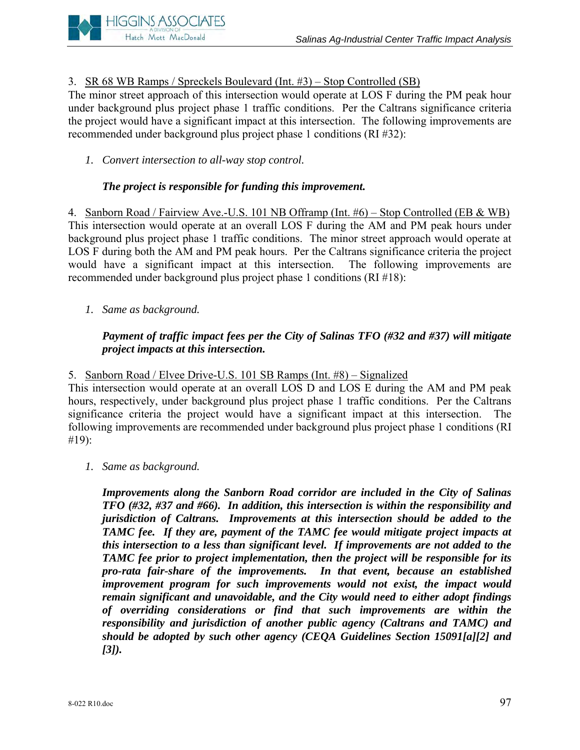

# 3. SR 68 WB Ramps / Spreckels Boulevard (Int. #3) – Stop Controlled (SB)

The minor street approach of this intersection would operate at LOS F during the PM peak hour under background plus project phase 1 traffic conditions. Per the Caltrans significance criteria the project would have a significant impact at this intersection. The following improvements are recommended under background plus project phase 1 conditions (RI #32):

*1. Convert intersection to all-way stop control.*

# *The project is responsible for funding this improvement.*

4. Sanborn Road / Fairview Ave.-U.S. 101 NB Offramp (Int. #6) – Stop Controlled (EB & WB) This intersection would operate at an overall LOS F during the AM and PM peak hours under background plus project phase 1 traffic conditions. The minor street approach would operate at LOS F during both the AM and PM peak hours. Per the Caltrans significance criteria the project would have a significant impact at this intersection. The following improvements are recommended under background plus project phase 1 conditions (RI #18):

*1. Same as background.*

# *Payment of traffic impact fees per the City of Salinas TFO (#32 and #37) will mitigate project impacts at this intersection.*

5. Sanborn Road / Elvee Drive-U.S. 101 SB Ramps (Int. #8) – Signalized

This intersection would operate at an overall LOS D and LOS E during the AM and PM peak hours, respectively, under background plus project phase 1 traffic conditions. Per the Caltrans significance criteria the project would have a significant impact at this intersection. The following improvements are recommended under background plus project phase 1 conditions (RI #19):

*1. Same as background.*

*Improvements along the Sanborn Road corridor are included in the City of Salinas TFO (#32, #37 and #66). In addition, this intersection is within the responsibility and jurisdiction of Caltrans. Improvements at this intersection should be added to the TAMC fee. If they are, payment of the TAMC fee would mitigate project impacts at this intersection to a less than significant level. If improvements are not added to the TAMC fee prior to project implementation, then the project will be responsible for its pro-rata fair-share of the improvements. In that event, because an established improvement program for such improvements would not exist, the impact would remain significant and unavoidable, and the City would need to either adopt findings of overriding considerations or find that such improvements are within the responsibility and jurisdiction of another public agency (Caltrans and TAMC) and should be adopted by such other agency (CEQA Guidelines Section 15091[a][2] and [3]).*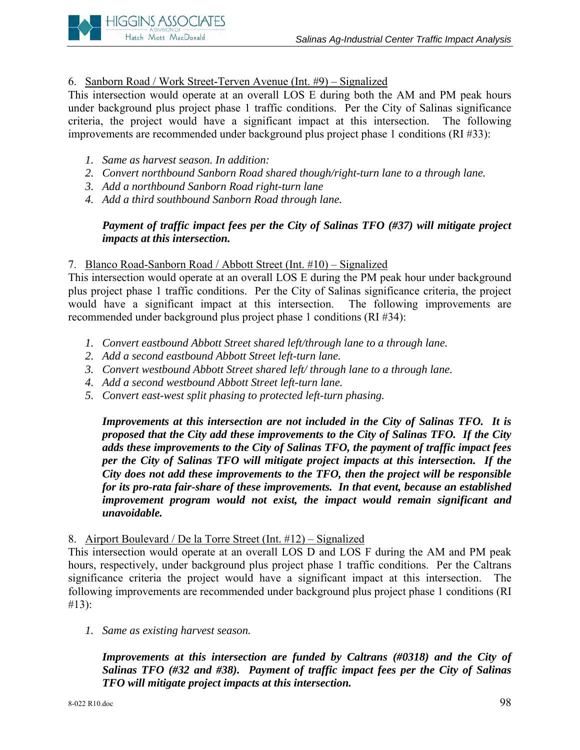# 6. Sanborn Road / Work Street-Terven Avenue (Int. #9) – Signalized

This intersection would operate at an overall LOS E during both the AM and PM peak hours under background plus project phase 1 traffic conditions. Per the City of Salinas significance criteria, the project would have a significant impact at this intersection. The following improvements are recommended under background plus project phase 1 conditions (RI #33):

*1. Same as harvest season. In addition:*

**HIGGINS ASSOCIATES** Hatch Mott MacDonald

- *2. Convert northbound Sanborn Road shared though/right-turn lane to a through lane.*
- *3. Add a northbound Sanborn Road right-turn lane*
- *4. Add a third southbound Sanborn Road through lane.*

# *Payment of traffic impact fees per the City of Salinas TFO (#37) will mitigate project impacts at this intersection.*

## 7. Blanco Road-Sanborn Road / Abbott Street (Int. #10) – Signalized

This intersection would operate at an overall LOS E during the PM peak hour under background plus project phase 1 traffic conditions. Per the City of Salinas significance criteria, the project would have a significant impact at this intersection. The following improvements are recommended under background plus project phase 1 conditions (RI #34):

- *1. Convert eastbound Abbott Street shared left/through lane to a through lane.*
- *2. Add a second eastbound Abbott Street left-turn lane.*
- *3. Convert westbound Abbott Street shared left/ through lane to a through lane.*
- *4. Add a second westbound Abbott Street left-turn lane.*
- *5. Convert east-west split phasing to protected left-turn phasing.*

*Improvements at this intersection are not included in the City of Salinas TFO. It is proposed that the City add these improvements to the City of Salinas TFO. If the City adds these improvements to the City of Salinas TFO, the payment of traffic impact fees per the City of Salinas TFO will mitigate project impacts at this intersection. If the City does not add these improvements to the TFO, then the project will be responsible for its pro-rata fair-share of these improvements. In that event, because an established improvement program would not exist, the impact would remain significant and unavoidable.* 

# 8. Airport Boulevard / De la Torre Street (Int. #12) – Signalized

This intersection would operate at an overall LOS D and LOS F during the AM and PM peak hours, respectively, under background plus project phase 1 traffic conditions. Per the Caltrans significance criteria the project would have a significant impact at this intersection. The following improvements are recommended under background plus project phase 1 conditions (RI #13):

*1. Same as existing harvest season.*

*Improvements at this intersection are funded by Caltrans (#0318) and the City of Salinas TFO (#32 and #38). Payment of traffic impact fees per the City of Salinas TFO will mitigate project impacts at this intersection.*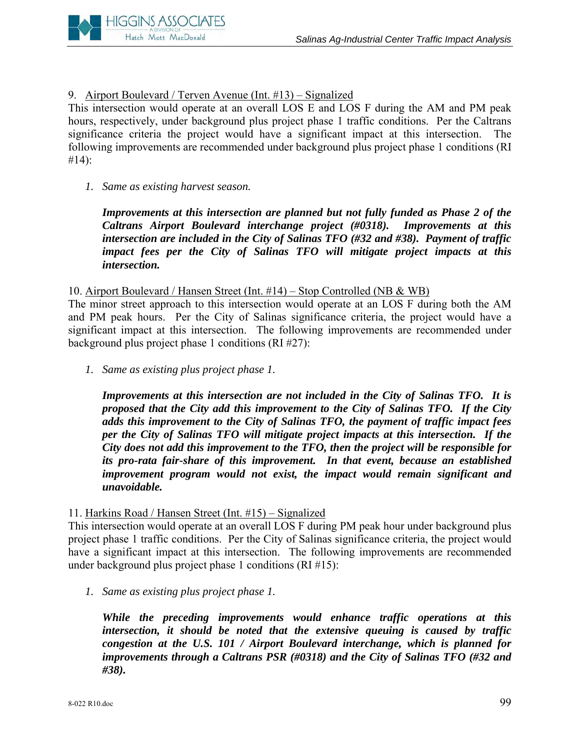

# 9. Airport Boulevard / Terven Avenue (Int. #13) – Signalized

This intersection would operate at an overall LOS E and LOS F during the AM and PM peak hours, respectively, under background plus project phase 1 traffic conditions. Per the Caltrans significance criteria the project would have a significant impact at this intersection. The following improvements are recommended under background plus project phase 1 conditions (RI #14):

*1. Same as existing harvest season.*

*Improvements at this intersection are planned but not fully funded as Phase 2 of the Caltrans Airport Boulevard interchange project (#0318). Improvements at this intersection are included in the City of Salinas TFO (#32 and #38). Payment of traffic impact fees per the City of Salinas TFO will mitigate project impacts at this intersection.* 

10. Airport Boulevard / Hansen Street (Int. #14) – Stop Controlled (NB & WB)

The minor street approach to this intersection would operate at an LOS F during both the AM and PM peak hours. Per the City of Salinas significance criteria, the project would have a significant impact at this intersection. The following improvements are recommended under background plus project phase 1 conditions (RI #27):

*1. Same as existing plus project phase 1.* 

*Improvements at this intersection are not included in the City of Salinas TFO. It is proposed that the City add this improvement to the City of Salinas TFO. If the City adds this improvement to the City of Salinas TFO, the payment of traffic impact fees per the City of Salinas TFO will mitigate project impacts at this intersection. If the City does not add this improvement to the TFO, then the project will be responsible for its pro-rata fair-share of this improvement. In that event, because an established improvement program would not exist, the impact would remain significant and unavoidable.* 

#### 11. Harkins Road / Hansen Street (Int. #15) – Signalized

This intersection would operate at an overall LOS F during PM peak hour under background plus project phase 1 traffic conditions. Per the City of Salinas significance criteria, the project would have a significant impact at this intersection. The following improvements are recommended under background plus project phase 1 conditions (RI #15):

*1. Same as existing plus project phase 1.*

*While the preceding improvements would enhance traffic operations at this intersection, it should be noted that the extensive queuing is caused by traffic congestion at the U.S. 101 / Airport Boulevard interchange, which is planned for improvements through a Caltrans PSR (#0318) and the City of Salinas TFO (#32 and #38).*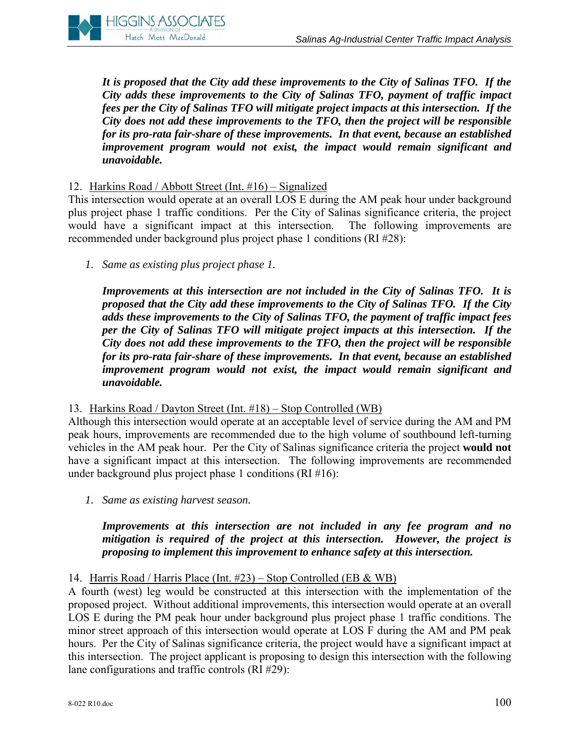

*It is proposed that the City add these improvements to the City of Salinas TFO. If the City adds these improvements to the City of Salinas TFO, payment of traffic impact fees per the City of Salinas TFO will mitigate project impacts at this intersection. If the City does not add these improvements to the TFO, then the project will be responsible for its pro-rata fair-share of these improvements. In that event, because an established improvement program would not exist, the impact would remain significant and unavoidable.* 

#### 12. Harkins Road / Abbott Street (Int. #16) – Signalized

This intersection would operate at an overall LOS E during the AM peak hour under background plus project phase 1 traffic conditions. Per the City of Salinas significance criteria, the project would have a significant impact at this intersection. The following improvements are recommended under background plus project phase 1 conditions (RI #28):

*1. Same as existing plus project phase 1.*

*Improvements at this intersection are not included in the City of Salinas TFO. It is proposed that the City add these improvements to the City of Salinas TFO. If the City adds these improvements to the City of Salinas TFO, the payment of traffic impact fees per the City of Salinas TFO will mitigate project impacts at this intersection. If the City does not add these improvements to the TFO, then the project will be responsible for its pro-rata fair-share of these improvements. In that event, because an established improvement program would not exist, the impact would remain significant and unavoidable.* 

#### 13. Harkins Road / Dayton Street (Int. #18) – Stop Controlled (WB)

Although this intersection would operate at an acceptable level of service during the AM and PM peak hours, improvements are recommended due to the high volume of southbound left-turning vehicles in the AM peak hour. Per the City of Salinas significance criteria the project **would not** have a significant impact at this intersection. The following improvements are recommended under background plus project phase 1 conditions (RI #16):

*1. Same as existing harvest season.* 

# *Improvements at this intersection are not included in any fee program and no mitigation is required of the project at this intersection. However, the project is proposing to implement this improvement to enhance safety at this intersection.*

# 14. Harris Road / Harris Place (Int. #23) – Stop Controlled (EB & WB)

A fourth (west) leg would be constructed at this intersection with the implementation of the proposed project. Without additional improvements, this intersection would operate at an overall LOS E during the PM peak hour under background plus project phase 1 traffic conditions. The minor street approach of this intersection would operate at LOS F during the AM and PM peak hours. Per the City of Salinas significance criteria, the project would have a significant impact at this intersection. The project applicant is proposing to design this intersection with the following lane configurations and traffic controls (RI #29):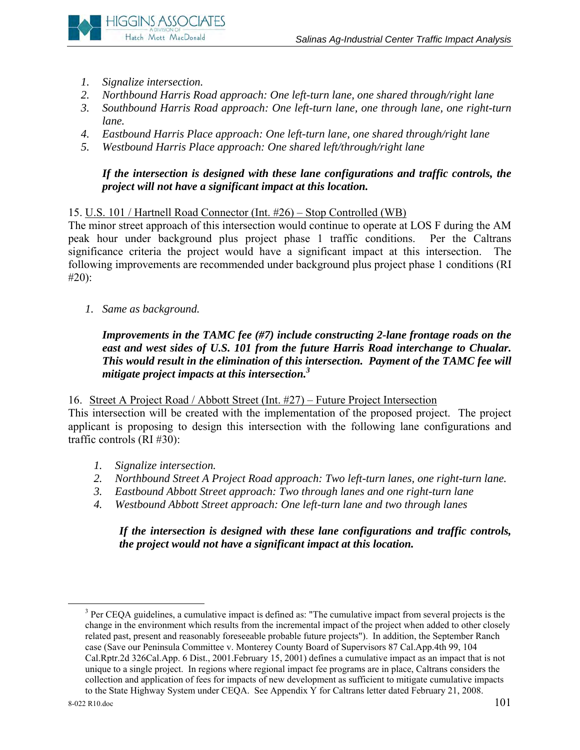

- *1. Signalize intersection.*
- *2. Northbound Harris Road approach: One left-turn lane, one shared through/right lane*
- *3. Southbound Harris Road approach: One left-turn lane, one through lane, one right-turn lane.*
- *4. Eastbound Harris Place approach: One left-turn lane, one shared through/right lane*
- *5. Westbound Harris Place approach: One shared left/through/right lane*

*If the intersection is designed with these lane configurations and traffic controls, the project will not have a significant impact at this location.* 

# 15. U.S. 101 / Hartnell Road Connector (Int. #26) – Stop Controlled (WB)

The minor street approach of this intersection would continue to operate at LOS F during the AM peak hour under background plus project phase 1 traffic conditions. Per the Caltrans significance criteria the project would have a significant impact at this intersection. The following improvements are recommended under background plus project phase 1 conditions (RI #20):

*1. Same as background.*

# *Improvements in the TAMC fee (#7) include constructing 2-lane frontage roads on the east and west sides of U.S. 101 from the future Harris Road interchange to Chualar. This would result in the elimination of this intersection. Payment of the TAMC fee will mitigate project impacts at this intersection.3*

16. Street A Project Road / Abbott Street (Int. #27) – Future Project Intersection

This intersection will be created with the implementation of the proposed project. The project applicant is proposing to design this intersection with the following lane configurations and traffic controls (RI #30):

- *1. Signalize intersection.*
- *2. Northbound Street A Project Road approach: Two left-turn lanes, one right-turn lane.*
- *3. Eastbound Abbott Street approach: Two through lanes and one right-turn lane*
- *4. Westbound Abbott Street approach: One left-turn lane and two through lanes*

*If the intersection is designed with these lane configurations and traffic controls, the project would not have a significant impact at this location.* 

 $\frac{1}{3}$  $3$  Per CEQA guidelines, a cumulative impact is defined as: "The cumulative impact from several projects is the change in the environment which results from the incremental impact of the project when added to other closely related past, present and reasonably foreseeable probable future projects"). In addition, the September Ranch case (Save our Peninsula Committee v. Monterey County Board of Supervisors 87 Cal.App.4th 99, 104 Cal.Rptr.2d 326Cal.App. 6 Dist., 2001.February 15, 2001) defines a cumulative impact as an impact that is not unique to a single project. In regions where regional impact fee programs are in place, Caltrans considers the collection and application of fees for impacts of new development as sufficient to mitigate cumulative impacts to the State Highway System under CEQA. See Appendix Y for Caltrans letter dated February 21, 2008.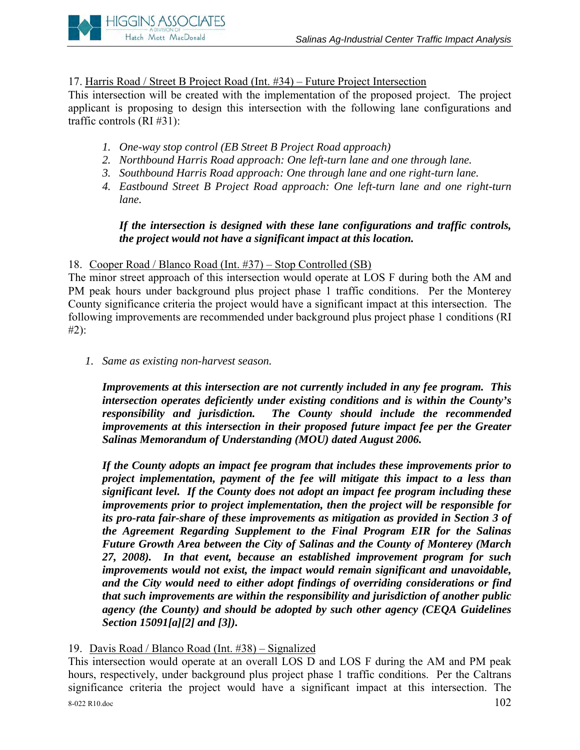

17. Harris Road / Street B Project Road (Int. #34) – Future Project Intersection

This intersection will be created with the implementation of the proposed project. The project applicant is proposing to design this intersection with the following lane configurations and traffic controls (RI #31):

- *1. One-way stop control (EB Street B Project Road approach)*
- *2. Northbound Harris Road approach: One left-turn lane and one through lane.*
- *3. Southbound Harris Road approach: One through lane and one right-turn lane.*
- *4. Eastbound Street B Project Road approach: One left-turn lane and one right-turn lane.*

# *If the intersection is designed with these lane configurations and traffic controls, the project would not have a significant impact at this location.*

# 18. Cooper Road / Blanco Road (Int. #37) – Stop Controlled (SB)

The minor street approach of this intersection would operate at LOS F during both the AM and PM peak hours under background plus project phase 1 traffic conditions. Per the Monterey County significance criteria the project would have a significant impact at this intersection. The following improvements are recommended under background plus project phase 1 conditions (RI #2):

*1. Same as existing non-harvest season.*

*Improvements at this intersection are not currently included in any fee program. This intersection operates deficiently under existing conditions and is within the County's responsibility and jurisdiction. The County should include the recommended improvements at this intersection in their proposed future impact fee per the Greater Salinas Memorandum of Understanding (MOU) dated August 2006.* 

*If the County adopts an impact fee program that includes these improvements prior to project implementation, payment of the fee will mitigate this impact to a less than significant level. If the County does not adopt an impact fee program including these improvements prior to project implementation, then the project will be responsible for its pro-rata fair-share of these improvements as mitigation as provided in Section 3 of the Agreement Regarding Supplement to the Final Program EIR for the Salinas Future Growth Area between the City of Salinas and the County of Monterey (March 27, 2008). In that event, because an established improvement program for such improvements would not exist, the impact would remain significant and unavoidable, and the City would need to either adopt findings of overriding considerations or find that such improvements are within the responsibility and jurisdiction of another public agency (the County) and should be adopted by such other agency (CEQA Guidelines Section 15091[a][2] and [3]).* 

# 19. Davis Road / Blanco Road (Int. #38) – Signalized

8-022 R10.doc  $102$ This intersection would operate at an overall LOS D and LOS F during the AM and PM peak hours, respectively, under background plus project phase 1 traffic conditions. Per the Caltrans significance criteria the project would have a significant impact at this intersection. The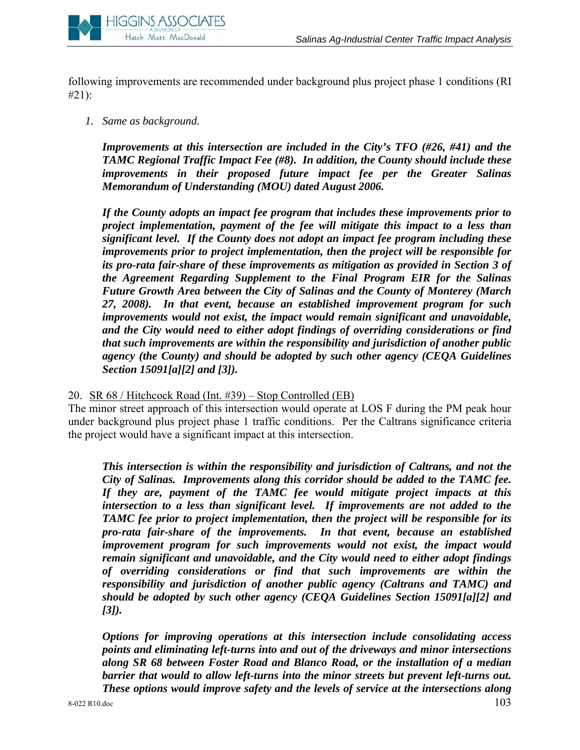

following improvements are recommended under background plus project phase 1 conditions (RI #21):

*1. Same as background.*

*Improvements at this intersection are included in the City's TFO (#26, #41) and the TAMC Regional Traffic Impact Fee (#8). In addition, the County should include these improvements in their proposed future impact fee per the Greater Salinas Memorandum of Understanding (MOU) dated August 2006.* 

*If the County adopts an impact fee program that includes these improvements prior to project implementation, payment of the fee will mitigate this impact to a less than significant level. If the County does not adopt an impact fee program including these improvements prior to project implementation, then the project will be responsible for its pro-rata fair-share of these improvements as mitigation as provided in Section 3 of the Agreement Regarding Supplement to the Final Program EIR for the Salinas Future Growth Area between the City of Salinas and the County of Monterey (March 27, 2008). In that event, because an established improvement program for such improvements would not exist, the impact would remain significant and unavoidable, and the City would need to either adopt findings of overriding considerations or find that such improvements are within the responsibility and jurisdiction of another public agency (the County) and should be adopted by such other agency (CEQA Guidelines Section 15091[a][2] and [3]).* 

#### 20. SR 68 / Hitchcock Road (Int. #39) – Stop Controlled (EB)

The minor street approach of this intersection would operate at LOS F during the PM peak hour under background plus project phase 1 traffic conditions. Per the Caltrans significance criteria the project would have a significant impact at this intersection.

*This intersection is within the responsibility and jurisdiction of Caltrans, and not the City of Salinas. Improvements along this corridor should be added to the TAMC fee. If they are, payment of the TAMC fee would mitigate project impacts at this intersection to a less than significant level. If improvements are not added to the TAMC fee prior to project implementation, then the project will be responsible for its pro-rata fair-share of the improvements. In that event, because an established improvement program for such improvements would not exist, the impact would remain significant and unavoidable, and the City would need to either adopt findings of overriding considerations or find that such improvements are within the responsibility and jurisdiction of another public agency (Caltrans and TAMC) and should be adopted by such other agency (CEQA Guidelines Section 15091[a][2] and [3]).* 

*Options for improving operations at this intersection include consolidating access points and eliminating left-turns into and out of the driveways and minor intersections along SR 68 between Foster Road and Blanco Road, or the installation of a median barrier that would to allow left-turns into the minor streets but prevent left-turns out. These options would improve safety and the levels of service at the intersections along*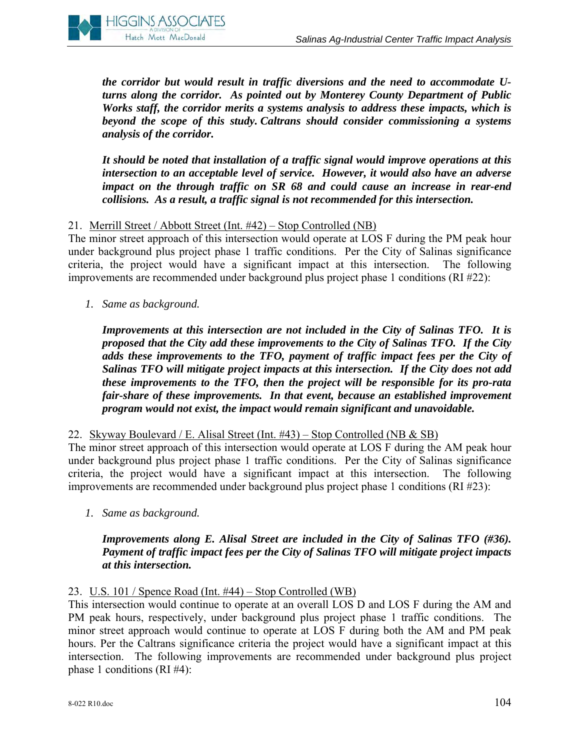

*the corridor but would result in traffic diversions and the need to accommodate Uturns along the corridor. As pointed out by Monterey County Department of Public Works staff, the corridor merits a systems analysis to address these impacts, which is beyond the scope of this study. Caltrans should consider commissioning a systems analysis of the corridor.* 

*It should be noted that installation of a traffic signal would improve operations at this intersection to an acceptable level of service. However, it would also have an adverse impact on the through traffic on SR 68 and could cause an increase in rear-end collisions. As a result, a traffic signal is not recommended for this intersection.* 

# 21. Merrill Street / Abbott Street (Int. #42) – Stop Controlled (NB)

The minor street approach of this intersection would operate at LOS F during the PM peak hour under background plus project phase 1 traffic conditions. Per the City of Salinas significance criteria, the project would have a significant impact at this intersection. The following improvements are recommended under background plus project phase 1 conditions (RI #22):

*1. Same as background.*

*Improvements at this intersection are not included in the City of Salinas TFO. It is proposed that the City add these improvements to the City of Salinas TFO. If the City adds these improvements to the TFO, payment of traffic impact fees per the City of Salinas TFO will mitigate project impacts at this intersection. If the City does not add these improvements to the TFO, then the project will be responsible for its pro-rata fair-share of these improvements. In that event, because an established improvement program would not exist, the impact would remain significant and unavoidable.* 

22. Skyway Boulevard / E. Alisal Street (Int. #43) – Stop Controlled (NB & SB)

The minor street approach of this intersection would operate at LOS F during the AM peak hour under background plus project phase 1 traffic conditions. Per the City of Salinas significance criteria, the project would have a significant impact at this intersection. The following improvements are recommended under background plus project phase 1 conditions (RI #23):

*1. Same as background.*

# *Improvements along E. Alisal Street are included in the City of Salinas TFO (#36). Payment of traffic impact fees per the City of Salinas TFO will mitigate project impacts at this intersection.*

#### 23. U.S. 101 / Spence Road (Int. #44) – Stop Controlled (WB)

This intersection would continue to operate at an overall LOS D and LOS F during the AM and PM peak hours, respectively, under background plus project phase 1 traffic conditions. The minor street approach would continue to operate at LOS F during both the AM and PM peak hours. Per the Caltrans significance criteria the project would have a significant impact at this intersection. The following improvements are recommended under background plus project phase 1 conditions (RI #4):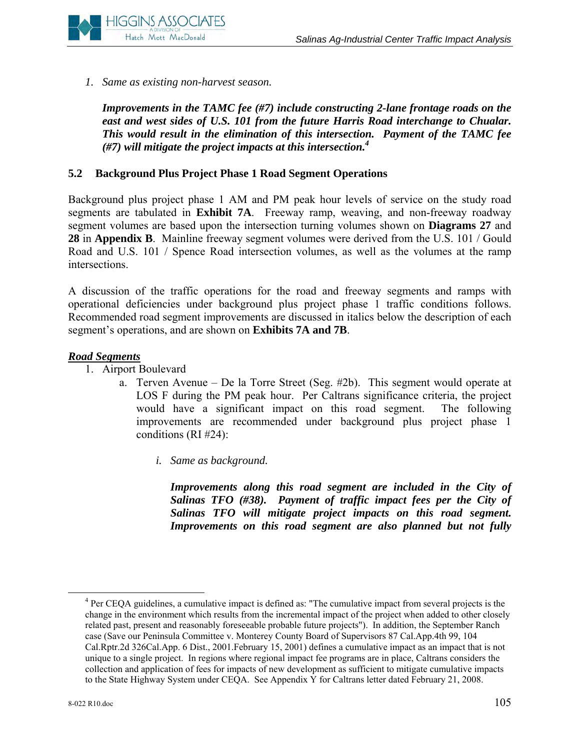

*1. Same as existing non-harvest season.*

*Improvements in the TAMC fee (#7) include constructing 2-lane frontage roads on the east and west sides of U.S. 101 from the future Harris Road interchange to Chualar. This would result in the elimination of this intersection. Payment of the TAMC fee (#7) will mitigate the project impacts at this intersection.4*

#### **5.2 Background Plus Project Phase 1 Road Segment Operations**

Background plus project phase 1 AM and PM peak hour levels of service on the study road segments are tabulated in **Exhibit 7A**. Freeway ramp, weaving, and non-freeway roadway segment volumes are based upon the intersection turning volumes shown on **Diagrams 27** and **28** in **Appendix B**. Mainline freeway segment volumes were derived from the U.S. 101 / Gould Road and U.S. 101 / Spence Road intersection volumes, as well as the volumes at the ramp intersections.

A discussion of the traffic operations for the road and freeway segments and ramps with operational deficiencies under background plus project phase 1 traffic conditions follows. Recommended road segment improvements are discussed in italics below the description of each segment's operations, and are shown on **Exhibits 7A and 7B**.

#### *Road Segments*

- 1. Airport Boulevard
	- a. Terven Avenue De la Torre Street (Seg. #2b). This segment would operate at LOS F during the PM peak hour. Per Caltrans significance criteria, the project would have a significant impact on this road segment. The following improvements are recommended under background plus project phase 1 conditions (RI #24):
		- *i. Same as background.*

*Improvements along this road segment are included in the City of Salinas TFO (#38). Payment of traffic impact fees per the City of Salinas TFO will mitigate project impacts on this road segment. Improvements on this road segment are also planned but not fully* 

 $\overline{4}$ <sup>4</sup> Per CEQA guidelines, a cumulative impact is defined as: "The cumulative impact from several projects is the change in the environment which results from the incremental impact of the project when added to other closely related past, present and reasonably foreseeable probable future projects"). In addition, the September Ranch case (Save our Peninsula Committee v. Monterey County Board of Supervisors 87 Cal.App.4th 99, 104 Cal.Rptr.2d 326Cal.App. 6 Dist., 2001.February 15, 2001) defines a cumulative impact as an impact that is not unique to a single project. In regions where regional impact fee programs are in place, Caltrans considers the collection and application of fees for impacts of new development as sufficient to mitigate cumulative impacts to the State Highway System under CEQA. See Appendix Y for Caltrans letter dated February 21, 2008.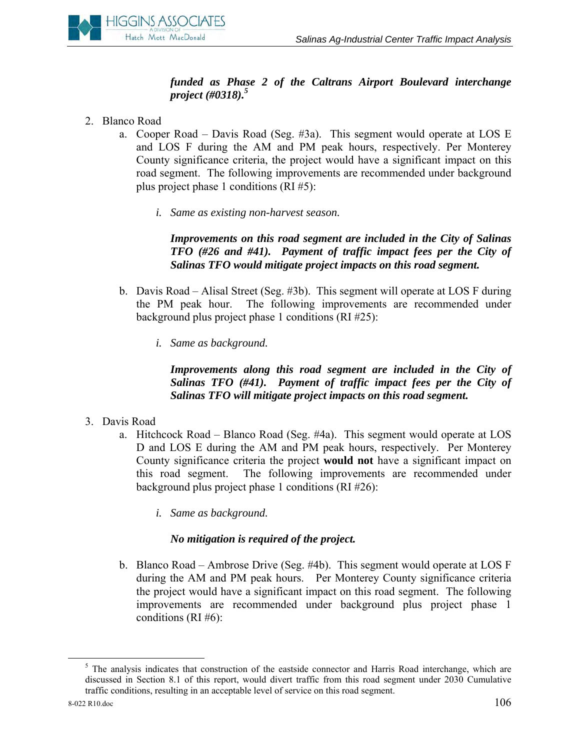# **HIGGINS ASSOCIATES** Hatch Mott MacDonald

# *funded as Phase 2 of the Caltrans Airport Boulevard interchange project (#0318).5*

- 2. Blanco Road
	- a. Cooper Road Davis Road (Seg. #3a). This segment would operate at LOS E and LOS F during the AM and PM peak hours, respectively. Per Monterey County significance criteria, the project would have a significant impact on this road segment. The following improvements are recommended under background plus project phase 1 conditions (RI #5):
		- *i. Same as existing non-harvest season.*

*Improvements on this road segment are included in the City of Salinas TFO (#26 and #41). Payment of traffic impact fees per the City of Salinas TFO would mitigate project impacts on this road segment.* 

- b. Davis Road Alisal Street (Seg. #3b). This segment will operate at LOS F during the PM peak hour. The following improvements are recommended under background plus project phase 1 conditions (RI #25):
	- *i. Same as background.*

*Improvements along this road segment are included in the City of Salinas TFO (#41). Payment of traffic impact fees per the City of Salinas TFO will mitigate project impacts on this road segment.* 

- 3. Davis Road
	- a. Hitchcock Road Blanco Road (Seg. #4a). This segment would operate at LOS D and LOS E during the AM and PM peak hours, respectively. Per Monterey County significance criteria the project **would not** have a significant impact on this road segment. The following improvements are recommended under background plus project phase 1 conditions (RI #26):
		- *i. Same as background.*

# *No mitigation is required of the project.*

b. Blanco Road – Ambrose Drive (Seg. #4b). This segment would operate at LOS F during the AM and PM peak hours. Per Monterey County significance criteria the project would have a significant impact on this road segment. The following improvements are recommended under background plus project phase 1 conditions (RI  $#6$ ):

 $rac{1}{5}$  $<sup>5</sup>$  The analysis indicates that construction of the eastside connector and Harris Road interchange, which are</sup> discussed in Section 8.1 of this report, would divert traffic from this road segment under 2030 Cumulative traffic conditions, resulting in an acceptable level of service on this road segment.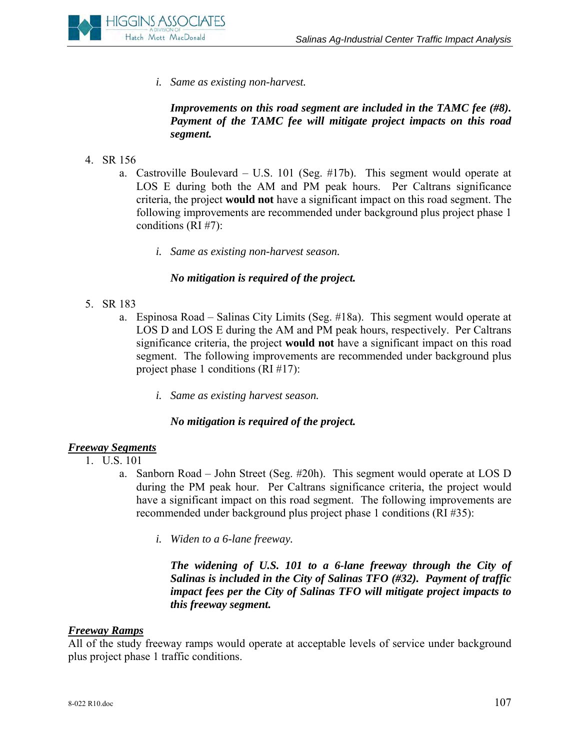

*i. Same as existing non-harvest.* 

*Improvements on this road segment are included in the TAMC fee (#8). Payment of the TAMC fee will mitigate project impacts on this road segment.* 

- 4. SR 156
	- a. Castroville Boulevard U.S. 101 (Seg. #17b). This segment would operate at LOS E during both the AM and PM peak hours. Per Caltrans significance criteria, the project **would not** have a significant impact on this road segment. The following improvements are recommended under background plus project phase 1 conditions (RI #7):
		- *i. Same as existing non-harvest season.*

# *No mitigation is required of the project.*

- 5. SR 183
	- a. Espinosa Road Salinas City Limits (Seg. #18a). This segment would operate at LOS D and LOS E during the AM and PM peak hours, respectively. Per Caltrans significance criteria, the project **would not** have a significant impact on this road segment. The following improvements are recommended under background plus project phase 1 conditions (RI #17):
		- *i. Same as existing harvest season.*

#### *No mitigation is required of the project.*

# *Freeway Segments*

- 1. U.S. 101
	- a. Sanborn Road John Street (Seg. #20h). This segment would operate at LOS D during the PM peak hour. Per Caltrans significance criteria, the project would have a significant impact on this road segment. The following improvements are recommended under background plus project phase 1 conditions (RI #35):
		- *i. Widen to a 6-lane freeway.*

*The widening of U.S. 101 to a 6-lane freeway through the City of Salinas is included in the City of Salinas TFO (#32). Payment of traffic impact fees per the City of Salinas TFO will mitigate project impacts to this freeway segment.* 

#### *Freeway Ramps*

All of the study freeway ramps would operate at acceptable levels of service under background plus project phase 1 traffic conditions.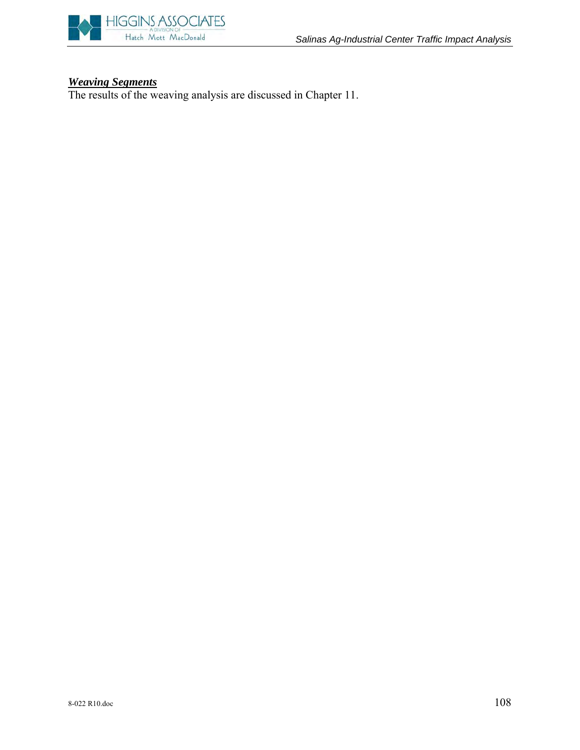

#### *Weaving Segments*

The results of the weaving analysis are discussed in Chapter 11.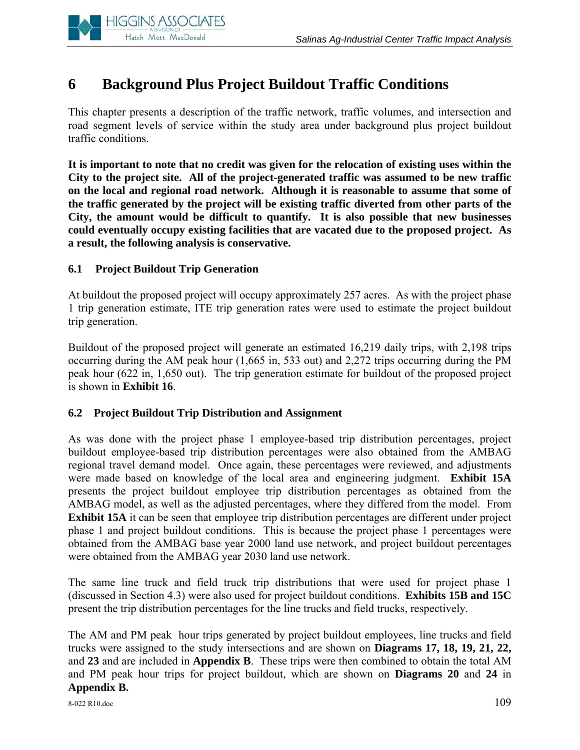

# **6 Background Plus Project Buildout Traffic Conditions**

This chapter presents a description of the traffic network, traffic volumes, and intersection and road segment levels of service within the study area under background plus project buildout traffic conditions.

**It is important to note that no credit was given for the relocation of existing uses within the City to the project site. All of the project-generated traffic was assumed to be new traffic on the local and regional road network. Although it is reasonable to assume that some of the traffic generated by the project will be existing traffic diverted from other parts of the City, the amount would be difficult to quantify. It is also possible that new businesses could eventually occupy existing facilities that are vacated due to the proposed project. As a result, the following analysis is conservative.** 

# **6.1 Project Buildout Trip Generation**

At buildout the proposed project will occupy approximately 257 acres. As with the project phase 1 trip generation estimate, ITE trip generation rates were used to estimate the project buildout trip generation.

Buildout of the proposed project will generate an estimated 16,219 daily trips, with 2,198 trips occurring during the AM peak hour (1,665 in, 533 out) and 2,272 trips occurring during the PM peak hour (622 in, 1,650 out). The trip generation estimate for buildout of the proposed project is shown in **Exhibit 16**.

# **6.2 Project Buildout Trip Distribution and Assignment**

As was done with the project phase 1 employee-based trip distribution percentages, project buildout employee-based trip distribution percentages were also obtained from the AMBAG regional travel demand model. Once again, these percentages were reviewed, and adjustments were made based on knowledge of the local area and engineering judgment. **Exhibit 15A**  presents the project buildout employee trip distribution percentages as obtained from the AMBAG model, as well as the adjusted percentages, where they differed from the model. From **Exhibit 15A** it can be seen that employee trip distribution percentages are different under project phase 1 and project buildout conditions. This is because the project phase 1 percentages were obtained from the AMBAG base year 2000 land use network, and project buildout percentages were obtained from the AMBAG year 2030 land use network.

The same line truck and field truck trip distributions that were used for project phase 1 (discussed in Section 4.3) were also used for project buildout conditions. **Exhibits 15B and 15C**  present the trip distribution percentages for the line trucks and field trucks, respectively.

The AM and PM peak hour trips generated by project buildout employees, line trucks and field trucks were assigned to the study intersections and are shown on **Diagrams 17, 18, 19, 21, 22,**  and **23** and are included in **Appendix B**. These trips were then combined to obtain the total AM and PM peak hour trips for project buildout, which are shown on **Diagrams 20** and **24** in **Appendix B.**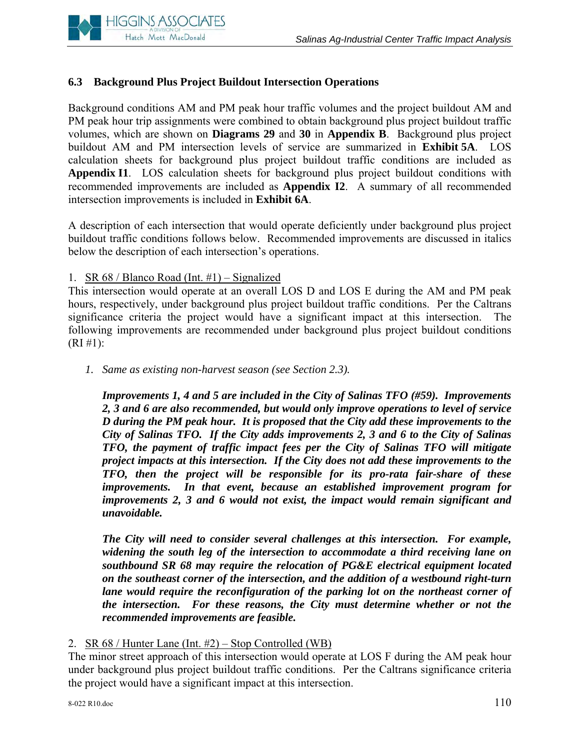

# **6.3 Background Plus Project Buildout Intersection Operations**

Background conditions AM and PM peak hour traffic volumes and the project buildout AM and PM peak hour trip assignments were combined to obtain background plus project buildout traffic volumes, which are shown on **Diagrams 29** and **30** in **Appendix B**. Background plus project buildout AM and PM intersection levels of service are summarized in **Exhibit 5A**. LOS calculation sheets for background plus project buildout traffic conditions are included as **Appendix I1**. LOS calculation sheets for background plus project buildout conditions with recommended improvements are included as **Appendix I2**. A summary of all recommended intersection improvements is included in **Exhibit 6A**.

A description of each intersection that would operate deficiently under background plus project buildout traffic conditions follows below. Recommended improvements are discussed in italics below the description of each intersection's operations.

# 1. SR 68 / Blanco Road (Int.  $#1$ ) – Signalized

This intersection would operate at an overall LOS D and LOS E during the AM and PM peak hours, respectively, under background plus project buildout traffic conditions. Per the Caltrans significance criteria the project would have a significant impact at this intersection. The following improvements are recommended under background plus project buildout conditions  $(RI \#1):$ 

*1. Same as existing non-harvest season (see Section 2.3).* 

*Improvements 1, 4 and 5 are included in the City of Salinas TFO (#59). Improvements 2, 3 and 6 are also recommended, but would only improve operations to level of service D during the PM peak hour. It is proposed that the City add these improvements to the City of Salinas TFO. If the City adds improvements 2, 3 and 6 to the City of Salinas TFO, the payment of traffic impact fees per the City of Salinas TFO will mitigate project impacts at this intersection. If the City does not add these improvements to the TFO, then the project will be responsible for its pro-rata fair-share of these improvements. In that event, because an established improvement program for improvements 2, 3 and 6 would not exist, the impact would remain significant and unavoidable.* 

*The City will need to consider several challenges at this intersection. For example, widening the south leg of the intersection to accommodate a third receiving lane on southbound SR 68 may require the relocation of PG&E electrical equipment located on the southeast corner of the intersection, and the addition of a westbound right-turn lane would require the reconfiguration of the parking lot on the northeast corner of the intersection. For these reasons, the City must determine whether or not the recommended improvements are feasible.*

2. SR 68 / Hunter Lane (Int. #2) – Stop Controlled (WB)

The minor street approach of this intersection would operate at LOS F during the AM peak hour under background plus project buildout traffic conditions. Per the Caltrans significance criteria the project would have a significant impact at this intersection.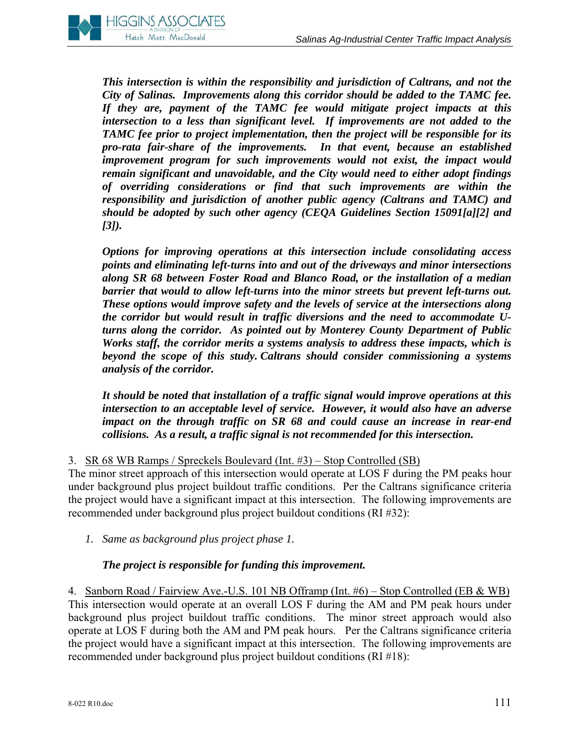

*This intersection is within the responsibility and jurisdiction of Caltrans, and not the City of Salinas. Improvements along this corridor should be added to the TAMC fee. If they are, payment of the TAMC fee would mitigate project impacts at this intersection to a less than significant level. If improvements are not added to the TAMC fee prior to project implementation, then the project will be responsible for its pro-rata fair-share of the improvements. In that event, because an established improvement program for such improvements would not exist, the impact would remain significant and unavoidable, and the City would need to either adopt findings of overriding considerations or find that such improvements are within the responsibility and jurisdiction of another public agency (Caltrans and TAMC) and should be adopted by such other agency (CEQA Guidelines Section 15091[a][2] and [3]).* 

*Options for improving operations at this intersection include consolidating access points and eliminating left-turns into and out of the driveways and minor intersections along SR 68 between Foster Road and Blanco Road, or the installation of a median barrier that would to allow left-turns into the minor streets but prevent left-turns out. These options would improve safety and the levels of service at the intersections along the corridor but would result in traffic diversions and the need to accommodate Uturns along the corridor. As pointed out by Monterey County Department of Public Works staff, the corridor merits a systems analysis to address these impacts, which is beyond the scope of this study. Caltrans should consider commissioning a systems analysis of the corridor.* 

*It should be noted that installation of a traffic signal would improve operations at this intersection to an acceptable level of service. However, it would also have an adverse impact on the through traffic on SR 68 and could cause an increase in rear-end collisions. As a result, a traffic signal is not recommended for this intersection.* 

#### 3. SR 68 WB Ramps / Spreckels Boulevard (Int. #3) – Stop Controlled (SB)

The minor street approach of this intersection would operate at LOS F during the PM peaks hour under background plus project buildout traffic conditions. Per the Caltrans significance criteria the project would have a significant impact at this intersection. The following improvements are recommended under background plus project buildout conditions (RI #32):

*1. Same as background plus project phase 1.* 

# *The project is responsible for funding this improvement.*

4. Sanborn Road / Fairview Ave.-U.S. 101 NB Offramp (Int. #6) – Stop Controlled (EB & WB) This intersection would operate at an overall LOS F during the AM and PM peak hours under background plus project buildout traffic conditions. The minor street approach would also operate at LOS F during both the AM and PM peak hours. Per the Caltrans significance criteria the project would have a significant impact at this intersection. The following improvements are recommended under background plus project buildout conditions (RI #18):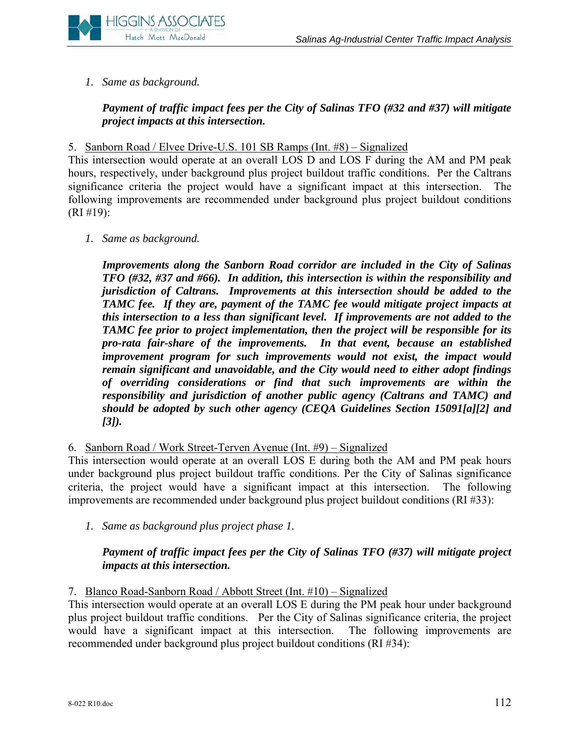

*1. Same as background.*

# *Payment of traffic impact fees per the City of Salinas TFO (#32 and #37) will mitigate project impacts at this intersection.*

# 5. Sanborn Road / Elvee Drive-U.S. 101 SB Ramps (Int. #8) – Signalized

This intersection would operate at an overall LOS D and LOS F during the AM and PM peak hours, respectively, under background plus project buildout traffic conditions. Per the Caltrans significance criteria the project would have a significant impact at this intersection. The following improvements are recommended under background plus project buildout conditions (RI #19):

*1. Same as background.*

*Improvements along the Sanborn Road corridor are included in the City of Salinas TFO (#32, #37 and #66). In addition, this intersection is within the responsibility and jurisdiction of Caltrans. Improvements at this intersection should be added to the TAMC fee. If they are, payment of the TAMC fee would mitigate project impacts at this intersection to a less than significant level. If improvements are not added to the TAMC fee prior to project implementation, then the project will be responsible for its pro-rata fair-share of the improvements. In that event, because an established improvement program for such improvements would not exist, the impact would remain significant and unavoidable, and the City would need to either adopt findings of overriding considerations or find that such improvements are within the responsibility and jurisdiction of another public agency (Caltrans and TAMC) and should be adopted by such other agency (CEQA Guidelines Section 15091[a][2] and [3]).* 

# 6. Sanborn Road / Work Street-Terven Avenue (Int. #9) – Signalized

This intersection would operate at an overall LOS E during both the AM and PM peak hours under background plus project buildout traffic conditions. Per the City of Salinas significance criteria, the project would have a significant impact at this intersection. The following improvements are recommended under background plus project buildout conditions (RI #33):

*1. Same as background plus project phase 1.* 

# *Payment of traffic impact fees per the City of Salinas TFO (#37) will mitigate project impacts at this intersection.*

#### 7. Blanco Road-Sanborn Road / Abbott Street (Int. #10) – Signalized

This intersection would operate at an overall LOS E during the PM peak hour under background plus project buildout traffic conditions. Per the City of Salinas significance criteria, the project would have a significant impact at this intersection. The following improvements are recommended under background plus project buildout conditions (RI #34):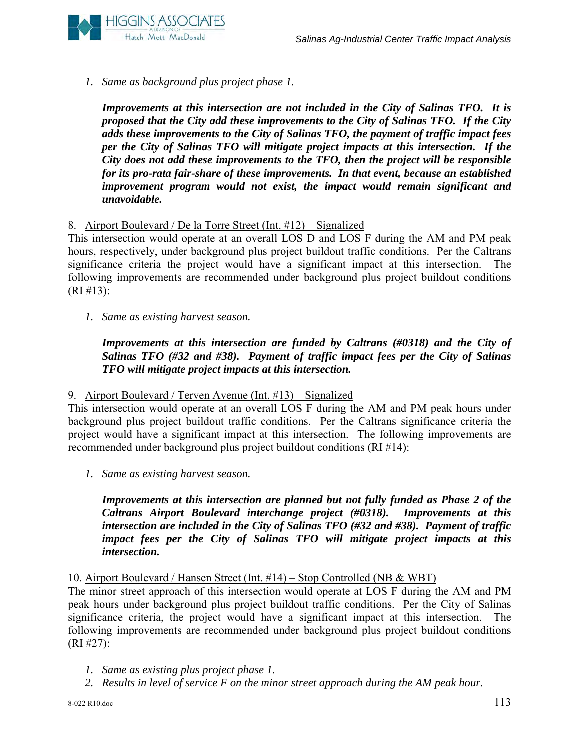

*1. Same as background plus project phase 1.* 

*Improvements at this intersection are not included in the City of Salinas TFO. It is proposed that the City add these improvements to the City of Salinas TFO. If the City adds these improvements to the City of Salinas TFO, the payment of traffic impact fees per the City of Salinas TFO will mitigate project impacts at this intersection. If the City does not add these improvements to the TFO, then the project will be responsible for its pro-rata fair-share of these improvements. In that event, because an established improvement program would not exist, the impact would remain significant and unavoidable.* 

# 8. Airport Boulevard / De la Torre Street (Int. #12) – Signalized

This intersection would operate at an overall LOS D and LOS F during the AM and PM peak hours, respectively, under background plus project buildout traffic conditions. Per the Caltrans significance criteria the project would have a significant impact at this intersection. The following improvements are recommended under background plus project buildout conditions  $(RI \# 13):$ 

*1. Same as existing harvest season.*

*Improvements at this intersection are funded by Caltrans (#0318) and the City of Salinas TFO (#32 and #38). Payment of traffic impact fees per the City of Salinas TFO will mitigate project impacts at this intersection.* 

# 9. Airport Boulevard / Terven Avenue (Int. #13) – Signalized

This intersection would operate at an overall LOS F during the AM and PM peak hours under background plus project buildout traffic conditions. Per the Caltrans significance criteria the project would have a significant impact at this intersection. The following improvements are recommended under background plus project buildout conditions (RI #14):

*1. Same as existing harvest season.*

*Improvements at this intersection are planned but not fully funded as Phase 2 of the Caltrans Airport Boulevard interchange project (#0318). Improvements at this intersection are included in the City of Salinas TFO (#32 and #38). Payment of traffic impact fees per the City of Salinas TFO will mitigate project impacts at this intersection.* 

# 10. Airport Boulevard / Hansen Street (Int. #14) – Stop Controlled (NB & WBT)

The minor street approach of this intersection would operate at LOS F during the AM and PM peak hours under background plus project buildout traffic conditions. Per the City of Salinas significance criteria, the project would have a significant impact at this intersection. The following improvements are recommended under background plus project buildout conditions (RI #27):

- *1. Same as existing plus project phase 1.*
- *2. Results in level of service F on the minor street approach during the AM peak hour.*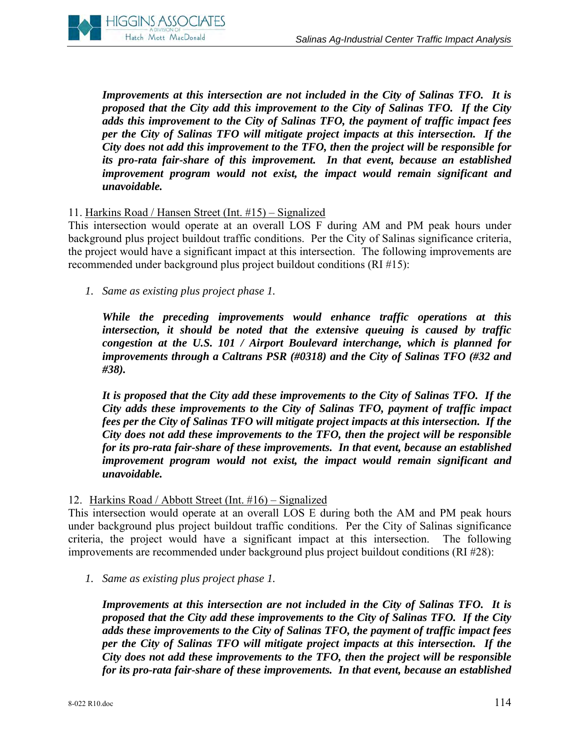

*Improvements at this intersection are not included in the City of Salinas TFO. It is proposed that the City add this improvement to the City of Salinas TFO. If the City adds this improvement to the City of Salinas TFO, the payment of traffic impact fees per the City of Salinas TFO will mitigate project impacts at this intersection. If the City does not add this improvement to the TFO, then the project will be responsible for its pro-rata fair-share of this improvement. In that event, because an established improvement program would not exist, the impact would remain significant and unavoidable.* 

#### 11. Harkins Road / Hansen Street (Int. #15) – Signalized

This intersection would operate at an overall LOS F during AM and PM peak hours under background plus project buildout traffic conditions. Per the City of Salinas significance criteria, the project would have a significant impact at this intersection. The following improvements are recommended under background plus project buildout conditions (RI #15):

*1. Same as existing plus project phase 1.*

*While the preceding improvements would enhance traffic operations at this intersection, it should be noted that the extensive queuing is caused by traffic congestion at the U.S. 101 / Airport Boulevard interchange, which is planned for improvements through a Caltrans PSR (#0318) and the City of Salinas TFO (#32 and #38).*

*It is proposed that the City add these improvements to the City of Salinas TFO. If the City adds these improvements to the City of Salinas TFO, payment of traffic impact fees per the City of Salinas TFO will mitigate project impacts at this intersection. If the City does not add these improvements to the TFO, then the project will be responsible for its pro-rata fair-share of these improvements. In that event, because an established improvement program would not exist, the impact would remain significant and unavoidable.* 

#### 12. Harkins Road / Abbott Street (Int. #16) – Signalized

This intersection would operate at an overall LOS E during both the AM and PM peak hours under background plus project buildout traffic conditions. Per the City of Salinas significance criteria, the project would have a significant impact at this intersection. The following improvements are recommended under background plus project buildout conditions (RI #28):

*1. Same as existing plus project phase 1.*

*Improvements at this intersection are not included in the City of Salinas TFO. It is proposed that the City add these improvements to the City of Salinas TFO. If the City adds these improvements to the City of Salinas TFO, the payment of traffic impact fees per the City of Salinas TFO will mitigate project impacts at this intersection. If the City does not add these improvements to the TFO, then the project will be responsible for its pro-rata fair-share of these improvements. In that event, because an established*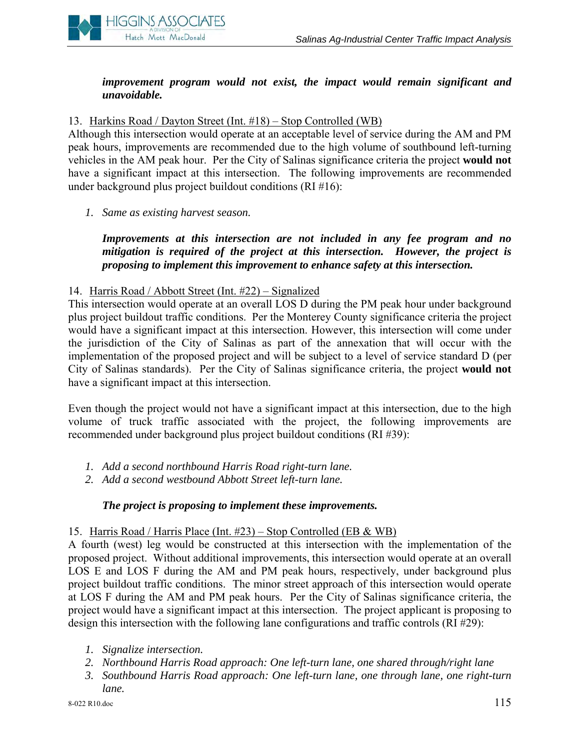

# *improvement program would not exist, the impact would remain significant and unavoidable.*

# 13. Harkins Road / Dayton Street (Int. #18) – Stop Controlled (WB)

Although this intersection would operate at an acceptable level of service during the AM and PM peak hours, improvements are recommended due to the high volume of southbound left-turning vehicles in the AM peak hour. Per the City of Salinas significance criteria the project **would not** have a significant impact at this intersection. The following improvements are recommended under background plus project buildout conditions (RI #16):

#### *1. Same as existing harvest season.*

*Improvements at this intersection are not included in any fee program and no mitigation is required of the project at this intersection. However, the project is proposing to implement this improvement to enhance safety at this intersection.* 

#### 14. Harris Road / Abbott Street (Int. #22) – Signalized

This intersection would operate at an overall LOS D during the PM peak hour under background plus project buildout traffic conditions. Per the Monterey County significance criteria the project would have a significant impact at this intersection. However, this intersection will come under the jurisdiction of the City of Salinas as part of the annexation that will occur with the implementation of the proposed project and will be subject to a level of service standard D (per City of Salinas standards). Per the City of Salinas significance criteria, the project **would not** have a significant impact at this intersection.

Even though the project would not have a significant impact at this intersection, due to the high volume of truck traffic associated with the project, the following improvements are recommended under background plus project buildout conditions (RI #39):

- *1. Add a second northbound Harris Road right-turn lane.*
- *2. Add a second westbound Abbott Street left-turn lane.*

# *The project is proposing to implement these improvements.*

#### 15. Harris Road / Harris Place (Int. #23) – Stop Controlled (EB & WB)

A fourth (west) leg would be constructed at this intersection with the implementation of the proposed project. Without additional improvements, this intersection would operate at an overall LOS E and LOS F during the AM and PM peak hours, respectively, under background plus project buildout traffic conditions. The minor street approach of this intersection would operate at LOS F during the AM and PM peak hours. Per the City of Salinas significance criteria, the project would have a significant impact at this intersection. The project applicant is proposing to design this intersection with the following lane configurations and traffic controls (RI #29):

- *1. Signalize intersection.*
- *2. Northbound Harris Road approach: One left-turn lane, one shared through/right lane*
- *3. Southbound Harris Road approach: One left-turn lane, one through lane, one right-turn lane.*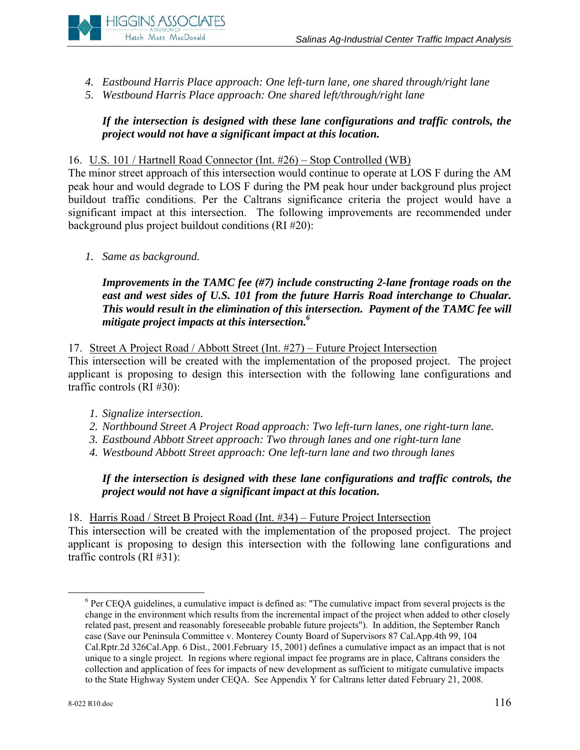

- *4. Eastbound Harris Place approach: One left-turn lane, one shared through/right lane*
- *5. Westbound Harris Place approach: One shared left/through/right lane*

# *If the intersection is designed with these lane configurations and traffic controls, the project would not have a significant impact at this location.*

# 16. U.S. 101 / Hartnell Road Connector (Int. #26) – Stop Controlled (WB)

The minor street approach of this intersection would continue to operate at LOS F during the AM peak hour and would degrade to LOS F during the PM peak hour under background plus project buildout traffic conditions. Per the Caltrans significance criteria the project would have a significant impact at this intersection. The following improvements are recommended under background plus project buildout conditions (RI #20):

*1. Same as background.*

*Improvements in the TAMC fee (#7) include constructing 2-lane frontage roads on the east and west sides of U.S. 101 from the future Harris Road interchange to Chualar. This would result in the elimination of this intersection. Payment of the TAMC fee will mitigate project impacts at this intersection.6*

# 17. Street A Project Road / Abbott Street (Int. #27) – Future Project Intersection

This intersection will be created with the implementation of the proposed project. The project applicant is proposing to design this intersection with the following lane configurations and traffic controls (RI #30):

- *1. Signalize intersection.*
- *2. Northbound Street A Project Road approach: Two left-turn lanes, one right-turn lane.*
- *3. Eastbound Abbott Street approach: Two through lanes and one right-turn lane*
- *4. Westbound Abbott Street approach: One left-turn lane and two through lanes*

*If the intersection is designed with these lane configurations and traffic controls, the project would not have a significant impact at this location.* 

18. Harris Road / Street B Project Road (Int. #34) – Future Project Intersection This intersection will be created with the implementation of the proposed project. The project applicant is proposing to design this intersection with the following lane configurations and traffic controls (RI #31):

 <sup>6</sup>  $\degree$  Per CEQA guidelines, a cumulative impact is defined as: "The cumulative impact from several projects is the change in the environment which results from the incremental impact of the project when added to other closely related past, present and reasonably foreseeable probable future projects"). In addition, the September Ranch case (Save our Peninsula Committee v. Monterey County Board of Supervisors 87 Cal.App.4th 99, 104 Cal.Rptr.2d 326Cal.App. 6 Dist., 2001.February 15, 2001) defines a cumulative impact as an impact that is not unique to a single project. In regions where regional impact fee programs are in place, Caltrans considers the collection and application of fees for impacts of new development as sufficient to mitigate cumulative impacts to the State Highway System under CEQA. See Appendix Y for Caltrans letter dated February 21, 2008.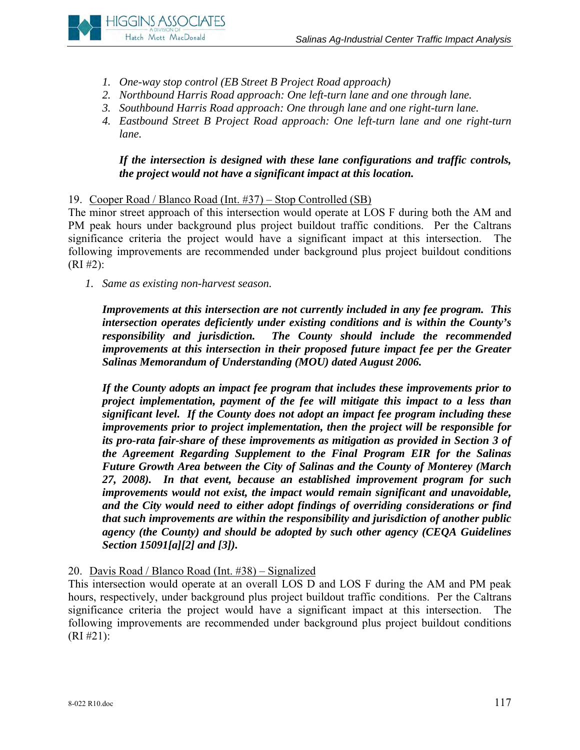

- *1. One-way stop control (EB Street B Project Road approach)*
- *2. Northbound Harris Road approach: One left-turn lane and one through lane.*
- *3. Southbound Harris Road approach: One through lane and one right-turn lane.*
- *4. Eastbound Street B Project Road approach: One left-turn lane and one right-turn lane.*

# *If the intersection is designed with these lane configurations and traffic controls, the project would not have a significant impact at this location.*

19. Cooper Road / Blanco Road (Int. #37) – Stop Controlled (SB)

The minor street approach of this intersection would operate at LOS F during both the AM and PM peak hours under background plus project buildout traffic conditions. Per the Caltrans significance criteria the project would have a significant impact at this intersection. The following improvements are recommended under background plus project buildout conditions  $(RI \#2):$ 

*1. Same as existing non-harvest season.*

*Improvements at this intersection are not currently included in any fee program. This intersection operates deficiently under existing conditions and is within the County's responsibility and jurisdiction. The County should include the recommended improvements at this intersection in their proposed future impact fee per the Greater Salinas Memorandum of Understanding (MOU) dated August 2006.* 

*If the County adopts an impact fee program that includes these improvements prior to project implementation, payment of the fee will mitigate this impact to a less than significant level. If the County does not adopt an impact fee program including these improvements prior to project implementation, then the project will be responsible for its pro-rata fair-share of these improvements as mitigation as provided in Section 3 of the Agreement Regarding Supplement to the Final Program EIR for the Salinas Future Growth Area between the City of Salinas and the County of Monterey (March 27, 2008). In that event, because an established improvement program for such improvements would not exist, the impact would remain significant and unavoidable, and the City would need to either adopt findings of overriding considerations or find that such improvements are within the responsibility and jurisdiction of another public agency (the County) and should be adopted by such other agency (CEQA Guidelines Section 15091[a][2] and [3]).* 

20. Davis Road / Blanco Road (Int. #38) – Signalized

This intersection would operate at an overall LOS D and LOS F during the AM and PM peak hours, respectively, under background plus project buildout traffic conditions. Per the Caltrans significance criteria the project would have a significant impact at this intersection. The following improvements are recommended under background plus project buildout conditions (RI #21):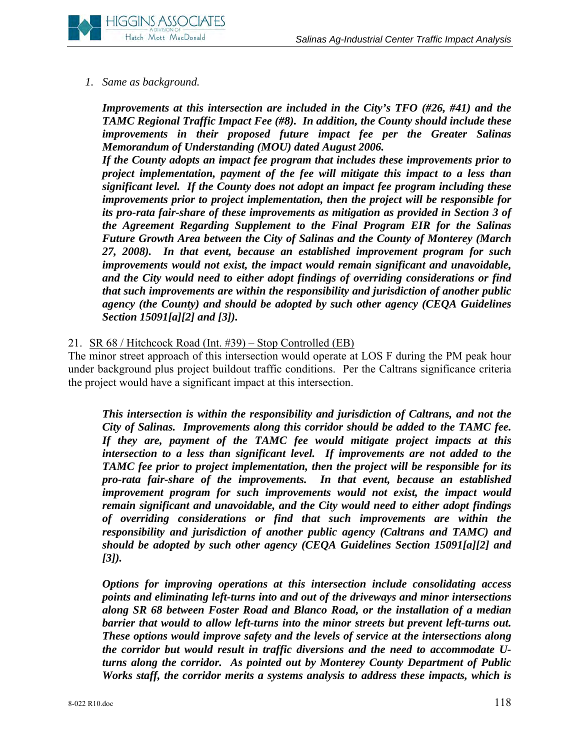# *1. Same as background.*

*Improvements at this intersection are included in the City's TFO (#26, #41) and the TAMC Regional Traffic Impact Fee (#8). In addition, the County should include these improvements in their proposed future impact fee per the Greater Salinas Memorandum of Understanding (MOU) dated August 2006.* 

*If the County adopts an impact fee program that includes these improvements prior to project implementation, payment of the fee will mitigate this impact to a less than significant level. If the County does not adopt an impact fee program including these improvements prior to project implementation, then the project will be responsible for its pro-rata fair-share of these improvements as mitigation as provided in Section 3 of the Agreement Regarding Supplement to the Final Program EIR for the Salinas Future Growth Area between the City of Salinas and the County of Monterey (March 27, 2008). In that event, because an established improvement program for such improvements would not exist, the impact would remain significant and unavoidable, and the City would need to either adopt findings of overriding considerations or find that such improvements are within the responsibility and jurisdiction of another public agency (the County) and should be adopted by such other agency (CEQA Guidelines Section 15091[a][2] and [3]).* 

# 21. SR 68 / Hitchcock Road (Int. #39) – Stop Controlled (EB)

The minor street approach of this intersection would operate at LOS F during the PM peak hour under background plus project buildout traffic conditions. Per the Caltrans significance criteria the project would have a significant impact at this intersection.

*This intersection is within the responsibility and jurisdiction of Caltrans, and not the City of Salinas. Improvements along this corridor should be added to the TAMC fee. If they are, payment of the TAMC fee would mitigate project impacts at this intersection to a less than significant level. If improvements are not added to the TAMC fee prior to project implementation, then the project will be responsible for its pro-rata fair-share of the improvements. In that event, because an established improvement program for such improvements would not exist, the impact would remain significant and unavoidable, and the City would need to either adopt findings of overriding considerations or find that such improvements are within the responsibility and jurisdiction of another public agency (Caltrans and TAMC) and should be adopted by such other agency (CEQA Guidelines Section 15091[a][2] and [3]).* 

*Options for improving operations at this intersection include consolidating access points and eliminating left-turns into and out of the driveways and minor intersections along SR 68 between Foster Road and Blanco Road, or the installation of a median barrier that would to allow left-turns into the minor streets but prevent left-turns out. These options would improve safety and the levels of service at the intersections along the corridor but would result in traffic diversions and the need to accommodate Uturns along the corridor. As pointed out by Monterey County Department of Public Works staff, the corridor merits a systems analysis to address these impacts, which is*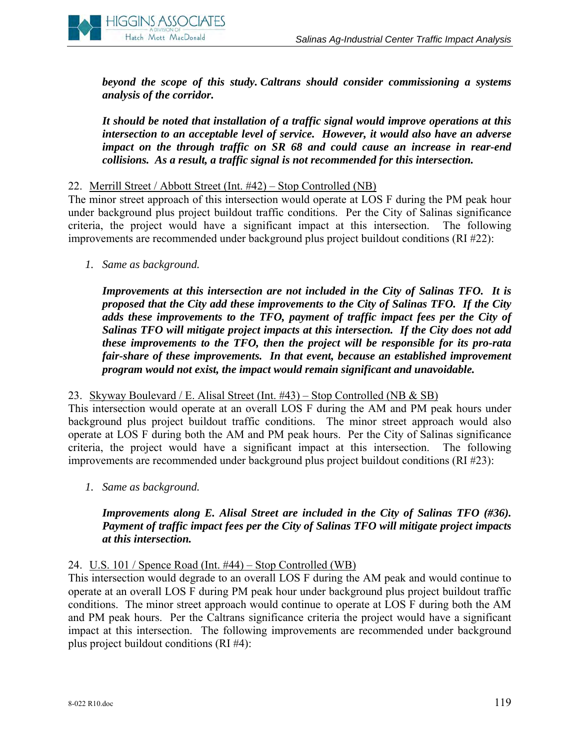

*beyond the scope of this study. Caltrans should consider commissioning a systems analysis of the corridor.* 

*It should be noted that installation of a traffic signal would improve operations at this intersection to an acceptable level of service. However, it would also have an adverse impact on the through traffic on SR 68 and could cause an increase in rear-end collisions. As a result, a traffic signal is not recommended for this intersection.* 

#### 22. Merrill Street / Abbott Street (Int. #42) – Stop Controlled (NB)

The minor street approach of this intersection would operate at LOS F during the PM peak hour under background plus project buildout traffic conditions. Per the City of Salinas significance criteria, the project would have a significant impact at this intersection. The following improvements are recommended under background plus project buildout conditions (RI #22):

*1. Same as background.*

*Improvements at this intersection are not included in the City of Salinas TFO. It is proposed that the City add these improvements to the City of Salinas TFO. If the City adds these improvements to the TFO, payment of traffic impact fees per the City of Salinas TFO will mitigate project impacts at this intersection. If the City does not add these improvements to the TFO, then the project will be responsible for its pro-rata fair-share of these improvements. In that event, because an established improvement program would not exist, the impact would remain significant and unavoidable.* 

#### 23. Skyway Boulevard / E. Alisal Street (Int. #43) – Stop Controlled (NB & SB)

This intersection would operate at an overall LOS F during the AM and PM peak hours under background plus project buildout traffic conditions. The minor street approach would also operate at LOS F during both the AM and PM peak hours. Per the City of Salinas significance criteria, the project would have a significant impact at this intersection. The following improvements are recommended under background plus project buildout conditions (RI #23):

*1. Same as background.*

# *Improvements along E. Alisal Street are included in the City of Salinas TFO (#36). Payment of traffic impact fees per the City of Salinas TFO will mitigate project impacts at this intersection.*

#### 24. U.S. 101 / Spence Road (Int. #44) – Stop Controlled (WB)

This intersection would degrade to an overall LOS F during the AM peak and would continue to operate at an overall LOS F during PM peak hour under background plus project buildout traffic conditions. The minor street approach would continue to operate at LOS F during both the AM and PM peak hours. Per the Caltrans significance criteria the project would have a significant impact at this intersection. The following improvements are recommended under background plus project buildout conditions (RI #4):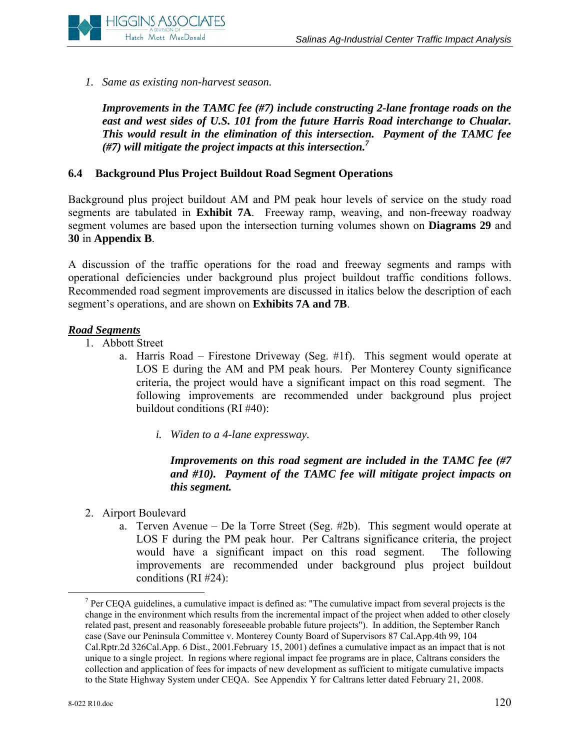

*1. Same as existing non-harvest season.*

*Improvements in the TAMC fee (#7) include constructing 2-lane frontage roads on the east and west sides of U.S. 101 from the future Harris Road interchange to Chualar. This would result in the elimination of this intersection. Payment of the TAMC fee (#7) will mitigate the project impacts at this intersection.7*

# **6.4 Background Plus Project Buildout Road Segment Operations**

Background plus project buildout AM and PM peak hour levels of service on the study road segments are tabulated in **Exhibit 7A**. Freeway ramp, weaving, and non-freeway roadway segment volumes are based upon the intersection turning volumes shown on **Diagrams 29** and **30** in **Appendix B**.

A discussion of the traffic operations for the road and freeway segments and ramps with operational deficiencies under background plus project buildout traffic conditions follows. Recommended road segment improvements are discussed in italics below the description of each segment's operations, and are shown on **Exhibits 7A and 7B**.

# *Road Segments*

- 1. Abbott Street
	- a. Harris Road Firestone Driveway (Seg. #1f). This segment would operate at LOS E during the AM and PM peak hours. Per Monterey County significance criteria, the project would have a significant impact on this road segment. The following improvements are recommended under background plus project buildout conditions (RI #40):
		- *i. Widen to a 4-lane expressway.*

# *Improvements on this road segment are included in the TAMC fee (#7 and #10). Payment of the TAMC fee will mitigate project impacts on this segment.*

- 2. Airport Boulevard
	- a. Terven Avenue De la Torre Street (Seg. #2b). This segment would operate at LOS F during the PM peak hour. Per Caltrans significance criteria, the project would have a significant impact on this road segment. The following improvements are recommended under background plus project buildout conditions (RI #24):

 $\frac{1}{7}$  $\sigma$  Per CEQA guidelines, a cumulative impact is defined as: "The cumulative impact from several projects is the change in the environment which results from the incremental impact of the project when added to other closely related past, present and reasonably foreseeable probable future projects"). In addition, the September Ranch case (Save our Peninsula Committee v. Monterey County Board of Supervisors 87 Cal.App.4th 99, 104 Cal.Rptr.2d 326Cal.App. 6 Dist., 2001.February 15, 2001) defines a cumulative impact as an impact that is not unique to a single project. In regions where regional impact fee programs are in place, Caltrans considers the collection and application of fees for impacts of new development as sufficient to mitigate cumulative impacts to the State Highway System under CEQA. See Appendix Y for Caltrans letter dated February 21, 2008.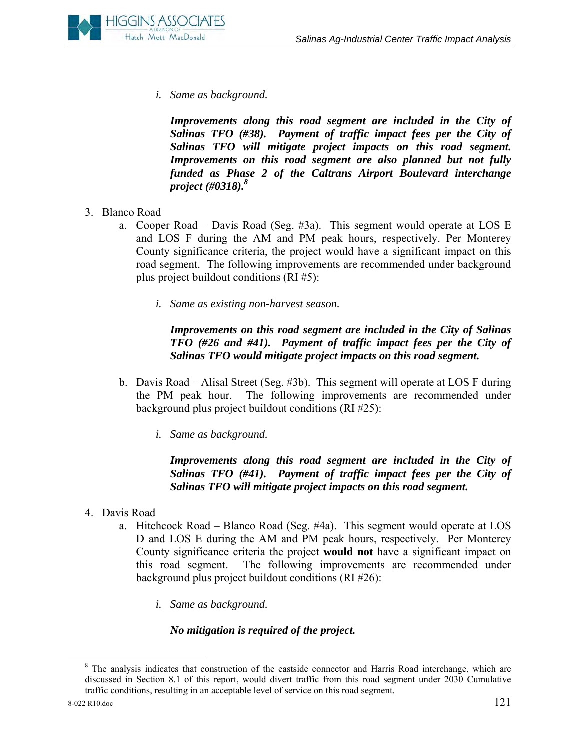

*i. Same as background.* 

*Improvements along this road segment are included in the City of Salinas TFO (#38). Payment of traffic impact fees per the City of Salinas TFO will mitigate project impacts on this road segment. Improvements on this road segment are also planned but not fully funded as Phase 2 of the Caltrans Airport Boulevard interchange project (#0318).8*

- 3. Blanco Road
	- a. Cooper Road Davis Road (Seg. #3a). This segment would operate at LOS E and LOS F during the AM and PM peak hours, respectively. Per Monterey County significance criteria, the project would have a significant impact on this road segment. The following improvements are recommended under background plus project buildout conditions (RI #5):
		- *i. Same as existing non-harvest season.*

*Improvements on this road segment are included in the City of Salinas TFO (#26 and #41). Payment of traffic impact fees per the City of Salinas TFO would mitigate project impacts on this road segment.* 

- b. Davis Road Alisal Street (Seg. #3b). This segment will operate at LOS F during the PM peak hour. The following improvements are recommended under background plus project buildout conditions (RI #25):
	- *i. Same as background.*

*Improvements along this road segment are included in the City of Salinas TFO (#41). Payment of traffic impact fees per the City of Salinas TFO will mitigate project impacts on this road segment.* 

- 4. Davis Road
	- a. Hitchcock Road Blanco Road (Seg. #4a). This segment would operate at LOS D and LOS E during the AM and PM peak hours, respectively. Per Monterey County significance criteria the project **would not** have a significant impact on this road segment. The following improvements are recommended under background plus project buildout conditions (RI #26):
		- *i. Same as background.*

#### *No mitigation is required of the project.*

 <sup>8</sup> <sup>8</sup> The analysis indicates that construction of the eastside connector and Harris Road interchange, which are discussed in Section 8.1 of this report, would divert traffic from this road segment under 2030 Cumulative traffic conditions, resulting in an acceptable level of service on this road segment.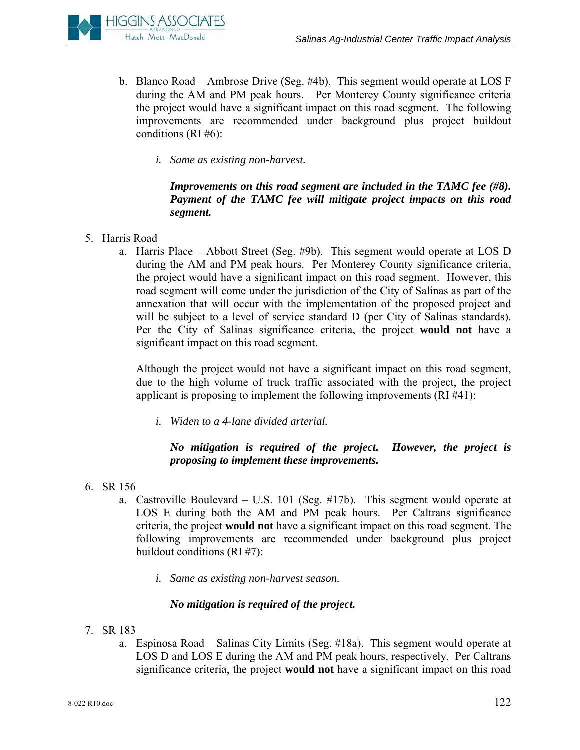

- b. Blanco Road Ambrose Drive (Seg. #4b). This segment would operate at LOS F during the AM and PM peak hours. Per Monterey County significance criteria the project would have a significant impact on this road segment. The following improvements are recommended under background plus project buildout conditions (RI #6):
	- *i. Same as existing non-harvest.*

# *Improvements on this road segment are included in the TAMC fee (#8). Payment of the TAMC fee will mitigate project impacts on this road segment.*

- 5. Harris Road
	- a. Harris Place Abbott Street (Seg. #9b). This segment would operate at LOS D during the AM and PM peak hours. Per Monterey County significance criteria, the project would have a significant impact on this road segment. However, this road segment will come under the jurisdiction of the City of Salinas as part of the annexation that will occur with the implementation of the proposed project and will be subject to a level of service standard D (per City of Salinas standards). Per the City of Salinas significance criteria, the project **would not** have a significant impact on this road segment.

Although the project would not have a significant impact on this road segment, due to the high volume of truck traffic associated with the project, the project applicant is proposing to implement the following improvements (RI #41):

*i. Widen to a 4-lane divided arterial.* 

# *No mitigation is required of the project. However, the project is proposing to implement these improvements.*

- 6. SR 156
	- a. Castroville Boulevard U.S. 101 (Seg. #17b). This segment would operate at LOS E during both the AM and PM peak hours. Per Caltrans significance criteria, the project **would not** have a significant impact on this road segment. The following improvements are recommended under background plus project buildout conditions (RI #7):
		- *i. Same as existing non-harvest season.*

# *No mitigation is required of the project.*

- 7. SR 183
	- a. Espinosa Road Salinas City Limits (Seg. #18a). This segment would operate at LOS D and LOS E during the AM and PM peak hours, respectively. Per Caltrans significance criteria, the project **would not** have a significant impact on this road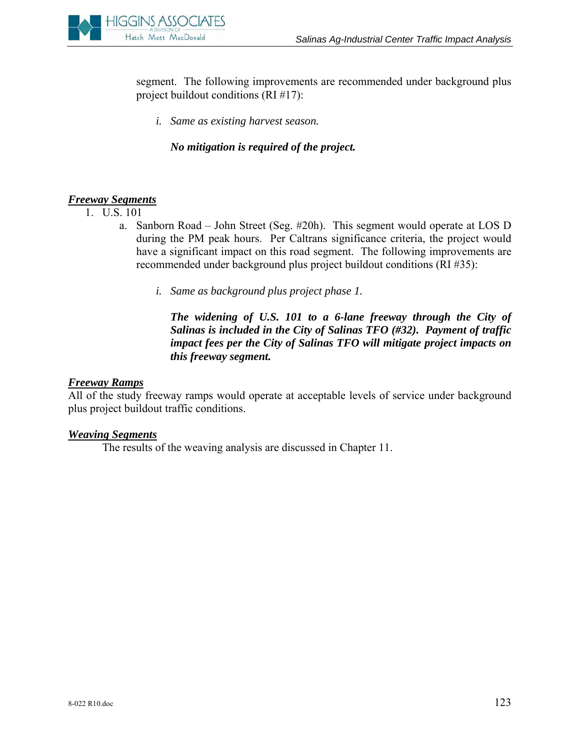

segment. The following improvements are recommended under background plus project buildout conditions (RI #17):

*i. Same as existing harvest season.* 

*No mitigation is required of the project.* 

# *Freeway Segments*

- 1. U.S. 101
	- a. Sanborn Road John Street (Seg. #20h). This segment would operate at LOS D during the PM peak hours. Per Caltrans significance criteria, the project would have a significant impact on this road segment. The following improvements are recommended under background plus project buildout conditions (RI #35):
		- *i. Same as background plus project phase 1.*

*The widening of U.S. 101 to a 6-lane freeway through the City of Salinas is included in the City of Salinas TFO (#32). Payment of traffic impact fees per the City of Salinas TFO will mitigate project impacts on this freeway segment.* 

#### *Freeway Ramps*

All of the study freeway ramps would operate at acceptable levels of service under background plus project buildout traffic conditions.

#### *Weaving Segments*

The results of the weaving analysis are discussed in Chapter 11.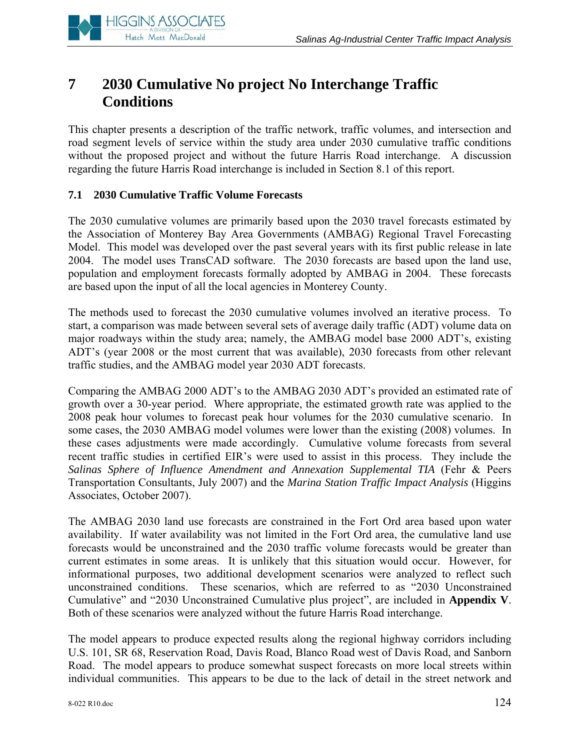

# **7 2030 Cumulative No project No Interchange Traffic Conditions**

This chapter presents a description of the traffic network, traffic volumes, and intersection and road segment levels of service within the study area under 2030 cumulative traffic conditions without the proposed project and without the future Harris Road interchange. A discussion regarding the future Harris Road interchange is included in Section 8.1 of this report.

# **7.1 2030 Cumulative Traffic Volume Forecasts**

The 2030 cumulative volumes are primarily based upon the 2030 travel forecasts estimated by the Association of Monterey Bay Area Governments (AMBAG) Regional Travel Forecasting Model. This model was developed over the past several years with its first public release in late 2004. The model uses TransCAD software. The 2030 forecasts are based upon the land use, population and employment forecasts formally adopted by AMBAG in 2004. These forecasts are based upon the input of all the local agencies in Monterey County.

The methods used to forecast the 2030 cumulative volumes involved an iterative process. To start, a comparison was made between several sets of average daily traffic (ADT) volume data on major roadways within the study area; namely, the AMBAG model base 2000 ADT's, existing ADT's (year 2008 or the most current that was available), 2030 forecasts from other relevant traffic studies, and the AMBAG model year 2030 ADT forecasts.

Comparing the AMBAG 2000 ADT's to the AMBAG 2030 ADT's provided an estimated rate of growth over a 30-year period. Where appropriate, the estimated growth rate was applied to the 2008 peak hour volumes to forecast peak hour volumes for the 2030 cumulative scenario. In some cases, the 2030 AMBAG model volumes were lower than the existing (2008) volumes. In these cases adjustments were made accordingly. Cumulative volume forecasts from several recent traffic studies in certified EIR's were used to assist in this process. They include the *Salinas Sphere of Influence Amendment and Annexation Supplemental TIA* (Fehr & Peers Transportation Consultants, July 2007) and the *Marina Station Traffic Impact Analysis* (Higgins Associates, October 2007).

The AMBAG 2030 land use forecasts are constrained in the Fort Ord area based upon water availability. If water availability was not limited in the Fort Ord area, the cumulative land use forecasts would be unconstrained and the 2030 traffic volume forecasts would be greater than current estimates in some areas. It is unlikely that this situation would occur. However, for informational purposes, two additional development scenarios were analyzed to reflect such unconstrained conditions. These scenarios, which are referred to as "2030 Unconstrained Cumulative" and "2030 Unconstrained Cumulative plus project", are included in **Appendix V**. Both of these scenarios were analyzed without the future Harris Road interchange.

The model appears to produce expected results along the regional highway corridors including U.S. 101, SR 68, Reservation Road, Davis Road, Blanco Road west of Davis Road, and Sanborn Road. The model appears to produce somewhat suspect forecasts on more local streets within individual communities. This appears to be due to the lack of detail in the street network and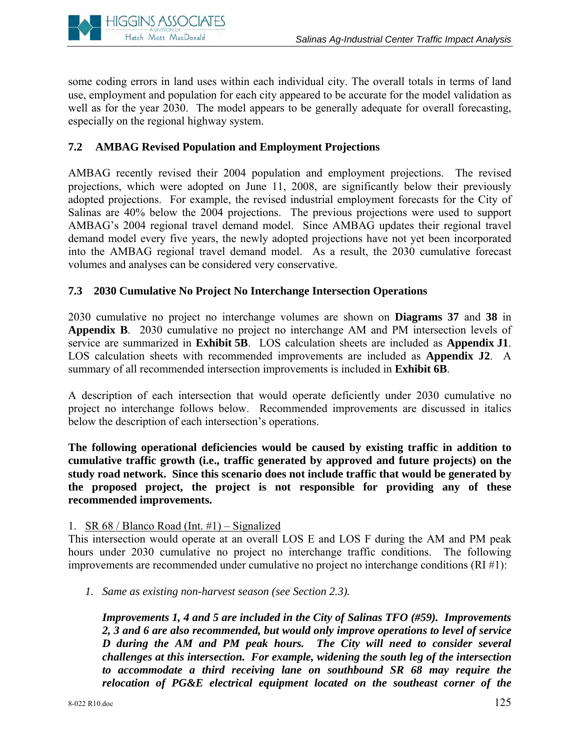

some coding errors in land uses within each individual city. The overall totals in terms of land use, employment and population for each city appeared to be accurate for the model validation as well as for the year 2030. The model appears to be generally adequate for overall forecasting, especially on the regional highway system.

# **7.2 AMBAG Revised Population and Employment Projections**

AMBAG recently revised their 2004 population and employment projections. The revised projections, which were adopted on June 11, 2008, are significantly below their previously adopted projections. For example, the revised industrial employment forecasts for the City of Salinas are 40% below the 2004 projections. The previous projections were used to support AMBAG's 2004 regional travel demand model. Since AMBAG updates their regional travel demand model every five years, the newly adopted projections have not yet been incorporated into the AMBAG regional travel demand model. As a result, the 2030 cumulative forecast volumes and analyses can be considered very conservative.

# **7.3 2030 Cumulative No Project No Interchange Intersection Operations**

2030 cumulative no project no interchange volumes are shown on **Diagrams 37** and **38** in **Appendix B**. 2030 cumulative no project no interchange AM and PM intersection levels of service are summarized in **Exhibit 5B**. LOS calculation sheets are included as **Appendix J1**. LOS calculation sheets with recommended improvements are included as **Appendix J2**. A summary of all recommended intersection improvements is included in **Exhibit 6B**.

A description of each intersection that would operate deficiently under 2030 cumulative no project no interchange follows below. Recommended improvements are discussed in italics below the description of each intersection's operations.

**The following operational deficiencies would be caused by existing traffic in addition to cumulative traffic growth (i.e., traffic generated by approved and future projects) on the study road network. Since this scenario does not include traffic that would be generated by the proposed project, the project is not responsible for providing any of these recommended improvements.**

# 1. SR  $68 /$  Blanco Road (Int. #1) – Signalized

This intersection would operate at an overall LOS E and LOS F during the AM and PM peak hours under 2030 cumulative no project no interchange traffic conditions. The following improvements are recommended under cumulative no project no interchange conditions (RI #1):

*1. Same as existing non-harvest season (see Section 2.3).* 

*Improvements 1, 4 and 5 are included in the City of Salinas TFO (#59). Improvements 2, 3 and 6 are also recommended, but would only improve operations to level of service D during the AM and PM peak hours. The City will need to consider several challenges at this intersection. For example, widening the south leg of the intersection to accommodate a third receiving lane on southbound SR 68 may require the relocation of PG&E electrical equipment located on the southeast corner of the*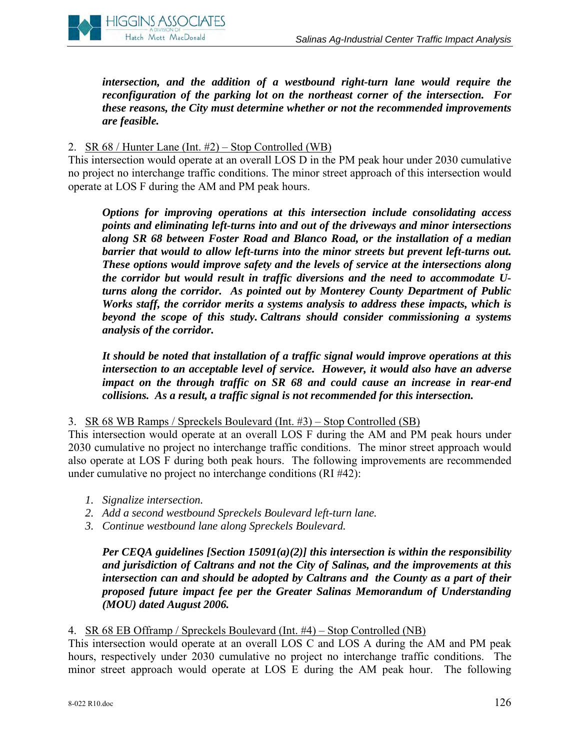

*intersection, and the addition of a westbound right-turn lane would require the reconfiguration of the parking lot on the northeast corner of the intersection. For these reasons, the City must determine whether or not the recommended improvements are feasible.*

# 2. SR 68 / Hunter Lane (Int. #2) – Stop Controlled (WB)

This intersection would operate at an overall LOS D in the PM peak hour under 2030 cumulative no project no interchange traffic conditions. The minor street approach of this intersection would operate at LOS F during the AM and PM peak hours.

*Options for improving operations at this intersection include consolidating access points and eliminating left-turns into and out of the driveways and minor intersections along SR 68 between Foster Road and Blanco Road, or the installation of a median barrier that would to allow left-turns into the minor streets but prevent left-turns out. These options would improve safety and the levels of service at the intersections along the corridor but would result in traffic diversions and the need to accommodate Uturns along the corridor. As pointed out by Monterey County Department of Public Works staff, the corridor merits a systems analysis to address these impacts, which is beyond the scope of this study. Caltrans should consider commissioning a systems analysis of the corridor.* 

*It should be noted that installation of a traffic signal would improve operations at this intersection to an acceptable level of service. However, it would also have an adverse impact on the through traffic on SR 68 and could cause an increase in rear-end collisions. As a result, a traffic signal is not recommended for this intersection.* 

3. SR 68 WB Ramps / Spreckels Boulevard (Int. #3) – Stop Controlled (SB)

This intersection would operate at an overall LOS F during the AM and PM peak hours under 2030 cumulative no project no interchange traffic conditions. The minor street approach would also operate at LOS F during both peak hours. The following improvements are recommended under cumulative no project no interchange conditions (RI #42):

- *1. Signalize intersection.*
- *2. Add a second westbound Spreckels Boulevard left-turn lane.*
- *3. Continue westbound lane along Spreckels Boulevard.*

*Per CEQA guidelines [Section 15091(a)(2)] this intersection is within the responsibility and jurisdiction of Caltrans and not the City of Salinas, and the improvements at this intersection can and should be adopted by Caltrans and the County as a part of their proposed future impact fee per the Greater Salinas Memorandum of Understanding (MOU) dated August 2006.* 

#### 4. SR 68 EB Offramp / Spreckels Boulevard (Int. #4) – Stop Controlled (NB)

This intersection would operate at an overall LOS C and LOS A during the AM and PM peak hours, respectively under 2030 cumulative no project no interchange traffic conditions. The minor street approach would operate at LOS E during the AM peak hour. The following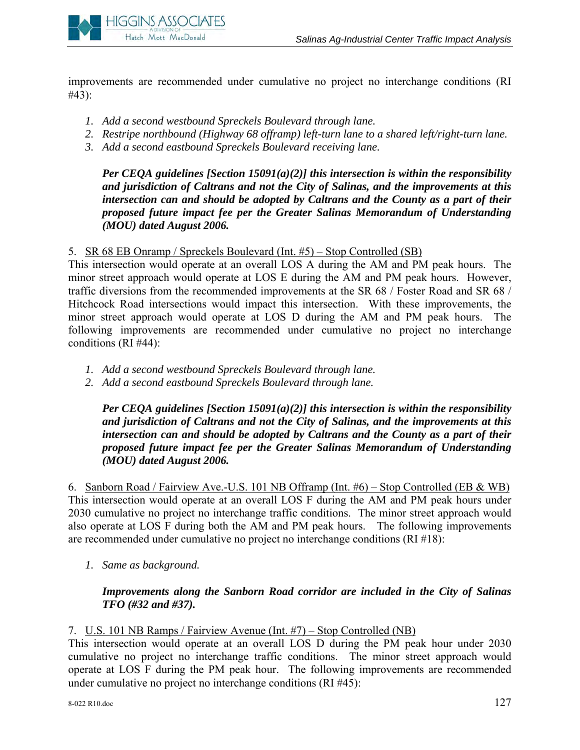

improvements are recommended under cumulative no project no interchange conditions (RI #43):

- *1. Add a second westbound Spreckels Boulevard through lane.*
- *2. Restripe northbound (Highway 68 offramp) left-turn lane to a shared left/right-turn lane.*
- *3. Add a second eastbound Spreckels Boulevard receiving lane.*

*Per CEQA guidelines [Section 15091(a)(2)] this intersection is within the responsibility and jurisdiction of Caltrans and not the City of Salinas, and the improvements at this intersection can and should be adopted by Caltrans and the County as a part of their proposed future impact fee per the Greater Salinas Memorandum of Understanding (MOU) dated August 2006.* 

5. SR 68 EB Onramp / Spreckels Boulevard (Int. #5) – Stop Controlled (SB)

This intersection would operate at an overall LOS A during the AM and PM peak hours. The minor street approach would operate at LOS E during the AM and PM peak hours. However, traffic diversions from the recommended improvements at the SR 68 / Foster Road and SR 68 / Hitchcock Road intersections would impact this intersection. With these improvements, the minor street approach would operate at LOS D during the AM and PM peak hours. The following improvements are recommended under cumulative no project no interchange conditions (RI #44):

- *1. Add a second westbound Spreckels Boulevard through lane.*
- *2. Add a second eastbound Spreckels Boulevard through lane.*

*Per CEQA guidelines [Section 15091(a)(2)] this intersection is within the responsibility and jurisdiction of Caltrans and not the City of Salinas, and the improvements at this intersection can and should be adopted by Caltrans and the County as a part of their proposed future impact fee per the Greater Salinas Memorandum of Understanding (MOU) dated August 2006.* 

6. Sanborn Road / Fairview Ave.-U.S. 101 NB Offramp (Int. #6) – Stop Controlled (EB & WB) This intersection would operate at an overall LOS F during the AM and PM peak hours under 2030 cumulative no project no interchange traffic conditions. The minor street approach would also operate at LOS F during both the AM and PM peak hours. The following improvements are recommended under cumulative no project no interchange conditions (RI #18):

*1. Same as background.* 

# *Improvements along the Sanborn Road corridor are included in the City of Salinas TFO (#32 and #37).*

# 7. U.S. 101 NB Ramps / Fairview Avenue (Int. #7) – Stop Controlled (NB)

This intersection would operate at an overall LOS D during the PM peak hour under 2030 cumulative no project no interchange traffic conditions. The minor street approach would operate at LOS F during the PM peak hour. The following improvements are recommended under cumulative no project no interchange conditions (RI #45):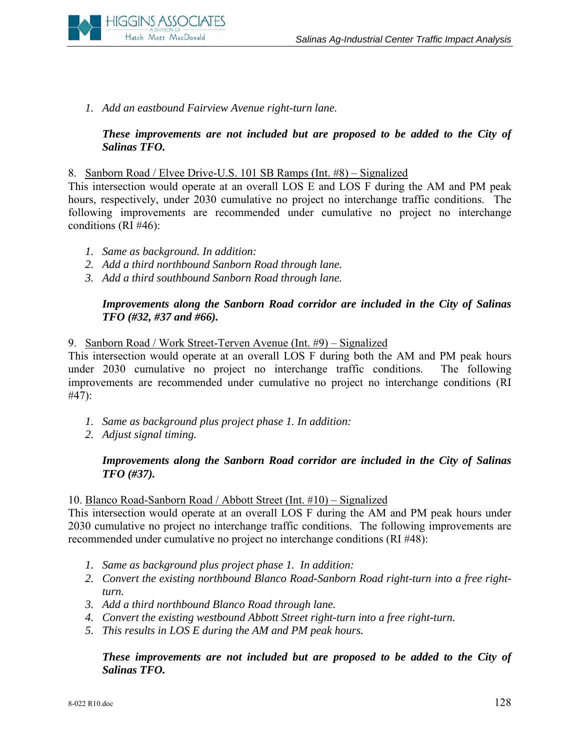

*1. Add an eastbound Fairview Avenue right-turn lane.* 

# *These improvements are not included but are proposed to be added to the City of Salinas TFO.*

#### 8. Sanborn Road / Elvee Drive-U.S. 101 SB Ramps (Int. #8) – Signalized

This intersection would operate at an overall LOS E and LOS F during the AM and PM peak hours, respectively, under 2030 cumulative no project no interchange traffic conditions. The following improvements are recommended under cumulative no project no interchange conditions (RI #46):

- *1. Same as background. In addition:*
- *2. Add a third northbound Sanborn Road through lane.*
- *3. Add a third southbound Sanborn Road through lane.*

# *Improvements along the Sanborn Road corridor are included in the City of Salinas TFO (#32, #37 and #66).*

#### 9. Sanborn Road / Work Street-Terven Avenue (Int. #9) – Signalized

This intersection would operate at an overall LOS F during both the AM and PM peak hours under 2030 cumulative no project no interchange traffic conditions. The following improvements are recommended under cumulative no project no interchange conditions (RI #47):

- *1. Same as background plus project phase 1. In addition:*
- *2. Adjust signal timing.*

#### *Improvements along the Sanborn Road corridor are included in the City of Salinas TFO (#37).*

#### 10. Blanco Road-Sanborn Road / Abbott Street (Int. #10) – Signalized

This intersection would operate at an overall LOS F during the AM and PM peak hours under 2030 cumulative no project no interchange traffic conditions. The following improvements are recommended under cumulative no project no interchange conditions (RI #48):

- *1. Same as background plus project phase 1. In addition:*
- *2. Convert the existing northbound Blanco Road-Sanborn Road right-turn into a free rightturn.*
- *3. Add a third northbound Blanco Road through lane.*
- *4. Convert the existing westbound Abbott Street right-turn into a free right-turn.*
- *5. This results in LOS E during the AM and PM peak hours.*

#### *These improvements are not included but are proposed to be added to the City of Salinas TFO.*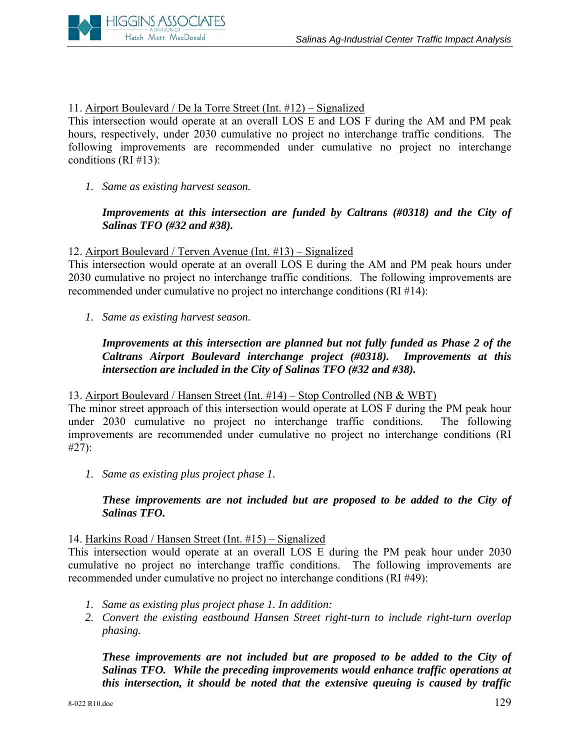

# 11. Airport Boulevard / De la Torre Street (Int. #12) – Signalized

This intersection would operate at an overall LOS E and LOS F during the AM and PM peak hours, respectively, under 2030 cumulative no project no interchange traffic conditions. The following improvements are recommended under cumulative no project no interchange conditions (RI #13):

*1. Same as existing harvest season.* 

# *Improvements at this intersection are funded by Caltrans (#0318) and the City of Salinas TFO (#32 and #38).*

# 12. Airport Boulevard / Terven Avenue (Int. #13) – Signalized

This intersection would operate at an overall LOS E during the AM and PM peak hours under 2030 cumulative no project no interchange traffic conditions. The following improvements are recommended under cumulative no project no interchange conditions (RI #14):

*1. Same as existing harvest season.* 

# *Improvements at this intersection are planned but not fully funded as Phase 2 of the Caltrans Airport Boulevard interchange project (#0318). Improvements at this intersection are included in the City of Salinas TFO (#32 and #38).*

#### 13. Airport Boulevard / Hansen Street (Int. #14) – Stop Controlled (NB & WBT)

The minor street approach of this intersection would operate at LOS F during the PM peak hour under 2030 cumulative no project no interchange traffic conditions. The following improvements are recommended under cumulative no project no interchange conditions (RI #27):

*1. Same as existing plus project phase 1.* 

# *These improvements are not included but are proposed to be added to the City of Salinas TFO.*

#### 14. Harkins Road / Hansen Street (Int. #15) – Signalized

This intersection would operate at an overall LOS E during the PM peak hour under 2030 cumulative no project no interchange traffic conditions. The following improvements are recommended under cumulative no project no interchange conditions (RI #49):

- *1. Same as existing plus project phase 1. In addition:*
- *2. Convert the existing eastbound Hansen Street right-turn to include right-turn overlap phasing.*

*These improvements are not included but are proposed to be added to the City of Salinas TFO. While the preceding improvements would enhance traffic operations at this intersection, it should be noted that the extensive queuing is caused by traffic*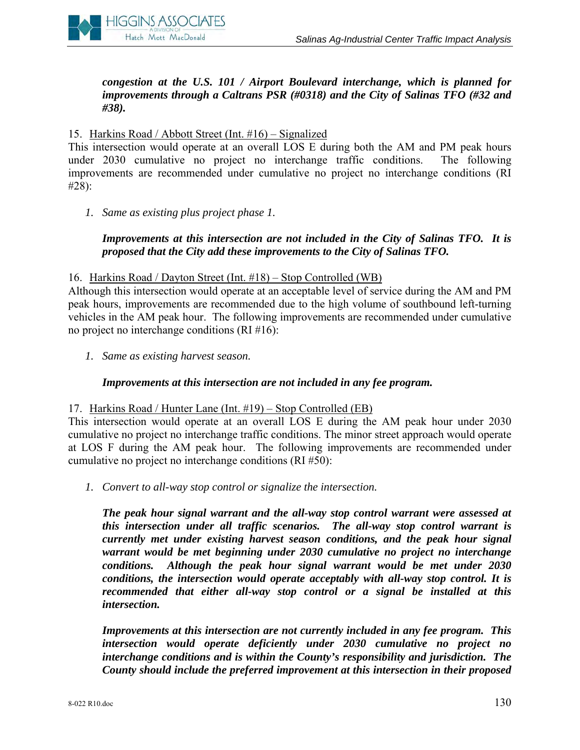

*congestion at the U.S. 101 / Airport Boulevard interchange, which is planned for improvements through a Caltrans PSR (#0318) and the City of Salinas TFO (#32 and #38).* 

#### 15. Harkins Road / Abbott Street (Int. #16) – Signalized

This intersection would operate at an overall LOS E during both the AM and PM peak hours under 2030 cumulative no project no interchange traffic conditions. The following improvements are recommended under cumulative no project no interchange conditions (RI #28):

*1. Same as existing plus project phase 1.* 

# *Improvements at this intersection are not included in the City of Salinas TFO. It is proposed that the City add these improvements to the City of Salinas TFO.*

#### 16. Harkins Road / Dayton Street (Int. #18) – Stop Controlled (WB)

Although this intersection would operate at an acceptable level of service during the AM and PM peak hours, improvements are recommended due to the high volume of southbound left-turning vehicles in the AM peak hour. The following improvements are recommended under cumulative no project no interchange conditions (RI #16):

*1. Same as existing harvest season.* 

#### *Improvements at this intersection are not included in any fee program.*

#### 17. Harkins Road / Hunter Lane (Int. #19) – Stop Controlled (EB)

This intersection would operate at an overall LOS E during the AM peak hour under 2030 cumulative no project no interchange traffic conditions. The minor street approach would operate at LOS F during the AM peak hour. The following improvements are recommended under cumulative no project no interchange conditions (RI #50):

*1. Convert to all-way stop control or signalize the intersection.* 

*The peak hour signal warrant and the all-way stop control warrant were assessed at this intersection under all traffic scenarios. The all-way stop control warrant is currently met under existing harvest season conditions, and the peak hour signal warrant would be met beginning under 2030 cumulative no project no interchange conditions. Although the peak hour signal warrant would be met under 2030 conditions, the intersection would operate acceptably with all-way stop control. It is recommended that either all-way stop control or a signal be installed at this intersection.* 

*Improvements at this intersection are not currently included in any fee program. This intersection would operate deficiently under 2030 cumulative no project no interchange conditions and is within the County's responsibility and jurisdiction. The County should include the preferred improvement at this intersection in their proposed*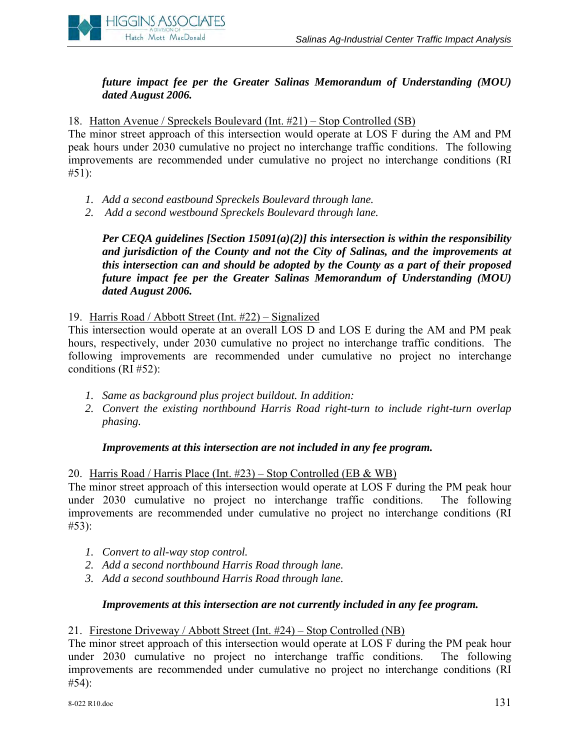

# *future impact fee per the Greater Salinas Memorandum of Understanding (MOU) dated August 2006.*

18. Hatton Avenue / Spreckels Boulevard (Int. #21) – Stop Controlled (SB)

The minor street approach of this intersection would operate at LOS F during the AM and PM peak hours under 2030 cumulative no project no interchange traffic conditions. The following improvements are recommended under cumulative no project no interchange conditions (RI  $#51$ :

- *1. Add a second eastbound Spreckels Boulevard through lane.*
- *2. Add a second westbound Spreckels Boulevard through lane.*

*Per CEQA guidelines [Section 15091(a)(2)] this intersection is within the responsibility and jurisdiction of the County and not the City of Salinas, and the improvements at this intersection can and should be adopted by the County as a part of their proposed future impact fee per the Greater Salinas Memorandum of Understanding (MOU) dated August 2006.* 

19. Harris Road / Abbott Street (Int. #22) – Signalized

This intersection would operate at an overall LOS D and LOS E during the AM and PM peak hours, respectively, under 2030 cumulative no project no interchange traffic conditions. The following improvements are recommended under cumulative no project no interchange conditions (RI #52):

- *1. Same as background plus project buildout. In addition:*
- *2. Convert the existing northbound Harris Road right-turn to include right-turn overlap phasing.*

#### *Improvements at this intersection are not included in any fee program.*

#### 20. Harris Road / Harris Place (Int. #23) – Stop Controlled (EB & WB)

The minor street approach of this intersection would operate at LOS F during the PM peak hour under 2030 cumulative no project no interchange traffic conditions. The following improvements are recommended under cumulative no project no interchange conditions (RI #53):

- *1. Convert to all-way stop control.*
- *2. Add a second northbound Harris Road through lane.*
- *3. Add a second southbound Harris Road through lane.*

#### *Improvements at this intersection are not currently included in any fee program.*

#### 21. Firestone Driveway / Abbott Street (Int. #24) – Stop Controlled (NB)

The minor street approach of this intersection would operate at LOS F during the PM peak hour under 2030 cumulative no project no interchange traffic conditions. The following improvements are recommended under cumulative no project no interchange conditions (RI #54):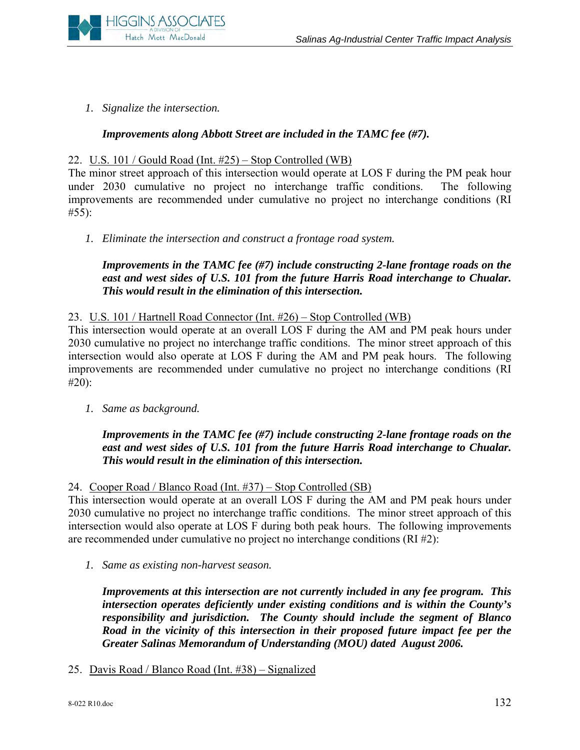

*1. Signalize the intersection.* 

# *Improvements along Abbott Street are included in the TAMC fee (#7).*

# 22. U.S. 101 / Gould Road (Int. #25) – Stop Controlled (WB)

The minor street approach of this intersection would operate at LOS F during the PM peak hour under 2030 cumulative no project no interchange traffic conditions. The following improvements are recommended under cumulative no project no interchange conditions (RI #55):

*1. Eliminate the intersection and construct a frontage road system.* 

# *Improvements in the TAMC fee (#7) include constructing 2-lane frontage roads on the*  east and west sides of U.S. 101 from the future Harris Road interchange to Chualar. *This would result in the elimination of this intersection.*

#### 23. U.S. 101 / Hartnell Road Connector (Int. #26) – Stop Controlled (WB)

This intersection would operate at an overall LOS F during the AM and PM peak hours under 2030 cumulative no project no interchange traffic conditions. The minor street approach of this intersection would also operate at LOS F during the AM and PM peak hours. The following improvements are recommended under cumulative no project no interchange conditions (RI #20):

*1. Same as background.* 

# *Improvements in the TAMC fee (#7) include constructing 2-lane frontage roads on the east and west sides of U.S. 101 from the future Harris Road interchange to Chualar. This would result in the elimination of this intersection.*

#### 24. Cooper Road / Blanco Road (Int. #37) – Stop Controlled (SB)

This intersection would operate at an overall LOS F during the AM and PM peak hours under 2030 cumulative no project no interchange traffic conditions. The minor street approach of this intersection would also operate at LOS F during both peak hours. The following improvements are recommended under cumulative no project no interchange conditions (RI #2):

*1. Same as existing non-harvest season.* 

*Improvements at this intersection are not currently included in any fee program. This intersection operates deficiently under existing conditions and is within the County's responsibility and jurisdiction. The County should include the segment of Blanco Road in the vicinity of this intersection in their proposed future impact fee per the Greater Salinas Memorandum of Understanding (MOU) dated August 2006.* 

25. Davis Road / Blanco Road (Int. #38) – Signalized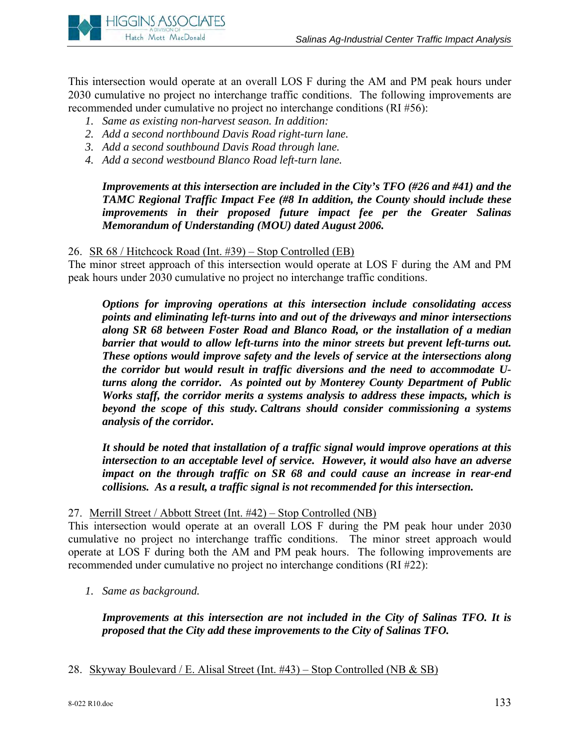

This intersection would operate at an overall LOS F during the AM and PM peak hours under 2030 cumulative no project no interchange traffic conditions. The following improvements are recommended under cumulative no project no interchange conditions (RI #56):

- *1. Same as existing non-harvest season. In addition:*
- *2. Add a second northbound Davis Road right-turn lane.*
- *3. Add a second southbound Davis Road through lane.*
- *4. Add a second westbound Blanco Road left-turn lane.*

*Improvements at this intersection are included in the City's TFO (#26 and #41) and the TAMC Regional Traffic Impact Fee (#8 In addition, the County should include these improvements in their proposed future impact fee per the Greater Salinas Memorandum of Understanding (MOU) dated August 2006.* 

26. SR 68 / Hitchcock Road (Int. #39) – Stop Controlled (EB)

The minor street approach of this intersection would operate at LOS F during the AM and PM peak hours under 2030 cumulative no project no interchange traffic conditions.

*Options for improving operations at this intersection include consolidating access points and eliminating left-turns into and out of the driveways and minor intersections along SR 68 between Foster Road and Blanco Road, or the installation of a median barrier that would to allow left-turns into the minor streets but prevent left-turns out. These options would improve safety and the levels of service at the intersections along the corridor but would result in traffic diversions and the need to accommodate Uturns along the corridor. As pointed out by Monterey County Department of Public Works staff, the corridor merits a systems analysis to address these impacts, which is beyond the scope of this study. Caltrans should consider commissioning a systems analysis of the corridor.* 

*It should be noted that installation of a traffic signal would improve operations at this intersection to an acceptable level of service. However, it would also have an adverse impact on the through traffic on SR 68 and could cause an increase in rear-end collisions. As a result, a traffic signal is not recommended for this intersection.* 

#### 27. Merrill Street / Abbott Street (Int. #42) – Stop Controlled (NB)

This intersection would operate at an overall LOS F during the PM peak hour under 2030 cumulative no project no interchange traffic conditions. The minor street approach would operate at LOS F during both the AM and PM peak hours. The following improvements are recommended under cumulative no project no interchange conditions (RI #22):

*1. Same as background.* 

*Improvements at this intersection are not included in the City of Salinas TFO. It is proposed that the City add these improvements to the City of Salinas TFO.* 

28. Skyway Boulevard / E. Alisal Street (Int. #43) – Stop Controlled (NB & SB)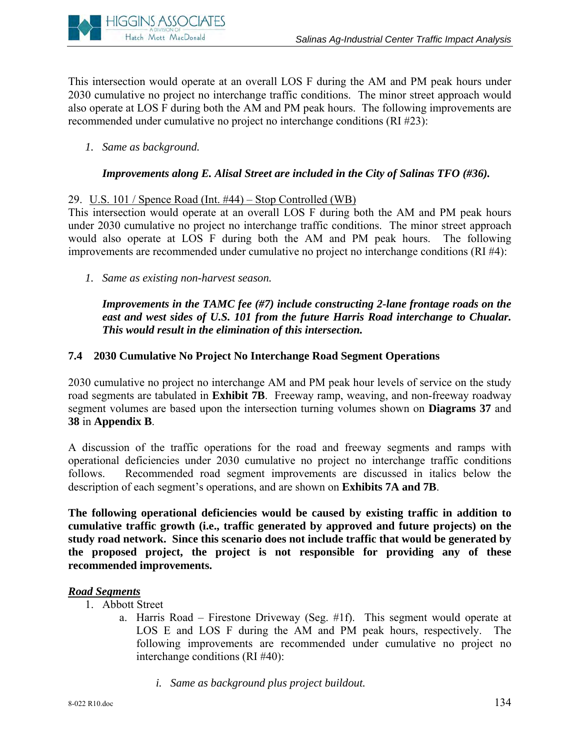

This intersection would operate at an overall LOS F during the AM and PM peak hours under 2030 cumulative no project no interchange traffic conditions. The minor street approach would also operate at LOS F during both the AM and PM peak hours. The following improvements are recommended under cumulative no project no interchange conditions (RI #23):

*1. Same as background.* 

# *Improvements along E. Alisal Street are included in the City of Salinas TFO (#36).*

# 29. U.S. 101 / Spence Road (Int. #44) – Stop Controlled (WB)

This intersection would operate at an overall LOS F during both the AM and PM peak hours under 2030 cumulative no project no interchange traffic conditions. The minor street approach would also operate at LOS F during both the AM and PM peak hours. The following improvements are recommended under cumulative no project no interchange conditions (RI #4):

*1. Same as existing non-harvest season.* 

*Improvements in the TAMC fee (#7) include constructing 2-lane frontage roads on the*  east and west sides of U.S. 101 from the future Harris Road interchange to Chualar. *This would result in the elimination of this intersection.* 

# **7.4 2030 Cumulative No Project No Interchange Road Segment Operations**

2030 cumulative no project no interchange AM and PM peak hour levels of service on the study road segments are tabulated in **Exhibit 7B**. Freeway ramp, weaving, and non-freeway roadway segment volumes are based upon the intersection turning volumes shown on **Diagrams 37** and **38** in **Appendix B**.

A discussion of the traffic operations for the road and freeway segments and ramps with operational deficiencies under 2030 cumulative no project no interchange traffic conditions follows. Recommended road segment improvements are discussed in italics below the description of each segment's operations, and are shown on **Exhibits 7A and 7B**.

**The following operational deficiencies would be caused by existing traffic in addition to cumulative traffic growth (i.e., traffic generated by approved and future projects) on the study road network. Since this scenario does not include traffic that would be generated by the proposed project, the project is not responsible for providing any of these recommended improvements.**

#### *Road Segments*

- 1. Abbott Street
	- a. Harris Road Firestone Driveway (Seg. #1f). This segment would operate at LOS E and LOS F during the AM and PM peak hours, respectively. The following improvements are recommended under cumulative no project no interchange conditions (RI #40):
		- *i. Same as background plus project buildout.*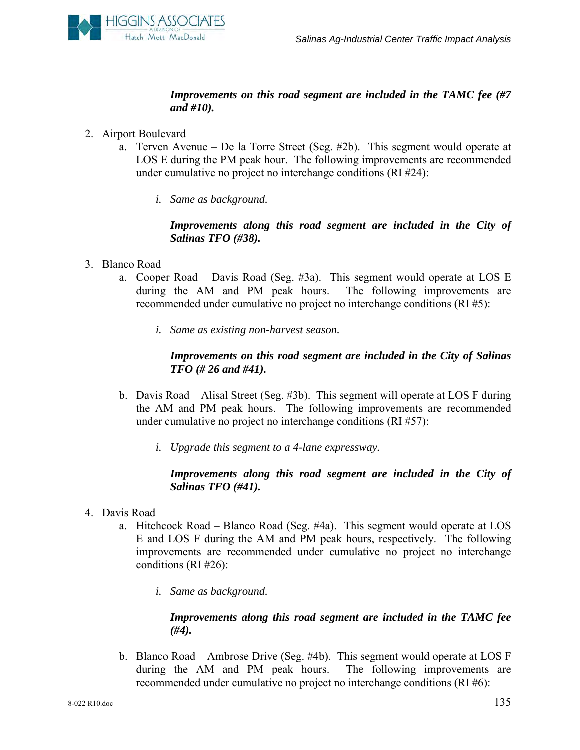

# *Improvements on this road segment are included in the TAMC fee (#7 and #10).*

- 2. Airport Boulevard
	- a. Terven Avenue De la Torre Street (Seg. #2b). This segment would operate at LOS E during the PM peak hour. The following improvements are recommended under cumulative no project no interchange conditions (RI #24):
		- *i. Same as background.*

# *Improvements along this road segment are included in the City of Salinas TFO (#38).*

- 3. Blanco Road
	- a. Cooper Road Davis Road (Seg. #3a). This segment would operate at LOS E during the AM and PM peak hours. The following improvements are recommended under cumulative no project no interchange conditions (RI #5):
		- *i. Same as existing non-harvest season.*

# *Improvements on this road segment are included in the City of Salinas TFO (# 26 and #41).*

- b. Davis Road Alisal Street (Seg. #3b). This segment will operate at LOS F during the AM and PM peak hours. The following improvements are recommended under cumulative no project no interchange conditions (RI #57):
	- *i. Upgrade this segment to a 4-lane expressway.*

# *Improvements along this road segment are included in the City of Salinas TFO (#41).*

- 4. Davis Road
	- a. Hitchcock Road Blanco Road (Seg. #4a). This segment would operate at LOS E and LOS F during the AM and PM peak hours, respectively. The following improvements are recommended under cumulative no project no interchange conditions (RI #26):
		- *i. Same as background.*

# *Improvements along this road segment are included in the TAMC fee (#4).*

b. Blanco Road – Ambrose Drive (Seg. #4b). This segment would operate at LOS F during the AM and PM peak hours. The following improvements are recommended under cumulative no project no interchange conditions (RI #6):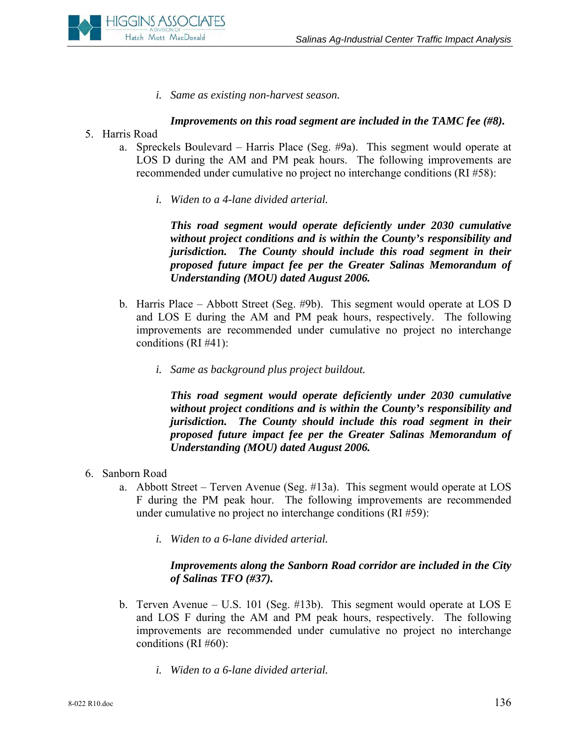

*i. Same as existing non-harvest season.* 

# *Improvements on this road segment are included in the TAMC fee (#8).*

- 5. Harris Road
	- a. Spreckels Boulevard Harris Place (Seg. #9a). This segment would operate at LOS D during the AM and PM peak hours. The following improvements are recommended under cumulative no project no interchange conditions (RI #58):
		- *i. Widen to a 4-lane divided arterial.*

*This road segment would operate deficiently under 2030 cumulative without project conditions and is within the County's responsibility and jurisdiction. The County should include this road segment in their proposed future impact fee per the Greater Salinas Memorandum of Understanding (MOU) dated August 2006.* 

- b. Harris Place Abbott Street (Seg. #9b). This segment would operate at LOS D and LOS E during the AM and PM peak hours, respectively. The following improvements are recommended under cumulative no project no interchange conditions (RI #41):
	- *i. Same as background plus project buildout.*

*This road segment would operate deficiently under 2030 cumulative without project conditions and is within the County's responsibility and jurisdiction. The County should include this road segment in their proposed future impact fee per the Greater Salinas Memorandum of Understanding (MOU) dated August 2006.* 

- 6. Sanborn Road
	- a. Abbott Street Terven Avenue (Seg. #13a). This segment would operate at LOS F during the PM peak hour. The following improvements are recommended under cumulative no project no interchange conditions (RI #59):
		- *i. Widen to a 6-lane divided arterial.*

# *Improvements along the Sanborn Road corridor are included in the City of Salinas TFO (#37).*

- b. Terven Avenue U.S. 101 (Seg. #13b). This segment would operate at LOS E and LOS F during the AM and PM peak hours, respectively. The following improvements are recommended under cumulative no project no interchange conditions (RI #60):
	- *i. Widen to a 6-lane divided arterial.*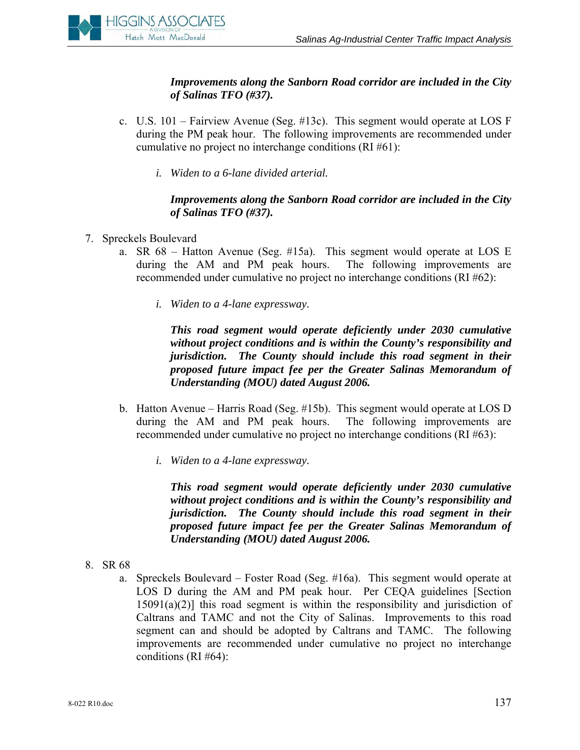

*Improvements along the Sanborn Road corridor are included in the City of Salinas TFO (#37).* 

- c. U.S. 101 Fairview Avenue (Seg. #13c). This segment would operate at LOS F during the PM peak hour. The following improvements are recommended under cumulative no project no interchange conditions (RI #61):
	- *i. Widen to a 6-lane divided arterial.*

# *Improvements along the Sanborn Road corridor are included in the City of Salinas TFO (#37).*

- 7. Spreckels Boulevard
	- a. SR 68 Hatton Avenue (Seg. #15a). This segment would operate at LOS E during the AM and PM peak hours. The following improvements are recommended under cumulative no project no interchange conditions (RI #62):
		- *i. Widen to a 4-lane expressway.*

*This road segment would operate deficiently under 2030 cumulative without project conditions and is within the County's responsibility and jurisdiction. The County should include this road segment in their proposed future impact fee per the Greater Salinas Memorandum of Understanding (MOU) dated August 2006.* 

- b. Hatton Avenue Harris Road (Seg. #15b). This segment would operate at LOS D during the AM and PM peak hours. The following improvements are recommended under cumulative no project no interchange conditions (RI #63):
	- *i. Widen to a 4-lane expressway.*

*This road segment would operate deficiently under 2030 cumulative without project conditions and is within the County's responsibility and jurisdiction. The County should include this road segment in their proposed future impact fee per the Greater Salinas Memorandum of Understanding (MOU) dated August 2006.* 

- 8. SR 68
	- a. Spreckels Boulevard Foster Road (Seg. #16a). This segment would operate at LOS D during the AM and PM peak hour. Per CEQA guidelines [Section  $15091(a)(2)$ ] this road segment is within the responsibility and jurisdiction of Caltrans and TAMC and not the City of Salinas. Improvements to this road segment can and should be adopted by Caltrans and TAMC. The following improvements are recommended under cumulative no project no interchange conditions (RI #64):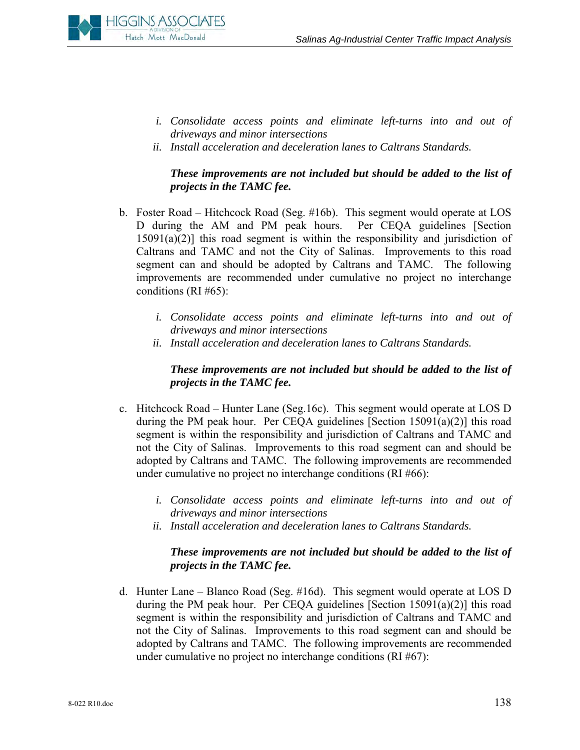

- *i. Consolidate access points and eliminate left-turns into and out of driveways and minor intersections*
- *ii. Install acceleration and deceleration lanes to Caltrans Standards.*

## *These improvements are not included but should be added to the list of projects in the TAMC fee.*

- b. Foster Road Hitchcock Road (Seg. #16b). This segment would operate at LOS D during the AM and PM peak hours. Per CEQA guidelines [Section  $15091(a)(2)$ ] this road segment is within the responsibility and jurisdiction of Caltrans and TAMC and not the City of Salinas. Improvements to this road segment can and should be adopted by Caltrans and TAMC. The following improvements are recommended under cumulative no project no interchange conditions (RI #65):
	- *i. Consolidate access points and eliminate left-turns into and out of driveways and minor intersections*
	- *ii. Install acceleration and deceleration lanes to Caltrans Standards.*

## *These improvements are not included but should be added to the list of projects in the TAMC fee.*

- c. Hitchcock Road Hunter Lane (Seg.16c). This segment would operate at LOS D during the PM peak hour. Per CEQA guidelines [Section 15091(a)(2)] this road segment is within the responsibility and jurisdiction of Caltrans and TAMC and not the City of Salinas. Improvements to this road segment can and should be adopted by Caltrans and TAMC. The following improvements are recommended under cumulative no project no interchange conditions (RI #66):
	- *i. Consolidate access points and eliminate left-turns into and out of driveways and minor intersections*
	- *ii. Install acceleration and deceleration lanes to Caltrans Standards.*

#### *These improvements are not included but should be added to the list of projects in the TAMC fee.*

d. Hunter Lane – Blanco Road (Seg. #16d). This segment would operate at LOS D during the PM peak hour. Per CEQA guidelines [Section  $15091(a)(2)$ ] this road segment is within the responsibility and jurisdiction of Caltrans and TAMC and not the City of Salinas. Improvements to this road segment can and should be adopted by Caltrans and TAMC. The following improvements are recommended under cumulative no project no interchange conditions (RI #67):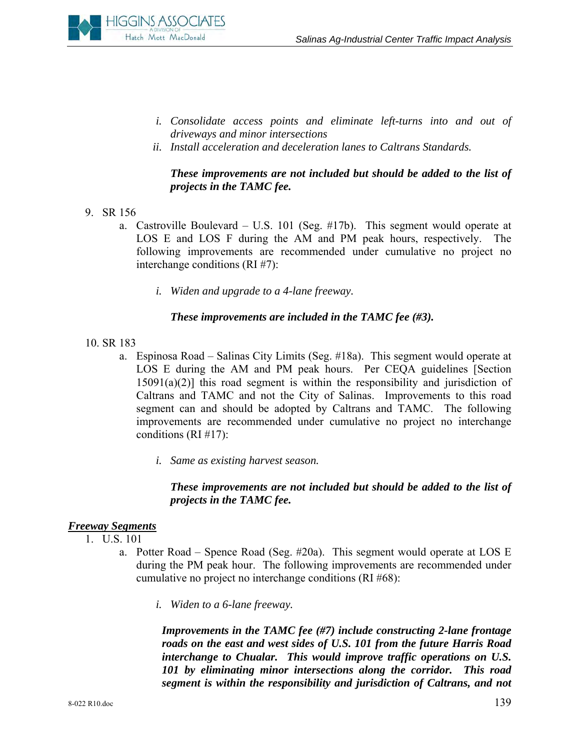

- *i. Consolidate access points and eliminate left-turns into and out of driveways and minor intersections*
- *ii. Install acceleration and deceleration lanes to Caltrans Standards.*

## *These improvements are not included but should be added to the list of projects in the TAMC fee.*

- 9. SR 156
	- a. Castroville Boulevard U.S. 101 (Seg. #17b). This segment would operate at LOS E and LOS F during the AM and PM peak hours, respectively. The following improvements are recommended under cumulative no project no interchange conditions (RI #7):
		- *i. Widen and upgrade to a 4-lane freeway.*

#### *These improvements are included in the TAMC fee (#3).*

- 10. SR 183
	- a. Espinosa Road Salinas City Limits (Seg. #18a). This segment would operate at LOS E during the AM and PM peak hours. Per CEQA guidelines [Section  $15091(a)(2)$ ] this road segment is within the responsibility and jurisdiction of Caltrans and TAMC and not the City of Salinas. Improvements to this road segment can and should be adopted by Caltrans and TAMC. The following improvements are recommended under cumulative no project no interchange conditions (RI #17):
		- *i. Same as existing harvest season.*

# *These improvements are not included but should be added to the list of projects in the TAMC fee.*

#### *Freeway Segments*

- 1. U.S. 101
	- a. Potter Road Spence Road (Seg. #20a). This segment would operate at LOS E during the PM peak hour. The following improvements are recommended under cumulative no project no interchange conditions (RI #68):
		- *i. Widen to a 6-lane freeway.*

*Improvements in the TAMC fee (#7) include constructing 2-lane frontage roads on the east and west sides of U.S. 101 from the future Harris Road interchange to Chualar. This would improve traffic operations on U.S. 101 by eliminating minor intersections along the corridor. This road segment is within the responsibility and jurisdiction of Caltrans, and not*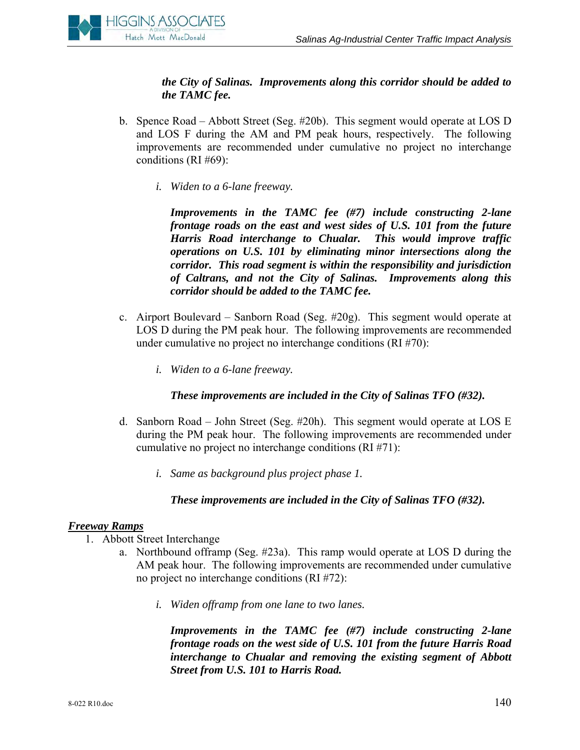

*the City of Salinas. Improvements along this corridor should be added to the TAMC fee.* 

- b. Spence Road Abbott Street (Seg. #20b). This segment would operate at LOS D and LOS F during the AM and PM peak hours, respectively. The following improvements are recommended under cumulative no project no interchange conditions (RI #69):
	- *i. Widen to a 6-lane freeway.*

*Improvements in the TAMC fee (#7) include constructing 2-lane frontage roads on the east and west sides of U.S. 101 from the future Harris Road interchange to Chualar. This would improve traffic operations on U.S. 101 by eliminating minor intersections along the corridor. This road segment is within the responsibility and jurisdiction of Caltrans, and not the City of Salinas. Improvements along this corridor should be added to the TAMC fee.* 

- c. Airport Boulevard Sanborn Road (Seg. #20g). This segment would operate at LOS D during the PM peak hour. The following improvements are recommended under cumulative no project no interchange conditions (RI #70):
	- *i. Widen to a 6-lane freeway.*

#### *These improvements are included in the City of Salinas TFO (#32).*

- d. Sanborn Road John Street (Seg. #20h). This segment would operate at LOS E during the PM peak hour. The following improvements are recommended under cumulative no project no interchange conditions (RI #71):
	- *i. Same as background plus project phase 1.*

#### *These improvements are included in the City of Salinas TFO (#32).*

#### *Freeway Ramps*

- 1. Abbott Street Interchange
	- a. Northbound offramp (Seg. #23a). This ramp would operate at LOS D during the AM peak hour. The following improvements are recommended under cumulative no project no interchange conditions (RI #72):
		- *i. Widen offramp from one lane to two lanes.*

*Improvements in the TAMC fee (#7) include constructing 2-lane frontage roads on the west side of U.S. 101 from the future Harris Road interchange to Chualar and removing the existing segment of Abbott Street from U.S. 101 to Harris Road.*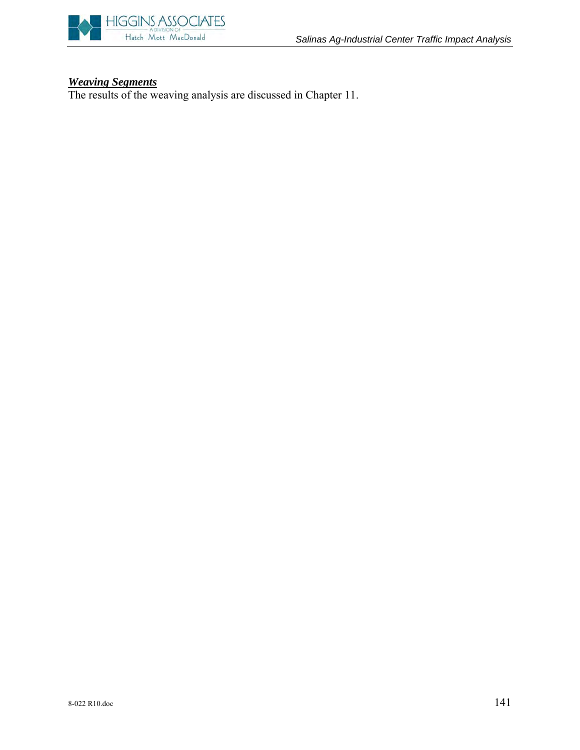

#### *Weaving Segments*

The results of the weaving analysis are discussed in Chapter 11.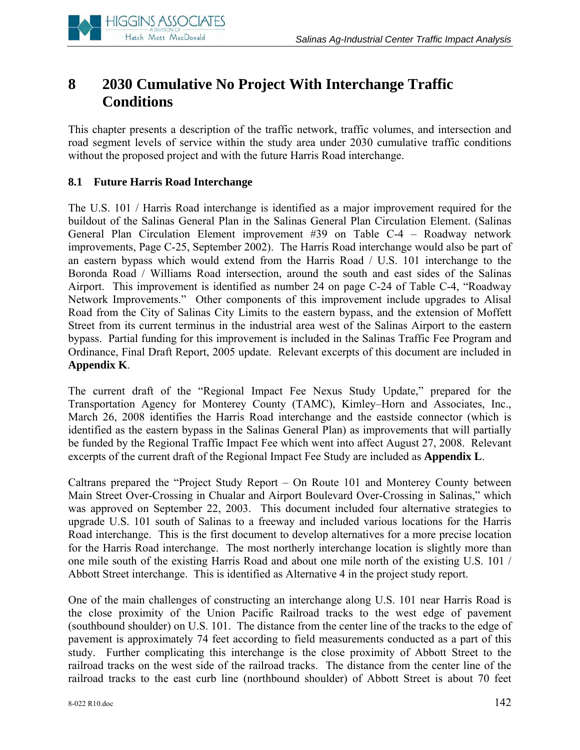

# **8 2030 Cumulative No Project With Interchange Traffic Conditions**

This chapter presents a description of the traffic network, traffic volumes, and intersection and road segment levels of service within the study area under 2030 cumulative traffic conditions without the proposed project and with the future Harris Road interchange.

# **8.1 Future Harris Road Interchange**

The U.S. 101 / Harris Road interchange is identified as a major improvement required for the buildout of the Salinas General Plan in the Salinas General Plan Circulation Element. (Salinas General Plan Circulation Element improvement #39 on Table C-4 – Roadway network improvements, Page C-25, September 2002). The Harris Road interchange would also be part of an eastern bypass which would extend from the Harris Road / U.S. 101 interchange to the Boronda Road / Williams Road intersection, around the south and east sides of the Salinas Airport. This improvement is identified as number 24 on page C-24 of Table C-4, "Roadway Network Improvements." Other components of this improvement include upgrades to Alisal Road from the City of Salinas City Limits to the eastern bypass, and the extension of Moffett Street from its current terminus in the industrial area west of the Salinas Airport to the eastern bypass. Partial funding for this improvement is included in the Salinas Traffic Fee Program and Ordinance, Final Draft Report, 2005 update. Relevant excerpts of this document are included in **Appendix K**.

The current draft of the "Regional Impact Fee Nexus Study Update," prepared for the Transportation Agency for Monterey County (TAMC), Kimley–Horn and Associates, Inc., March 26, 2008 identifies the Harris Road interchange and the eastside connector (which is identified as the eastern bypass in the Salinas General Plan) as improvements that will partially be funded by the Regional Traffic Impact Fee which went into affect August 27, 2008. Relevant excerpts of the current draft of the Regional Impact Fee Study are included as **Appendix L**.

Caltrans prepared the "Project Study Report – On Route 101 and Monterey County between Main Street Over-Crossing in Chualar and Airport Boulevard Over-Crossing in Salinas," which was approved on September 22, 2003. This document included four alternative strategies to upgrade U.S. 101 south of Salinas to a freeway and included various locations for the Harris Road interchange. This is the first document to develop alternatives for a more precise location for the Harris Road interchange. The most northerly interchange location is slightly more than one mile south of the existing Harris Road and about one mile north of the existing U.S. 101 / Abbott Street interchange. This is identified as Alternative 4 in the project study report.

One of the main challenges of constructing an interchange along U.S. 101 near Harris Road is the close proximity of the Union Pacific Railroad tracks to the west edge of pavement (southbound shoulder) on U.S. 101. The distance from the center line of the tracks to the edge of pavement is approximately 74 feet according to field measurements conducted as a part of this study. Further complicating this interchange is the close proximity of Abbott Street to the railroad tracks on the west side of the railroad tracks. The distance from the center line of the railroad tracks to the east curb line (northbound shoulder) of Abbott Street is about 70 feet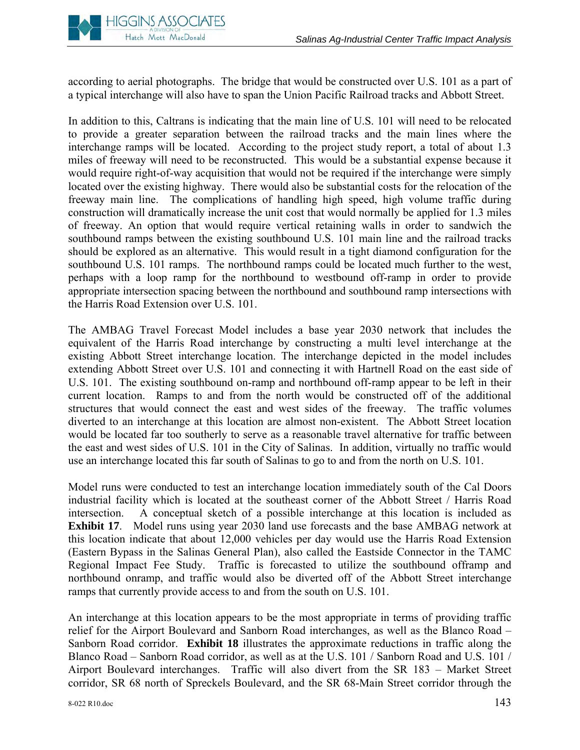

according to aerial photographs. The bridge that would be constructed over U.S. 101 as a part of a typical interchange will also have to span the Union Pacific Railroad tracks and Abbott Street.

In addition to this, Caltrans is indicating that the main line of U.S. 101 will need to be relocated to provide a greater separation between the railroad tracks and the main lines where the interchange ramps will be located. According to the project study report, a total of about 1.3 miles of freeway will need to be reconstructed. This would be a substantial expense because it would require right-of-way acquisition that would not be required if the interchange were simply located over the existing highway. There would also be substantial costs for the relocation of the freeway main line. The complications of handling high speed, high volume traffic during construction will dramatically increase the unit cost that would normally be applied for 1.3 miles of freeway. An option that would require vertical retaining walls in order to sandwich the southbound ramps between the existing southbound U.S. 101 main line and the railroad tracks should be explored as an alternative. This would result in a tight diamond configuration for the southbound U.S. 101 ramps. The northbound ramps could be located much further to the west, perhaps with a loop ramp for the northbound to westbound off-ramp in order to provide appropriate intersection spacing between the northbound and southbound ramp intersections with the Harris Road Extension over U.S. 101.

The AMBAG Travel Forecast Model includes a base year 2030 network that includes the equivalent of the Harris Road interchange by constructing a multi level interchange at the existing Abbott Street interchange location. The interchange depicted in the model includes extending Abbott Street over U.S. 101 and connecting it with Hartnell Road on the east side of U.S. 101. The existing southbound on-ramp and northbound off-ramp appear to be left in their current location. Ramps to and from the north would be constructed off of the additional structures that would connect the east and west sides of the freeway. The traffic volumes diverted to an interchange at this location are almost non-existent. The Abbott Street location would be located far too southerly to serve as a reasonable travel alternative for traffic between the east and west sides of U.S. 101 in the City of Salinas. In addition, virtually no traffic would use an interchange located this far south of Salinas to go to and from the north on U.S. 101.

Model runs were conducted to test an interchange location immediately south of the Cal Doors industrial facility which is located at the southeast corner of the Abbott Street / Harris Road intersection. A conceptual sketch of a possible interchange at this location is included as **Exhibit 17**. Model runs using year 2030 land use forecasts and the base AMBAG network at this location indicate that about 12,000 vehicles per day would use the Harris Road Extension (Eastern Bypass in the Salinas General Plan), also called the Eastside Connector in the TAMC Regional Impact Fee Study. Traffic is forecasted to utilize the southbound offramp and northbound onramp, and traffic would also be diverted off of the Abbott Street interchange ramps that currently provide access to and from the south on U.S. 101.

An interchange at this location appears to be the most appropriate in terms of providing traffic relief for the Airport Boulevard and Sanborn Road interchanges, as well as the Blanco Road – Sanborn Road corridor. **Exhibit 18** illustrates the approximate reductions in traffic along the Blanco Road – Sanborn Road corridor, as well as at the U.S. 101 / Sanborn Road and U.S. 101 / Airport Boulevard interchanges. Traffic will also divert from the SR 183 – Market Street corridor, SR 68 north of Spreckels Boulevard, and the SR 68-Main Street corridor through the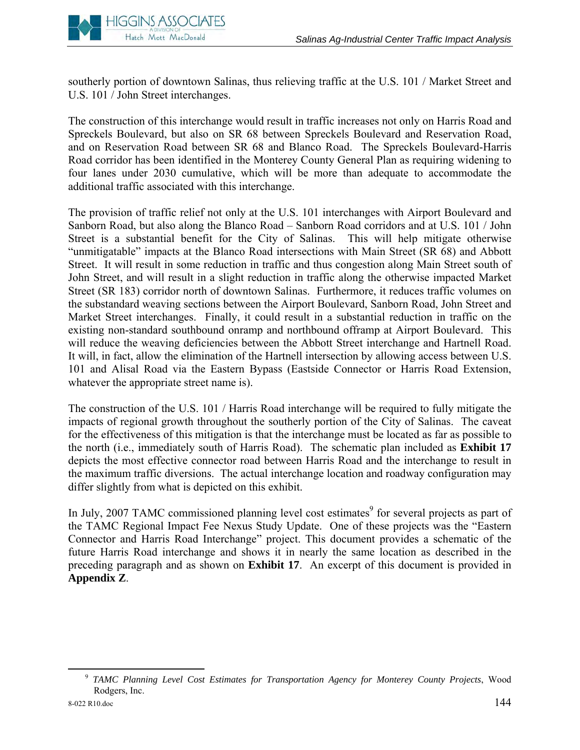

southerly portion of downtown Salinas, thus relieving traffic at the U.S. 101 / Market Street and U.S. 101 / John Street interchanges.

The construction of this interchange would result in traffic increases not only on Harris Road and Spreckels Boulevard, but also on SR 68 between Spreckels Boulevard and Reservation Road, and on Reservation Road between SR 68 and Blanco Road. The Spreckels Boulevard-Harris Road corridor has been identified in the Monterey County General Plan as requiring widening to four lanes under 2030 cumulative, which will be more than adequate to accommodate the additional traffic associated with this interchange.

The provision of traffic relief not only at the U.S. 101 interchanges with Airport Boulevard and Sanborn Road, but also along the Blanco Road – Sanborn Road corridors and at U.S. 101 / John Street is a substantial benefit for the City of Salinas. This will help mitigate otherwise "unmitigatable" impacts at the Blanco Road intersections with Main Street (SR 68) and Abbott Street. It will result in some reduction in traffic and thus congestion along Main Street south of John Street, and will result in a slight reduction in traffic along the otherwise impacted Market Street (SR 183) corridor north of downtown Salinas. Furthermore, it reduces traffic volumes on the substandard weaving sections between the Airport Boulevard, Sanborn Road, John Street and Market Street interchanges. Finally, it could result in a substantial reduction in traffic on the existing non-standard southbound onramp and northbound offramp at Airport Boulevard. This will reduce the weaving deficiencies between the Abbott Street interchange and Hartnell Road. It will, in fact, allow the elimination of the Hartnell intersection by allowing access between U.S. 101 and Alisal Road via the Eastern Bypass (Eastside Connector or Harris Road Extension, whatever the appropriate street name is).

The construction of the U.S. 101 / Harris Road interchange will be required to fully mitigate the impacts of regional growth throughout the southerly portion of the City of Salinas. The caveat for the effectiveness of this mitigation is that the interchange must be located as far as possible to the north (i.e., immediately south of Harris Road). The schematic plan included as **Exhibit 17** depicts the most effective connector road between Harris Road and the interchange to result in the maximum traffic diversions. The actual interchange location and roadway configuration may differ slightly from what is depicted on this exhibit.

In July, 2007 TAMC commissioned planning level cost estimates<sup>9</sup> for several projects as part of the TAMC Regional Impact Fee Nexus Study Update. One of these projects was the "Eastern Connector and Harris Road Interchange" project. This document provides a schematic of the future Harris Road interchange and shows it in nearly the same location as described in the preceding paragraph and as shown on **Exhibit 17**. An excerpt of this document is provided in **Appendix Z**.

 <sup>9</sup> *TAMC Planning Level Cost Estimates for Transportation Agency for Monterey County Projects*, Wood Rodgers, Inc.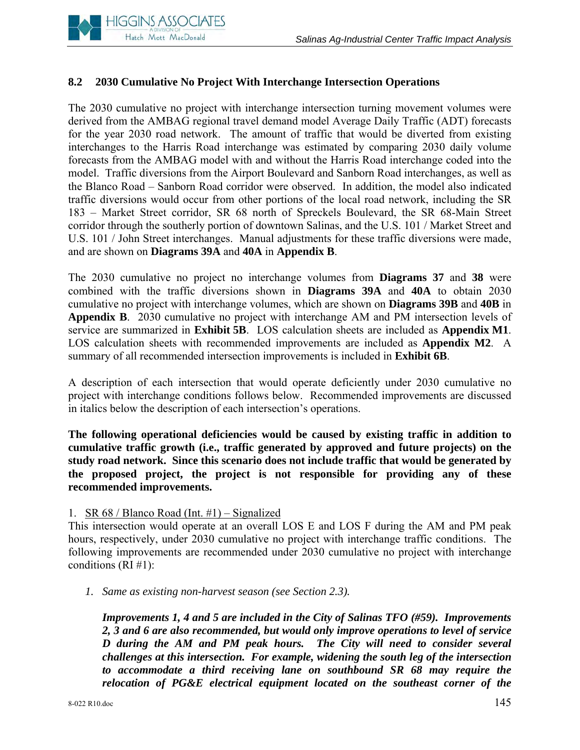

# **8.2 2030 Cumulative No Project With Interchange Intersection Operations**

The 2030 cumulative no project with interchange intersection turning movement volumes were derived from the AMBAG regional travel demand model Average Daily Traffic (ADT) forecasts for the year 2030 road network. The amount of traffic that would be diverted from existing interchanges to the Harris Road interchange was estimated by comparing 2030 daily volume forecasts from the AMBAG model with and without the Harris Road interchange coded into the model. Traffic diversions from the Airport Boulevard and Sanborn Road interchanges, as well as the Blanco Road – Sanborn Road corridor were observed. In addition, the model also indicated traffic diversions would occur from other portions of the local road network, including the SR 183 – Market Street corridor, SR 68 north of Spreckels Boulevard, the SR 68-Main Street corridor through the southerly portion of downtown Salinas, and the U.S. 101 / Market Street and U.S. 101 / John Street interchanges. Manual adjustments for these traffic diversions were made, and are shown on **Diagrams 39A** and **40A** in **Appendix B**.

The 2030 cumulative no project no interchange volumes from **Diagrams 37** and **38** were combined with the traffic diversions shown in **Diagrams 39A** and **40A** to obtain 2030 cumulative no project with interchange volumes, which are shown on **Diagrams 39B** and **40B** in **Appendix B**. 2030 cumulative no project with interchange AM and PM intersection levels of service are summarized in **Exhibit 5B**. LOS calculation sheets are included as **Appendix M1**. LOS calculation sheets with recommended improvements are included as **Appendix M2**. A summary of all recommended intersection improvements is included in **Exhibit 6B**.

A description of each intersection that would operate deficiently under 2030 cumulative no project with interchange conditions follows below. Recommended improvements are discussed in italics below the description of each intersection's operations.

**The following operational deficiencies would be caused by existing traffic in addition to cumulative traffic growth (i.e., traffic generated by approved and future projects) on the study road network. Since this scenario does not include traffic that would be generated by the proposed project, the project is not responsible for providing any of these recommended improvements.**

#### 1. SR 68 / Blanco Road (Int. #1) – Signalized

This intersection would operate at an overall LOS E and LOS F during the AM and PM peak hours, respectively, under 2030 cumulative no project with interchange traffic conditions. The following improvements are recommended under 2030 cumulative no project with interchange conditions (RI #1):

*1. Same as existing non-harvest season (see Section 2.3).* 

*Improvements 1, 4 and 5 are included in the City of Salinas TFO (#59). Improvements 2, 3 and 6 are also recommended, but would only improve operations to level of service D during the AM and PM peak hours. The City will need to consider several challenges at this intersection. For example, widening the south leg of the intersection to accommodate a third receiving lane on southbound SR 68 may require the relocation of PG&E electrical equipment located on the southeast corner of the*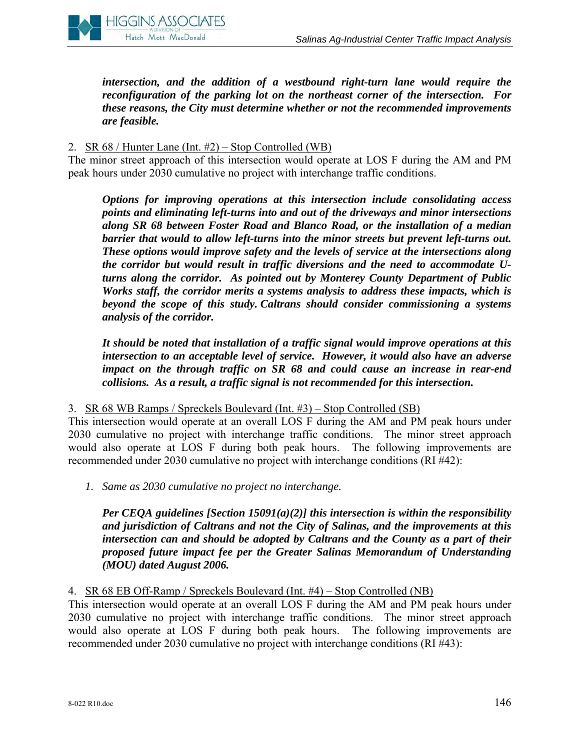

*intersection, and the addition of a westbound right-turn lane would require the reconfiguration of the parking lot on the northeast corner of the intersection. For these reasons, the City must determine whether or not the recommended improvements are feasible.*

## 2. SR 68 / Hunter Lane (Int. #2) – Stop Controlled (WB)

The minor street approach of this intersection would operate at LOS F during the AM and PM peak hours under 2030 cumulative no project with interchange traffic conditions.

*Options for improving operations at this intersection include consolidating access points and eliminating left-turns into and out of the driveways and minor intersections along SR 68 between Foster Road and Blanco Road, or the installation of a median barrier that would to allow left-turns into the minor streets but prevent left-turns out. These options would improve safety and the levels of service at the intersections along the corridor but would result in traffic diversions and the need to accommodate Uturns along the corridor. As pointed out by Monterey County Department of Public Works staff, the corridor merits a systems analysis to address these impacts, which is beyond the scope of this study. Caltrans should consider commissioning a systems analysis of the corridor.* 

*It should be noted that installation of a traffic signal would improve operations at this intersection to an acceptable level of service. However, it would also have an adverse impact on the through traffic on SR 68 and could cause an increase in rear-end collisions. As a result, a traffic signal is not recommended for this intersection.* 

3. SR 68 WB Ramps / Spreckels Boulevard (Int. #3) – Stop Controlled (SB)

This intersection would operate at an overall LOS F during the AM and PM peak hours under 2030 cumulative no project with interchange traffic conditions. The minor street approach would also operate at LOS F during both peak hours. The following improvements are recommended under 2030 cumulative no project with interchange conditions (RI #42):

*1. Same as 2030 cumulative no project no interchange.* 

*Per CEQA guidelines [Section 15091(a)(2)] this intersection is within the responsibility and jurisdiction of Caltrans and not the City of Salinas, and the improvements at this intersection can and should be adopted by Caltrans and the County as a part of their proposed future impact fee per the Greater Salinas Memorandum of Understanding (MOU) dated August 2006.* 

#### 4. SR 68 EB Off-Ramp / Spreckels Boulevard (Int. #4) – Stop Controlled (NB)

This intersection would operate at an overall LOS F during the AM and PM peak hours under 2030 cumulative no project with interchange traffic conditions. The minor street approach would also operate at LOS F during both peak hours. The following improvements are recommended under 2030 cumulative no project with interchange conditions (RI #43):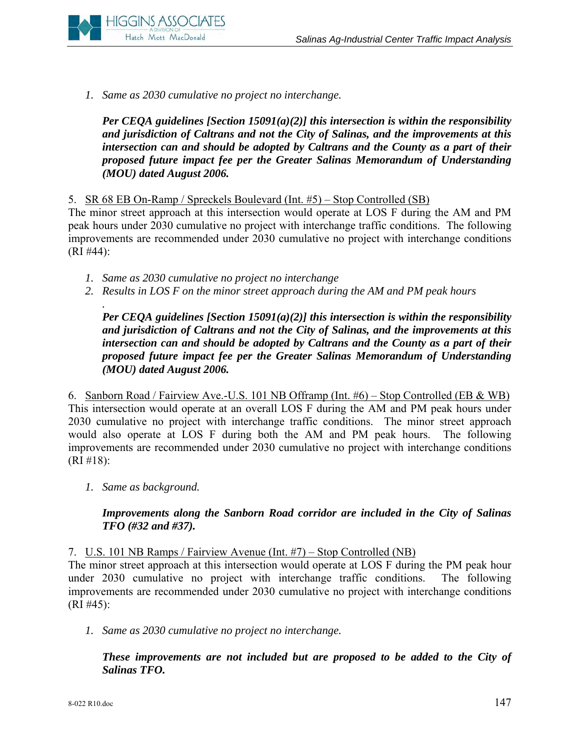

*1. Same as 2030 cumulative no project no interchange.* 

*Per CEQA guidelines [Section 15091(a)(2)] this intersection is within the responsibility and jurisdiction of Caltrans and not the City of Salinas, and the improvements at this intersection can and should be adopted by Caltrans and the County as a part of their proposed future impact fee per the Greater Salinas Memorandum of Understanding (MOU) dated August 2006.* 

5. SR 68 EB On-Ramp / Spreckels Boulevard (Int. #5) – Stop Controlled (SB)

The minor street approach at this intersection would operate at LOS F during the AM and PM peak hours under 2030 cumulative no project with interchange traffic conditions. The following improvements are recommended under 2030 cumulative no project with interchange conditions (RI #44):

- *1. Same as 2030 cumulative no project no interchange*
- *2. Results in LOS F on the minor street approach during the AM and PM peak hours*

*Per CEQA guidelines [Section 15091(a)(2)] this intersection is within the responsibility and jurisdiction of Caltrans and not the City of Salinas, and the improvements at this intersection can and should be adopted by Caltrans and the County as a part of their proposed future impact fee per the Greater Salinas Memorandum of Understanding (MOU) dated August 2006.* 

6. Sanborn Road / Fairview Ave.-U.S. 101 NB Offramp (Int. #6) – Stop Controlled (EB & WB) This intersection would operate at an overall LOS F during the AM and PM peak hours under 2030 cumulative no project with interchange traffic conditions. The minor street approach would also operate at LOS F during both the AM and PM peak hours. The following improvements are recommended under 2030 cumulative no project with interchange conditions (RI #18):

*1. Same as background.* 

*.* 

## *Improvements along the Sanborn Road corridor are included in the City of Salinas TFO (#32 and #37).*

7. U.S. 101 NB Ramps / Fairview Avenue (Int. #7) – Stop Controlled (NB)

The minor street approach at this intersection would operate at LOS F during the PM peak hour under 2030 cumulative no project with interchange traffic conditions. The following improvements are recommended under 2030 cumulative no project with interchange conditions (RI #45):

*1. Same as 2030 cumulative no project no interchange.* 

*These improvements are not included but are proposed to be added to the City of Salinas TFO.*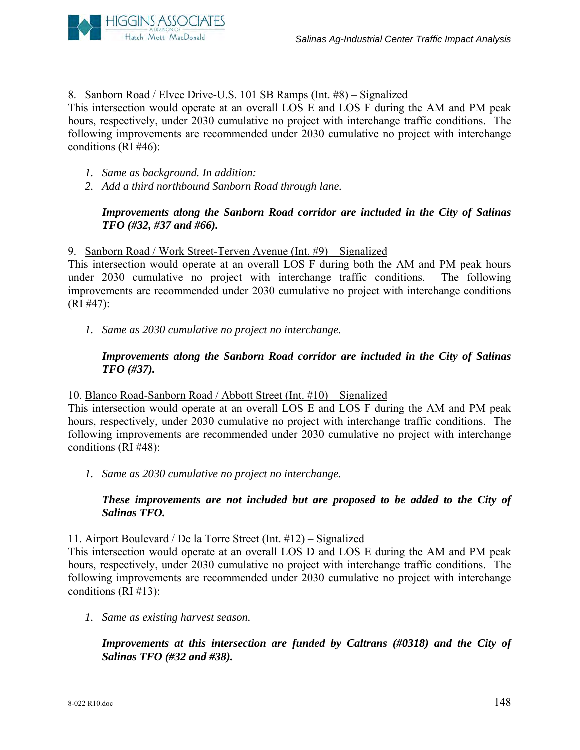

8. Sanborn Road / Elvee Drive-U.S. 101 SB Ramps (Int. #8) – Signalized

This intersection would operate at an overall LOS E and LOS F during the AM and PM peak hours, respectively, under 2030 cumulative no project with interchange traffic conditions. The following improvements are recommended under 2030 cumulative no project with interchange conditions (RI #46):

- *1. Same as background. In addition:*
- *2. Add a third northbound Sanborn Road through lane.*

# *Improvements along the Sanborn Road corridor are included in the City of Salinas TFO (#32, #37 and #66).*

## 9. Sanborn Road / Work Street-Terven Avenue (Int. #9) – Signalized

This intersection would operate at an overall LOS F during both the AM and PM peak hours under 2030 cumulative no project with interchange traffic conditions. The following improvements are recommended under 2030 cumulative no project with interchange conditions (RI #47):

*1. Same as 2030 cumulative no project no interchange.* 

# *Improvements along the Sanborn Road corridor are included in the City of Salinas TFO (#37).*

#### 10. Blanco Road-Sanborn Road / Abbott Street (Int. #10) – Signalized

This intersection would operate at an overall LOS E and LOS F during the AM and PM peak hours, respectively, under 2030 cumulative no project with interchange traffic conditions. The following improvements are recommended under 2030 cumulative no project with interchange conditions (RI #48):

*1. Same as 2030 cumulative no project no interchange.* 

## *These improvements are not included but are proposed to be added to the City of Salinas TFO.*

#### 11. Airport Boulevard / De la Torre Street (Int. #12) – Signalized

This intersection would operate at an overall LOS D and LOS E during the AM and PM peak hours, respectively, under 2030 cumulative no project with interchange traffic conditions. The following improvements are recommended under 2030 cumulative no project with interchange conditions (RI #13):

*1. Same as existing harvest season.* 

*Improvements at this intersection are funded by Caltrans (#0318) and the City of Salinas TFO (#32 and #38).*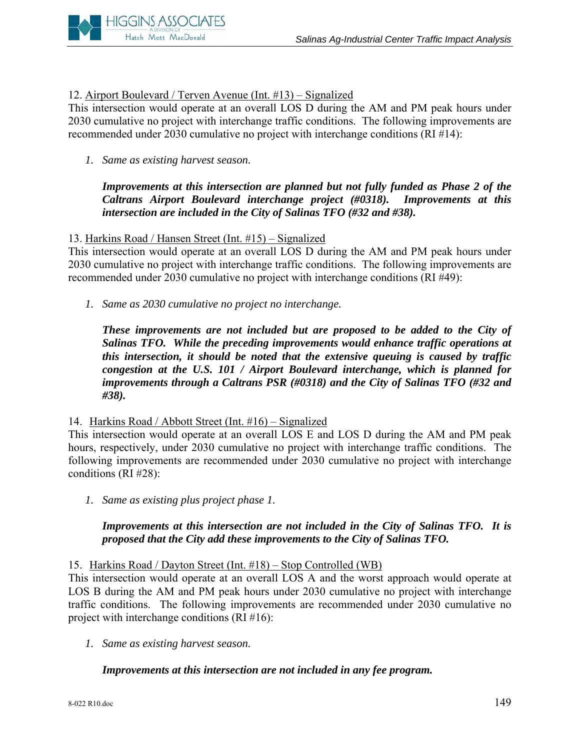

# 12. Airport Boulevard / Terven Avenue (Int. #13) – Signalized

This intersection would operate at an overall LOS D during the AM and PM peak hours under 2030 cumulative no project with interchange traffic conditions. The following improvements are recommended under 2030 cumulative no project with interchange conditions (RI #14):

*1. Same as existing harvest season.* 

*Improvements at this intersection are planned but not fully funded as Phase 2 of the Caltrans Airport Boulevard interchange project (#0318). Improvements at this intersection are included in the City of Salinas TFO (#32 and #38).* 

## 13. Harkins Road / Hansen Street (Int. #15) – Signalized

This intersection would operate at an overall LOS D during the AM and PM peak hours under 2030 cumulative no project with interchange traffic conditions. The following improvements are recommended under 2030 cumulative no project with interchange conditions (RI #49):

*1. Same as 2030 cumulative no project no interchange.* 

*These improvements are not included but are proposed to be added to the City of Salinas TFO. While the preceding improvements would enhance traffic operations at this intersection, it should be noted that the extensive queuing is caused by traffic congestion at the U.S. 101 / Airport Boulevard interchange, which is planned for improvements through a Caltrans PSR (#0318) and the City of Salinas TFO (#32 and #38).* 

#### 14. Harkins Road / Abbott Street (Int. #16) – Signalized

This intersection would operate at an overall LOS E and LOS D during the AM and PM peak hours, respectively, under 2030 cumulative no project with interchange traffic conditions. The following improvements are recommended under 2030 cumulative no project with interchange conditions (RI #28):

*1. Same as existing plus project phase 1.* 

## *Improvements at this intersection are not included in the City of Salinas TFO. It is proposed that the City add these improvements to the City of Salinas TFO.*

15. Harkins Road / Dayton Street (Int. #18) – Stop Controlled (WB)

This intersection would operate at an overall LOS A and the worst approach would operate at LOS B during the AM and PM peak hours under 2030 cumulative no project with interchange traffic conditions. The following improvements are recommended under 2030 cumulative no project with interchange conditions (RI #16):

*1. Same as existing harvest season.* 

# *Improvements at this intersection are not included in any fee program.*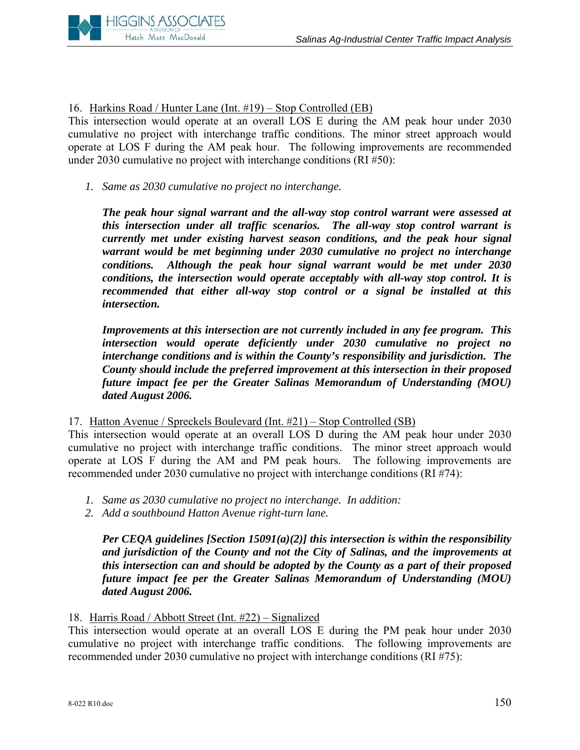

16. Harkins Road / Hunter Lane (Int. #19) – Stop Controlled (EB)

This intersection would operate at an overall LOS E during the AM peak hour under 2030 cumulative no project with interchange traffic conditions. The minor street approach would operate at LOS F during the AM peak hour. The following improvements are recommended under 2030 cumulative no project with interchange conditions (RI #50):

*1. Same as 2030 cumulative no project no interchange.* 

*The peak hour signal warrant and the all-way stop control warrant were assessed at this intersection under all traffic scenarios. The all-way stop control warrant is currently met under existing harvest season conditions, and the peak hour signal warrant would be met beginning under 2030 cumulative no project no interchange conditions. Although the peak hour signal warrant would be met under 2030 conditions, the intersection would operate acceptably with all-way stop control. It is recommended that either all-way stop control or a signal be installed at this intersection.* 

*Improvements at this intersection are not currently included in any fee program. This intersection would operate deficiently under 2030 cumulative no project no interchange conditions and is within the County's responsibility and jurisdiction. The County should include the preferred improvement at this intersection in their proposed future impact fee per the Greater Salinas Memorandum of Understanding (MOU) dated August 2006.* 

17. Hatton Avenue / Spreckels Boulevard (Int. #21) – Stop Controlled (SB)

This intersection would operate at an overall LOS D during the AM peak hour under 2030 cumulative no project with interchange traffic conditions. The minor street approach would operate at LOS F during the AM and PM peak hours. The following improvements are recommended under 2030 cumulative no project with interchange conditions (RI #74):

- *1. Same as 2030 cumulative no project no interchange. In addition:*
- *2. Add a southbound Hatton Avenue right-turn lane.*

*Per CEQA guidelines [Section 15091(a)(2)] this intersection is within the responsibility and jurisdiction of the County and not the City of Salinas, and the improvements at this intersection can and should be adopted by the County as a part of their proposed future impact fee per the Greater Salinas Memorandum of Understanding (MOU) dated August 2006.* 

#### 18. Harris Road / Abbott Street (Int. #22) – Signalized

This intersection would operate at an overall LOS E during the PM peak hour under 2030 cumulative no project with interchange traffic conditions. The following improvements are recommended under 2030 cumulative no project with interchange conditions (RI #75):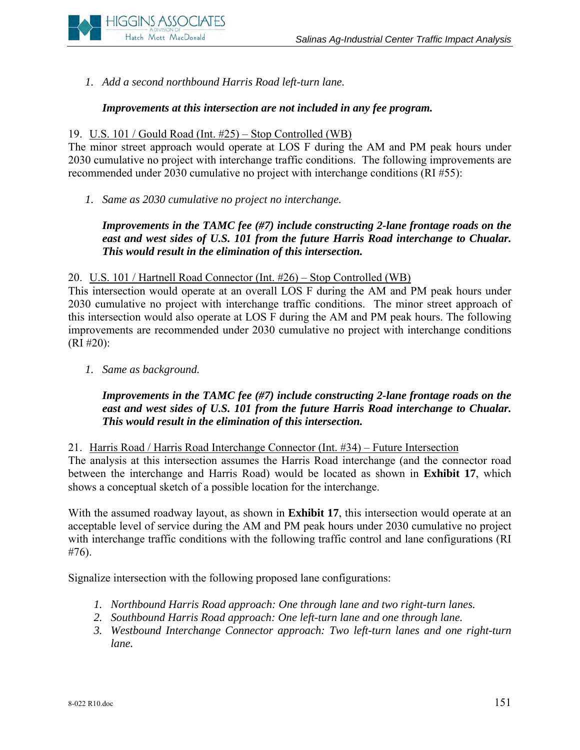

*1. Add a second northbound Harris Road left-turn lane.* 

## *Improvements at this intersection are not included in any fee program.*

### 19. U.S. 101 / Gould Road (Int. #25) – Stop Controlled (WB)

The minor street approach would operate at LOS F during the AM and PM peak hours under 2030 cumulative no project with interchange traffic conditions. The following improvements are recommended under 2030 cumulative no project with interchange conditions (RI #55):

*1. Same as 2030 cumulative no project no interchange.* 

# *Improvements in the TAMC fee (#7) include constructing 2-lane frontage roads on the*  east and west sides of U.S. 101 from the future Harris Road interchange to Chualar. *This would result in the elimination of this intersection.*

#### 20. U.S. 101 / Hartnell Road Connector (Int. #26) – Stop Controlled (WB)

This intersection would operate at an overall LOS F during the AM and PM peak hours under 2030 cumulative no project with interchange traffic conditions. The minor street approach of this intersection would also operate at LOS F during the AM and PM peak hours. The following improvements are recommended under 2030 cumulative no project with interchange conditions (RI #20):

*1. Same as background.* 

# *Improvements in the TAMC fee (#7) include constructing 2-lane frontage roads on the east and west sides of U.S. 101 from the future Harris Road interchange to Chualar. This would result in the elimination of this intersection.*

21. Harris Road / Harris Road Interchange Connector (Int. #34) – Future Intersection

The analysis at this intersection assumes the Harris Road interchange (and the connector road between the interchange and Harris Road) would be located as shown in **Exhibit 17**, which shows a conceptual sketch of a possible location for the interchange.

With the assumed roadway layout, as shown in **Exhibit 17**, this intersection would operate at an acceptable level of service during the AM and PM peak hours under 2030 cumulative no project with interchange traffic conditions with the following traffic control and lane configurations (RI #76).

Signalize intersection with the following proposed lane configurations:

- *1. Northbound Harris Road approach: One through lane and two right-turn lanes.*
- *2. Southbound Harris Road approach: One left-turn lane and one through lane.*
- *3. Westbound Interchange Connector approach: Two left-turn lanes and one right-turn lane.*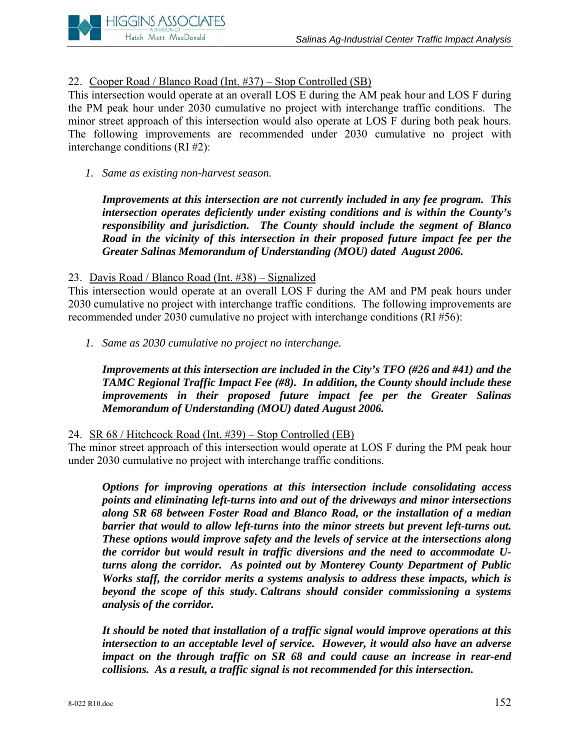

# 22. Cooper Road / Blanco Road (Int. #37) – Stop Controlled (SB)

This intersection would operate at an overall LOS E during the AM peak hour and LOS F during the PM peak hour under 2030 cumulative no project with interchange traffic conditions. The minor street approach of this intersection would also operate at LOS F during both peak hours. The following improvements are recommended under 2030 cumulative no project with interchange conditions (RI #2):

*1. Same as existing non-harvest season.* 

*Improvements at this intersection are not currently included in any fee program. This intersection operates deficiently under existing conditions and is within the County's responsibility and jurisdiction. The County should include the segment of Blanco Road in the vicinity of this intersection in their proposed future impact fee per the Greater Salinas Memorandum of Understanding (MOU) dated August 2006.* 

## 23. Davis Road / Blanco Road (Int. #38) – Signalized

This intersection would operate at an overall LOS F during the AM and PM peak hours under 2030 cumulative no project with interchange traffic conditions. The following improvements are recommended under 2030 cumulative no project with interchange conditions (RI #56):

*1. Same as 2030 cumulative no project no interchange.* 

*Improvements at this intersection are included in the City's TFO (#26 and #41) and the TAMC Regional Traffic Impact Fee (#8). In addition, the County should include these improvements in their proposed future impact fee per the Greater Salinas Memorandum of Understanding (MOU) dated August 2006.* 

#### 24. SR 68 / Hitchcock Road (Int. #39) – Stop Controlled (EB)

The minor street approach of this intersection would operate at LOS F during the PM peak hour under 2030 cumulative no project with interchange traffic conditions.

*Options for improving operations at this intersection include consolidating access points and eliminating left-turns into and out of the driveways and minor intersections along SR 68 between Foster Road and Blanco Road, or the installation of a median barrier that would to allow left-turns into the minor streets but prevent left-turns out. These options would improve safety and the levels of service at the intersections along the corridor but would result in traffic diversions and the need to accommodate Uturns along the corridor. As pointed out by Monterey County Department of Public Works staff, the corridor merits a systems analysis to address these impacts, which is beyond the scope of this study. Caltrans should consider commissioning a systems analysis of the corridor.* 

*It should be noted that installation of a traffic signal would improve operations at this intersection to an acceptable level of service. However, it would also have an adverse impact on the through traffic on SR 68 and could cause an increase in rear-end collisions. As a result, a traffic signal is not recommended for this intersection.*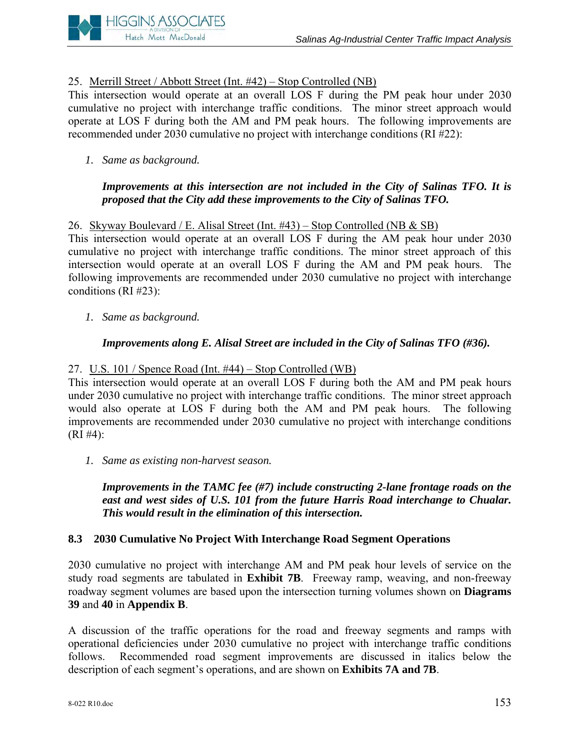# 25. Merrill Street / Abbott Street (Int. #42) – Stop Controlled (NB)

This intersection would operate at an overall LOS F during the PM peak hour under 2030 cumulative no project with interchange traffic conditions. The minor street approach would operate at LOS F during both the AM and PM peak hours. The following improvements are recommended under 2030 cumulative no project with interchange conditions (RI #22):

## *1. Same as background.*

**HIGGINS ASSOCIATES** Hatch Mott MacDonald

## *Improvements at this intersection are not included in the City of Salinas TFO. It is proposed that the City add these improvements to the City of Salinas TFO.*

#### 26. Skyway Boulevard / E. Alisal Street (Int. #43) – Stop Controlled (NB & SB)

This intersection would operate at an overall LOS F during the AM peak hour under 2030 cumulative no project with interchange traffic conditions. The minor street approach of this intersection would operate at an overall LOS F during the AM and PM peak hours. The following improvements are recommended under 2030 cumulative no project with interchange conditions (RI #23):

*1. Same as background.* 

## *Improvements along E. Alisal Street are included in the City of Salinas TFO (#36).*

#### 27. U.S. 101 / Spence Road (Int. #44) – Stop Controlled (WB)

This intersection would operate at an overall LOS F during both the AM and PM peak hours under 2030 cumulative no project with interchange traffic conditions. The minor street approach would also operate at LOS F during both the AM and PM peak hours. The following improvements are recommended under 2030 cumulative no project with interchange conditions  $(RI \#4)$ :

*1. Same as existing non-harvest season.* 

*Improvements in the TAMC fee (#7) include constructing 2-lane frontage roads on the*  east and west sides of U.S. 101 from the future Harris Road interchange to Chualar. *This would result in the elimination of this intersection.* 

#### **8.3 2030 Cumulative No Project With Interchange Road Segment Operations**

2030 cumulative no project with interchange AM and PM peak hour levels of service on the study road segments are tabulated in **Exhibit 7B**. Freeway ramp, weaving, and non-freeway roadway segment volumes are based upon the intersection turning volumes shown on **Diagrams 39** and **40** in **Appendix B**.

A discussion of the traffic operations for the road and freeway segments and ramps with operational deficiencies under 2030 cumulative no project with interchange traffic conditions follows. Recommended road segment improvements are discussed in italics below the description of each segment's operations, and are shown on **Exhibits 7A and 7B**.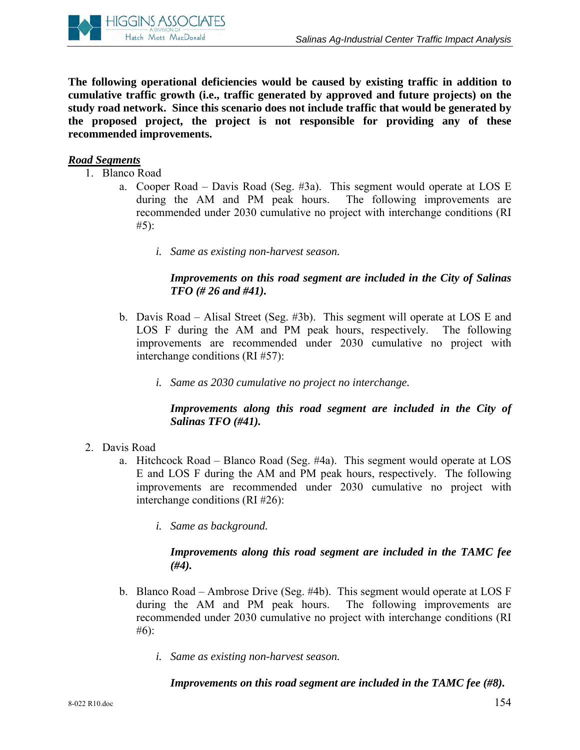

**The following operational deficiencies would be caused by existing traffic in addition to cumulative traffic growth (i.e., traffic generated by approved and future projects) on the study road network. Since this scenario does not include traffic that would be generated by the proposed project, the project is not responsible for providing any of these recommended improvements.**

## *Road Segments*

- 1. Blanco Road
	- a. Cooper Road Davis Road (Seg. #3a). This segment would operate at LOS E during the AM and PM peak hours. The following improvements are recommended under 2030 cumulative no project with interchange conditions (RI #5):
		- *i. Same as existing non-harvest season.*

# *Improvements on this road segment are included in the City of Salinas TFO (# 26 and #41).*

- b. Davis Road Alisal Street (Seg. #3b). This segment will operate at LOS E and LOS F during the AM and PM peak hours, respectively. The following improvements are recommended under 2030 cumulative no project with interchange conditions (RI #57):
	- *i. Same as 2030 cumulative no project no interchange.*

# *Improvements along this road segment are included in the City of Salinas TFO (#41).*

- 2. Davis Road
	- a. Hitchcock Road Blanco Road (Seg. #4a). This segment would operate at LOS E and LOS F during the AM and PM peak hours, respectively. The following improvements are recommended under 2030 cumulative no project with interchange conditions (RI #26):
		- *i. Same as background.*

#### *Improvements along this road segment are included in the TAMC fee (#4).*

- b. Blanco Road Ambrose Drive (Seg. #4b). This segment would operate at LOS F during the AM and PM peak hours. The following improvements are recommended under 2030 cumulative no project with interchange conditions (RI #6):
	- *i. Same as existing non-harvest season.*

# *Improvements on this road segment are included in the TAMC fee (#8).*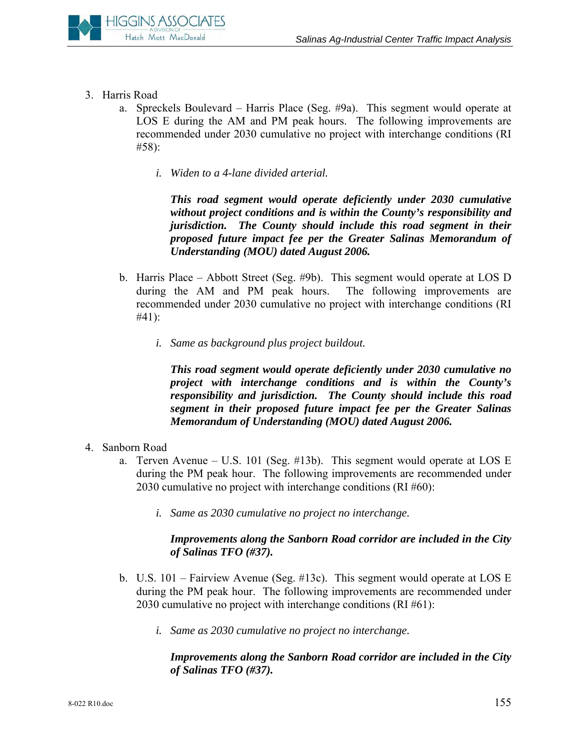

- 3. Harris Road
	- a. Spreckels Boulevard Harris Place (Seg. #9a). This segment would operate at LOS E during the AM and PM peak hours. The following improvements are recommended under 2030 cumulative no project with interchange conditions (RI #58):
		- *i. Widen to a 4-lane divided arterial.*

*This road segment would operate deficiently under 2030 cumulative without project conditions and is within the County's responsibility and jurisdiction. The County should include this road segment in their proposed future impact fee per the Greater Salinas Memorandum of Understanding (MOU) dated August 2006.* 

- b. Harris Place Abbott Street (Seg. #9b). This segment would operate at LOS D during the AM and PM peak hours. The following improvements are recommended under 2030 cumulative no project with interchange conditions (RI #41):
	- *i. Same as background plus project buildout.*

*This road segment would operate deficiently under 2030 cumulative no project with interchange conditions and is within the County's responsibility and jurisdiction. The County should include this road segment in their proposed future impact fee per the Greater Salinas Memorandum of Understanding (MOU) dated August 2006.* 

- 4. Sanborn Road
	- a. Terven Avenue U.S. 101 (Seg. #13b). This segment would operate at LOS E during the PM peak hour. The following improvements are recommended under 2030 cumulative no project with interchange conditions (RI #60):
		- *i. Same as 2030 cumulative no project no interchange.*

# *Improvements along the Sanborn Road corridor are included in the City of Salinas TFO (#37).*

- b. U.S. 101 Fairview Avenue (Seg. #13c). This segment would operate at LOS E during the PM peak hour. The following improvements are recommended under 2030 cumulative no project with interchange conditions (RI #61):
	- *i. Same as 2030 cumulative no project no interchange.*

## *Improvements along the Sanborn Road corridor are included in the City of Salinas TFO (#37).*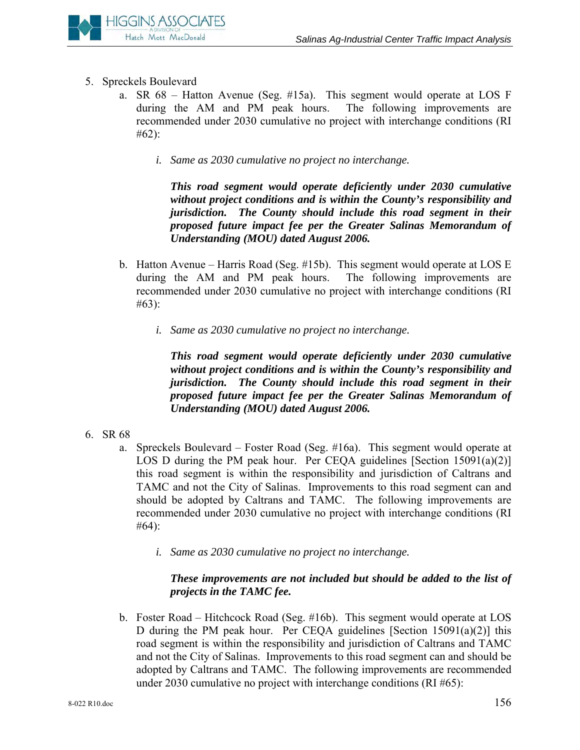

- 5. Spreckels Boulevard
	- a. SR 68 Hatton Avenue (Seg. #15a). This segment would operate at LOS F during the AM and PM peak hours. The following improvements are recommended under 2030 cumulative no project with interchange conditions (RI #62):
		- *i. Same as 2030 cumulative no project no interchange.*

*This road segment would operate deficiently under 2030 cumulative without project conditions and is within the County's responsibility and jurisdiction. The County should include this road segment in their proposed future impact fee per the Greater Salinas Memorandum of Understanding (MOU) dated August 2006.* 

- b. Hatton Avenue Harris Road (Seg. #15b). This segment would operate at LOS E during the AM and PM peak hours. The following improvements are recommended under 2030 cumulative no project with interchange conditions (RI #63):
	- *i. Same as 2030 cumulative no project no interchange.*

*This road segment would operate deficiently under 2030 cumulative without project conditions and is within the County's responsibility and jurisdiction. The County should include this road segment in their proposed future impact fee per the Greater Salinas Memorandum of Understanding (MOU) dated August 2006.* 

- 6. SR 68
	- a. Spreckels Boulevard Foster Road (Seg. #16a). This segment would operate at LOS D during the PM peak hour. Per CEQA guidelines [Section  $15091(a)(2)$ ] this road segment is within the responsibility and jurisdiction of Caltrans and TAMC and not the City of Salinas. Improvements to this road segment can and should be adopted by Caltrans and TAMC. The following improvements are recommended under 2030 cumulative no project with interchange conditions (RI #64):
		- *i. Same as 2030 cumulative no project no interchange.*

# *These improvements are not included but should be added to the list of projects in the TAMC fee.*

b. Foster Road – Hitchcock Road (Seg. #16b). This segment would operate at LOS D during the PM peak hour. Per CEQA guidelines [Section 15091(a)(2)] this road segment is within the responsibility and jurisdiction of Caltrans and TAMC and not the City of Salinas. Improvements to this road segment can and should be adopted by Caltrans and TAMC. The following improvements are recommended under 2030 cumulative no project with interchange conditions (RI #65):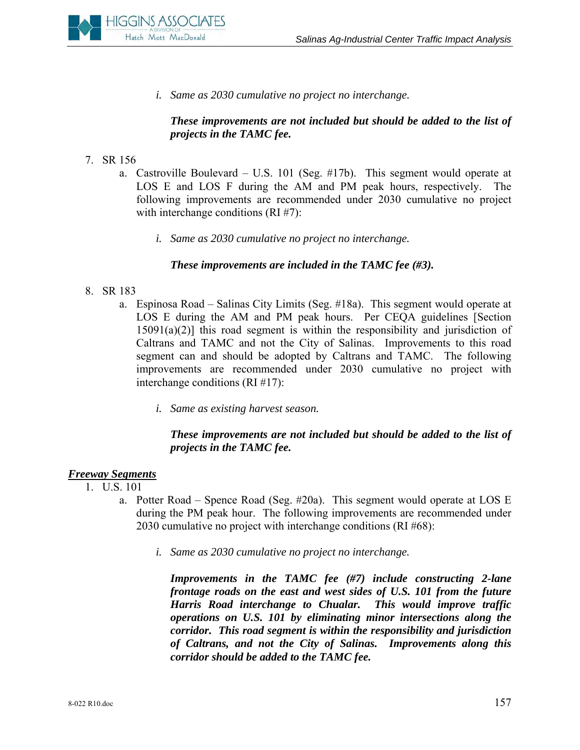

*i. Same as 2030 cumulative no project no interchange.* 

## *These improvements are not included but should be added to the list of projects in the TAMC fee.*

- 7. SR 156
	- a. Castroville Boulevard U.S. 101 (Seg. #17b). This segment would operate at LOS E and LOS F during the AM and PM peak hours, respectively. The following improvements are recommended under 2030 cumulative no project with interchange conditions (RI #7):
		- *i. Same as 2030 cumulative no project no interchange.*

#### *These improvements are included in the TAMC fee (#3).*

- 8. SR 183
	- a. Espinosa Road Salinas City Limits (Seg. #18a). This segment would operate at LOS E during the AM and PM peak hours. Per CEQA guidelines [Section  $15091(a)(2)$ ] this road segment is within the responsibility and jurisdiction of Caltrans and TAMC and not the City of Salinas. Improvements to this road segment can and should be adopted by Caltrans and TAMC. The following improvements are recommended under 2030 cumulative no project with interchange conditions (RI #17):
		- *i. Same as existing harvest season.*

# *These improvements are not included but should be added to the list of projects in the TAMC fee.*

# *Freeway Segments*

- 1. U.S. 101
	- a. Potter Road Spence Road (Seg. #20a). This segment would operate at LOS E during the PM peak hour. The following improvements are recommended under 2030 cumulative no project with interchange conditions (RI #68):
		- *i. Same as 2030 cumulative no project no interchange.*

*Improvements in the TAMC fee (#7) include constructing 2-lane frontage roads on the east and west sides of U.S. 101 from the future Harris Road interchange to Chualar. This would improve traffic operations on U.S. 101 by eliminating minor intersections along the corridor. This road segment is within the responsibility and jurisdiction of Caltrans, and not the City of Salinas. Improvements along this corridor should be added to the TAMC fee.*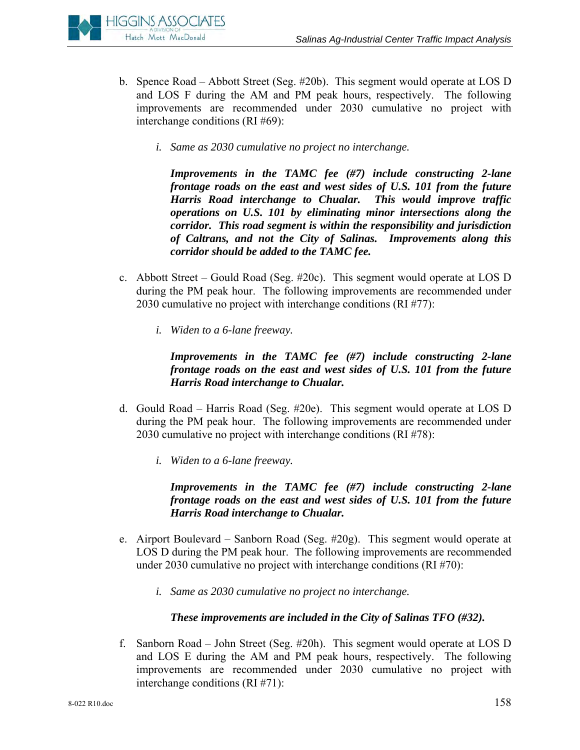

- b. Spence Road Abbott Street (Seg. #20b). This segment would operate at LOS D and LOS F during the AM and PM peak hours, respectively. The following improvements are recommended under 2030 cumulative no project with interchange conditions (RI #69):
	- *i. Same as 2030 cumulative no project no interchange.*

*Improvements in the TAMC fee (#7) include constructing 2-lane frontage roads on the east and west sides of U.S. 101 from the future Harris Road interchange to Chualar. This would improve traffic operations on U.S. 101 by eliminating minor intersections along the corridor. This road segment is within the responsibility and jurisdiction of Caltrans, and not the City of Salinas. Improvements along this corridor should be added to the TAMC fee.* 

- c. Abbott Street Gould Road (Seg. #20c). This segment would operate at LOS D during the PM peak hour. The following improvements are recommended under 2030 cumulative no project with interchange conditions (RI #77):
	- *i. Widen to a 6-lane freeway.*

*Improvements in the TAMC fee (#7) include constructing 2-lane frontage roads on the east and west sides of U.S. 101 from the future Harris Road interchange to Chualar.* 

- d. Gould Road Harris Road (Seg. #20e). This segment would operate at LOS D during the PM peak hour. The following improvements are recommended under 2030 cumulative no project with interchange conditions (RI #78):
	- *i. Widen to a 6-lane freeway.*

*Improvements in the TAMC fee (#7) include constructing 2-lane frontage roads on the east and west sides of U.S. 101 from the future Harris Road interchange to Chualar.* 

- e. Airport Boulevard Sanborn Road (Seg. #20g). This segment would operate at LOS D during the PM peak hour. The following improvements are recommended under 2030 cumulative no project with interchange conditions (RI #70):
	- *i. Same as 2030 cumulative no project no interchange.*

# *These improvements are included in the City of Salinas TFO (#32).*

f. Sanborn Road – John Street (Seg. #20h). This segment would operate at LOS D and LOS E during the AM and PM peak hours, respectively. The following improvements are recommended under 2030 cumulative no project with interchange conditions (RI #71):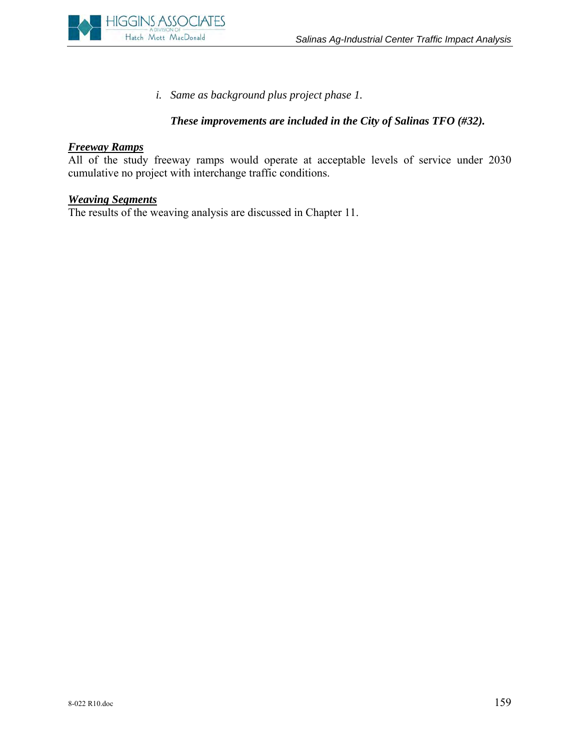

*i. Same as background plus project phase 1.* 

# *These improvements are included in the City of Salinas TFO (#32).*

# *Freeway Ramps*

All of the study freeway ramps would operate at acceptable levels of service under 2030 cumulative no project with interchange traffic conditions.

# *Weaving Segments*

The results of the weaving analysis are discussed in Chapter 11.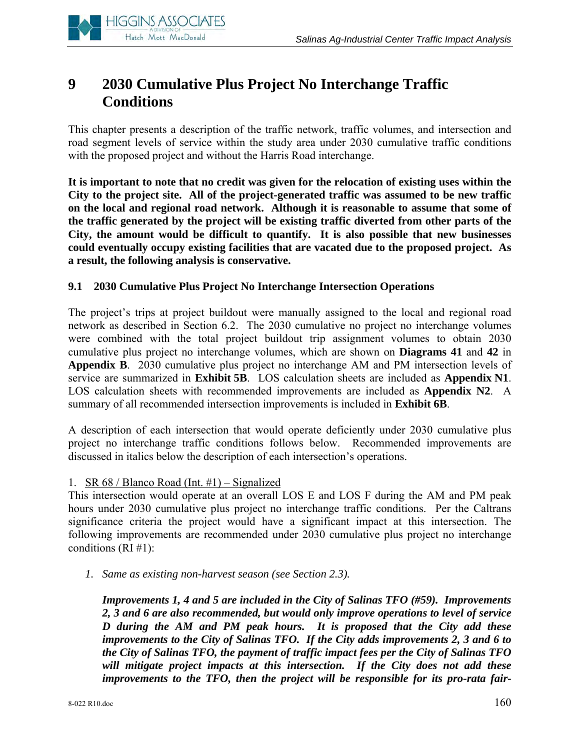

# **9 2030 Cumulative Plus Project No Interchange Traffic Conditions**

This chapter presents a description of the traffic network, traffic volumes, and intersection and road segment levels of service within the study area under 2030 cumulative traffic conditions with the proposed project and without the Harris Road interchange.

**It is important to note that no credit was given for the relocation of existing uses within the City to the project site. All of the project-generated traffic was assumed to be new traffic on the local and regional road network. Although it is reasonable to assume that some of the traffic generated by the project will be existing traffic diverted from other parts of the City, the amount would be difficult to quantify. It is also possible that new businesses could eventually occupy existing facilities that are vacated due to the proposed project. As a result, the following analysis is conservative.** 

## **9.1 2030 Cumulative Plus Project No Interchange Intersection Operations**

The project's trips at project buildout were manually assigned to the local and regional road network as described in Section 6.2. The 2030 cumulative no project no interchange volumes were combined with the total project buildout trip assignment volumes to obtain 2030 cumulative plus project no interchange volumes, which are shown on **Diagrams 41** and **42** in **Appendix B**. 2030 cumulative plus project no interchange AM and PM intersection levels of service are summarized in **Exhibit 5B**. LOS calculation sheets are included as **Appendix N1**. LOS calculation sheets with recommended improvements are included as **Appendix N2**. A summary of all recommended intersection improvements is included in **Exhibit 6B**.

A description of each intersection that would operate deficiently under 2030 cumulative plus project no interchange traffic conditions follows below. Recommended improvements are discussed in italics below the description of each intersection's operations.

#### 1. SR 68 / Blanco Road (Int. #1) – Signalized

This intersection would operate at an overall LOS E and LOS F during the AM and PM peak hours under 2030 cumulative plus project no interchange traffic conditions. Per the Caltrans significance criteria the project would have a significant impact at this intersection. The following improvements are recommended under 2030 cumulative plus project no interchange conditions  $(RI \#1)$ :

*1. Same as existing non-harvest season (see Section 2.3).* 

*Improvements 1, 4 and 5 are included in the City of Salinas TFO (#59). Improvements 2, 3 and 6 are also recommended, but would only improve operations to level of service D during the AM and PM peak hours. It is proposed that the City add these improvements to the City of Salinas TFO. If the City adds improvements 2, 3 and 6 to the City of Salinas TFO, the payment of traffic impact fees per the City of Salinas TFO will mitigate project impacts at this intersection. If the City does not add these improvements to the TFO, then the project will be responsible for its pro-rata fair-*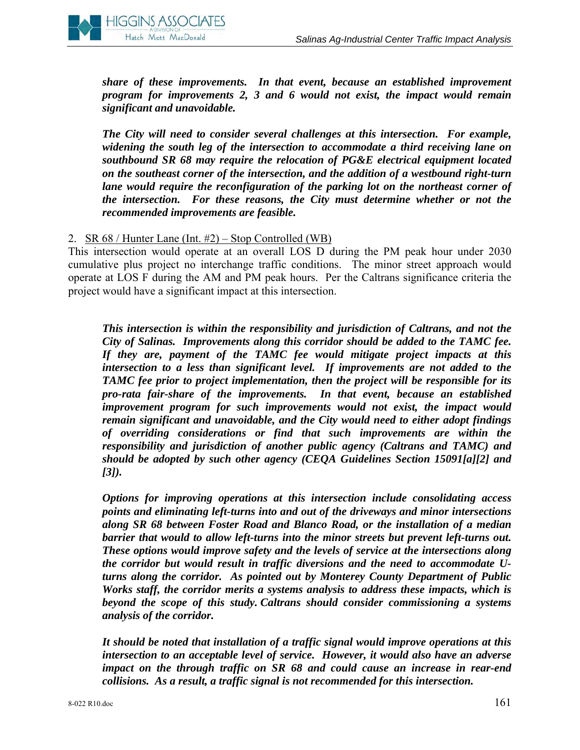

*share of these improvements. In that event, because an established improvement program for improvements 2, 3 and 6 would not exist, the impact would remain significant and unavoidable.* 

*The City will need to consider several challenges at this intersection. For example, widening the south leg of the intersection to accommodate a third receiving lane on southbound SR 68 may require the relocation of PG&E electrical equipment located on the southeast corner of the intersection, and the addition of a westbound right-turn lane would require the reconfiguration of the parking lot on the northeast corner of the intersection. For these reasons, the City must determine whether or not the recommended improvements are feasible.*

## 2. SR 68 / Hunter Lane (Int. #2) – Stop Controlled (WB)

This intersection would operate at an overall LOS D during the PM peak hour under 2030 cumulative plus project no interchange traffic conditions. The minor street approach would operate at LOS F during the AM and PM peak hours. Per the Caltrans significance criteria the project would have a significant impact at this intersection.

*This intersection is within the responsibility and jurisdiction of Caltrans, and not the City of Salinas. Improvements along this corridor should be added to the TAMC fee. If they are, payment of the TAMC fee would mitigate project impacts at this intersection to a less than significant level. If improvements are not added to the TAMC fee prior to project implementation, then the project will be responsible for its pro-rata fair-share of the improvements. In that event, because an established improvement program for such improvements would not exist, the impact would remain significant and unavoidable, and the City would need to either adopt findings of overriding considerations or find that such improvements are within the responsibility and jurisdiction of another public agency (Caltrans and TAMC) and should be adopted by such other agency (CEQA Guidelines Section 15091[a][2] and [3]).* 

*Options for improving operations at this intersection include consolidating access points and eliminating left-turns into and out of the driveways and minor intersections along SR 68 between Foster Road and Blanco Road, or the installation of a median barrier that would to allow left-turns into the minor streets but prevent left-turns out. These options would improve safety and the levels of service at the intersections along the corridor but would result in traffic diversions and the need to accommodate Uturns along the corridor. As pointed out by Monterey County Department of Public Works staff, the corridor merits a systems analysis to address these impacts, which is beyond the scope of this study. Caltrans should consider commissioning a systems analysis of the corridor.* 

*It should be noted that installation of a traffic signal would improve operations at this intersection to an acceptable level of service. However, it would also have an adverse impact on the through traffic on SR 68 and could cause an increase in rear-end collisions. As a result, a traffic signal is not recommended for this intersection.*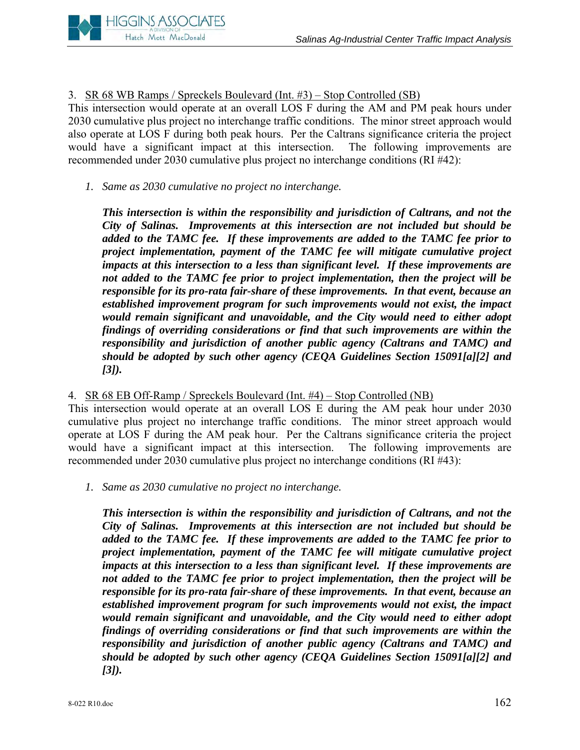

3. SR 68 WB Ramps / Spreckels Boulevard (Int. #3) – Stop Controlled (SB)

This intersection would operate at an overall LOS F during the AM and PM peak hours under 2030 cumulative plus project no interchange traffic conditions. The minor street approach would also operate at LOS F during both peak hours. Per the Caltrans significance criteria the project would have a significant impact at this intersection. The following improvements are recommended under 2030 cumulative plus project no interchange conditions (RI #42):

*1. Same as 2030 cumulative no project no interchange.* 

*This intersection is within the responsibility and jurisdiction of Caltrans, and not the City of Salinas. Improvements at this intersection are not included but should be added to the TAMC fee. If these improvements are added to the TAMC fee prior to project implementation, payment of the TAMC fee will mitigate cumulative project impacts at this intersection to a less than significant level. If these improvements are not added to the TAMC fee prior to project implementation, then the project will be responsible for its pro-rata fair-share of these improvements. In that event, because an established improvement program for such improvements would not exist, the impact would remain significant and unavoidable, and the City would need to either adopt findings of overriding considerations or find that such improvements are within the responsibility and jurisdiction of another public agency (Caltrans and TAMC) and should be adopted by such other agency (CEQA Guidelines Section 15091[a][2] and [3]).* 

# 4. SR 68 EB Off-Ramp / Spreckels Boulevard (Int. #4) – Stop Controlled (NB)

This intersection would operate at an overall LOS E during the AM peak hour under 2030 cumulative plus project no interchange traffic conditions. The minor street approach would operate at LOS F during the AM peak hour. Per the Caltrans significance criteria the project would have a significant impact at this intersection. The following improvements are recommended under 2030 cumulative plus project no interchange conditions (RI #43):

*1. Same as 2030 cumulative no project no interchange.* 

*This intersection is within the responsibility and jurisdiction of Caltrans, and not the City of Salinas. Improvements at this intersection are not included but should be added to the TAMC fee. If these improvements are added to the TAMC fee prior to project implementation, payment of the TAMC fee will mitigate cumulative project impacts at this intersection to a less than significant level. If these improvements are not added to the TAMC fee prior to project implementation, then the project will be responsible for its pro-rata fair-share of these improvements. In that event, because an established improvement program for such improvements would not exist, the impact would remain significant and unavoidable, and the City would need to either adopt findings of overriding considerations or find that such improvements are within the responsibility and jurisdiction of another public agency (Caltrans and TAMC) and should be adopted by such other agency (CEQA Guidelines Section 15091[a][2] and [3]).*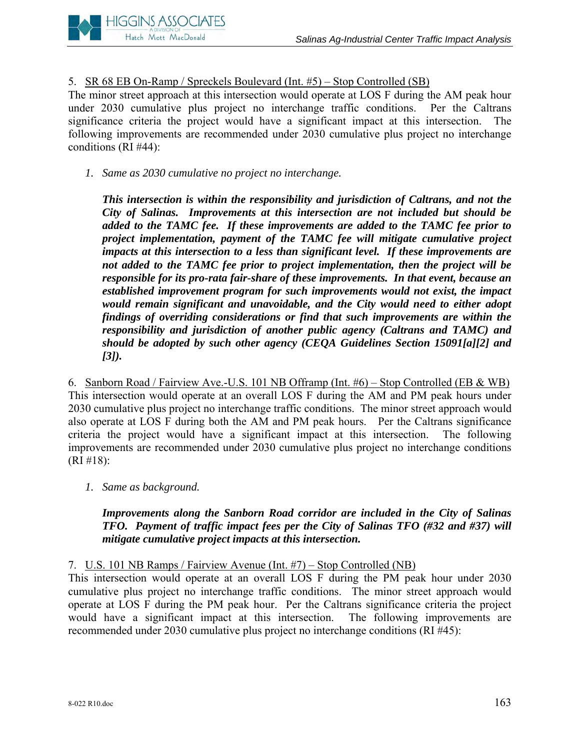

# 5. SR 68 EB On-Ramp / Spreckels Boulevard (Int. #5) – Stop Controlled (SB)

The minor street approach at this intersection would operate at LOS F during the AM peak hour under 2030 cumulative plus project no interchange traffic conditions. Per the Caltrans significance criteria the project would have a significant impact at this intersection. The following improvements are recommended under 2030 cumulative plus project no interchange conditions (RI #44):

# *1. Same as 2030 cumulative no project no interchange.*

*This intersection is within the responsibility and jurisdiction of Caltrans, and not the City of Salinas. Improvements at this intersection are not included but should be added to the TAMC fee. If these improvements are added to the TAMC fee prior to project implementation, payment of the TAMC fee will mitigate cumulative project impacts at this intersection to a less than significant level. If these improvements are not added to the TAMC fee prior to project implementation, then the project will be responsible for its pro-rata fair-share of these improvements. In that event, because an established improvement program for such improvements would not exist, the impact would remain significant and unavoidable, and the City would need to either adopt findings of overriding considerations or find that such improvements are within the responsibility and jurisdiction of another public agency (Caltrans and TAMC) and should be adopted by such other agency (CEQA Guidelines Section 15091[a][2] and [3]).* 

6. Sanborn Road / Fairview Ave.-U.S. 101 NB Offramp (Int. #6) – Stop Controlled (EB & WB) This intersection would operate at an overall LOS F during the AM and PM peak hours under 2030 cumulative plus project no interchange traffic conditions. The minor street approach would also operate at LOS F during both the AM and PM peak hours. Per the Caltrans significance criteria the project would have a significant impact at this intersection. The following improvements are recommended under 2030 cumulative plus project no interchange conditions (RI #18):

*1. Same as background.* 

*Improvements along the Sanborn Road corridor are included in the City of Salinas TFO. Payment of traffic impact fees per the City of Salinas TFO (#32 and #37) will mitigate cumulative project impacts at this intersection.*

7. U.S. 101 NB Ramps / Fairview Avenue (Int. #7) – Stop Controlled (NB)

This intersection would operate at an overall LOS F during the PM peak hour under 2030 cumulative plus project no interchange traffic conditions. The minor street approach would operate at LOS F during the PM peak hour. Per the Caltrans significance criteria the project would have a significant impact at this intersection. The following improvements are recommended under 2030 cumulative plus project no interchange conditions (RI #45):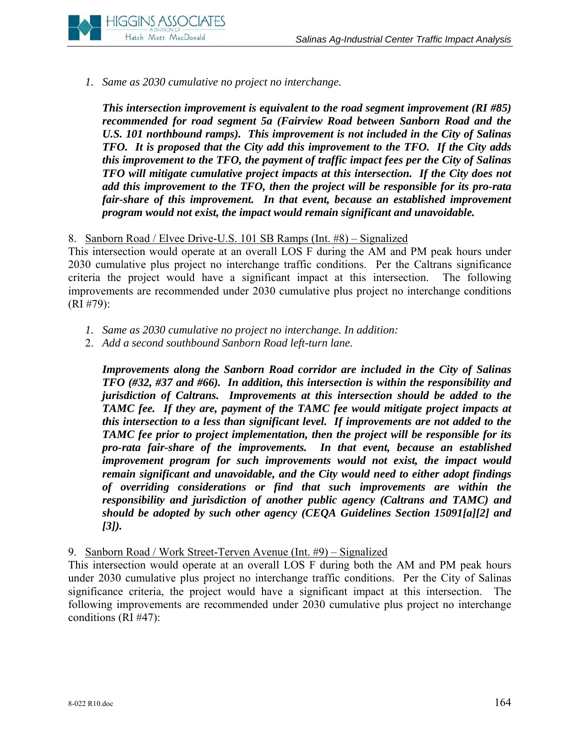

*1. Same as 2030 cumulative no project no interchange.* 

*This intersection improvement is equivalent to the road segment improvement (RI #85) recommended for road segment 5a (Fairview Road between Sanborn Road and the U.S. 101 northbound ramps). This improvement is not included in the City of Salinas TFO. It is proposed that the City add this improvement to the TFO. If the City adds this improvement to the TFO, the payment of traffic impact fees per the City of Salinas TFO will mitigate cumulative project impacts at this intersection. If the City does not add this improvement to the TFO, then the project will be responsible for its pro-rata fair-share of this improvement. In that event, because an established improvement program would not exist, the impact would remain significant and unavoidable.* 

## 8. Sanborn Road / Elvee Drive-U.S. 101 SB Ramps (Int. #8) – Signalized

This intersection would operate at an overall LOS F during the AM and PM peak hours under 2030 cumulative plus project no interchange traffic conditions. Per the Caltrans significance criteria the project would have a significant impact at this intersection. The following improvements are recommended under 2030 cumulative plus project no interchange conditions (RI #79):

- *1. Same as 2030 cumulative no project no interchange. In addition:*
- 2. *Add a second southbound Sanborn Road left-turn lane.*

*Improvements along the Sanborn Road corridor are included in the City of Salinas TFO (#32, #37 and #66). In addition, this intersection is within the responsibility and jurisdiction of Caltrans. Improvements at this intersection should be added to the TAMC fee. If they are, payment of the TAMC fee would mitigate project impacts at this intersection to a less than significant level. If improvements are not added to the TAMC fee prior to project implementation, then the project will be responsible for its pro-rata fair-share of the improvements. In that event, because an established improvement program for such improvements would not exist, the impact would remain significant and unavoidable, and the City would need to either adopt findings of overriding considerations or find that such improvements are within the responsibility and jurisdiction of another public agency (Caltrans and TAMC) and should be adopted by such other agency (CEQA Guidelines Section 15091[a][2] and [3]).* 

#### 9. Sanborn Road / Work Street-Terven Avenue (Int. #9) – Signalized

This intersection would operate at an overall LOS F during both the AM and PM peak hours under 2030 cumulative plus project no interchange traffic conditions. Per the City of Salinas significance criteria, the project would have a significant impact at this intersection. The following improvements are recommended under 2030 cumulative plus project no interchange conditions (RI #47):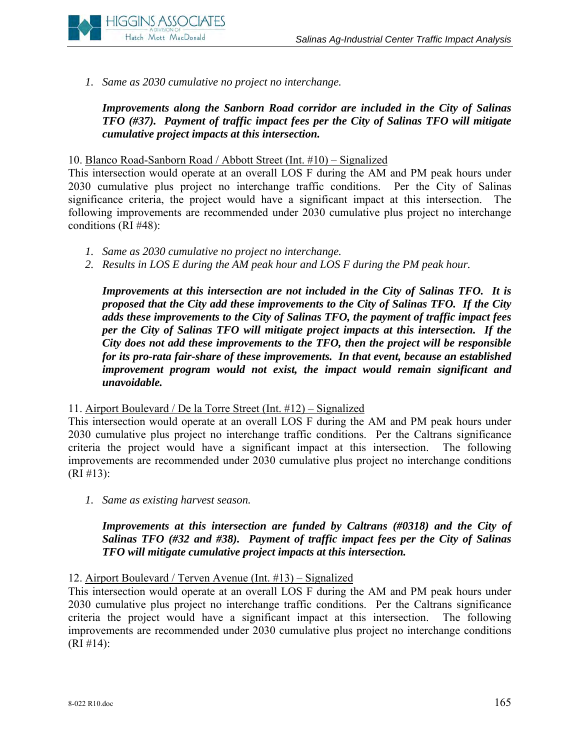

*1. Same as 2030 cumulative no project no interchange.* 

*Improvements along the Sanborn Road corridor are included in the City of Salinas TFO (#37). Payment of traffic impact fees per the City of Salinas TFO will mitigate cumulative project impacts at this intersection.* 

### 10. Blanco Road-Sanborn Road / Abbott Street (Int. #10) – Signalized

This intersection would operate at an overall LOS F during the AM and PM peak hours under 2030 cumulative plus project no interchange traffic conditions. Per the City of Salinas significance criteria, the project would have a significant impact at this intersection. The following improvements are recommended under 2030 cumulative plus project no interchange conditions (RI #48):

- *1. Same as 2030 cumulative no project no interchange.*
- *2. Results in LOS E during the AM peak hour and LOS F during the PM peak hour.*

*Improvements at this intersection are not included in the City of Salinas TFO. It is proposed that the City add these improvements to the City of Salinas TFO. If the City adds these improvements to the City of Salinas TFO, the payment of traffic impact fees per the City of Salinas TFO will mitigate project impacts at this intersection. If the City does not add these improvements to the TFO, then the project will be responsible for its pro-rata fair-share of these improvements. In that event, because an established improvement program would not exist, the impact would remain significant and unavoidable.* 

#### 11. Airport Boulevard / De la Torre Street (Int. #12) – Signalized

This intersection would operate at an overall LOS F during the AM and PM peak hours under 2030 cumulative plus project no interchange traffic conditions. Per the Caltrans significance criteria the project would have a significant impact at this intersection. The following improvements are recommended under 2030 cumulative plus project no interchange conditions  $(RI \# 13):$ 

*1. Same as existing harvest season.* 

*Improvements at this intersection are funded by Caltrans (#0318) and the City of Salinas TFO (#32 and #38). Payment of traffic impact fees per the City of Salinas TFO will mitigate cumulative project impacts at this intersection.* 

# 12. Airport Boulevard / Terven Avenue (Int. #13) – Signalized

This intersection would operate at an overall LOS F during the AM and PM peak hours under 2030 cumulative plus project no interchange traffic conditions. Per the Caltrans significance criteria the project would have a significant impact at this intersection. The following improvements are recommended under 2030 cumulative plus project no interchange conditions  $(RI \# 14)$ :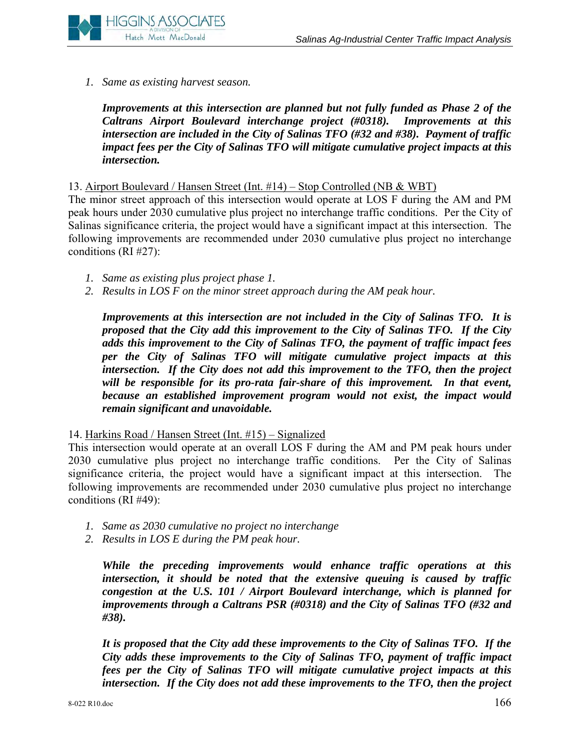

*1. Same as existing harvest season.*

*Improvements at this intersection are planned but not fully funded as Phase 2 of the Caltrans Airport Boulevard interchange project (#0318). Improvements at this intersection are included in the City of Salinas TFO (#32 and #38). Payment of traffic impact fees per the City of Salinas TFO will mitigate cumulative project impacts at this intersection.*

13. Airport Boulevard / Hansen Street (Int. #14) – Stop Controlled (NB & WBT)

The minor street approach of this intersection would operate at LOS F during the AM and PM peak hours under 2030 cumulative plus project no interchange traffic conditions. Per the City of Salinas significance criteria, the project would have a significant impact at this intersection. The following improvements are recommended under 2030 cumulative plus project no interchange conditions (RI #27):

- *1. Same as existing plus project phase 1.*
- *2. Results in LOS F on the minor street approach during the AM peak hour.*

*Improvements at this intersection are not included in the City of Salinas TFO. It is proposed that the City add this improvement to the City of Salinas TFO. If the City adds this improvement to the City of Salinas TFO, the payment of traffic impact fees per the City of Salinas TFO will mitigate cumulative project impacts at this intersection. If the City does not add this improvement to the TFO, then the project*  will be responsible for its pro-rata fair-share of this improvement. In that event, *because an established improvement program would not exist, the impact would remain significant and unavoidable.* 

14. Harkins Road / Hansen Street (Int. #15) – Signalized

This intersection would operate at an overall LOS F during the AM and PM peak hours under 2030 cumulative plus project no interchange traffic conditions. Per the City of Salinas significance criteria, the project would have a significant impact at this intersection. The following improvements are recommended under 2030 cumulative plus project no interchange conditions (RI #49):

- *1. Same as 2030 cumulative no project no interchange*
- *2. Results in LOS E during the PM peak hour.*

*While the preceding improvements would enhance traffic operations at this intersection, it should be noted that the extensive queuing is caused by traffic congestion at the U.S. 101 / Airport Boulevard interchange, which is planned for improvements through a Caltrans PSR (#0318) and the City of Salinas TFO (#32 and #38).*

*It is proposed that the City add these improvements to the City of Salinas TFO. If the City adds these improvements to the City of Salinas TFO, payment of traffic impact fees per the City of Salinas TFO will mitigate cumulative project impacts at this intersection. If the City does not add these improvements to the TFO, then the project*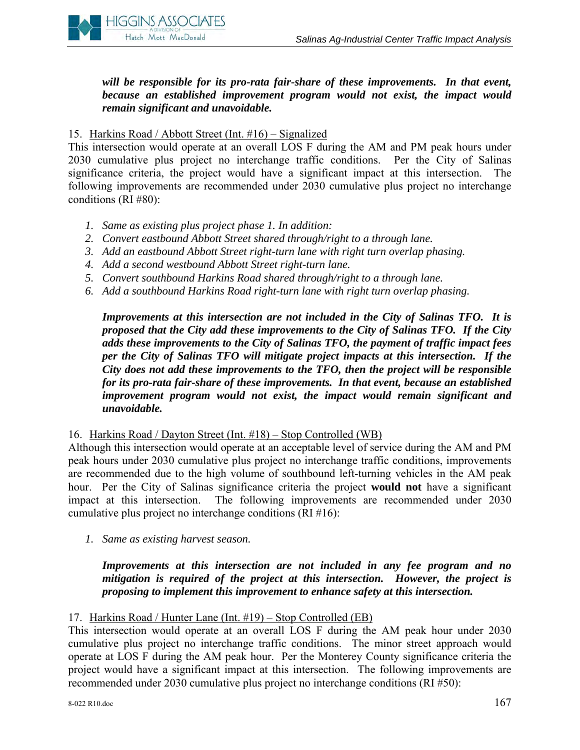

will be responsible for its pro-rata fair-share of these improvements. In that event, *because an established improvement program would not exist, the impact would remain significant and unavoidable.* 

#### 15. Harkins Road / Abbott Street (Int. #16) – Signalized

This intersection would operate at an overall LOS F during the AM and PM peak hours under 2030 cumulative plus project no interchange traffic conditions. Per the City of Salinas significance criteria, the project would have a significant impact at this intersection. The following improvements are recommended under 2030 cumulative plus project no interchange conditions (RI #80):

- *1. Same as existing plus project phase 1. In addition:*
- *2. Convert eastbound Abbott Street shared through/right to a through lane.*
- *3. Add an eastbound Abbott Street right-turn lane with right turn overlap phasing.*
- *4. Add a second westbound Abbott Street right-turn lane.*
- *5. Convert southbound Harkins Road shared through/right to a through lane.*
- *6. Add a southbound Harkins Road right-turn lane with right turn overlap phasing.*

*Improvements at this intersection are not included in the City of Salinas TFO. It is proposed that the City add these improvements to the City of Salinas TFO. If the City adds these improvements to the City of Salinas TFO, the payment of traffic impact fees per the City of Salinas TFO will mitigate project impacts at this intersection. If the City does not add these improvements to the TFO, then the project will be responsible for its pro-rata fair-share of these improvements. In that event, because an established improvement program would not exist, the impact would remain significant and unavoidable.* 

16. Harkins Road / Dayton Street (Int. #18) – Stop Controlled (WB)

Although this intersection would operate at an acceptable level of service during the AM and PM peak hours under 2030 cumulative plus project no interchange traffic conditions, improvements are recommended due to the high volume of southbound left-turning vehicles in the AM peak hour. Per the City of Salinas significance criteria the project **would not** have a significant impact at this intersection. The following improvements are recommended under 2030 cumulative plus project no interchange conditions (RI #16):

*1. Same as existing harvest season.* 

*Improvements at this intersection are not included in any fee program and no mitigation is required of the project at this intersection. However, the project is proposing to implement this improvement to enhance safety at this intersection.* 

#### 17. Harkins Road / Hunter Lane (Int. #19) – Stop Controlled (EB)

This intersection would operate at an overall LOS F during the AM peak hour under 2030 cumulative plus project no interchange traffic conditions. The minor street approach would operate at LOS F during the AM peak hour. Per the Monterey County significance criteria the project would have a significant impact at this intersection. The following improvements are recommended under 2030 cumulative plus project no interchange conditions (RI #50):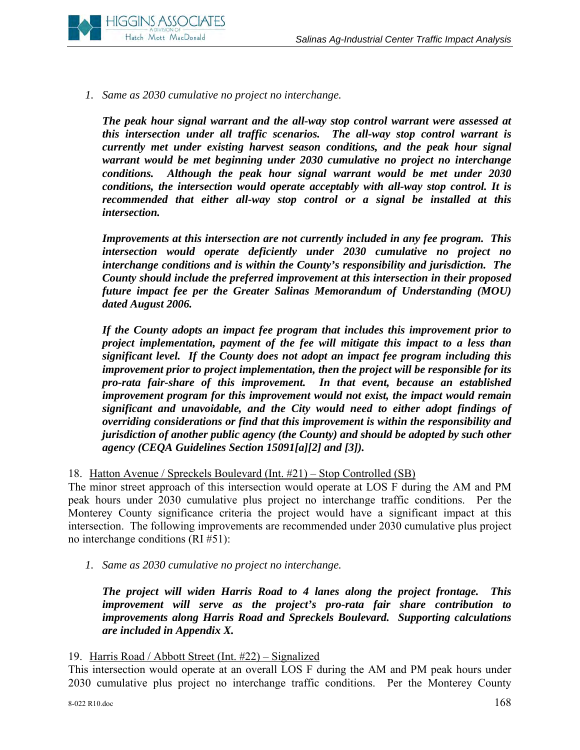

*1. Same as 2030 cumulative no project no interchange.* 

*The peak hour signal warrant and the all-way stop control warrant were assessed at this intersection under all traffic scenarios. The all-way stop control warrant is currently met under existing harvest season conditions, and the peak hour signal warrant would be met beginning under 2030 cumulative no project no interchange conditions. Although the peak hour signal warrant would be met under 2030 conditions, the intersection would operate acceptably with all-way stop control. It is recommended that either all-way stop control or a signal be installed at this intersection.* 

*Improvements at this intersection are not currently included in any fee program. This intersection would operate deficiently under 2030 cumulative no project no interchange conditions and is within the County's responsibility and jurisdiction. The County should include the preferred improvement at this intersection in their proposed future impact fee per the Greater Salinas Memorandum of Understanding (MOU) dated August 2006.* 

*If the County adopts an impact fee program that includes this improvement prior to project implementation, payment of the fee will mitigate this impact to a less than significant level. If the County does not adopt an impact fee program including this improvement prior to project implementation, then the project will be responsible for its pro-rata fair-share of this improvement. In that event, because an established improvement program for this improvement would not exist, the impact would remain significant and unavoidable, and the City would need to either adopt findings of overriding considerations or find that this improvement is within the responsibility and jurisdiction of another public agency (the County) and should be adopted by such other agency (CEQA Guidelines Section 15091[a][2] and [3]).* 

18. Hatton Avenue / Spreckels Boulevard (Int. #21) – Stop Controlled (SB)

The minor street approach of this intersection would operate at LOS F during the AM and PM peak hours under 2030 cumulative plus project no interchange traffic conditions. Per the Monterey County significance criteria the project would have a significant impact at this intersection. The following improvements are recommended under 2030 cumulative plus project no interchange conditions (RI #51):

*1. Same as 2030 cumulative no project no interchange.* 

*The project will widen Harris Road to 4 lanes along the project frontage. This improvement will serve as the project's pro-rata fair share contribution to improvements along Harris Road and Spreckels Boulevard. Supporting calculations are included in Appendix X.* 

19. Harris Road / Abbott Street (Int. #22) – Signalized

This intersection would operate at an overall LOS F during the AM and PM peak hours under 2030 cumulative plus project no interchange traffic conditions. Per the Monterey County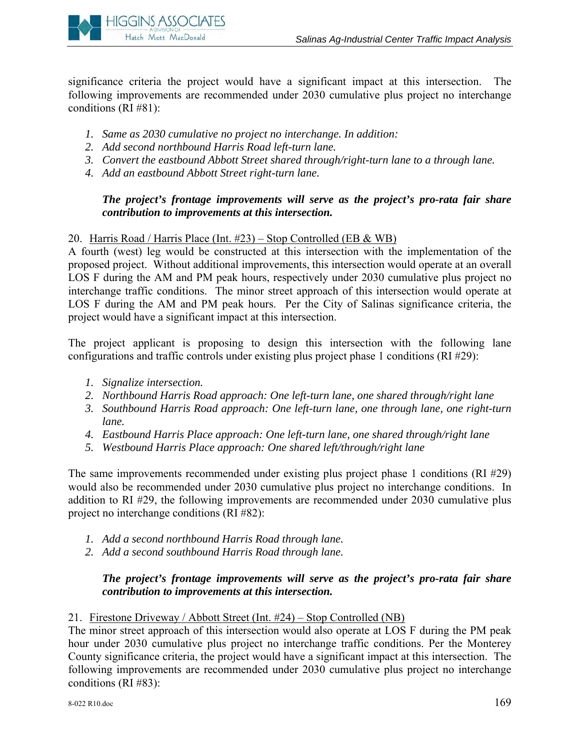

significance criteria the project would have a significant impact at this intersection. The following improvements are recommended under 2030 cumulative plus project no interchange conditions (RI #81):

- *1. Same as 2030 cumulative no project no interchange. In addition:*
- *2. Add second northbound Harris Road left-turn lane.*
- *3. Convert the eastbound Abbott Street shared through/right-turn lane to a through lane.*
- *4. Add an eastbound Abbott Street right-turn lane.*

# *The project's frontage improvements will serve as the project's pro-rata fair share contribution to improvements at this intersection.*

## 20. Harris Road / Harris Place (Int. #23) – Stop Controlled (EB & WB)

A fourth (west) leg would be constructed at this intersection with the implementation of the proposed project. Without additional improvements, this intersection would operate at an overall LOS F during the AM and PM peak hours, respectively under 2030 cumulative plus project no interchange traffic conditions. The minor street approach of this intersection would operate at LOS F during the AM and PM peak hours. Per the City of Salinas significance criteria, the project would have a significant impact at this intersection.

The project applicant is proposing to design this intersection with the following lane configurations and traffic controls under existing plus project phase 1 conditions (RI #29):

- *1. Signalize intersection.*
- *2. Northbound Harris Road approach: One left-turn lane, one shared through/right lane*
- *3. Southbound Harris Road approach: One left-turn lane, one through lane, one right-turn lane.*
- *4. Eastbound Harris Place approach: One left-turn lane, one shared through/right lane*
- *5. Westbound Harris Place approach: One shared left/through/right lane*

The same improvements recommended under existing plus project phase 1 conditions (RI #29) would also be recommended under 2030 cumulative plus project no interchange conditions. In addition to RI #29, the following improvements are recommended under 2030 cumulative plus project no interchange conditions (RI #82):

- *1. Add a second northbound Harris Road through lane.*
- *2. Add a second southbound Harris Road through lane.*

## *The project's frontage improvements will serve as the project's pro-rata fair share contribution to improvements at this intersection.*

#### 21. Firestone Driveway / Abbott Street (Int. #24) – Stop Controlled (NB)

The minor street approach of this intersection would also operate at LOS F during the PM peak hour under 2030 cumulative plus project no interchange traffic conditions. Per the Monterey County significance criteria, the project would have a significant impact at this intersection. The following improvements are recommended under 2030 cumulative plus project no interchange conditions (RI #83):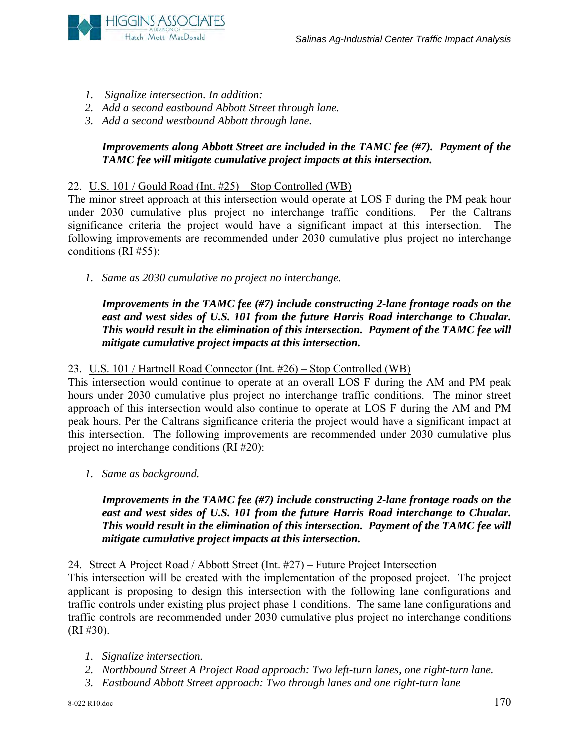

- *1. Signalize intersection. In addition:*
- *2. Add a second eastbound Abbott Street through lane.*
- *3. Add a second westbound Abbott through lane.*

# *Improvements along Abbott Street are included in the TAMC fee (#7). Payment of the TAMC fee will mitigate cumulative project impacts at this intersection.*

## 22. U.S. 101 / Gould Road (Int. #25) – Stop Controlled (WB)

The minor street approach at this intersection would operate at LOS F during the PM peak hour under 2030 cumulative plus project no interchange traffic conditions. Per the Caltrans significance criteria the project would have a significant impact at this intersection. The following improvements are recommended under 2030 cumulative plus project no interchange conditions (RI #55):

*1. Same as 2030 cumulative no project no interchange.* 

*Improvements in the TAMC fee (#7) include constructing 2-lane frontage roads on the*  east and west sides of U.S. 101 from the future Harris Road interchange to Chualar. *This would result in the elimination of this intersection. Payment of the TAMC fee will mitigate cumulative project impacts at this intersection.* 

# 23. U.S. 101 / Hartnell Road Connector (Int. #26) – Stop Controlled (WB)

This intersection would continue to operate at an overall LOS F during the AM and PM peak hours under 2030 cumulative plus project no interchange traffic conditions. The minor street approach of this intersection would also continue to operate at LOS F during the AM and PM peak hours. Per the Caltrans significance criteria the project would have a significant impact at this intersection. The following improvements are recommended under 2030 cumulative plus project no interchange conditions (RI #20):

*1. Same as background.* 

*Improvements in the TAMC fee (#7) include constructing 2-lane frontage roads on the east and west sides of U.S. 101 from the future Harris Road interchange to Chualar. This would result in the elimination of this intersection. Payment of the TAMC fee will mitigate cumulative project impacts at this intersection.* 

24. Street A Project Road / Abbott Street (Int. #27) – Future Project Intersection

This intersection will be created with the implementation of the proposed project. The project applicant is proposing to design this intersection with the following lane configurations and traffic controls under existing plus project phase 1 conditions. The same lane configurations and traffic controls are recommended under 2030 cumulative plus project no interchange conditions (RI #30).

- *1. Signalize intersection.*
- *2. Northbound Street A Project Road approach: Two left-turn lanes, one right-turn lane.*
- *3. Eastbound Abbott Street approach: Two through lanes and one right-turn lane*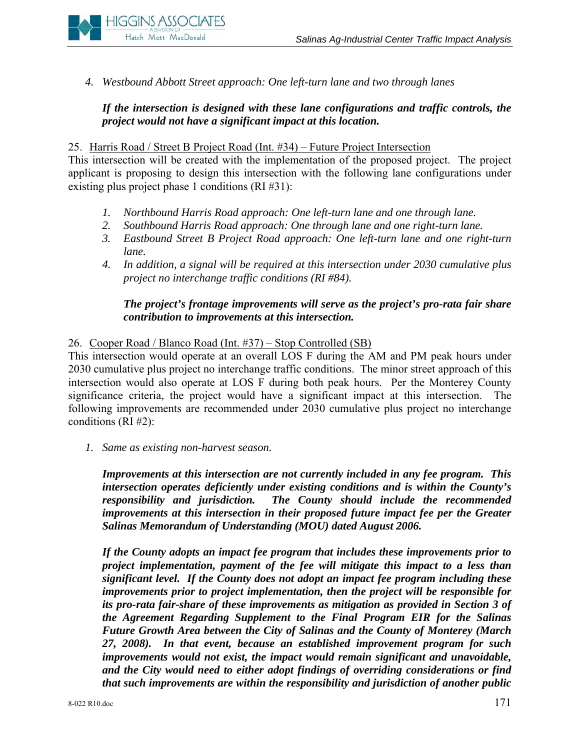

*4. Westbound Abbott Street approach: One left-turn lane and two through lanes* 

# *If the intersection is designed with these lane configurations and traffic controls, the project would not have a significant impact at this location.*

### 25. Harris Road / Street B Project Road (Int. #34) – Future Project Intersection

This intersection will be created with the implementation of the proposed project. The project applicant is proposing to design this intersection with the following lane configurations under existing plus project phase 1 conditions (RI #31):

- *1. Northbound Harris Road approach: One left-turn lane and one through lane.*
- *2. Southbound Harris Road approach: One through lane and one right-turn lane.*
- *3. Eastbound Street B Project Road approach: One left-turn lane and one right-turn lane.*
- *4. In addition, a signal will be required at this intersection under 2030 cumulative plus project no interchange traffic conditions (RI #84).*

# *The project's frontage improvements will serve as the project's pro-rata fair share contribution to improvements at this intersection.*

26. Cooper Road / Blanco Road (Int. #37) – Stop Controlled (SB)

This intersection would operate at an overall LOS F during the AM and PM peak hours under 2030 cumulative plus project no interchange traffic conditions. The minor street approach of this intersection would also operate at LOS F during both peak hours. Per the Monterey County significance criteria, the project would have a significant impact at this intersection. The following improvements are recommended under 2030 cumulative plus project no interchange conditions (RI #2):

*1. Same as existing non-harvest season.*

*Improvements at this intersection are not currently included in any fee program. This intersection operates deficiently under existing conditions and is within the County's responsibility and jurisdiction. The County should include the recommended improvements at this intersection in their proposed future impact fee per the Greater Salinas Memorandum of Understanding (MOU) dated August 2006.* 

*If the County adopts an impact fee program that includes these improvements prior to project implementation, payment of the fee will mitigate this impact to a less than significant level. If the County does not adopt an impact fee program including these improvements prior to project implementation, then the project will be responsible for its pro-rata fair-share of these improvements as mitigation as provided in Section 3 of the Agreement Regarding Supplement to the Final Program EIR for the Salinas Future Growth Area between the City of Salinas and the County of Monterey (March 27, 2008). In that event, because an established improvement program for such improvements would not exist, the impact would remain significant and unavoidable, and the City would need to either adopt findings of overriding considerations or find that such improvements are within the responsibility and jurisdiction of another public*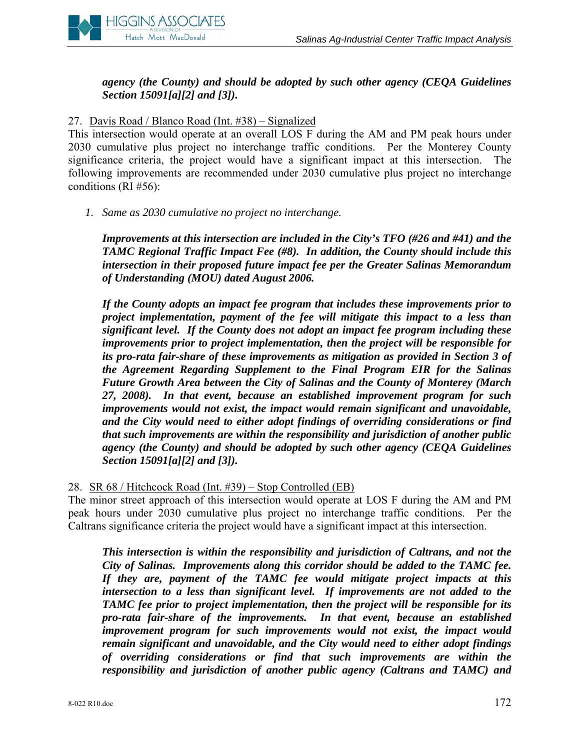

# *agency (the County) and should be adopted by such other agency (CEQA Guidelines Section 15091[a][2] and [3]).*

## 27. Davis Road / Blanco Road (Int. #38) – Signalized

This intersection would operate at an overall LOS F during the AM and PM peak hours under 2030 cumulative plus project no interchange traffic conditions. Per the Monterey County significance criteria, the project would have a significant impact at this intersection. The following improvements are recommended under 2030 cumulative plus project no interchange conditions (RI #56):

*1. Same as 2030 cumulative no project no interchange.* 

*Improvements at this intersection are included in the City's TFO (#26 and #41) and the TAMC Regional Traffic Impact Fee (#8). In addition, the County should include this intersection in their proposed future impact fee per the Greater Salinas Memorandum of Understanding (MOU) dated August 2006.* 

*If the County adopts an impact fee program that includes these improvements prior to project implementation, payment of the fee will mitigate this impact to a less than significant level. If the County does not adopt an impact fee program including these improvements prior to project implementation, then the project will be responsible for its pro-rata fair-share of these improvements as mitigation as provided in Section 3 of the Agreement Regarding Supplement to the Final Program EIR for the Salinas Future Growth Area between the City of Salinas and the County of Monterey (March 27, 2008). In that event, because an established improvement program for such improvements would not exist, the impact would remain significant and unavoidable, and the City would need to either adopt findings of overriding considerations or find that such improvements are within the responsibility and jurisdiction of another public agency (the County) and should be adopted by such other agency (CEQA Guidelines Section 15091[a][2] and [3]).* 

28. SR 68 / Hitchcock Road (Int. #39) – Stop Controlled (EB)

The minor street approach of this intersection would operate at LOS F during the AM and PM peak hours under 2030 cumulative plus project no interchange traffic conditions. Per the Caltrans significance criteria the project would have a significant impact at this intersection.

*This intersection is within the responsibility and jurisdiction of Caltrans, and not the City of Salinas. Improvements along this corridor should be added to the TAMC fee. If they are, payment of the TAMC fee would mitigate project impacts at this intersection to a less than significant level. If improvements are not added to the TAMC fee prior to project implementation, then the project will be responsible for its pro-rata fair-share of the improvements. In that event, because an established improvement program for such improvements would not exist, the impact would remain significant and unavoidable, and the City would need to either adopt findings of overriding considerations or find that such improvements are within the responsibility and jurisdiction of another public agency (Caltrans and TAMC) and*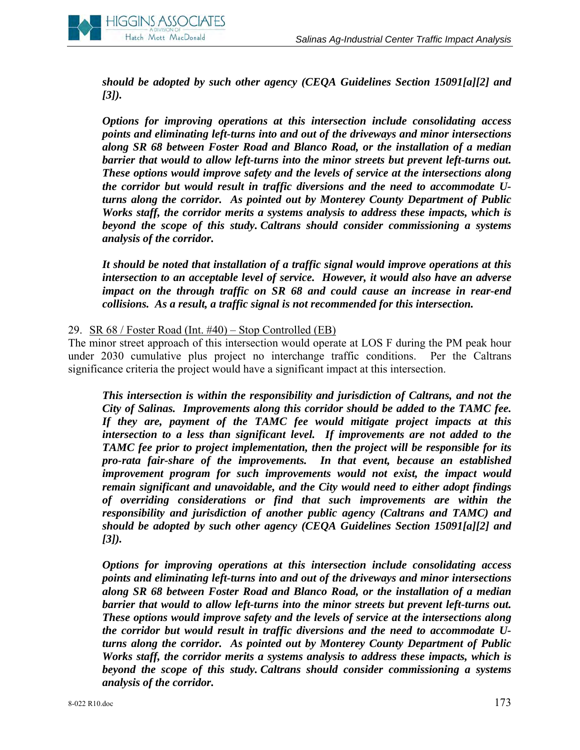

*should be adopted by such other agency (CEQA Guidelines Section 15091[a][2] and [3]).* 

*Options for improving operations at this intersection include consolidating access points and eliminating left-turns into and out of the driveways and minor intersections along SR 68 between Foster Road and Blanco Road, or the installation of a median barrier that would to allow left-turns into the minor streets but prevent left-turns out. These options would improve safety and the levels of service at the intersections along the corridor but would result in traffic diversions and the need to accommodate Uturns along the corridor. As pointed out by Monterey County Department of Public Works staff, the corridor merits a systems analysis to address these impacts, which is beyond the scope of this study. Caltrans should consider commissioning a systems analysis of the corridor.* 

*It should be noted that installation of a traffic signal would improve operations at this intersection to an acceptable level of service. However, it would also have an adverse impact on the through traffic on SR 68 and could cause an increase in rear-end collisions. As a result, a traffic signal is not recommended for this intersection.* 

#### 29. SR 68 / Foster Road (Int. #40) – Stop Controlled (EB)

The minor street approach of this intersection would operate at LOS F during the PM peak hour under 2030 cumulative plus project no interchange traffic conditions. Per the Caltrans significance criteria the project would have a significant impact at this intersection.

*This intersection is within the responsibility and jurisdiction of Caltrans, and not the City of Salinas. Improvements along this corridor should be added to the TAMC fee. If they are, payment of the TAMC fee would mitigate project impacts at this intersection to a less than significant level. If improvements are not added to the TAMC fee prior to project implementation, then the project will be responsible for its pro-rata fair-share of the improvements. In that event, because an established improvement program for such improvements would not exist, the impact would remain significant and unavoidable, and the City would need to either adopt findings of overriding considerations or find that such improvements are within the responsibility and jurisdiction of another public agency (Caltrans and TAMC) and should be adopted by such other agency (CEQA Guidelines Section 15091[a][2] and [3]).* 

*Options for improving operations at this intersection include consolidating access points and eliminating left-turns into and out of the driveways and minor intersections along SR 68 between Foster Road and Blanco Road, or the installation of a median barrier that would to allow left-turns into the minor streets but prevent left-turns out. These options would improve safety and the levels of service at the intersections along the corridor but would result in traffic diversions and the need to accommodate Uturns along the corridor. As pointed out by Monterey County Department of Public Works staff, the corridor merits a systems analysis to address these impacts, which is beyond the scope of this study. Caltrans should consider commissioning a systems analysis of the corridor.*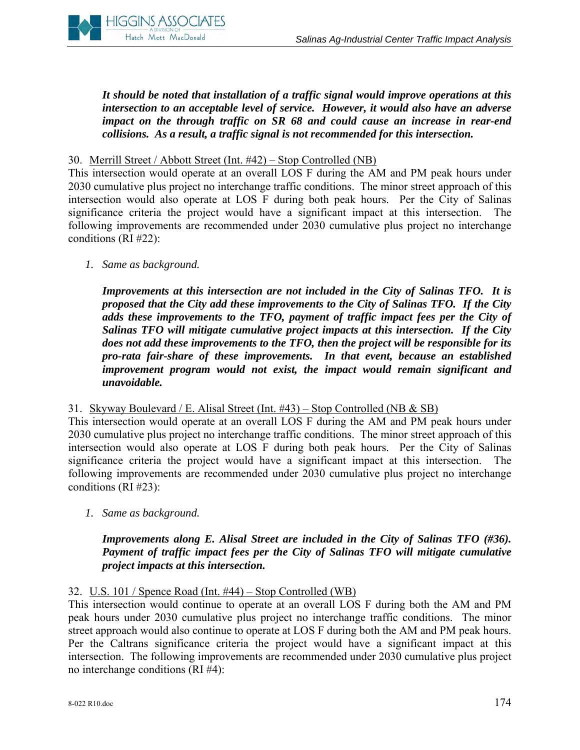

*It should be noted that installation of a traffic signal would improve operations at this intersection to an acceptable level of service. However, it would also have an adverse impact on the through traffic on SR 68 and could cause an increase in rear-end collisions. As a result, a traffic signal is not recommended for this intersection.* 

30. Merrill Street / Abbott Street (Int. #42) – Stop Controlled (NB)

This intersection would operate at an overall LOS F during the AM and PM peak hours under 2030 cumulative plus project no interchange traffic conditions. The minor street approach of this intersection would also operate at LOS F during both peak hours. Per the City of Salinas significance criteria the project would have a significant impact at this intersection. following improvements are recommended under 2030 cumulative plus project no interchange conditions (RI #22):

*1. Same as background.* 

*Improvements at this intersection are not included in the City of Salinas TFO. It is proposed that the City add these improvements to the City of Salinas TFO. If the City adds these improvements to the TFO, payment of traffic impact fees per the City of Salinas TFO will mitigate cumulative project impacts at this intersection. If the City does not add these improvements to the TFO, then the project will be responsible for its pro-rata fair-share of these improvements. In that event, because an established improvement program would not exist, the impact would remain significant and unavoidable.* 

#### 31. Skyway Boulevard / E. Alisal Street (Int. #43) – Stop Controlled (NB & SB)

This intersection would operate at an overall LOS F during the AM and PM peak hours under 2030 cumulative plus project no interchange traffic conditions. The minor street approach of this intersection would also operate at LOS F during both peak hours. Per the City of Salinas significance criteria the project would have a significant impact at this intersection. The following improvements are recommended under 2030 cumulative plus project no interchange conditions (RI #23):

*1. Same as background.* 

## *Improvements along E. Alisal Street are included in the City of Salinas TFO (#36). Payment of traffic impact fees per the City of Salinas TFO will mitigate cumulative project impacts at this intersection.*

#### 32. U.S. 101 / Spence Road (Int. #44) – Stop Controlled (WB)

This intersection would continue to operate at an overall LOS F during both the AM and PM peak hours under 2030 cumulative plus project no interchange traffic conditions. The minor street approach would also continue to operate at LOS F during both the AM and PM peak hours. Per the Caltrans significance criteria the project would have a significant impact at this intersection. The following improvements are recommended under 2030 cumulative plus project no interchange conditions (RI #4):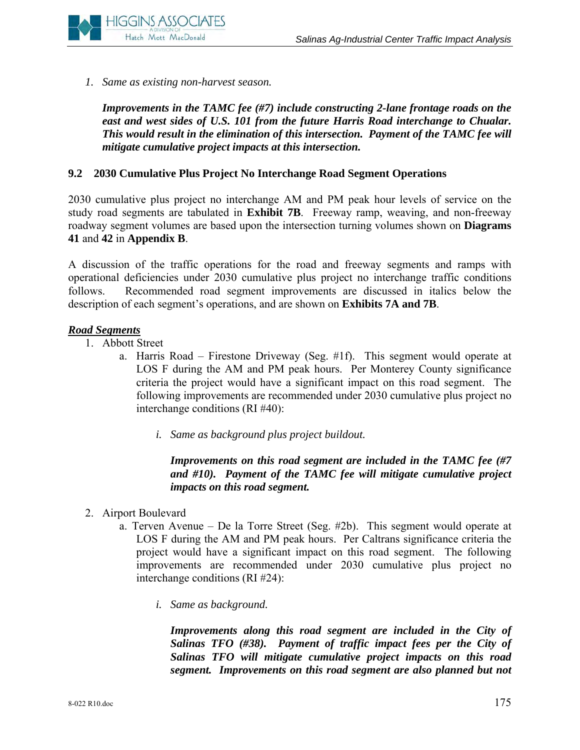

*1. Same as existing non-harvest season.* 

*Improvements in the TAMC fee (#7) include constructing 2-lane frontage roads on the east and west sides of U.S. 101 from the future Harris Road interchange to Chualar. This would result in the elimination of this intersection. Payment of the TAMC fee will mitigate cumulative project impacts at this intersection.* 

#### **9.2 2030 Cumulative Plus Project No Interchange Road Segment Operations**

2030 cumulative plus project no interchange AM and PM peak hour levels of service on the study road segments are tabulated in **Exhibit 7B**. Freeway ramp, weaving, and non-freeway roadway segment volumes are based upon the intersection turning volumes shown on **Diagrams 41** and **42** in **Appendix B**.

A discussion of the traffic operations for the road and freeway segments and ramps with operational deficiencies under 2030 cumulative plus project no interchange traffic conditions follows. Recommended road segment improvements are discussed in italics below the description of each segment's operations, and are shown on **Exhibits 7A and 7B**.

#### *Road Segments*

- 1. Abbott Street
	- a. Harris Road Firestone Driveway (Seg. #1f). This segment would operate at LOS F during the AM and PM peak hours. Per Monterey County significance criteria the project would have a significant impact on this road segment. The following improvements are recommended under 2030 cumulative plus project no interchange conditions (RI #40):
		- *i. Same as background plus project buildout.*

*Improvements on this road segment are included in the TAMC fee (#7 and #10). Payment of the TAMC fee will mitigate cumulative project impacts on this road segment.* 

- 2. Airport Boulevard
	- a. Terven Avenue De la Torre Street (Seg. #2b). This segment would operate at LOS F during the AM and PM peak hours. Per Caltrans significance criteria the project would have a significant impact on this road segment. The following improvements are recommended under 2030 cumulative plus project no interchange conditions (RI #24):
		- *i. Same as background.*

*Improvements along this road segment are included in the City of Salinas TFO (#38). Payment of traffic impact fees per the City of Salinas TFO will mitigate cumulative project impacts on this road segment. Improvements on this road segment are also planned but not*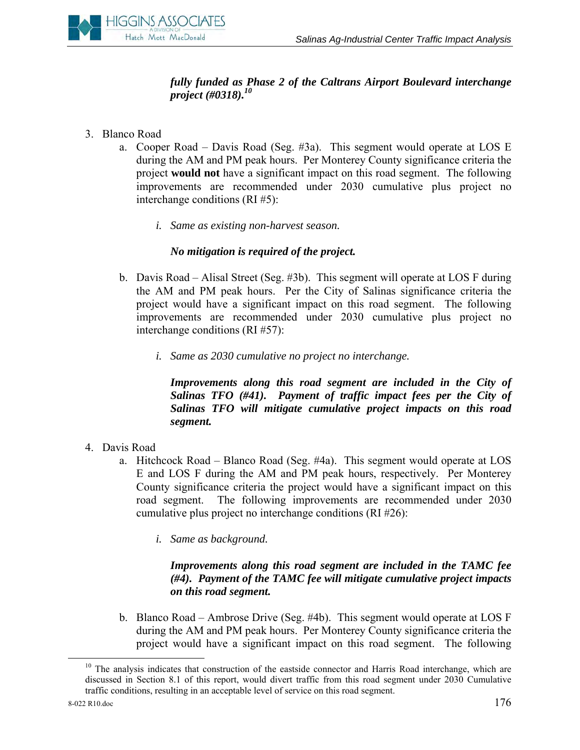# *fully funded as Phase 2 of the Caltrans Airport Boulevard interchange project (#0318).10*

- 3. Blanco Road
	- a. Cooper Road Davis Road (Seg. #3a). This segment would operate at LOS E during the AM and PM peak hours. Per Monterey County significance criteria the project **would not** have a significant impact on this road segment. The following improvements are recommended under 2030 cumulative plus project no interchange conditions (RI #5):
		- *i. Same as existing non-harvest season.*

## *No mitigation is required of the project.*

- b. Davis Road Alisal Street (Seg. #3b). This segment will operate at LOS F during the AM and PM peak hours. Per the City of Salinas significance criteria the project would have a significant impact on this road segment. The following improvements are recommended under 2030 cumulative plus project no interchange conditions (RI #57):
	- *i. Same as 2030 cumulative no project no interchange.*

*Improvements along this road segment are included in the City of Salinas TFO (#41). Payment of traffic impact fees per the City of Salinas TFO will mitigate cumulative project impacts on this road segment.* 

- 4. Davis Road
	- a. Hitchcock Road Blanco Road (Seg. #4a). This segment would operate at LOS E and LOS F during the AM and PM peak hours, respectively. Per Monterey County significance criteria the project would have a significant impact on this road segment. The following improvements are recommended under 2030 cumulative plus project no interchange conditions (RI #26):
		- *i. Same as background.*

## *Improvements along this road segment are included in the TAMC fee (#4). Payment of the TAMC fee will mitigate cumulative project impacts on this road segment.*

b. Blanco Road – Ambrose Drive (Seg. #4b). This segment would operate at LOS F during the AM and PM peak hours. Per Monterey County significance criteria the project would have a significant impact on this road segment. The following

<sup>&</sup>lt;sup>10</sup> The analysis indicates that construction of the eastside connector and Harris Road interchange, which are discussed in Section 8.1 of this report, would divert traffic from this road segment under 2030 Cumulative traffic conditions, resulting in an acceptable level of service on this road segment.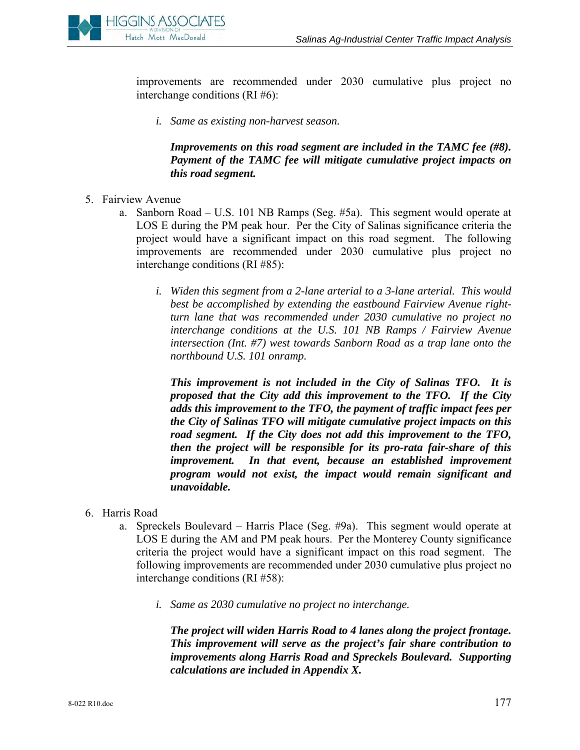

improvements are recommended under 2030 cumulative plus project no interchange conditions (RI #6):

*i. Same as existing non-harvest season.* 

*Improvements on this road segment are included in the TAMC fee (#8). Payment of the TAMC fee will mitigate cumulative project impacts on this road segment.* 

- 5. Fairview Avenue
	- a. Sanborn Road U.S. 101 NB Ramps (Seg. #5a). This segment would operate at LOS E during the PM peak hour. Per the City of Salinas significance criteria the project would have a significant impact on this road segment. The following improvements are recommended under 2030 cumulative plus project no interchange conditions (RI #85):
		- *i. Widen this segment from a 2-lane arterial to a 3-lane arterial. This would best be accomplished by extending the eastbound Fairview Avenue rightturn lane that was recommended under 2030 cumulative no project no interchange conditions at the U.S. 101 NB Ramps / Fairview Avenue intersection (Int. #7) west towards Sanborn Road as a trap lane onto the northbound U.S. 101 onramp.*

*This improvement is not included in the City of Salinas TFO. It is proposed that the City add this improvement to the TFO. If the City adds this improvement to the TFO, the payment of traffic impact fees per the City of Salinas TFO will mitigate cumulative project impacts on this road segment. If the City does not add this improvement to the TFO, then the project will be responsible for its pro-rata fair-share of this improvement. In that event, because an established improvement program would not exist, the impact would remain significant and unavoidable.* 

- 6. Harris Road
	- a. Spreckels Boulevard Harris Place (Seg. #9a). This segment would operate at LOS E during the AM and PM peak hours. Per the Monterey County significance criteria the project would have a significant impact on this road segment. The following improvements are recommended under 2030 cumulative plus project no interchange conditions (RI #58):
		- *i. Same as 2030 cumulative no project no interchange.*

*The project will widen Harris Road to 4 lanes along the project frontage. This improvement will serve as the project's fair share contribution to improvements along Harris Road and Spreckels Boulevard. Supporting calculations are included in Appendix X.*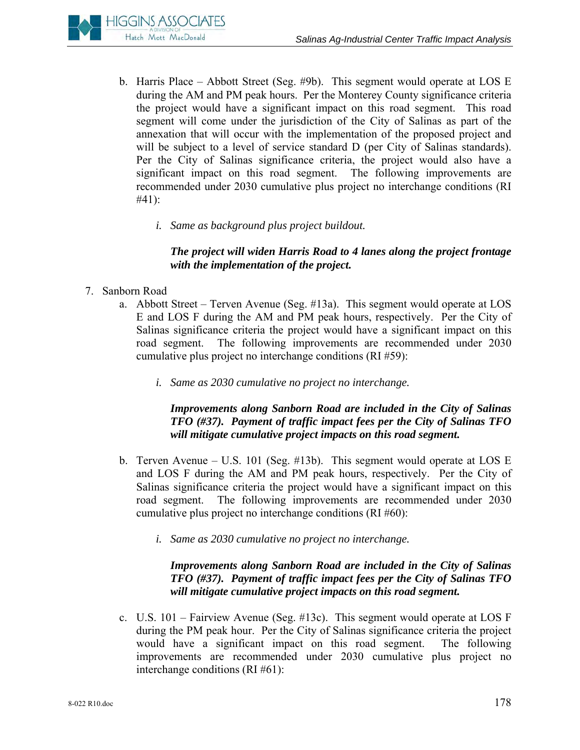

- b. Harris Place Abbott Street (Seg. #9b). This segment would operate at LOS E during the AM and PM peak hours. Per the Monterey County significance criteria the project would have a significant impact on this road segment. This road segment will come under the jurisdiction of the City of Salinas as part of the annexation that will occur with the implementation of the proposed project and will be subject to a level of service standard D (per City of Salinas standards). Per the City of Salinas significance criteria, the project would also have a significant impact on this road segment. The following improvements are recommended under 2030 cumulative plus project no interchange conditions (RI #41):
	- *i. Same as background plus project buildout.*

# *The project will widen Harris Road to 4 lanes along the project frontage with the implementation of the project.*

- 7. Sanborn Road
	- a. Abbott Street Terven Avenue (Seg. #13a). This segment would operate at LOS E and LOS F during the AM and PM peak hours, respectively. Per the City of Salinas significance criteria the project would have a significant impact on this road segment. The following improvements are recommended under 2030 cumulative plus project no interchange conditions (RI #59):
		- *i. Same as 2030 cumulative no project no interchange.*

## *Improvements along Sanborn Road are included in the City of Salinas TFO (#37). Payment of traffic impact fees per the City of Salinas TFO will mitigate cumulative project impacts on this road segment.*

- b. Terven Avenue U.S. 101 (Seg. #13b). This segment would operate at LOS E and LOS F during the AM and PM peak hours, respectively. Per the City of Salinas significance criteria the project would have a significant impact on this road segment. The following improvements are recommended under 2030 cumulative plus project no interchange conditions (RI #60):
	- *i. Same as 2030 cumulative no project no interchange.*

## *Improvements along Sanborn Road are included in the City of Salinas TFO (#37). Payment of traffic impact fees per the City of Salinas TFO will mitigate cumulative project impacts on this road segment.*

c. U.S. 101 – Fairview Avenue (Seg. #13c). This segment would operate at LOS F during the PM peak hour. Per the City of Salinas significance criteria the project would have a significant impact on this road segment. The following improvements are recommended under 2030 cumulative plus project no interchange conditions (RI #61):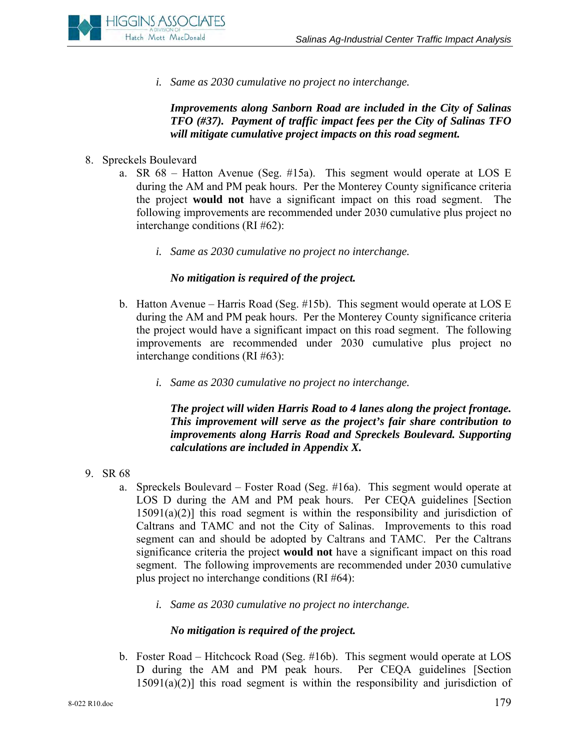

*i. Same as 2030 cumulative no project no interchange.* 

*Improvements along Sanborn Road are included in the City of Salinas TFO (#37). Payment of traffic impact fees per the City of Salinas TFO will mitigate cumulative project impacts on this road segment.* 

- 8. Spreckels Boulevard
	- a. SR 68 Hatton Avenue (Seg. #15a). This segment would operate at LOS E during the AM and PM peak hours. Per the Monterey County significance criteria the project **would not** have a significant impact on this road segment. The following improvements are recommended under 2030 cumulative plus project no interchange conditions (RI #62):
		- *i. Same as 2030 cumulative no project no interchange.*

## *No mitigation is required of the project.*

- b. Hatton Avenue Harris Road (Seg. #15b). This segment would operate at LOS E during the AM and PM peak hours. Per the Monterey County significance criteria the project would have a significant impact on this road segment. The following improvements are recommended under 2030 cumulative plus project no interchange conditions (RI #63):
	- *i. Same as 2030 cumulative no project no interchange.*

*The project will widen Harris Road to 4 lanes along the project frontage. This improvement will serve as the project's fair share contribution to improvements along Harris Road and Spreckels Boulevard. Supporting calculations are included in Appendix X.* 

- 9. SR 68
	- a. Spreckels Boulevard Foster Road (Seg. #16a). This segment would operate at LOS D during the AM and PM peak hours. Per CEQA guidelines [Section  $15091(a)(2)$ ] this road segment is within the responsibility and jurisdiction of Caltrans and TAMC and not the City of Salinas. Improvements to this road segment can and should be adopted by Caltrans and TAMC. Per the Caltrans significance criteria the project **would not** have a significant impact on this road segment. The following improvements are recommended under 2030 cumulative plus project no interchange conditions (RI #64):
		- *i. Same as 2030 cumulative no project no interchange.*

#### *No mitigation is required of the project.*

b. Foster Road – Hitchcock Road (Seg. #16b). This segment would operate at LOS D during the AM and PM peak hours. Per CEQA guidelines [Section  $15091(a)(2)$ ] this road segment is within the responsibility and jurisdiction of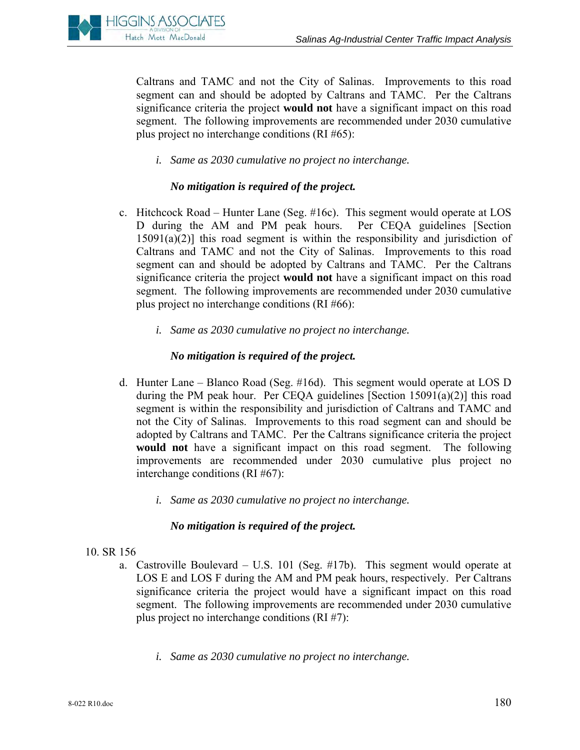

Caltrans and TAMC and not the City of Salinas. Improvements to this road segment can and should be adopted by Caltrans and TAMC. Per the Caltrans significance criteria the project **would not** have a significant impact on this road segment. The following improvements are recommended under 2030 cumulative plus project no interchange conditions (RI #65):

*i. Same as 2030 cumulative no project no interchange.* 

## *No mitigation is required of the project.*

- c. Hitchcock Road Hunter Lane (Seg. #16c). This segment would operate at LOS D during the AM and PM peak hours. Per CEQA guidelines [Section  $15091(a)(2)$ ] this road segment is within the responsibility and jurisdiction of Caltrans and TAMC and not the City of Salinas. Improvements to this road segment can and should be adopted by Caltrans and TAMC. Per the Caltrans significance criteria the project **would not** have a significant impact on this road segment. The following improvements are recommended under 2030 cumulative plus project no interchange conditions (RI #66):
	- *i. Same as 2030 cumulative no project no interchange.*

## *No mitigation is required of the project.*

- d. Hunter Lane Blanco Road (Seg. #16d). This segment would operate at LOS D during the PM peak hour. Per CEQA guidelines [Section  $15091(a)(2)$ ] this road segment is within the responsibility and jurisdiction of Caltrans and TAMC and not the City of Salinas. Improvements to this road segment can and should be adopted by Caltrans and TAMC. Per the Caltrans significance criteria the project **would not** have a significant impact on this road segment. The following improvements are recommended under 2030 cumulative plus project no interchange conditions (RI #67):
	- *i. Same as 2030 cumulative no project no interchange.*

## *No mitigation is required of the project.*

#### 10. SR 156

- a. Castroville Boulevard U.S. 101 (Seg. #17b). This segment would operate at LOS E and LOS F during the AM and PM peak hours, respectively. Per Caltrans significance criteria the project would have a significant impact on this road segment. The following improvements are recommended under 2030 cumulative plus project no interchange conditions (RI #7):
	- *i. Same as 2030 cumulative no project no interchange.*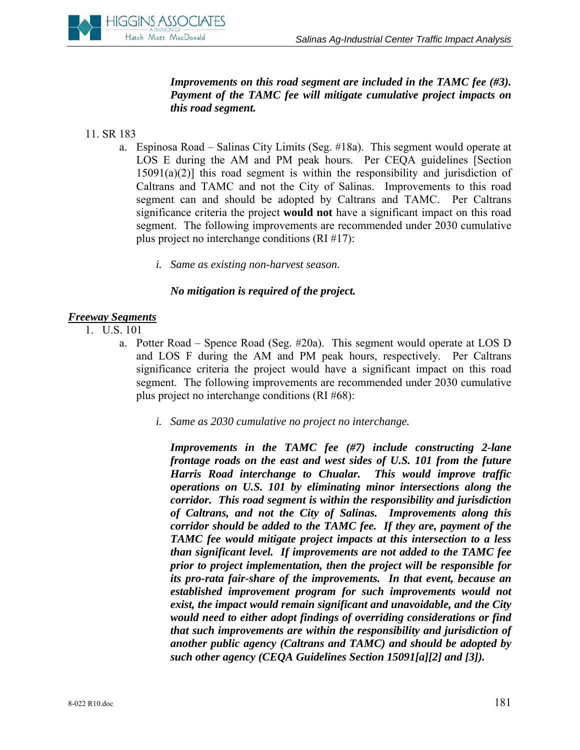

*Improvements on this road segment are included in the TAMC fee (#3). Payment of the TAMC fee will mitigate cumulative project impacts on this road segment.* 

- 11. SR 183
	- a. Espinosa Road Salinas City Limits (Seg. #18a). This segment would operate at LOS E during the AM and PM peak hours. Per CEQA guidelines [Section  $15091(a)(2)$ ] this road segment is within the responsibility and jurisdiction of Caltrans and TAMC and not the City of Salinas. Improvements to this road segment can and should be adopted by Caltrans and TAMC. Per Caltrans significance criteria the project **would not** have a significant impact on this road segment. The following improvements are recommended under 2030 cumulative plus project no interchange conditions (RI #17):
		- *i. Same as existing non-harvest season.*

#### *No mitigation is required of the project.*

#### *Freeway Segments*

- 1. U.S. 101
	- a. Potter Road Spence Road (Seg. #20a). This segment would operate at LOS D and LOS F during the AM and PM peak hours, respectively. Per Caltrans significance criteria the project would have a significant impact on this road segment. The following improvements are recommended under 2030 cumulative plus project no interchange conditions (RI #68):
		- *i. Same as 2030 cumulative no project no interchange.*

*Improvements in the TAMC fee (#7) include constructing 2-lane frontage roads on the east and west sides of U.S. 101 from the future Harris Road interchange to Chualar. This would improve traffic operations on U.S. 101 by eliminating minor intersections along the corridor. This road segment is within the responsibility and jurisdiction of Caltrans, and not the City of Salinas. Improvements along this corridor should be added to the TAMC fee. If they are, payment of the TAMC fee would mitigate project impacts at this intersection to a less than significant level. If improvements are not added to the TAMC fee prior to project implementation, then the project will be responsible for its pro-rata fair-share of the improvements. In that event, because an established improvement program for such improvements would not exist, the impact would remain significant and unavoidable, and the City would need to either adopt findings of overriding considerations or find that such improvements are within the responsibility and jurisdiction of another public agency (Caltrans and TAMC) and should be adopted by such other agency (CEQA Guidelines Section 15091[a][2] and [3]).*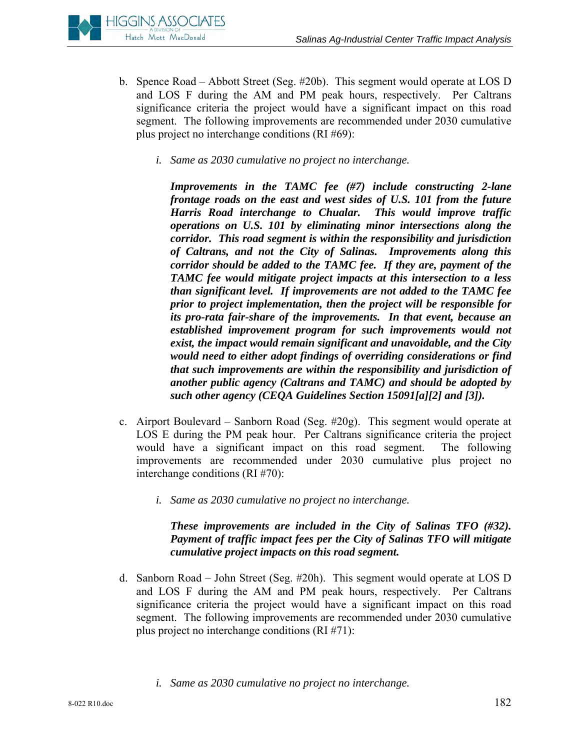

- b. Spence Road Abbott Street (Seg. #20b). This segment would operate at LOS D and LOS F during the AM and PM peak hours, respectively. Per Caltrans significance criteria the project would have a significant impact on this road segment. The following improvements are recommended under 2030 cumulative plus project no interchange conditions (RI #69):
	- *i. Same as 2030 cumulative no project no interchange.*

*Improvements in the TAMC fee (#7) include constructing 2-lane frontage roads on the east and west sides of U.S. 101 from the future Harris Road interchange to Chualar. This would improve traffic operations on U.S. 101 by eliminating minor intersections along the corridor. This road segment is within the responsibility and jurisdiction of Caltrans, and not the City of Salinas. Improvements along this corridor should be added to the TAMC fee. If they are, payment of the TAMC fee would mitigate project impacts at this intersection to a less than significant level. If improvements are not added to the TAMC fee prior to project implementation, then the project will be responsible for its pro-rata fair-share of the improvements. In that event, because an established improvement program for such improvements would not exist, the impact would remain significant and unavoidable, and the City would need to either adopt findings of overriding considerations or find that such improvements are within the responsibility and jurisdiction of another public agency (Caltrans and TAMC) and should be adopted by such other agency (CEQA Guidelines Section 15091[a][2] and [3]).* 

- c. Airport Boulevard Sanborn Road (Seg. #20g). This segment would operate at LOS E during the PM peak hour. Per Caltrans significance criteria the project would have a significant impact on this road segment. The following improvements are recommended under 2030 cumulative plus project no interchange conditions (RI #70):
	- *i. Same as 2030 cumulative no project no interchange.*

## *These improvements are included in the City of Salinas TFO (#32). Payment of traffic impact fees per the City of Salinas TFO will mitigate cumulative project impacts on this road segment.*

- d. Sanborn Road John Street (Seg. #20h). This segment would operate at LOS D and LOS F during the AM and PM peak hours, respectively. Per Caltrans significance criteria the project would have a significant impact on this road segment. The following improvements are recommended under 2030 cumulative plus project no interchange conditions (RI #71):
	- *i. Same as 2030 cumulative no project no interchange.*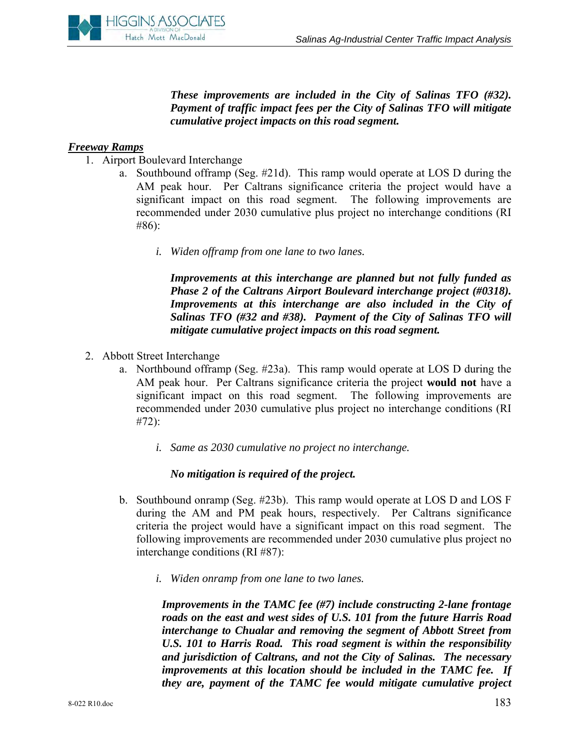

*These improvements are included in the City of Salinas TFO (#32). Payment of traffic impact fees per the City of Salinas TFO will mitigate cumulative project impacts on this road segment.* 

#### *Freeway Ramps*

- 1. Airport Boulevard Interchange
	- a. Southbound offramp (Seg. #21d). This ramp would operate at LOS D during the AM peak hour. Per Caltrans significance criteria the project would have a significant impact on this road segment. The following improvements are recommended under 2030 cumulative plus project no interchange conditions (RI #86):
		- *i. Widen offramp from one lane to two lanes.*

*Improvements at this interchange are planned but not fully funded as Phase 2 of the Caltrans Airport Boulevard interchange project (#0318). Improvements at this interchange are also included in the City of Salinas TFO (#32 and #38). Payment of the City of Salinas TFO will mitigate cumulative project impacts on this road segment.* 

- 2. Abbott Street Interchange
	- a. Northbound offramp (Seg. #23a). This ramp would operate at LOS D during the AM peak hour. Per Caltrans significance criteria the project **would not** have a significant impact on this road segment. The following improvements are recommended under 2030 cumulative plus project no interchange conditions (RI #72):
		- *i. Same as 2030 cumulative no project no interchange.*

#### *No mitigation is required of the project.*

- b. Southbound onramp (Seg. #23b). This ramp would operate at LOS D and LOS F during the AM and PM peak hours, respectively. Per Caltrans significance criteria the project would have a significant impact on this road segment. The following improvements are recommended under 2030 cumulative plus project no interchange conditions (RI #87):
	- *i. Widen onramp from one lane to two lanes.*

*Improvements in the TAMC fee (#7) include constructing 2-lane frontage roads on the east and west sides of U.S. 101 from the future Harris Road interchange to Chualar and removing the segment of Abbott Street from U.S. 101 to Harris Road. This road segment is within the responsibility and jurisdiction of Caltrans, and not the City of Salinas. The necessary improvements at this location should be included in the TAMC fee. If they are, payment of the TAMC fee would mitigate cumulative project*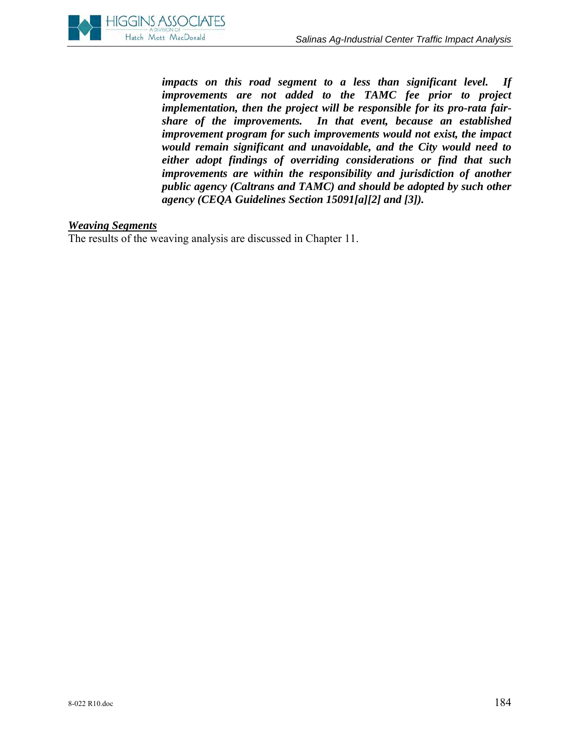*impacts on this road segment to a less than significant level. If improvements are not added to the TAMC fee prior to project implementation, then the project will be responsible for its pro-rata fairshare of the improvements. In that event, because an established improvement program for such improvements would not exist, the impact would remain significant and unavoidable, and the City would need to either adopt findings of overriding considerations or find that such improvements are within the responsibility and jurisdiction of another public agency (Caltrans and TAMC) and should be adopted by such other agency (CEQA Guidelines Section 15091[a][2] and [3]).* 

#### *Weaving Segments*

The results of the weaving analysis are discussed in Chapter 11.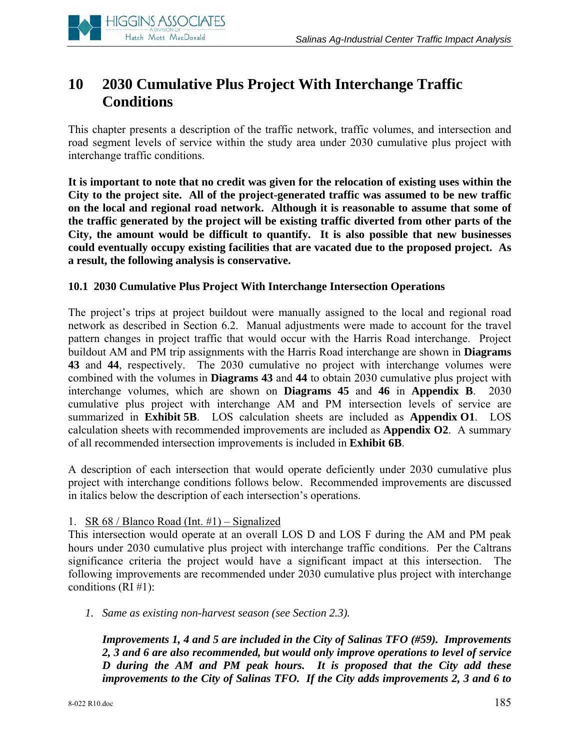

# **10 2030 Cumulative Plus Project With Interchange Traffic Conditions**

This chapter presents a description of the traffic network, traffic volumes, and intersection and road segment levels of service within the study area under 2030 cumulative plus project with interchange traffic conditions.

**It is important to note that no credit was given for the relocation of existing uses within the City to the project site. All of the project-generated traffic was assumed to be new traffic on the local and regional road network. Although it is reasonable to assume that some of the traffic generated by the project will be existing traffic diverted from other parts of the City, the amount would be difficult to quantify. It is also possible that new businesses could eventually occupy existing facilities that are vacated due to the proposed project. As a result, the following analysis is conservative.** 

## **10.1 2030 Cumulative Plus Project With Interchange Intersection Operations**

The project's trips at project buildout were manually assigned to the local and regional road network as described in Section 6.2. Manual adjustments were made to account for the travel pattern changes in project traffic that would occur with the Harris Road interchange. Project buildout AM and PM trip assignments with the Harris Road interchange are shown in **Diagrams 43** and **44**, respectively. The 2030 cumulative no project with interchange volumes were combined with the volumes in **Diagrams 43** and **44** to obtain 2030 cumulative plus project with interchange volumes, which are shown on **Diagrams 45** and **46** in **Appendix B**. 2030 cumulative plus project with interchange AM and PM intersection levels of service are summarized in **Exhibit 5B**. LOS calculation sheets are included as **Appendix O1**. LOS calculation sheets with recommended improvements are included as **Appendix O2**. A summary of all recommended intersection improvements is included in **Exhibit 6B**.

A description of each intersection that would operate deficiently under 2030 cumulative plus project with interchange conditions follows below. Recommended improvements are discussed in italics below the description of each intersection's operations.

#### 1. SR 68 / Blanco Road (Int. #1) – Signalized

This intersection would operate at an overall LOS D and LOS F during the AM and PM peak hours under 2030 cumulative plus project with interchange traffic conditions. Per the Caltrans significance criteria the project would have a significant impact at this intersection. The following improvements are recommended under 2030 cumulative plus project with interchange conditions  $(RI \#1)$ :

*1. Same as existing non-harvest season (see Section 2.3).* 

*Improvements 1, 4 and 5 are included in the City of Salinas TFO (#59). Improvements 2, 3 and 6 are also recommended, but would only improve operations to level of service D during the AM and PM peak hours. It is proposed that the City add these improvements to the City of Salinas TFO. If the City adds improvements 2, 3 and 6 to*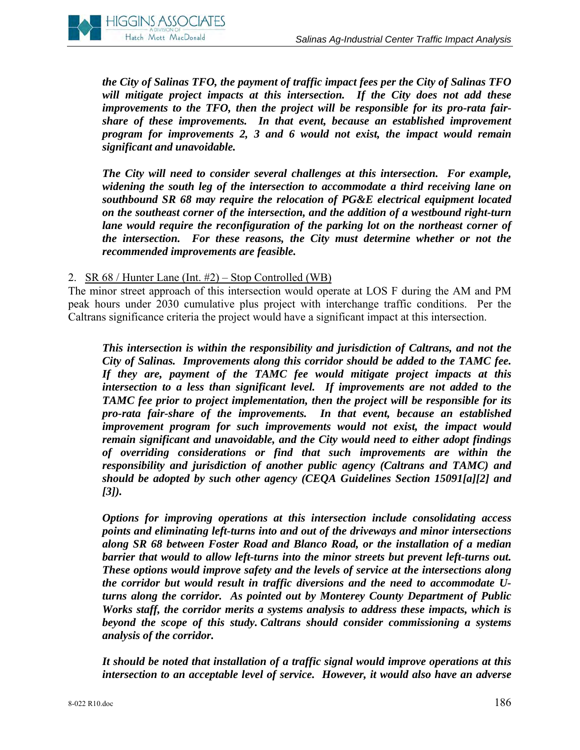

*the City of Salinas TFO, the payment of traffic impact fees per the City of Salinas TFO will mitigate project impacts at this intersection. If the City does not add these improvements to the TFO, then the project will be responsible for its pro-rata fairshare of these improvements. In that event, because an established improvement program for improvements 2, 3 and 6 would not exist, the impact would remain significant and unavoidable.* 

*The City will need to consider several challenges at this intersection. For example, widening the south leg of the intersection to accommodate a third receiving lane on southbound SR 68 may require the relocation of PG&E electrical equipment located on the southeast corner of the intersection, and the addition of a westbound right-turn lane would require the reconfiguration of the parking lot on the northeast corner of the intersection. For these reasons, the City must determine whether or not the recommended improvements are feasible.*

#### 2. SR 68 / Hunter Lane (Int. #2) – Stop Controlled (WB)

The minor street approach of this intersection would operate at LOS F during the AM and PM peak hours under 2030 cumulative plus project with interchange traffic conditions. Per the Caltrans significance criteria the project would have a significant impact at this intersection.

*This intersection is within the responsibility and jurisdiction of Caltrans, and not the City of Salinas. Improvements along this corridor should be added to the TAMC fee. If they are, payment of the TAMC fee would mitigate project impacts at this intersection to a less than significant level. If improvements are not added to the TAMC fee prior to project implementation, then the project will be responsible for its pro-rata fair-share of the improvements. In that event, because an established improvement program for such improvements would not exist, the impact would remain significant and unavoidable, and the City would need to either adopt findings of overriding considerations or find that such improvements are within the responsibility and jurisdiction of another public agency (Caltrans and TAMC) and should be adopted by such other agency (CEQA Guidelines Section 15091[a][2] and [3]).* 

*Options for improving operations at this intersection include consolidating access points and eliminating left-turns into and out of the driveways and minor intersections along SR 68 between Foster Road and Blanco Road, or the installation of a median barrier that would to allow left-turns into the minor streets but prevent left-turns out. These options would improve safety and the levels of service at the intersections along the corridor but would result in traffic diversions and the need to accommodate Uturns along the corridor. As pointed out by Monterey County Department of Public Works staff, the corridor merits a systems analysis to address these impacts, which is beyond the scope of this study. Caltrans should consider commissioning a systems analysis of the corridor.* 

*It should be noted that installation of a traffic signal would improve operations at this intersection to an acceptable level of service. However, it would also have an adverse*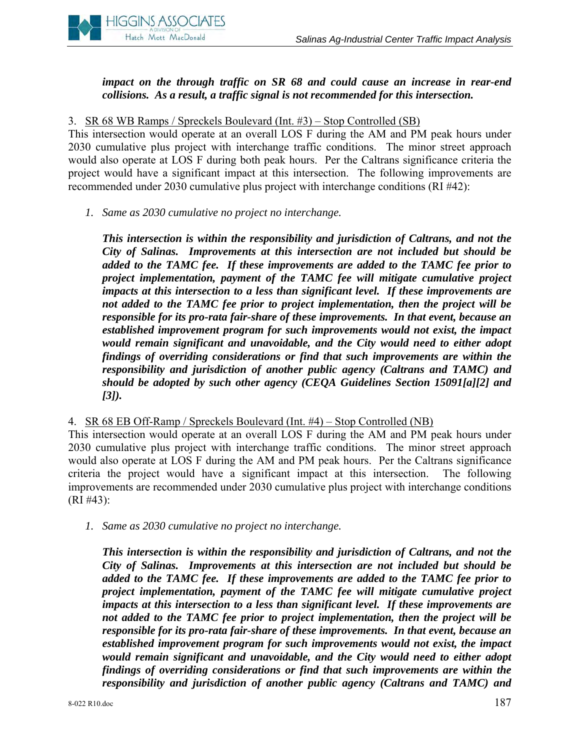

*impact on the through traffic on SR 68 and could cause an increase in rear-end collisions. As a result, a traffic signal is not recommended for this intersection.* 

3. SR 68 WB Ramps / Spreckels Boulevard (Int. #3) – Stop Controlled (SB)

This intersection would operate at an overall LOS F during the AM and PM peak hours under 2030 cumulative plus project with interchange traffic conditions. The minor street approach would also operate at LOS F during both peak hours. Per the Caltrans significance criteria the project would have a significant impact at this intersection. The following improvements are recommended under 2030 cumulative plus project with interchange conditions (RI #42):

*1. Same as 2030 cumulative no project no interchange.* 

*This intersection is within the responsibility and jurisdiction of Caltrans, and not the City of Salinas. Improvements at this intersection are not included but should be added to the TAMC fee. If these improvements are added to the TAMC fee prior to project implementation, payment of the TAMC fee will mitigate cumulative project impacts at this intersection to a less than significant level. If these improvements are not added to the TAMC fee prior to project implementation, then the project will be responsible for its pro-rata fair-share of these improvements. In that event, because an established improvement program for such improvements would not exist, the impact would remain significant and unavoidable, and the City would need to either adopt findings of overriding considerations or find that such improvements are within the responsibility and jurisdiction of another public agency (Caltrans and TAMC) and should be adopted by such other agency (CEQA Guidelines Section 15091[a][2] and [3]).* 

4. SR 68 EB Off-Ramp / Spreckels Boulevard (Int. #4) – Stop Controlled (NB)

This intersection would operate at an overall LOS F during the AM and PM peak hours under 2030 cumulative plus project with interchange traffic conditions. The minor street approach would also operate at LOS F during the AM and PM peak hours. Per the Caltrans significance criteria the project would have a significant impact at this intersection. The following improvements are recommended under 2030 cumulative plus project with interchange conditions (RI #43):

*1. Same as 2030 cumulative no project no interchange.* 

*This intersection is within the responsibility and jurisdiction of Caltrans, and not the City of Salinas. Improvements at this intersection are not included but should be added to the TAMC fee. If these improvements are added to the TAMC fee prior to project implementation, payment of the TAMC fee will mitigate cumulative project impacts at this intersection to a less than significant level. If these improvements are not added to the TAMC fee prior to project implementation, then the project will be responsible for its pro-rata fair-share of these improvements. In that event, because an established improvement program for such improvements would not exist, the impact would remain significant and unavoidable, and the City would need to either adopt findings of overriding considerations or find that such improvements are within the responsibility and jurisdiction of another public agency (Caltrans and TAMC) and*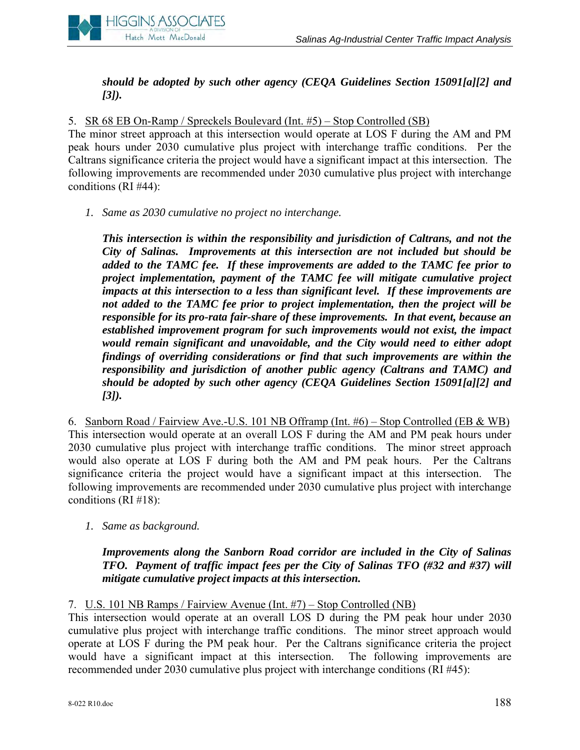

*should be adopted by such other agency (CEQA Guidelines Section 15091[a][2] and [3]).* 

5. SR 68 EB On-Ramp / Spreckels Boulevard (Int. #5) – Stop Controlled (SB)

The minor street approach at this intersection would operate at LOS F during the AM and PM peak hours under 2030 cumulative plus project with interchange traffic conditions. Per the Caltrans significance criteria the project would have a significant impact at this intersection. The following improvements are recommended under 2030 cumulative plus project with interchange conditions (RI #44):

*1. Same as 2030 cumulative no project no interchange.* 

*This intersection is within the responsibility and jurisdiction of Caltrans, and not the City of Salinas. Improvements at this intersection are not included but should be added to the TAMC fee. If these improvements are added to the TAMC fee prior to project implementation, payment of the TAMC fee will mitigate cumulative project impacts at this intersection to a less than significant level. If these improvements are not added to the TAMC fee prior to project implementation, then the project will be responsible for its pro-rata fair-share of these improvements. In that event, because an established improvement program for such improvements would not exist, the impact would remain significant and unavoidable, and the City would need to either adopt findings of overriding considerations or find that such improvements are within the responsibility and jurisdiction of another public agency (Caltrans and TAMC) and should be adopted by such other agency (CEQA Guidelines Section 15091[a][2] and [3]).* 

6. Sanborn Road / Fairview Ave.-U.S. 101 NB Offramp (Int. #6) – Stop Controlled (EB & WB) This intersection would operate at an overall LOS F during the AM and PM peak hours under 2030 cumulative plus project with interchange traffic conditions. The minor street approach would also operate at LOS F during both the AM and PM peak hours. Per the Caltrans significance criteria the project would have a significant impact at this intersection. The following improvements are recommended under 2030 cumulative plus project with interchange conditions (RI #18):

*1. Same as background.* 

## *Improvements along the Sanborn Road corridor are included in the City of Salinas TFO. Payment of traffic impact fees per the City of Salinas TFO (#32 and #37) will mitigate cumulative project impacts at this intersection.*

7. U.S. 101 NB Ramps / Fairview Avenue (Int. #7) – Stop Controlled (NB)

This intersection would operate at an overall LOS D during the PM peak hour under 2030 cumulative plus project with interchange traffic conditions. The minor street approach would operate at LOS F during the PM peak hour. Per the Caltrans significance criteria the project would have a significant impact at this intersection. The following improvements are recommended under 2030 cumulative plus project with interchange conditions (RI #45):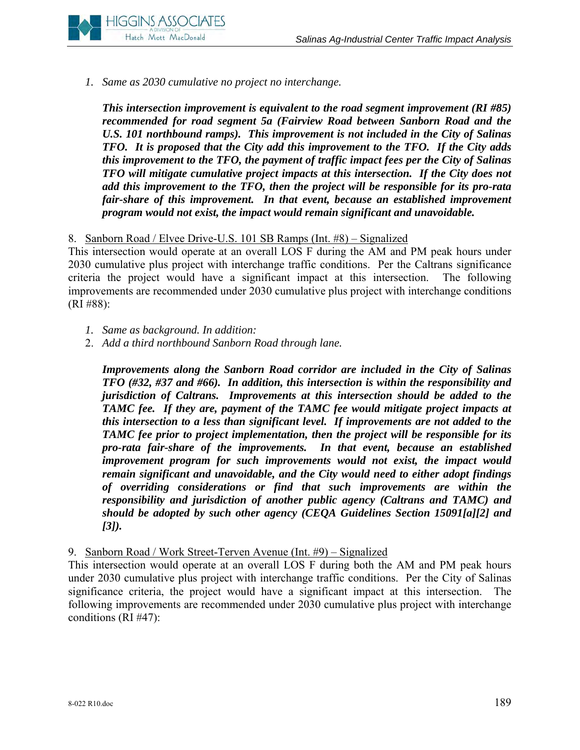

*1. Same as 2030 cumulative no project no interchange.* 

*This intersection improvement is equivalent to the road segment improvement (RI #85) recommended for road segment 5a (Fairview Road between Sanborn Road and the U.S. 101 northbound ramps). This improvement is not included in the City of Salinas TFO. It is proposed that the City add this improvement to the TFO. If the City adds this improvement to the TFO, the payment of traffic impact fees per the City of Salinas TFO will mitigate cumulative project impacts at this intersection. If the City does not add this improvement to the TFO, then the project will be responsible for its pro-rata fair-share of this improvement. In that event, because an established improvement program would not exist, the impact would remain significant and unavoidable.* 

## 8. Sanborn Road / Elvee Drive-U.S. 101 SB Ramps (Int. #8) – Signalized

This intersection would operate at an overall LOS F during the AM and PM peak hours under 2030 cumulative plus project with interchange traffic conditions. Per the Caltrans significance criteria the project would have a significant impact at this intersection. The following improvements are recommended under 2030 cumulative plus project with interchange conditions (RI #88):

- *1. Same as background. In addition:*
- 2. *Add a third northbound Sanborn Road through lane.*

*Improvements along the Sanborn Road corridor are included in the City of Salinas TFO (#32, #37 and #66). In addition, this intersection is within the responsibility and jurisdiction of Caltrans. Improvements at this intersection should be added to the TAMC fee. If they are, payment of the TAMC fee would mitigate project impacts at this intersection to a less than significant level. If improvements are not added to the TAMC fee prior to project implementation, then the project will be responsible for its pro-rata fair-share of the improvements. In that event, because an established improvement program for such improvements would not exist, the impact would remain significant and unavoidable, and the City would need to either adopt findings of overriding considerations or find that such improvements are within the responsibility and jurisdiction of another public agency (Caltrans and TAMC) and should be adopted by such other agency (CEQA Guidelines Section 15091[a][2] and [3]).* 

#### 9. Sanborn Road / Work Street-Terven Avenue (Int. #9) – Signalized

This intersection would operate at an overall LOS F during both the AM and PM peak hours under 2030 cumulative plus project with interchange traffic conditions. Per the City of Salinas significance criteria, the project would have a significant impact at this intersection. The following improvements are recommended under 2030 cumulative plus project with interchange conditions (RI #47):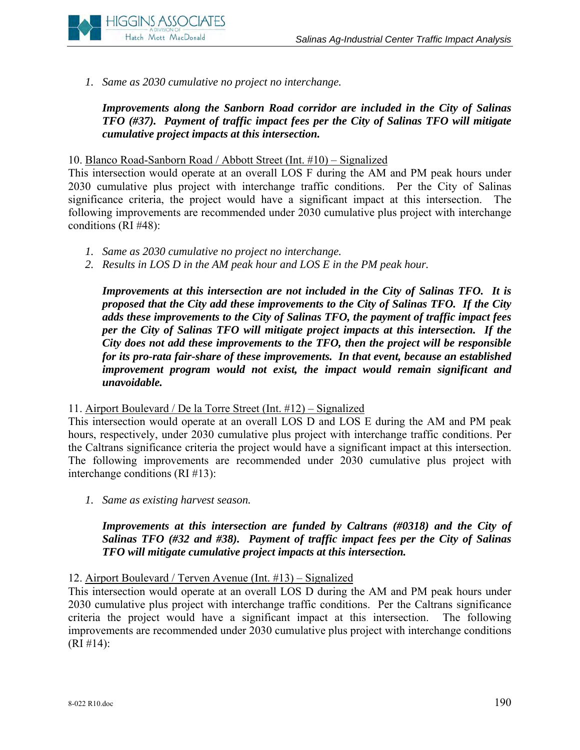

*1. Same as 2030 cumulative no project no interchange.* 

*Improvements along the Sanborn Road corridor are included in the City of Salinas TFO (#37). Payment of traffic impact fees per the City of Salinas TFO will mitigate cumulative project impacts at this intersection.* 

10. Blanco Road-Sanborn Road / Abbott Street (Int. #10) – Signalized

This intersection would operate at an overall LOS F during the AM and PM peak hours under 2030 cumulative plus project with interchange traffic conditions. Per the City of Salinas significance criteria, the project would have a significant impact at this intersection. The following improvements are recommended under 2030 cumulative plus project with interchange conditions (RI #48):

- *1. Same as 2030 cumulative no project no interchange.*
- *2. Results in LOS D in the AM peak hour and LOS E in the PM peak hour.*

*Improvements at this intersection are not included in the City of Salinas TFO. It is proposed that the City add these improvements to the City of Salinas TFO. If the City adds these improvements to the City of Salinas TFO, the payment of traffic impact fees per the City of Salinas TFO will mitigate project impacts at this intersection. If the City does not add these improvements to the TFO, then the project will be responsible for its pro-rata fair-share of these improvements. In that event, because an established improvement program would not exist, the impact would remain significant and unavoidable.* 

## 11. Airport Boulevard / De la Torre Street (Int. #12) – Signalized

This intersection would operate at an overall LOS D and LOS E during the AM and PM peak hours, respectively, under 2030 cumulative plus project with interchange traffic conditions. Per the Caltrans significance criteria the project would have a significant impact at this intersection. The following improvements are recommended under 2030 cumulative plus project with interchange conditions (RI #13):

*1. Same as existing harvest season.* 

*Improvements at this intersection are funded by Caltrans (#0318) and the City of Salinas TFO (#32 and #38). Payment of traffic impact fees per the City of Salinas TFO will mitigate cumulative project impacts at this intersection.* 

## 12. Airport Boulevard / Terven Avenue (Int. #13) – Signalized

This intersection would operate at an overall LOS D during the AM and PM peak hours under 2030 cumulative plus project with interchange traffic conditions. Per the Caltrans significance criteria the project would have a significant impact at this intersection. The following improvements are recommended under 2030 cumulative plus project with interchange conditions  $(RI \# 14)$ :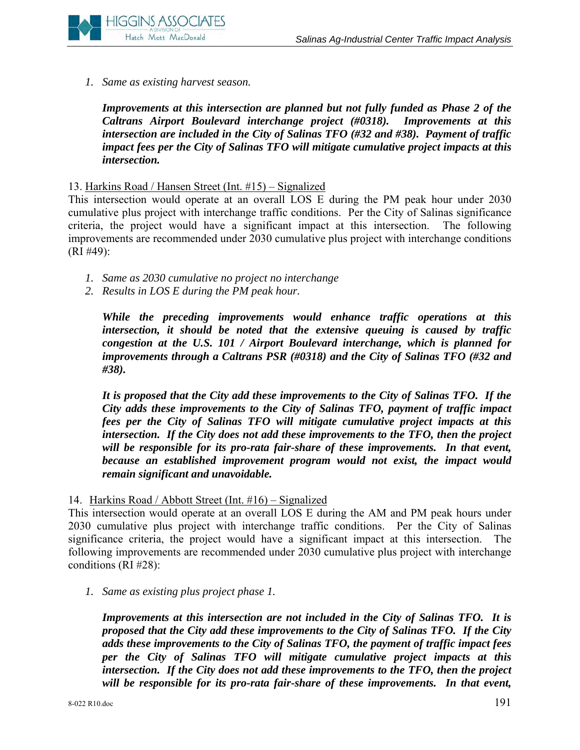

*1. Same as existing harvest season.*

*Improvements at this intersection are planned but not fully funded as Phase 2 of the Caltrans Airport Boulevard interchange project (#0318). Improvements at this intersection are included in the City of Salinas TFO (#32 and #38). Payment of traffic impact fees per the City of Salinas TFO will mitigate cumulative project impacts at this intersection.*

#### 13. Harkins Road / Hansen Street (Int. #15) – Signalized

This intersection would operate at an overall LOS E during the PM peak hour under 2030 cumulative plus project with interchange traffic conditions. Per the City of Salinas significance criteria, the project would have a significant impact at this intersection. The following improvements are recommended under 2030 cumulative plus project with interchange conditions (RI #49):

- *1. Same as 2030 cumulative no project no interchange*
- *2. Results in LOS E during the PM peak hour.*

*While the preceding improvements would enhance traffic operations at this intersection, it should be noted that the extensive queuing is caused by traffic congestion at the U.S. 101 / Airport Boulevard interchange, which is planned for improvements through a Caltrans PSR (#0318) and the City of Salinas TFO (#32 and #38).*

*It is proposed that the City add these improvements to the City of Salinas TFO. If the City adds these improvements to the City of Salinas TFO, payment of traffic impact fees per the City of Salinas TFO will mitigate cumulative project impacts at this intersection. If the City does not add these improvements to the TFO, then the project will be responsible for its pro-rata fair-share of these improvements. In that event, because an established improvement program would not exist, the impact would remain significant and unavoidable.* 

14. Harkins Road / Abbott Street (Int. #16) – Signalized

This intersection would operate at an overall LOS E during the AM and PM peak hours under 2030 cumulative plus project with interchange traffic conditions. Per the City of Salinas significance criteria, the project would have a significant impact at this intersection. The following improvements are recommended under 2030 cumulative plus project with interchange conditions (RI #28):

*1. Same as existing plus project phase 1.*

*Improvements at this intersection are not included in the City of Salinas TFO. It is proposed that the City add these improvements to the City of Salinas TFO. If the City adds these improvements to the City of Salinas TFO, the payment of traffic impact fees per the City of Salinas TFO will mitigate cumulative project impacts at this intersection. If the City does not add these improvements to the TFO, then the project will be responsible for its pro-rata fair-share of these improvements. In that event,*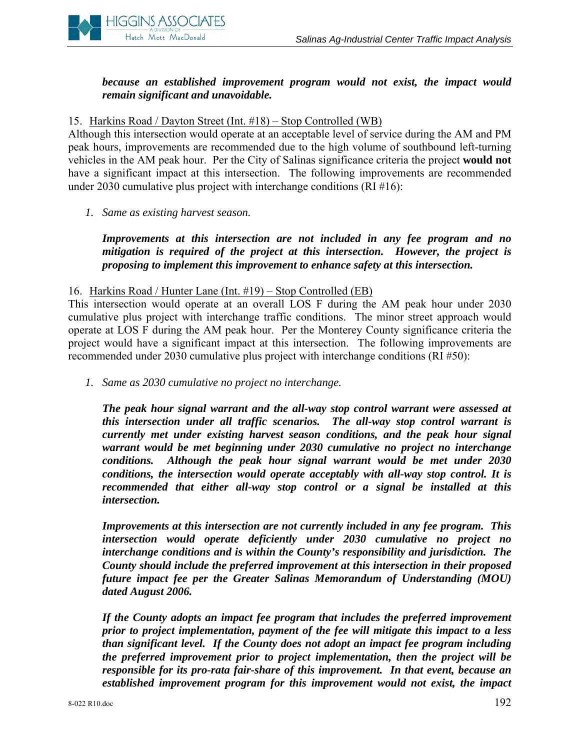

## *because an established improvement program would not exist, the impact would remain significant and unavoidable.*

#### 15. Harkins Road / Dayton Street (Int. #18) – Stop Controlled (WB)

Although this intersection would operate at an acceptable level of service during the AM and PM peak hours, improvements are recommended due to the high volume of southbound left-turning vehicles in the AM peak hour. Per the City of Salinas significance criteria the project **would not** have a significant impact at this intersection. The following improvements are recommended under 2030 cumulative plus project with interchange conditions (RI #16):

*1. Same as existing harvest season.* 

*Improvements at this intersection are not included in any fee program and no mitigation is required of the project at this intersection. However, the project is proposing to implement this improvement to enhance safety at this intersection.* 

#### 16. Harkins Road / Hunter Lane (Int. #19) – Stop Controlled (EB)

This intersection would operate at an overall LOS F during the AM peak hour under 2030 cumulative plus project with interchange traffic conditions. The minor street approach would operate at LOS F during the AM peak hour. Per the Monterey County significance criteria the project would have a significant impact at this intersection. The following improvements are recommended under 2030 cumulative plus project with interchange conditions (RI #50):

*1. Same as 2030 cumulative no project no interchange.* 

*The peak hour signal warrant and the all-way stop control warrant were assessed at this intersection under all traffic scenarios. The all-way stop control warrant is currently met under existing harvest season conditions, and the peak hour signal warrant would be met beginning under 2030 cumulative no project no interchange conditions. Although the peak hour signal warrant would be met under 2030 conditions, the intersection would operate acceptably with all-way stop control. It is recommended that either all-way stop control or a signal be installed at this intersection.* 

*Improvements at this intersection are not currently included in any fee program. This intersection would operate deficiently under 2030 cumulative no project no interchange conditions and is within the County's responsibility and jurisdiction. The County should include the preferred improvement at this intersection in their proposed future impact fee per the Greater Salinas Memorandum of Understanding (MOU) dated August 2006.* 

*If the County adopts an impact fee program that includes the preferred improvement prior to project implementation, payment of the fee will mitigate this impact to a less than significant level. If the County does not adopt an impact fee program including the preferred improvement prior to project implementation, then the project will be responsible for its pro-rata fair-share of this improvement. In that event, because an established improvement program for this improvement would not exist, the impact*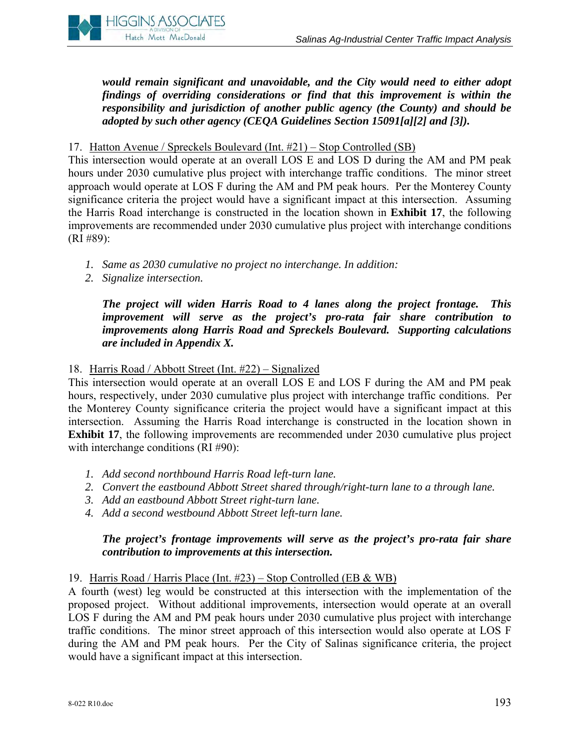

*would remain significant and unavoidable, and the City would need to either adopt findings of overriding considerations or find that this improvement is within the responsibility and jurisdiction of another public agency (the County) and should be adopted by such other agency (CEQA Guidelines Section 15091[a][2] and [3]).* 

#### 17. Hatton Avenue / Spreckels Boulevard (Int. #21) – Stop Controlled (SB)

This intersection would operate at an overall LOS E and LOS D during the AM and PM peak hours under 2030 cumulative plus project with interchange traffic conditions. The minor street approach would operate at LOS F during the AM and PM peak hours. Per the Monterey County significance criteria the project would have a significant impact at this intersection. Assuming the Harris Road interchange is constructed in the location shown in **Exhibit 17**, the following improvements are recommended under 2030 cumulative plus project with interchange conditions (RI #89):

- *1. Same as 2030 cumulative no project no interchange. In addition:*
- *2. Signalize intersection.*

*The project will widen Harris Road to 4 lanes along the project frontage. This improvement will serve as the project's pro-rata fair share contribution to improvements along Harris Road and Spreckels Boulevard. Supporting calculations are included in Appendix X.* 

## 18. Harris Road / Abbott Street (Int. #22) – Signalized

This intersection would operate at an overall LOS E and LOS F during the AM and PM peak hours, respectively, under 2030 cumulative plus project with interchange traffic conditions. Per the Monterey County significance criteria the project would have a significant impact at this intersection. Assuming the Harris Road interchange is constructed in the location shown in **Exhibit 17**, the following improvements are recommended under 2030 cumulative plus project with interchange conditions (RI #90):

- *1. Add second northbound Harris Road left-turn lane.*
- *2. Convert the eastbound Abbott Street shared through/right-turn lane to a through lane.*
- *3. Add an eastbound Abbott Street right-turn lane.*
- *4. Add a second westbound Abbott Street left-turn lane.*

## *The project's frontage improvements will serve as the project's pro-rata fair share contribution to improvements at this intersection.*

#### 19. Harris Road / Harris Place (Int. #23) – Stop Controlled (EB & WB)

A fourth (west) leg would be constructed at this intersection with the implementation of the proposed project. Without additional improvements, intersection would operate at an overall LOS F during the AM and PM peak hours under 2030 cumulative plus project with interchange traffic conditions. The minor street approach of this intersection would also operate at LOS F during the AM and PM peak hours. Per the City of Salinas significance criteria, the project would have a significant impact at this intersection.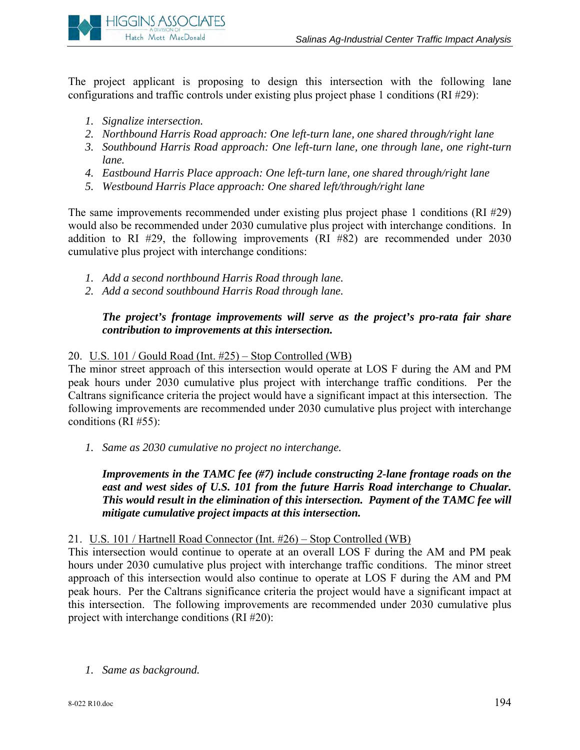

The project applicant is proposing to design this intersection with the following lane configurations and traffic controls under existing plus project phase 1 conditions (RI #29):

- *1. Signalize intersection.*
- *2. Northbound Harris Road approach: One left-turn lane, one shared through/right lane*
- *3. Southbound Harris Road approach: One left-turn lane, one through lane, one right-turn lane.*
- *4. Eastbound Harris Place approach: One left-turn lane, one shared through/right lane*
- *5. Westbound Harris Place approach: One shared left/through/right lane*

The same improvements recommended under existing plus project phase 1 conditions (RI #29) would also be recommended under 2030 cumulative plus project with interchange conditions. In addition to RI #29, the following improvements (RI #82) are recommended under 2030 cumulative plus project with interchange conditions:

- *1. Add a second northbound Harris Road through lane.*
- *2. Add a second southbound Harris Road through lane.*

## *The project's frontage improvements will serve as the project's pro-rata fair share contribution to improvements at this intersection.*

#### 20. U.S. 101 / Gould Road (Int. #25) – Stop Controlled (WB)

The minor street approach of this intersection would operate at LOS F during the AM and PM peak hours under 2030 cumulative plus project with interchange traffic conditions. Per the Caltrans significance criteria the project would have a significant impact at this intersection. The following improvements are recommended under 2030 cumulative plus project with interchange conditions (RI #55):

*1. Same as 2030 cumulative no project no interchange.* 

*Improvements in the TAMC fee (#7) include constructing 2-lane frontage roads on the*  east and west sides of U.S. 101 from the future Harris Road interchange to Chualar. *This would result in the elimination of this intersection. Payment of the TAMC fee will mitigate cumulative project impacts at this intersection.* 

#### 21. U.S. 101 / Hartnell Road Connector (Int. #26) – Stop Controlled (WB)

This intersection would continue to operate at an overall LOS F during the AM and PM peak hours under 2030 cumulative plus project with interchange traffic conditions. The minor street approach of this intersection would also continue to operate at LOS F during the AM and PM peak hours. Per the Caltrans significance criteria the project would have a significant impact at this intersection. The following improvements are recommended under 2030 cumulative plus project with interchange conditions (RI #20):

*1. Same as background.*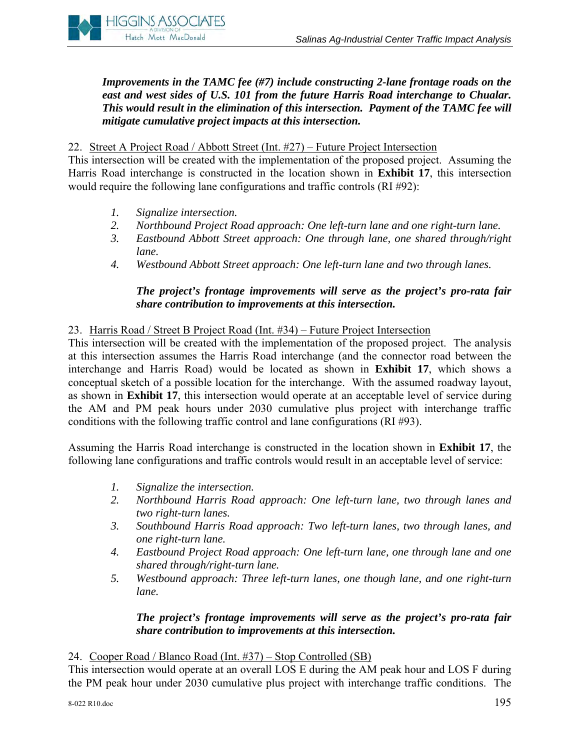

*Improvements in the TAMC fee (#7) include constructing 2-lane frontage roads on the east and west sides of U.S. 101 from the future Harris Road interchange to Chualar. This would result in the elimination of this intersection. Payment of the TAMC fee will mitigate cumulative project impacts at this intersection.* 

#### 22. Street A Project Road / Abbott Street (Int. #27) – Future Project Intersection

This intersection will be created with the implementation of the proposed project. Assuming the Harris Road interchange is constructed in the location shown in **Exhibit 17**, this intersection would require the following lane configurations and traffic controls (RI #92):

- *1. Signalize intersection.*
- *2. Northbound Project Road approach: One left-turn lane and one right-turn lane.*
- *3. Eastbound Abbott Street approach: One through lane, one shared through/right lane.*
- *4. Westbound Abbott Street approach: One left-turn lane and two through lanes.*

## *The project's frontage improvements will serve as the project's pro-rata fair share contribution to improvements at this intersection.*

#### 23. Harris Road / Street B Project Road (Int. #34) – Future Project Intersection

This intersection will be created with the implementation of the proposed project. The analysis at this intersection assumes the Harris Road interchange (and the connector road between the interchange and Harris Road) would be located as shown in **Exhibit 17**, which shows a conceptual sketch of a possible location for the interchange. With the assumed roadway layout, as shown in **Exhibit 17**, this intersection would operate at an acceptable level of service during the AM and PM peak hours under 2030 cumulative plus project with interchange traffic conditions with the following traffic control and lane configurations (RI #93).

Assuming the Harris Road interchange is constructed in the location shown in **Exhibit 17**, the following lane configurations and traffic controls would result in an acceptable level of service:

- *1. Signalize the intersection.*
- *2. Northbound Harris Road approach: One left-turn lane, two through lanes and two right-turn lanes.*
- *3. Southbound Harris Road approach: Two left-turn lanes, two through lanes, and one right-turn lane.*
- *4. Eastbound Project Road approach: One left-turn lane, one through lane and one shared through/right-turn lane.*
- *5. Westbound approach: Three left-turn lanes, one though lane, and one right-turn lane.*

#### *The project's frontage improvements will serve as the project's pro-rata fair share contribution to improvements at this intersection.*

#### 24. Cooper Road / Blanco Road (Int. #37) – Stop Controlled (SB)

This intersection would operate at an overall LOS E during the AM peak hour and LOS F during the PM peak hour under 2030 cumulative plus project with interchange traffic conditions. The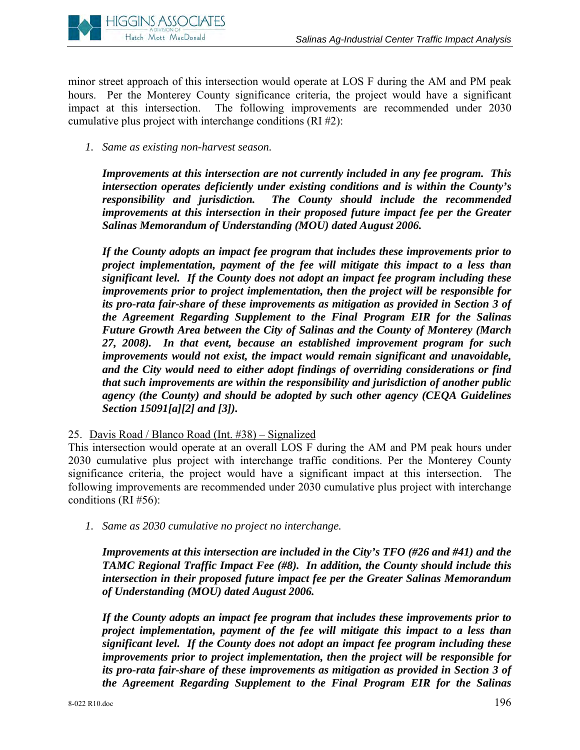

minor street approach of this intersection would operate at LOS F during the AM and PM peak hours. Per the Monterey County significance criteria, the project would have a significant impact at this intersection. The following improvements are recommended under 2030 cumulative plus project with interchange conditions (RI #2):

*1. Same as existing non-harvest season.*

*Improvements at this intersection are not currently included in any fee program. This intersection operates deficiently under existing conditions and is within the County's responsibility and jurisdiction. The County should include the recommended improvements at this intersection in their proposed future impact fee per the Greater Salinas Memorandum of Understanding (MOU) dated August 2006.* 

*If the County adopts an impact fee program that includes these improvements prior to project implementation, payment of the fee will mitigate this impact to a less than significant level. If the County does not adopt an impact fee program including these improvements prior to project implementation, then the project will be responsible for its pro-rata fair-share of these improvements as mitigation as provided in Section 3 of the Agreement Regarding Supplement to the Final Program EIR for the Salinas Future Growth Area between the City of Salinas and the County of Monterey (March 27, 2008). In that event, because an established improvement program for such improvements would not exist, the impact would remain significant and unavoidable, and the City would need to either adopt findings of overriding considerations or find that such improvements are within the responsibility and jurisdiction of another public agency (the County) and should be adopted by such other agency (CEQA Guidelines Section 15091[a][2] and [3]).* 

25. Davis Road / Blanco Road (Int. #38) – Signalized

This intersection would operate at an overall LOS F during the AM and PM peak hours under 2030 cumulative plus project with interchange traffic conditions. Per the Monterey County significance criteria, the project would have a significant impact at this intersection. The following improvements are recommended under 2030 cumulative plus project with interchange conditions (RI #56):

*1. Same as 2030 cumulative no project no interchange.* 

*Improvements at this intersection are included in the City's TFO (#26 and #41) and the TAMC Regional Traffic Impact Fee (#8). In addition, the County should include this intersection in their proposed future impact fee per the Greater Salinas Memorandum of Understanding (MOU) dated August 2006.* 

*If the County adopts an impact fee program that includes these improvements prior to project implementation, payment of the fee will mitigate this impact to a less than significant level. If the County does not adopt an impact fee program including these improvements prior to project implementation, then the project will be responsible for its pro-rata fair-share of these improvements as mitigation as provided in Section 3 of the Agreement Regarding Supplement to the Final Program EIR for the Salinas*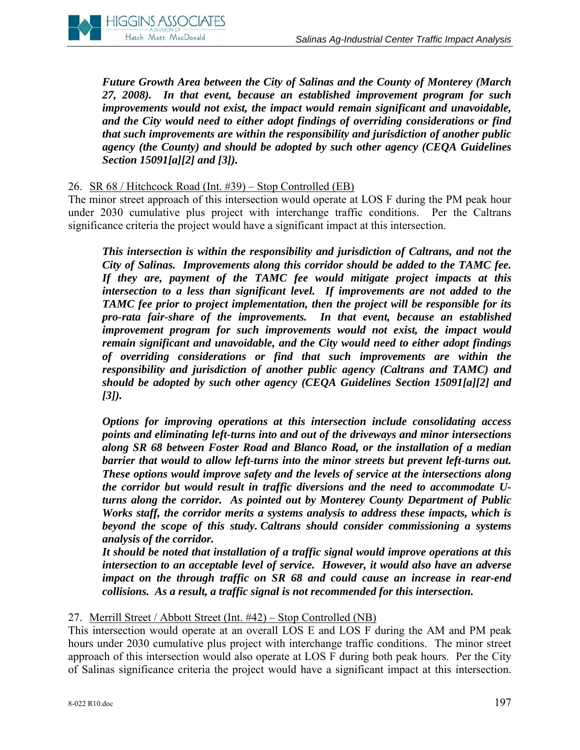

*Future Growth Area between the City of Salinas and the County of Monterey (March 27, 2008). In that event, because an established improvement program for such improvements would not exist, the impact would remain significant and unavoidable, and the City would need to either adopt findings of overriding considerations or find that such improvements are within the responsibility and jurisdiction of another public agency (the County) and should be adopted by such other agency (CEQA Guidelines Section 15091[a][2] and [3]).* 

#### 26. SR 68 / Hitchcock Road (Int. #39) – Stop Controlled (EB)

The minor street approach of this intersection would operate at LOS F during the PM peak hour under 2030 cumulative plus project with interchange traffic conditions. Per the Caltrans significance criteria the project would have a significant impact at this intersection.

*This intersection is within the responsibility and jurisdiction of Caltrans, and not the City of Salinas. Improvements along this corridor should be added to the TAMC fee. If they are, payment of the TAMC fee would mitigate project impacts at this intersection to a less than significant level. If improvements are not added to the TAMC fee prior to project implementation, then the project will be responsible for its pro-rata fair-share of the improvements. In that event, because an established improvement program for such improvements would not exist, the impact would remain significant and unavoidable, and the City would need to either adopt findings of overriding considerations or find that such improvements are within the responsibility and jurisdiction of another public agency (Caltrans and TAMC) and should be adopted by such other agency (CEQA Guidelines Section 15091[a][2] and [3]).* 

*Options for improving operations at this intersection include consolidating access points and eliminating left-turns into and out of the driveways and minor intersections along SR 68 between Foster Road and Blanco Road, or the installation of a median barrier that would to allow left-turns into the minor streets but prevent left-turns out. These options would improve safety and the levels of service at the intersections along the corridor but would result in traffic diversions and the need to accommodate Uturns along the corridor. As pointed out by Monterey County Department of Public Works staff, the corridor merits a systems analysis to address these impacts, which is beyond the scope of this study. Caltrans should consider commissioning a systems analysis of the corridor.* 

*It should be noted that installation of a traffic signal would improve operations at this intersection to an acceptable level of service. However, it would also have an adverse impact on the through traffic on SR 68 and could cause an increase in rear-end collisions. As a result, a traffic signal is not recommended for this intersection.* 

## 27. Merrill Street / Abbott Street (Int. #42) – Stop Controlled (NB)

This intersection would operate at an overall LOS E and LOS F during the AM and PM peak hours under 2030 cumulative plus project with interchange traffic conditions. The minor street approach of this intersection would also operate at LOS F during both peak hours. Per the City of Salinas significance criteria the project would have a significant impact at this intersection.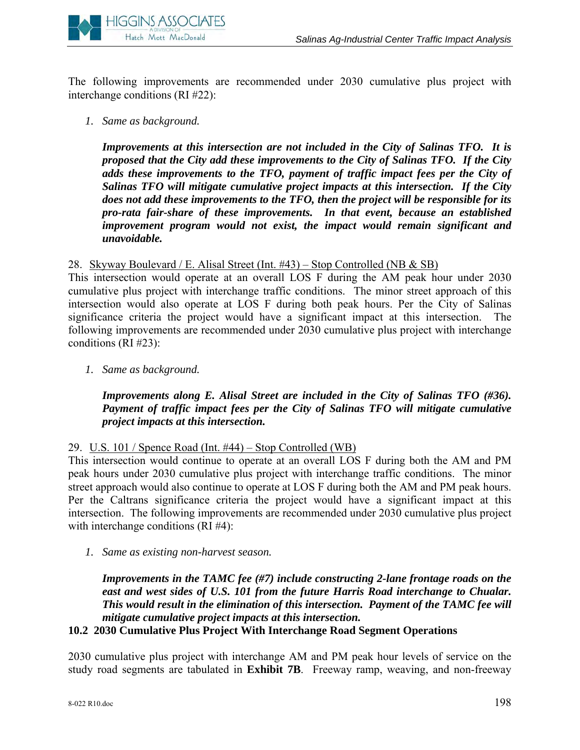

The following improvements are recommended under 2030 cumulative plus project with interchange conditions (RI #22):

*1. Same as background.* 

*Improvements at this intersection are not included in the City of Salinas TFO. It is proposed that the City add these improvements to the City of Salinas TFO. If the City adds these improvements to the TFO, payment of traffic impact fees per the City of Salinas TFO will mitigate cumulative project impacts at this intersection. If the City does not add these improvements to the TFO, then the project will be responsible for its pro-rata fair-share of these improvements. In that event, because an established improvement program would not exist, the impact would remain significant and unavoidable.* 

28. Skyway Boulevard / E. Alisal Street (Int. #43) – Stop Controlled (NB & SB)

This intersection would operate at an overall LOS F during the AM peak hour under 2030 cumulative plus project with interchange traffic conditions. The minor street approach of this intersection would also operate at LOS F during both peak hours. Per the City of Salinas significance criteria the project would have a significant impact at this intersection. The following improvements are recommended under 2030 cumulative plus project with interchange conditions (RI #23):

*1. Same as background.* 

## *Improvements along E. Alisal Street are included in the City of Salinas TFO (#36). Payment of traffic impact fees per the City of Salinas TFO will mitigate cumulative project impacts at this intersection.*

#### 29. U.S. 101 / Spence Road (Int. #44) – Stop Controlled (WB)

This intersection would continue to operate at an overall LOS F during both the AM and PM peak hours under 2030 cumulative plus project with interchange traffic conditions. The minor street approach would also continue to operate at LOS F during both the AM and PM peak hours. Per the Caltrans significance criteria the project would have a significant impact at this intersection. The following improvements are recommended under 2030 cumulative plus project with interchange conditions (RI #4):

*1. Same as existing non-harvest season.* 

*Improvements in the TAMC fee (#7) include constructing 2-lane frontage roads on the east and west sides of U.S. 101 from the future Harris Road interchange to Chualar. This would result in the elimination of this intersection. Payment of the TAMC fee will mitigate cumulative project impacts at this intersection.* 

**10.2 2030 Cumulative Plus Project With Interchange Road Segment Operations** 

2030 cumulative plus project with interchange AM and PM peak hour levels of service on the study road segments are tabulated in **Exhibit 7B**. Freeway ramp, weaving, and non-freeway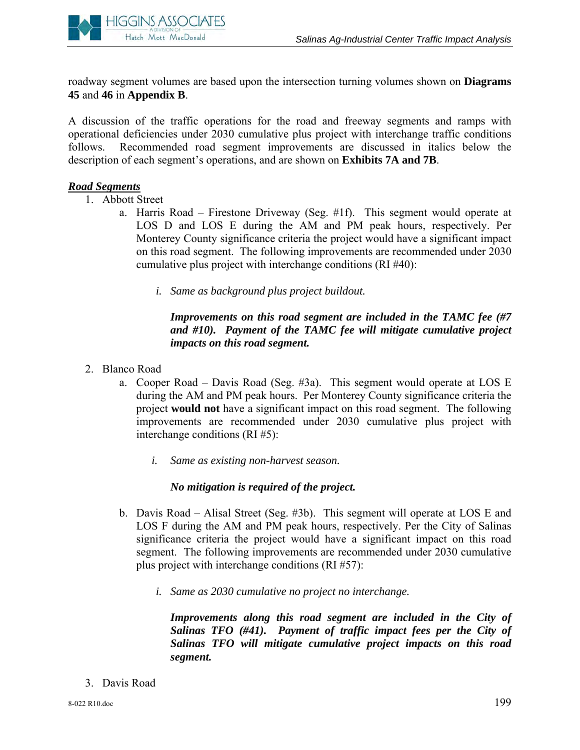

roadway segment volumes are based upon the intersection turning volumes shown on **Diagrams 45** and **46** in **Appendix B**.

A discussion of the traffic operations for the road and freeway segments and ramps with operational deficiencies under 2030 cumulative plus project with interchange traffic conditions follows. Recommended road segment improvements are discussed in italics below the description of each segment's operations, and are shown on **Exhibits 7A and 7B**.

## *Road Segments*

- 1. Abbott Street
	- a. Harris Road Firestone Driveway (Seg. #1f). This segment would operate at LOS D and LOS E during the AM and PM peak hours, respectively. Per Monterey County significance criteria the project would have a significant impact on this road segment. The following improvements are recommended under 2030 cumulative plus project with interchange conditions (RI #40):
		- *i. Same as background plus project buildout.*

#### *Improvements on this road segment are included in the TAMC fee (#7 and #10). Payment of the TAMC fee will mitigate cumulative project impacts on this road segment.*

- 2. Blanco Road
	- a. Cooper Road Davis Road (Seg. #3a). This segment would operate at LOS E during the AM and PM peak hours. Per Monterey County significance criteria the project **would not** have a significant impact on this road segment. The following improvements are recommended under 2030 cumulative plus project with interchange conditions (RI #5):
		- *i. Same as existing non-harvest season.*

## *No mitigation is required of the project.*

- b. Davis Road Alisal Street (Seg. #3b). This segment will operate at LOS E and LOS F during the AM and PM peak hours, respectively. Per the City of Salinas significance criteria the project would have a significant impact on this road segment. The following improvements are recommended under 2030 cumulative plus project with interchange conditions (RI #57):
	- *i. Same as 2030 cumulative no project no interchange.*

*Improvements along this road segment are included in the City of Salinas TFO (#41). Payment of traffic impact fees per the City of Salinas TFO will mitigate cumulative project impacts on this road segment.* 

3. Davis Road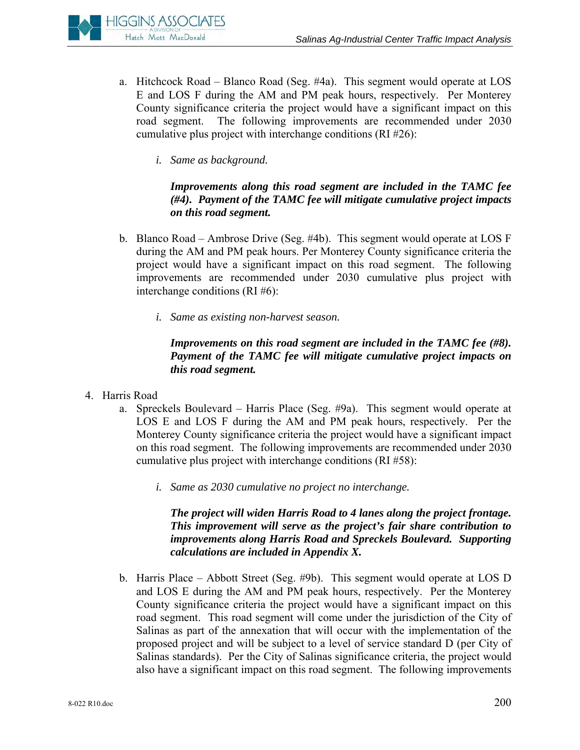

- a. Hitchcock Road Blanco Road (Seg. #4a). This segment would operate at LOS E and LOS F during the AM and PM peak hours, respectively. Per Monterey County significance criteria the project would have a significant impact on this road segment. The following improvements are recommended under 2030 cumulative plus project with interchange conditions (RI #26):
	- *i. Same as background.*

## *Improvements along this road segment are included in the TAMC fee (#4). Payment of the TAMC fee will mitigate cumulative project impacts on this road segment.*

- b. Blanco Road Ambrose Drive (Seg. #4b). This segment would operate at LOS F during the AM and PM peak hours. Per Monterey County significance criteria the project would have a significant impact on this road segment. The following improvements are recommended under 2030 cumulative plus project with interchange conditions (RI #6):
	- *i. Same as existing non-harvest season.*

# *Improvements on this road segment are included in the TAMC fee (#8). Payment of the TAMC fee will mitigate cumulative project impacts on this road segment.*

- 4. Harris Road
	- a. Spreckels Boulevard Harris Place (Seg. #9a). This segment would operate at LOS E and LOS F during the AM and PM peak hours, respectively. Per the Monterey County significance criteria the project would have a significant impact on this road segment. The following improvements are recommended under 2030 cumulative plus project with interchange conditions (RI #58):
		- *i. Same as 2030 cumulative no project no interchange.*

## *The project will widen Harris Road to 4 lanes along the project frontage. This improvement will serve as the project's fair share contribution to improvements along Harris Road and Spreckels Boulevard. Supporting calculations are included in Appendix X.*

b. Harris Place – Abbott Street (Seg. #9b). This segment would operate at LOS D and LOS E during the AM and PM peak hours, respectively. Per the Monterey County significance criteria the project would have a significant impact on this road segment. This road segment will come under the jurisdiction of the City of Salinas as part of the annexation that will occur with the implementation of the proposed project and will be subject to a level of service standard D (per City of Salinas standards). Per the City of Salinas significance criteria, the project would also have a significant impact on this road segment. The following improvements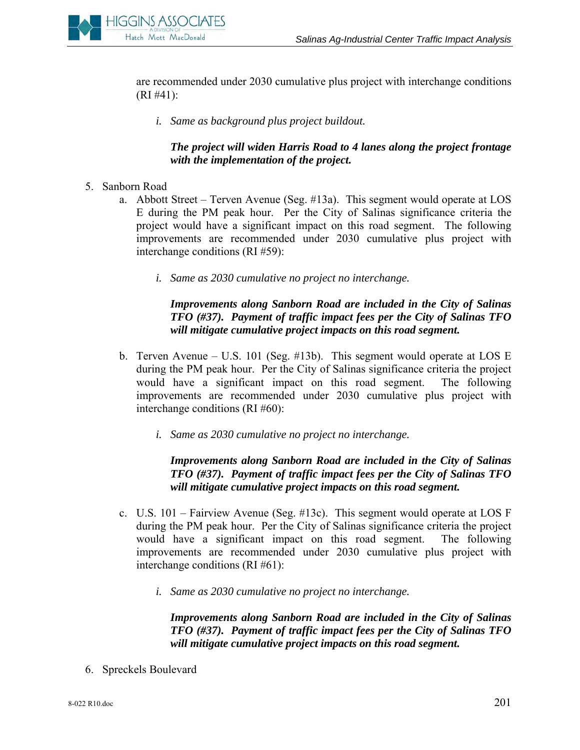

are recommended under 2030 cumulative plus project with interchange conditions (RI #41):

*i. Same as background plus project buildout.* 

## *The project will widen Harris Road to 4 lanes along the project frontage with the implementation of the project.*

- 5. Sanborn Road
	- a. Abbott Street Terven Avenue (Seg. #13a). This segment would operate at LOS E during the PM peak hour. Per the City of Salinas significance criteria the project would have a significant impact on this road segment. The following improvements are recommended under 2030 cumulative plus project with interchange conditions (RI #59):
		- *i. Same as 2030 cumulative no project no interchange.*

## *Improvements along Sanborn Road are included in the City of Salinas TFO (#37). Payment of traffic impact fees per the City of Salinas TFO will mitigate cumulative project impacts on this road segment.*

- b. Terven Avenue U.S. 101 (Seg. #13b). This segment would operate at LOS E during the PM peak hour. Per the City of Salinas significance criteria the project would have a significant impact on this road segment. The following improvements are recommended under 2030 cumulative plus project with interchange conditions (RI #60):
	- *i. Same as 2030 cumulative no project no interchange.*

## *Improvements along Sanborn Road are included in the City of Salinas TFO (#37). Payment of traffic impact fees per the City of Salinas TFO will mitigate cumulative project impacts on this road segment.*

- c. U.S. 101 Fairview Avenue (Seg. #13c). This segment would operate at LOS F during the PM peak hour. Per the City of Salinas significance criteria the project would have a significant impact on this road segment. The following improvements are recommended under 2030 cumulative plus project with interchange conditions (RI #61):
	- *i. Same as 2030 cumulative no project no interchange.*

*Improvements along Sanborn Road are included in the City of Salinas TFO (#37). Payment of traffic impact fees per the City of Salinas TFO will mitigate cumulative project impacts on this road segment.* 

6. Spreckels Boulevard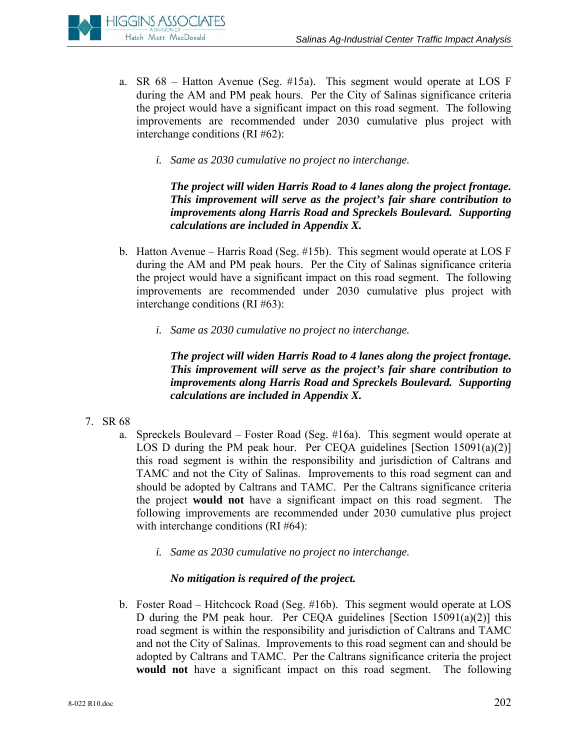

- a. SR 68 Hatton Avenue (Seg. #15a). This segment would operate at LOS F during the AM and PM peak hours. Per the City of Salinas significance criteria the project would have a significant impact on this road segment. The following improvements are recommended under 2030 cumulative plus project with interchange conditions (RI #62):
	- *i. Same as 2030 cumulative no project no interchange.*

*The project will widen Harris Road to 4 lanes along the project frontage. This improvement will serve as the project's fair share contribution to improvements along Harris Road and Spreckels Boulevard. Supporting calculations are included in Appendix X.* 

- b. Hatton Avenue Harris Road (Seg. #15b). This segment would operate at LOS F during the AM and PM peak hours. Per the City of Salinas significance criteria the project would have a significant impact on this road segment. The following improvements are recommended under 2030 cumulative plus project with interchange conditions (RI #63):
	- *i. Same as 2030 cumulative no project no interchange.*

*The project will widen Harris Road to 4 lanes along the project frontage. This improvement will serve as the project's fair share contribution to improvements along Harris Road and Spreckels Boulevard. Supporting calculations are included in Appendix X.* 

- 7. SR 68
	- a. Spreckels Boulevard Foster Road (Seg. #16a). This segment would operate at LOS D during the PM peak hour. Per CEQA guidelines [Section 15091(a)(2)] this road segment is within the responsibility and jurisdiction of Caltrans and TAMC and not the City of Salinas. Improvements to this road segment can and should be adopted by Caltrans and TAMC. Per the Caltrans significance criteria the project **would not** have a significant impact on this road segment. The following improvements are recommended under 2030 cumulative plus project with interchange conditions (RI #64):
		- *i. Same as 2030 cumulative no project no interchange.*

# *No mitigation is required of the project.*

b. Foster Road – Hitchcock Road (Seg. #16b). This segment would operate at LOS D during the PM peak hour. Per CEQA guidelines [Section 15091(a)(2)] this road segment is within the responsibility and jurisdiction of Caltrans and TAMC and not the City of Salinas. Improvements to this road segment can and should be adopted by Caltrans and TAMC. Per the Caltrans significance criteria the project **would not** have a significant impact on this road segment. The following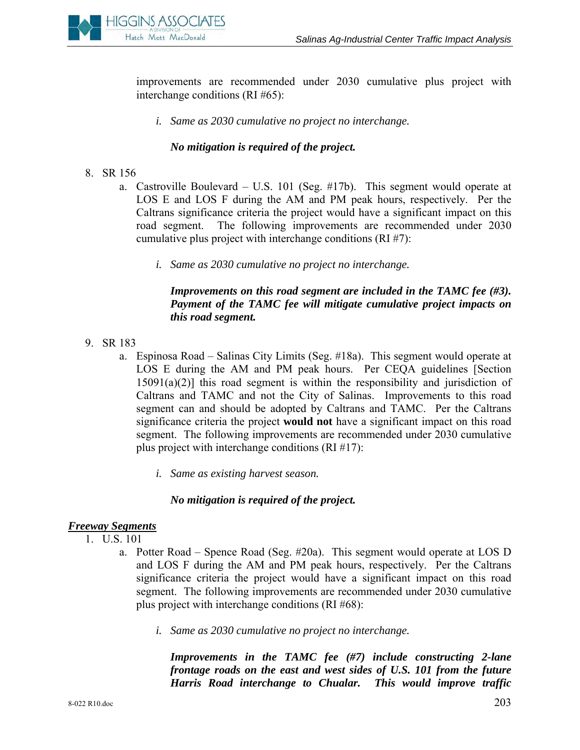

improvements are recommended under 2030 cumulative plus project with interchange conditions (RI #65):

*i. Same as 2030 cumulative no project no interchange.* 

#### *No mitigation is required of the project.*

- 8. SR 156
	- a. Castroville Boulevard U.S. 101 (Seg. #17b). This segment would operate at LOS E and LOS F during the AM and PM peak hours, respectively. Per the Caltrans significance criteria the project would have a significant impact on this road segment. The following improvements are recommended under 2030 cumulative plus project with interchange conditions (RI #7):
		- *i. Same as 2030 cumulative no project no interchange.*

## *Improvements on this road segment are included in the TAMC fee (#3). Payment of the TAMC fee will mitigate cumulative project impacts on this road segment.*

- 9. SR 183
	- a. Espinosa Road Salinas City Limits (Seg. #18a). This segment would operate at LOS E during the AM and PM peak hours. Per CEQA guidelines [Section  $15091(a)(2)$ ] this road segment is within the responsibility and jurisdiction of Caltrans and TAMC and not the City of Salinas. Improvements to this road segment can and should be adopted by Caltrans and TAMC. Per the Caltrans significance criteria the project **would not** have a significant impact on this road segment. The following improvements are recommended under 2030 cumulative plus project with interchange conditions (RI #17):
		- *i. Same as existing harvest season.*

#### *No mitigation is required of the project.*

#### *Freeway Segments*

- 1. U.S. 101
	- a. Potter Road Spence Road (Seg. #20a). This segment would operate at LOS D and LOS F during the AM and PM peak hours, respectively. Per the Caltrans significance criteria the project would have a significant impact on this road segment. The following improvements are recommended under 2030 cumulative plus project with interchange conditions (RI #68):
		- *i. Same as 2030 cumulative no project no interchange.*

*Improvements in the TAMC fee (#7) include constructing 2-lane frontage roads on the east and west sides of U.S. 101 from the future Harris Road interchange to Chualar. This would improve traffic*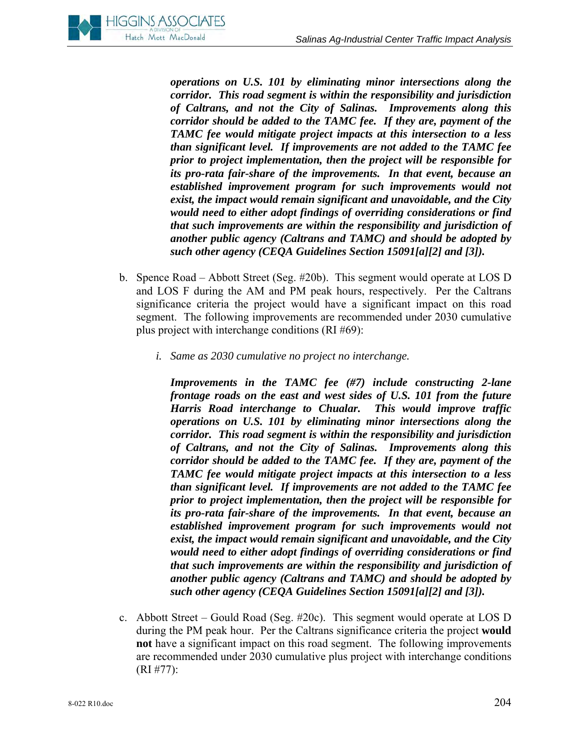

*operations on U.S. 101 by eliminating minor intersections along the corridor. This road segment is within the responsibility and jurisdiction of Caltrans, and not the City of Salinas. Improvements along this corridor should be added to the TAMC fee. If they are, payment of the TAMC fee would mitigate project impacts at this intersection to a less than significant level. If improvements are not added to the TAMC fee prior to project implementation, then the project will be responsible for its pro-rata fair-share of the improvements. In that event, because an established improvement program for such improvements would not exist, the impact would remain significant and unavoidable, and the City would need to either adopt findings of overriding considerations or find that such improvements are within the responsibility and jurisdiction of another public agency (Caltrans and TAMC) and should be adopted by such other agency (CEQA Guidelines Section 15091[a][2] and [3]).* 

- b. Spence Road Abbott Street (Seg. #20b). This segment would operate at LOS D and LOS F during the AM and PM peak hours, respectively. Per the Caltrans significance criteria the project would have a significant impact on this road segment. The following improvements are recommended under 2030 cumulative plus project with interchange conditions (RI #69):
	- *i. Same as 2030 cumulative no project no interchange.*

*Improvements in the TAMC fee (#7) include constructing 2-lane frontage roads on the east and west sides of U.S. 101 from the future Harris Road interchange to Chualar. This would improve traffic operations on U.S. 101 by eliminating minor intersections along the corridor. This road segment is within the responsibility and jurisdiction of Caltrans, and not the City of Salinas. Improvements along this corridor should be added to the TAMC fee. If they are, payment of the TAMC fee would mitigate project impacts at this intersection to a less than significant level. If improvements are not added to the TAMC fee prior to project implementation, then the project will be responsible for its pro-rata fair-share of the improvements. In that event, because an established improvement program for such improvements would not exist, the impact would remain significant and unavoidable, and the City would need to either adopt findings of overriding considerations or find that such improvements are within the responsibility and jurisdiction of another public agency (Caltrans and TAMC) and should be adopted by such other agency (CEQA Guidelines Section 15091[a][2] and [3]).* 

c. Abbott Street – Gould Road (Seg. #20c). This segment would operate at LOS D during the PM peak hour. Per the Caltrans significance criteria the project **would not** have a significant impact on this road segment. The following improvements are recommended under 2030 cumulative plus project with interchange conditions (RI #77):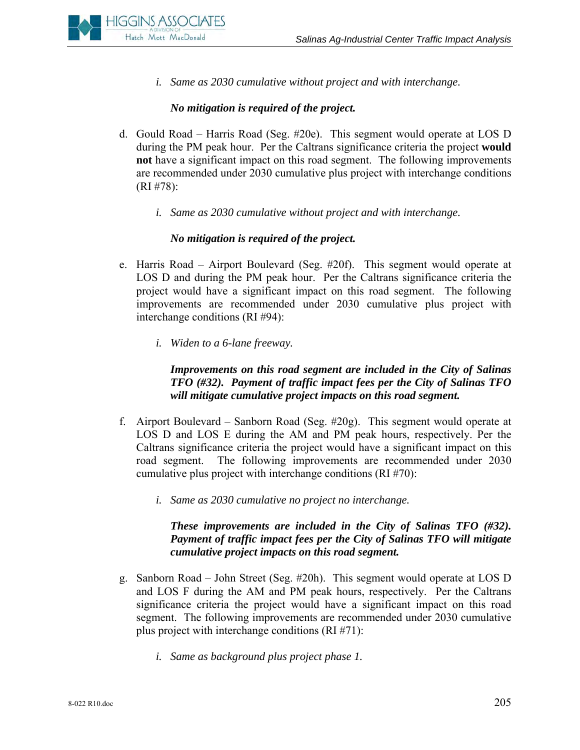

*i. Same as 2030 cumulative without project and with interchange.* 

#### *No mitigation is required of the project.*

- d. Gould Road Harris Road (Seg. #20e). This segment would operate at LOS D during the PM peak hour. Per the Caltrans significance criteria the project **would not** have a significant impact on this road segment. The following improvements are recommended under 2030 cumulative plus project with interchange conditions (RI #78):
	- *i. Same as 2030 cumulative without project and with interchange.*

#### *No mitigation is required of the project.*

- e. Harris Road Airport Boulevard (Seg. #20f). This segment would operate at LOS D and during the PM peak hour. Per the Caltrans significance criteria the project would have a significant impact on this road segment. The following improvements are recommended under 2030 cumulative plus project with interchange conditions (RI #94):
	- *i. Widen to a 6-lane freeway.*

*Improvements on this road segment are included in the City of Salinas TFO (#32). Payment of traffic impact fees per the City of Salinas TFO will mitigate cumulative project impacts on this road segment.* 

- f. Airport Boulevard Sanborn Road (Seg. #20g). This segment would operate at LOS D and LOS E during the AM and PM peak hours, respectively. Per the Caltrans significance criteria the project would have a significant impact on this road segment. The following improvements are recommended under 2030 cumulative plus project with interchange conditions (RI #70):
	- *i. Same as 2030 cumulative no project no interchange.*

## *These improvements are included in the City of Salinas TFO (#32). Payment of traffic impact fees per the City of Salinas TFO will mitigate cumulative project impacts on this road segment.*

- g. Sanborn Road John Street (Seg. #20h). This segment would operate at LOS D and LOS F during the AM and PM peak hours, respectively. Per the Caltrans significance criteria the project would have a significant impact on this road segment. The following improvements are recommended under 2030 cumulative plus project with interchange conditions (RI #71):
	- *i. Same as background plus project phase 1.*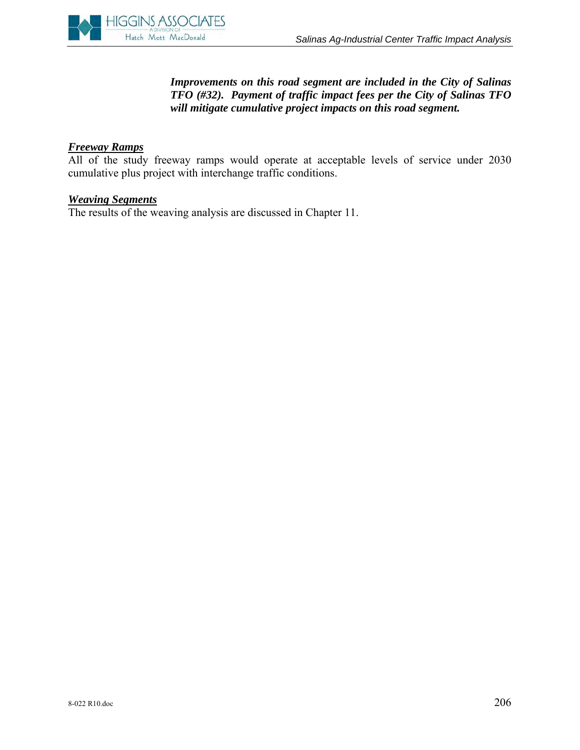

## *Improvements on this road segment are included in the City of Salinas TFO (#32). Payment of traffic impact fees per the City of Salinas TFO will mitigate cumulative project impacts on this road segment.*

#### *Freeway Ramps*

All of the study freeway ramps would operate at acceptable levels of service under 2030 cumulative plus project with interchange traffic conditions.

#### *Weaving Segments*

The results of the weaving analysis are discussed in Chapter 11.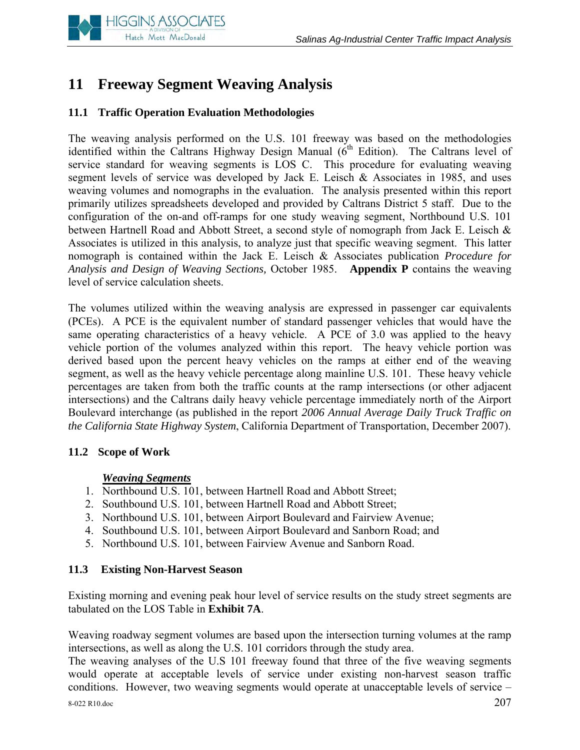

# **11 Freeway Segment Weaving Analysis**

# **11.1 Traffic Operation Evaluation Methodologies**

The weaving analysis performed on the U.S. 101 freeway was based on the methodologies identified within the Caltrans Highway Design Manual  $(6<sup>th</sup>$  Edition). The Caltrans level of service standard for weaving segments is LOS C. This procedure for evaluating weaving segment levels of service was developed by Jack E. Leisch & Associates in 1985, and uses weaving volumes and nomographs in the evaluation. The analysis presented within this report primarily utilizes spreadsheets developed and provided by Caltrans District 5 staff. Due to the configuration of the on-and off-ramps for one study weaving segment, Northbound U.S. 101 between Hartnell Road and Abbott Street, a second style of nomograph from Jack E. Leisch & Associates is utilized in this analysis, to analyze just that specific weaving segment. This latter nomograph is contained within the Jack E. Leisch & Associates publication *Procedure for Analysis and Design of Weaving Sections,* October 1985. **Appendix P** contains the weaving level of service calculation sheets.

The volumes utilized within the weaving analysis are expressed in passenger car equivalents (PCEs). A PCE is the equivalent number of standard passenger vehicles that would have the same operating characteristics of a heavy vehicle. A PCE of 3.0 was applied to the heavy vehicle portion of the volumes analyzed within this report. The heavy vehicle portion was derived based upon the percent heavy vehicles on the ramps at either end of the weaving segment, as well as the heavy vehicle percentage along mainline U.S. 101. These heavy vehicle percentages are taken from both the traffic counts at the ramp intersections (or other adjacent intersections) and the Caltrans daily heavy vehicle percentage immediately north of the Airport Boulevard interchange (as published in the report *2006 Annual Average Daily Truck Traffic on the California State Highway System*, California Department of Transportation, December 2007).

## **11.2 Scope of Work**

## *Weaving Segments*

- 1. Northbound U.S. 101, between Hartnell Road and Abbott Street;
- 2. Southbound U.S. 101, between Hartnell Road and Abbott Street;
- 3. Northbound U.S. 101, between Airport Boulevard and Fairview Avenue;
- 4. Southbound U.S. 101, between Airport Boulevard and Sanborn Road; and
- 5. Northbound U.S. 101, between Fairview Avenue and Sanborn Road.

## **11.3 Existing Non-Harvest Season**

Existing morning and evening peak hour level of service results on the study street segments are tabulated on the LOS Table in **Exhibit 7A**.

Weaving roadway segment volumes are based upon the intersection turning volumes at the ramp intersections, as well as along the U.S. 101 corridors through the study area.

The weaving analyses of the U.S 101 freeway found that three of the five weaving segments would operate at acceptable levels of service under existing non-harvest season traffic conditions. However, two weaving segments would operate at unacceptable levels of service –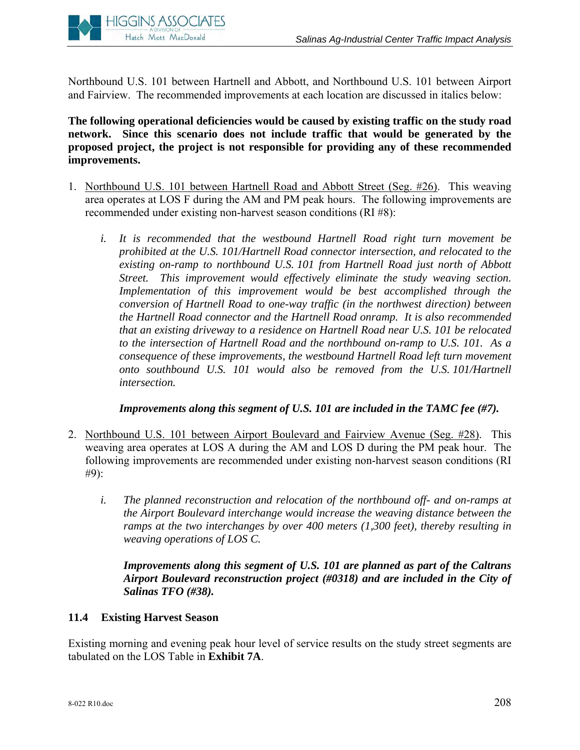

Northbound U.S. 101 between Hartnell and Abbott, and Northbound U.S. 101 between Airport and Fairview. The recommended improvements at each location are discussed in italics below:

**The following operational deficiencies would be caused by existing traffic on the study road network. Since this scenario does not include traffic that would be generated by the proposed project, the project is not responsible for providing any of these recommended improvements.**

- 1. Northbound U.S. 101 between Hartnell Road and Abbott Street (Seg. #26). This weaving area operates at LOS F during the AM and PM peak hours. The following improvements are recommended under existing non-harvest season conditions (RI #8):
	- *i. It is recommended that the westbound Hartnell Road right turn movement be prohibited at the U.S. 101/Hartnell Road connector intersection, and relocated to the existing on-ramp to northbound U.S. 101 from Hartnell Road just north of Abbott Street. This improvement would effectively eliminate the study weaving section.*  Implementation of this improvement would be best accomplished through the *conversion of Hartnell Road to one-way traffic (in the northwest direction) between the Hartnell Road connector and the Hartnell Road onramp. It is also recommended that an existing driveway to a residence on Hartnell Road near U.S. 101 be relocated to the intersection of Hartnell Road and the northbound on-ramp to U.S. 101. As a consequence of these improvements, the westbound Hartnell Road left turn movement onto southbound U.S. 101 would also be removed from the U.S. 101/Hartnell intersection.*

## *Improvements along this segment of U.S. 101 are included in the TAMC fee (#7).*

- 2. Northbound U.S. 101 between Airport Boulevard and Fairview Avenue (Seg. #28). This weaving area operates at LOS A during the AM and LOS D during the PM peak hour. The following improvements are recommended under existing non-harvest season conditions (RI #9):
	- *i. The planned reconstruction and relocation of the northbound off- and on-ramps at the Airport Boulevard interchange would increase the weaving distance between the ramps at the two interchanges by over 400 meters (1,300 feet), thereby resulting in weaving operations of LOS C.*

*Improvements along this segment of U.S. 101 are planned as part of the Caltrans Airport Boulevard reconstruction project (#0318) and are included in the City of Salinas TFO (#38).* 

## **11.4 Existing Harvest Season**

Existing morning and evening peak hour level of service results on the study street segments are tabulated on the LOS Table in **Exhibit 7A**.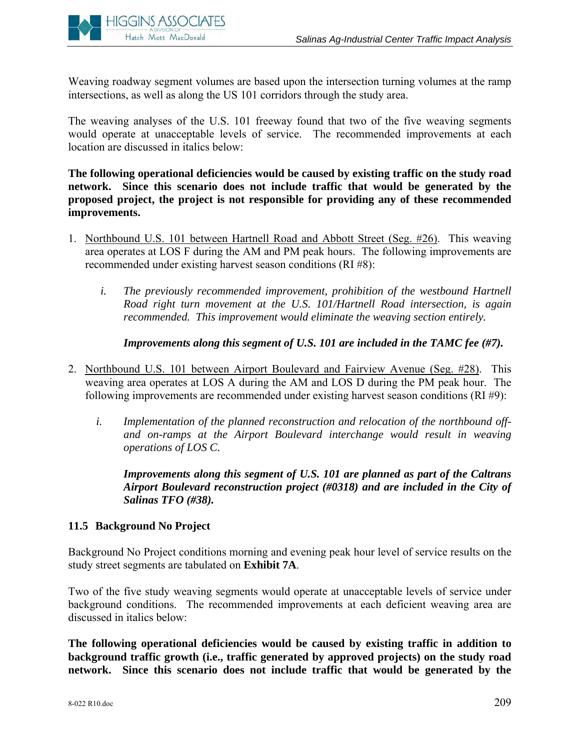

Weaving roadway segment volumes are based upon the intersection turning volumes at the ramp intersections, as well as along the US 101 corridors through the study area.

The weaving analyses of the U.S. 101 freeway found that two of the five weaving segments would operate at unacceptable levels of service. The recommended improvements at each location are discussed in italics below:

**The following operational deficiencies would be caused by existing traffic on the study road network. Since this scenario does not include traffic that would be generated by the proposed project, the project is not responsible for providing any of these recommended improvements.**

- 1. Northbound U.S. 101 between Hartnell Road and Abbott Street (Seg. #26). This weaving area operates at LOS F during the AM and PM peak hours. The following improvements are recommended under existing harvest season conditions (RI #8):
	- *i. The previously recommended improvement, prohibition of the westbound Hartnell Road right turn movement at the U.S. 101/Hartnell Road intersection, is again recommended. This improvement would eliminate the weaving section entirely.*

*Improvements along this segment of U.S. 101 are included in the TAMC fee (#7).* 

- 2. Northbound U.S. 101 between Airport Boulevard and Fairview Avenue (Seg. #28). This weaving area operates at LOS A during the AM and LOS D during the PM peak hour. The following improvements are recommended under existing harvest season conditions (RI #9):
	- *i. Implementation of the planned reconstruction and relocation of the northbound offand on-ramps at the Airport Boulevard interchange would result in weaving operations of LOS C.*

*Improvements along this segment of U.S. 101 are planned as part of the Caltrans Airport Boulevard reconstruction project (#0318) and are included in the City of Salinas TFO (#38).* 

## **11.5 Background No Project**

Background No Project conditions morning and evening peak hour level of service results on the study street segments are tabulated on **Exhibit 7A**.

Two of the five study weaving segments would operate at unacceptable levels of service under background conditions. The recommended improvements at each deficient weaving area are discussed in italics below:

**The following operational deficiencies would be caused by existing traffic in addition to background traffic growth (i.e., traffic generated by approved projects) on the study road network. Since this scenario does not include traffic that would be generated by the**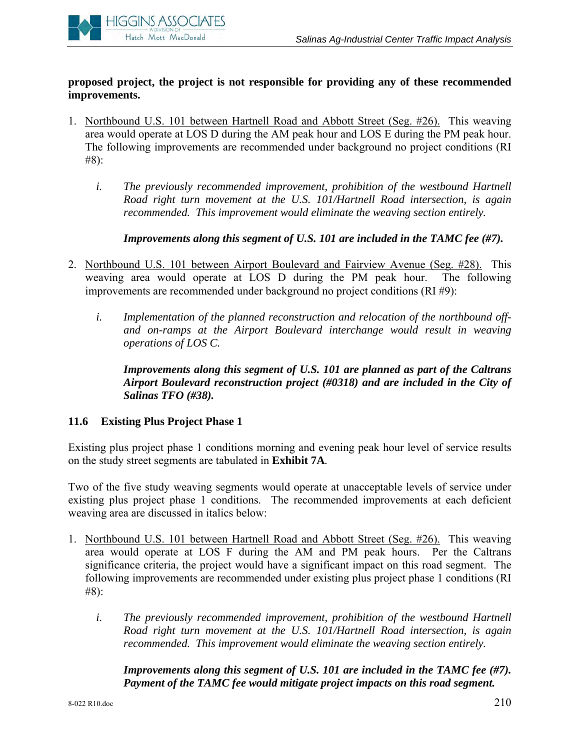

## **proposed project, the project is not responsible for providing any of these recommended improvements.**

- 1. Northbound U.S. 101 between Hartnell Road and Abbott Street (Seg. #26). This weaving area would operate at LOS D during the AM peak hour and LOS E during the PM peak hour. The following improvements are recommended under background no project conditions (RI #8):
	- *i. The previously recommended improvement, prohibition of the westbound Hartnell Road right turn movement at the U.S. 101/Hartnell Road intersection, is again recommended. This improvement would eliminate the weaving section entirely.*

 *Improvements along this segment of U.S. 101 are included in the TAMC fee (#7).* 

- 2. Northbound U.S. 101 between Airport Boulevard and Fairview Avenue (Seg. #28). This weaving area would operate at LOS D during the PM peak hour. The following improvements are recommended under background no project conditions (RI #9):
	- *i. Implementation of the planned reconstruction and relocation of the northbound offand on-ramps at the Airport Boulevard interchange would result in weaving operations of LOS C.*

*Improvements along this segment of U.S. 101 are planned as part of the Caltrans Airport Boulevard reconstruction project (#0318) and are included in the City of Salinas TFO (#38).* 

#### **11.6 Existing Plus Project Phase 1**

Existing plus project phase 1 conditions morning and evening peak hour level of service results on the study street segments are tabulated in **Exhibit 7A***.*

Two of the five study weaving segments would operate at unacceptable levels of service under existing plus project phase 1 conditions. The recommended improvements at each deficient weaving area are discussed in italics below:

- 1. Northbound U.S. 101 between Hartnell Road and Abbott Street (Seg. #26). This weaving area would operate at LOS F during the AM and PM peak hours. Per the Caltrans significance criteria, the project would have a significant impact on this road segment. The following improvements are recommended under existing plus project phase 1 conditions (RI #8):
	- *i. The previously recommended improvement, prohibition of the westbound Hartnell Road right turn movement at the U.S. 101/Hartnell Road intersection, is again recommended. This improvement would eliminate the weaving section entirely.*

*Improvements along this segment of U.S. 101 are included in the TAMC fee (#7). Payment of the TAMC fee would mitigate project impacts on this road segment.*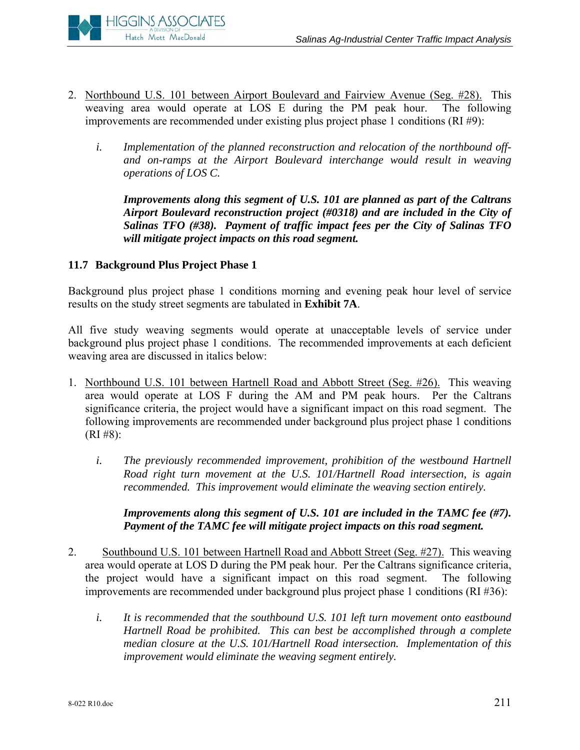

- 2. Northbound U.S. 101 between Airport Boulevard and Fairview Avenue (Seg. #28). This weaving area would operate at LOS E during the PM peak hour. The following improvements are recommended under existing plus project phase 1 conditions (RI #9):
	- *i. Implementation of the planned reconstruction and relocation of the northbound offand on-ramps at the Airport Boulevard interchange would result in weaving operations of LOS C.*

*Improvements along this segment of U.S. 101 are planned as part of the Caltrans Airport Boulevard reconstruction project (#0318) and are included in the City of Salinas TFO (#38). Payment of traffic impact fees per the City of Salinas TFO will mitigate project impacts on this road segment.* 

# **11.7 Background Plus Project Phase 1**

Background plus project phase 1 conditions morning and evening peak hour level of service results on the study street segments are tabulated in **Exhibit 7A**.

All five study weaving segments would operate at unacceptable levels of service under background plus project phase 1 conditions. The recommended improvements at each deficient weaving area are discussed in italics below:

- 1. Northbound U.S. 101 between Hartnell Road and Abbott Street (Seg. #26). This weaving area would operate at LOS F during the AM and PM peak hours. Per the Caltrans significance criteria, the project would have a significant impact on this road segment. The following improvements are recommended under background plus project phase 1 conditions  $(RI \#8):$ 
	- *i. The previously recommended improvement, prohibition of the westbound Hartnell Road right turn movement at the U.S. 101/Hartnell Road intersection, is again recommended. This improvement would eliminate the weaving section entirely.*

### *Improvements along this segment of U.S. 101 are included in the TAMC fee (#7). Payment of the TAMC fee will mitigate project impacts on this road segment.*

- 2. Southbound U.S. 101 between Hartnell Road and Abbott Street (Seg. #27). This weaving area would operate at LOS D during the PM peak hour. Per the Caltrans significance criteria, the project would have a significant impact on this road segment. The following improvements are recommended under background plus project phase 1 conditions (RI #36):
	- *i. It is recommended that the southbound U.S. 101 left turn movement onto eastbound Hartnell Road be prohibited. This can best be accomplished through a complete median closure at the U.S. 101/Hartnell Road intersection. Implementation of this improvement would eliminate the weaving segment entirely.*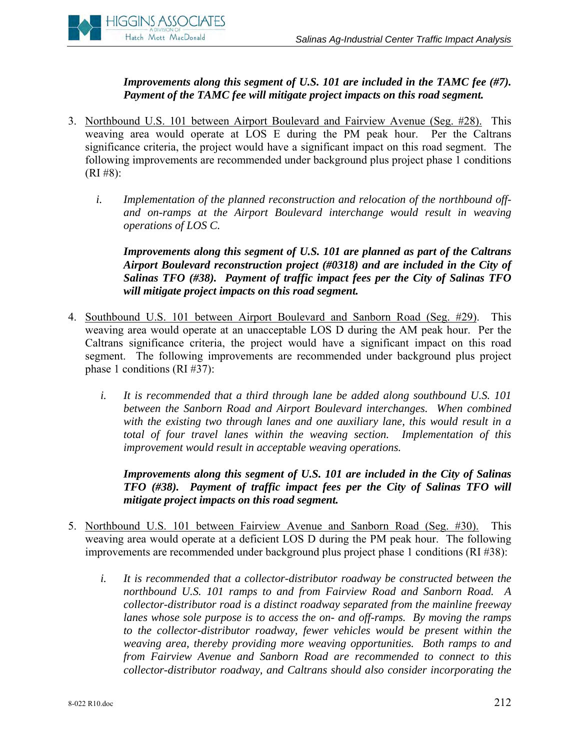

*Improvements along this segment of U.S. 101 are included in the TAMC fee (#7). Payment of the TAMC fee will mitigate project impacts on this road segment.* 

- 3. Northbound U.S. 101 between Airport Boulevard and Fairview Avenue (Seg. #28). This weaving area would operate at LOS E during the PM peak hour. Per the Caltrans significance criteria, the project would have a significant impact on this road segment. The following improvements are recommended under background plus project phase 1 conditions  $(RI \#8):$ 
	- *i. Implementation of the planned reconstruction and relocation of the northbound offand on-ramps at the Airport Boulevard interchange would result in weaving operations of LOS C.*

*Improvements along this segment of U.S. 101 are planned as part of the Caltrans Airport Boulevard reconstruction project (#0318) and are included in the City of Salinas TFO (#38). Payment of traffic impact fees per the City of Salinas TFO will mitigate project impacts on this road segment.* 

- 4. Southbound U.S. 101 between Airport Boulevard and Sanborn Road (Seg. #29). This weaving area would operate at an unacceptable LOS D during the AM peak hour. Per the Caltrans significance criteria, the project would have a significant impact on this road segment. The following improvements are recommended under background plus project phase 1 conditions (RI #37):
	- *i. It is recommended that a third through lane be added along southbound U.S. 101 between the Sanborn Road and Airport Boulevard interchanges. When combined*  with the existing two through lanes and one auxiliary lane, this would result in a *total of four travel lanes within the weaving section. Implementation of this improvement would result in acceptable weaving operations.*

*Improvements along this segment of U.S. 101 are included in the City of Salinas TFO (#38). Payment of traffic impact fees per the City of Salinas TFO will mitigate project impacts on this road segment.* 

- 5. Northbound U.S. 101 between Fairview Avenue and Sanborn Road (Seg. #30). This weaving area would operate at a deficient LOS D during the PM peak hour. The following improvements are recommended under background plus project phase 1 conditions (RI #38):
	- *i. It is recommended that a collector-distributor roadway be constructed between the northbound U.S. 101 ramps to and from Fairview Road and Sanborn Road. A collector-distributor road is a distinct roadway separated from the mainline freeway lanes whose sole purpose is to access the on- and off-ramps. By moving the ramps to the collector-distributor roadway, fewer vehicles would be present within the weaving area, thereby providing more weaving opportunities. Both ramps to and from Fairview Avenue and Sanborn Road are recommended to connect to this collector-distributor roadway, and Caltrans should also consider incorporating the*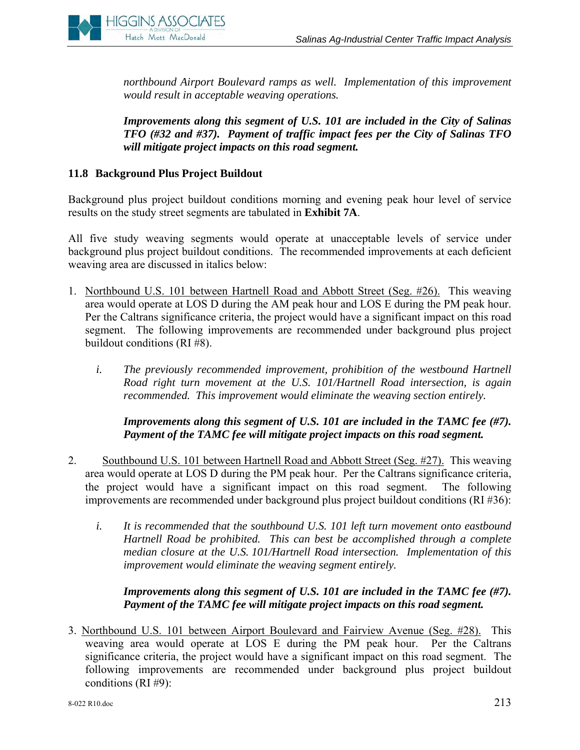

*northbound Airport Boulevard ramps as well. Implementation of this improvement would result in acceptable weaving operations.* 

*Improvements along this segment of U.S. 101 are included in the City of Salinas TFO (#32 and #37). Payment of traffic impact fees per the City of Salinas TFO will mitigate project impacts on this road segment.* 

## **11.8 Background Plus Project Buildout**

Background plus project buildout conditions morning and evening peak hour level of service results on the study street segments are tabulated in **Exhibit 7A**.

All five study weaving segments would operate at unacceptable levels of service under background plus project buildout conditions. The recommended improvements at each deficient weaving area are discussed in italics below:

- 1. Northbound U.S. 101 between Hartnell Road and Abbott Street (Seg. #26). This weaving area would operate at LOS D during the AM peak hour and LOS E during the PM peak hour. Per the Caltrans significance criteria, the project would have a significant impact on this road segment. The following improvements are recommended under background plus project buildout conditions (RI #8).
	- *i. The previously recommended improvement, prohibition of the westbound Hartnell Road right turn movement at the U.S. 101/Hartnell Road intersection, is again recommended. This improvement would eliminate the weaving section entirely.*

*Improvements along this segment of U.S. 101 are included in the TAMC fee (#7). Payment of the TAMC fee will mitigate project impacts on this road segment.* 

- 2. Southbound U.S. 101 between Hartnell Road and Abbott Street (Seg. #27). This weaving area would operate at LOS D during the PM peak hour. Per the Caltrans significance criteria, the project would have a significant impact on this road segment. The following improvements are recommended under background plus project buildout conditions (RI #36):
	- *i. It is recommended that the southbound U.S. 101 left turn movement onto eastbound Hartnell Road be prohibited. This can best be accomplished through a complete median closure at the U.S. 101/Hartnell Road intersection. Implementation of this improvement would eliminate the weaving segment entirely.*

### *Improvements along this segment of U.S. 101 are included in the TAMC fee (#7). Payment of the TAMC fee will mitigate project impacts on this road segment.*

3. Northbound U.S. 101 between Airport Boulevard and Fairview Avenue (Seg. #28). This weaving area would operate at LOS E during the PM peak hour. Per the Caltrans significance criteria, the project would have a significant impact on this road segment. The following improvements are recommended under background plus project buildout conditions (RI #9):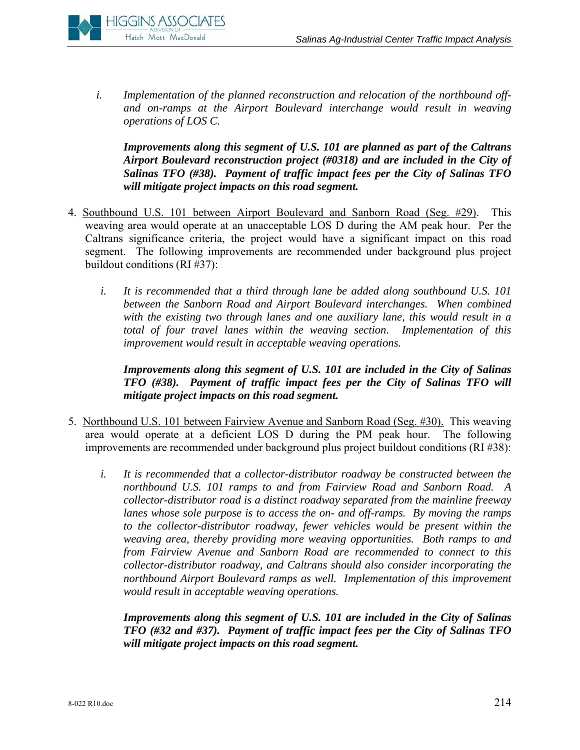

*i. Implementation of the planned reconstruction and relocation of the northbound offand on-ramps at the Airport Boulevard interchange would result in weaving operations of LOS C.* 

*Improvements along this segment of U.S. 101 are planned as part of the Caltrans Airport Boulevard reconstruction project (#0318) and are included in the City of Salinas TFO (#38). Payment of traffic impact fees per the City of Salinas TFO will mitigate project impacts on this road segment.* 

- 4. Southbound U.S. 101 between Airport Boulevard and Sanborn Road (Seg. #29). This weaving area would operate at an unacceptable LOS D during the AM peak hour. Per the Caltrans significance criteria, the project would have a significant impact on this road segment. The following improvements are recommended under background plus project buildout conditions (RI #37):
	- *i. It is recommended that a third through lane be added along southbound U.S. 101 between the Sanborn Road and Airport Boulevard interchanges. When combined*  with the existing two through lanes and one auxiliary lane, this would result in a *total of four travel lanes within the weaving section. Implementation of this improvement would result in acceptable weaving operations.*

*Improvements along this segment of U.S. 101 are included in the City of Salinas TFO (#38). Payment of traffic impact fees per the City of Salinas TFO will mitigate project impacts on this road segment.* 

- 5. Northbound U.S. 101 between Fairview Avenue and Sanborn Road (Seg. #30). This weaving area would operate at a deficient LOS D during the PM peak hour. The following improvements are recommended under background plus project buildout conditions (RI #38):
	- *i. It is recommended that a collector-distributor roadway be constructed between the northbound U.S. 101 ramps to and from Fairview Road and Sanborn Road. A collector-distributor road is a distinct roadway separated from the mainline freeway lanes whose sole purpose is to access the on- and off-ramps. By moving the ramps*  to the collector-distributor roadway, fewer vehicles would be present within the *weaving area, thereby providing more weaving opportunities. Both ramps to and from Fairview Avenue and Sanborn Road are recommended to connect to this collector-distributor roadway, and Caltrans should also consider incorporating the northbound Airport Boulevard ramps as well. Implementation of this improvement would result in acceptable weaving operations.*

*Improvements along this segment of U.S. 101 are included in the City of Salinas TFO (#32 and #37). Payment of traffic impact fees per the City of Salinas TFO will mitigate project impacts on this road segment.*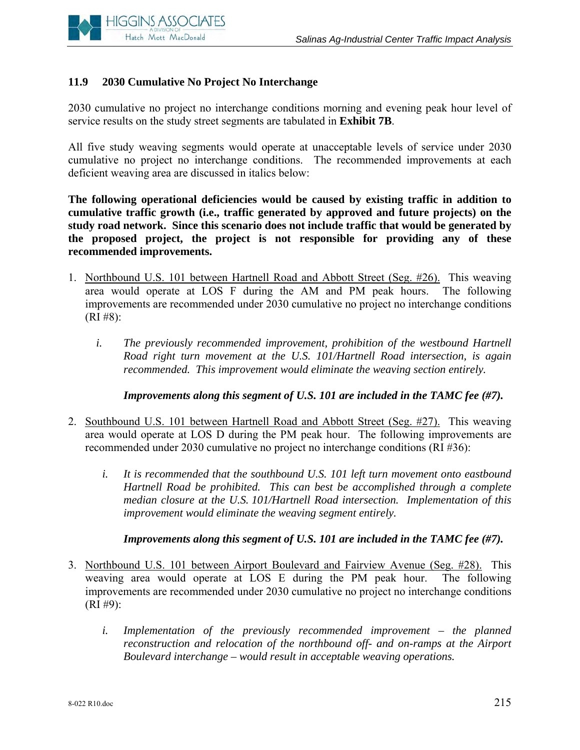

# **11.9 2030 Cumulative No Project No Interchange**

2030 cumulative no project no interchange conditions morning and evening peak hour level of service results on the study street segments are tabulated in **Exhibit 7B**.

All five study weaving segments would operate at unacceptable levels of service under 2030 cumulative no project no interchange conditions. The recommended improvements at each deficient weaving area are discussed in italics below:

**The following operational deficiencies would be caused by existing traffic in addition to cumulative traffic growth (i.e., traffic generated by approved and future projects) on the study road network. Since this scenario does not include traffic that would be generated by the proposed project, the project is not responsible for providing any of these recommended improvements.**

- 1. Northbound U.S. 101 between Hartnell Road and Abbott Street (Seg. #26). This weaving area would operate at LOS F during the AM and PM peak hours. The following improvements are recommended under 2030 cumulative no project no interchange conditions  $(RI \#8):$ 
	- *i. The previously recommended improvement, prohibition of the westbound Hartnell Road right turn movement at the U.S. 101/Hartnell Road intersection, is again recommended. This improvement would eliminate the weaving section entirely.*

 *Improvements along this segment of U.S. 101 are included in the TAMC fee (#7).* 

- 2. Southbound U.S. 101 between Hartnell Road and Abbott Street (Seg. #27). This weaving area would operate at LOS D during the PM peak hour. The following improvements are recommended under 2030 cumulative no project no interchange conditions (RI #36):
	- *i. It is recommended that the southbound U.S. 101 left turn movement onto eastbound Hartnell Road be prohibited. This can best be accomplished through a complete median closure at the U.S. 101/Hartnell Road intersection. Implementation of this improvement would eliminate the weaving segment entirely.*

 *Improvements along this segment of U.S. 101 are included in the TAMC fee (#7).* 

- 3. Northbound U.S. 101 between Airport Boulevard and Fairview Avenue (Seg. #28). This weaving area would operate at LOS E during the PM peak hour. The following improvements are recommended under 2030 cumulative no project no interchange conditions  $(RI \#9)$ :
	- *i.* Implementation of the previously recommended improvement the planned *reconstruction and relocation of the northbound off- and on-ramps at the Airport Boulevard interchange – would result in acceptable weaving operations.*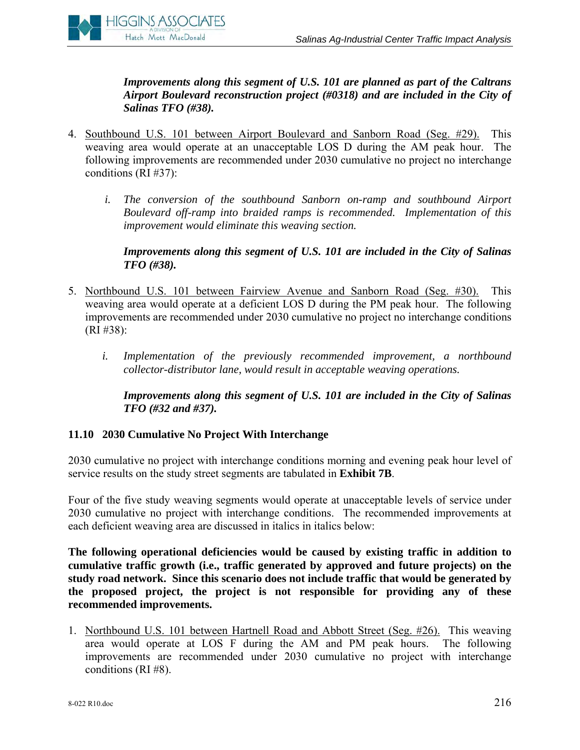

 *Improvements along this segment of U.S. 101 are planned as part of the Caltrans Airport Boulevard reconstruction project (#0318) and are included in the City of Salinas TFO (#38).* 

- 4. Southbound U.S. 101 between Airport Boulevard and Sanborn Road (Seg. #29). This weaving area would operate at an unacceptable LOS D during the AM peak hour. The following improvements are recommended under 2030 cumulative no project no interchange conditions (RI #37):
	- *i. The conversion of the southbound Sanborn on-ramp and southbound Airport Boulevard off-ramp into braided ramps is recommended. Implementation of this improvement would eliminate this weaving section.*

 *Improvements along this segment of U.S. 101 are included in the City of Salinas TFO (#38).* 

- 5. Northbound U.S. 101 between Fairview Avenue and Sanborn Road (Seg. #30). This weaving area would operate at a deficient LOS D during the PM peak hour. The following improvements are recommended under 2030 cumulative no project no interchange conditions (RI #38):
	- *i. Implementation of the previously recommended improvement, a northbound collector-distributor lane, would result in acceptable weaving operations.*

 *Improvements along this segment of U.S. 101 are included in the City of Salinas TFO (#32 and #37).* 

# **11.10 2030 Cumulative No Project With Interchange**

2030 cumulative no project with interchange conditions morning and evening peak hour level of service results on the study street segments are tabulated in **Exhibit 7B**.

Four of the five study weaving segments would operate at unacceptable levels of service under 2030 cumulative no project with interchange conditions. The recommended improvements at each deficient weaving area are discussed in italics in italics below:

**The following operational deficiencies would be caused by existing traffic in addition to cumulative traffic growth (i.e., traffic generated by approved and future projects) on the study road network. Since this scenario does not include traffic that would be generated by the proposed project, the project is not responsible for providing any of these recommended improvements.**

1. Northbound U.S. 101 between Hartnell Road and Abbott Street (Seg. #26). This weaving area would operate at LOS F during the AM and PM peak hours. The following improvements are recommended under 2030 cumulative no project with interchange conditions (RI #8).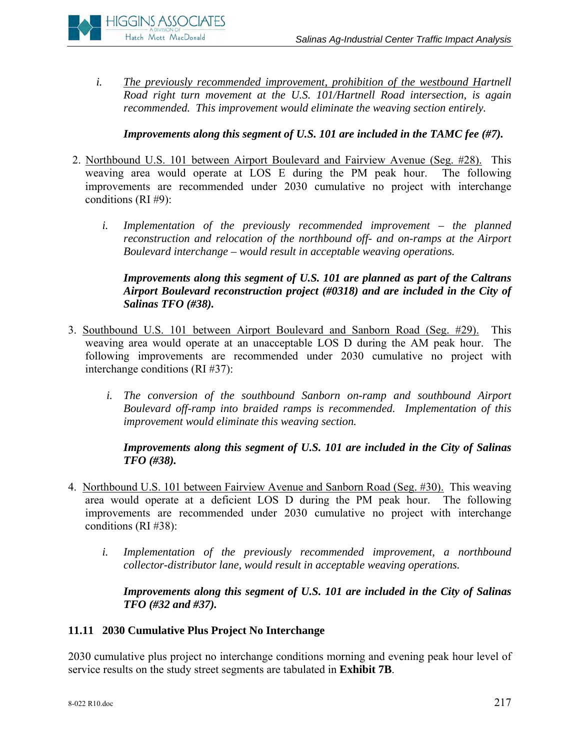

*i. The previously recommended improvement, prohibition of the westbound Hartnell Road right turn movement at the U.S. 101/Hartnell Road intersection, is again recommended. This improvement would eliminate the weaving section entirely.* 

# *Improvements along this segment of U.S. 101 are included in the TAMC fee (#7).*

- 2. Northbound U.S. 101 between Airport Boulevard and Fairview Avenue (Seg. #28). This weaving area would operate at LOS E during the PM peak hour. The following improvements are recommended under 2030 cumulative no project with interchange conditions (RI #9):
	- *i.* Implementation of the previously recommended improvement the planned *reconstruction and relocation of the northbound off- and on-ramps at the Airport Boulevard interchange – would result in acceptable weaving operations.*

# *Improvements along this segment of U.S. 101 are planned as part of the Caltrans Airport Boulevard reconstruction project (#0318) and are included in the City of Salinas TFO (#38).*

- 3. Southbound U.S. 101 between Airport Boulevard and Sanborn Road (Seg. #29). This weaving area would operate at an unacceptable LOS D during the AM peak hour. The following improvements are recommended under 2030 cumulative no project with interchange conditions (RI #37):
	- *i. The conversion of the southbound Sanborn on-ramp and southbound Airport Boulevard off-ramp into braided ramps is recommended. Implementation of this improvement would eliminate this weaving section.*

### *Improvements along this segment of U.S. 101 are included in the City of Salinas TFO (#38).*

- 4. Northbound U.S. 101 between Fairview Avenue and Sanborn Road (Seg. #30). This weaving area would operate at a deficient LOS D during the PM peak hour. The following improvements are recommended under 2030 cumulative no project with interchange conditions (RI #38):
	- *i. Implementation of the previously recommended improvement, a northbound collector-distributor lane, would result in acceptable weaving operations.*

### *Improvements along this segment of U.S. 101 are included in the City of Salinas TFO (#32 and #37).*

# **11.11 2030 Cumulative Plus Project No Interchange**

2030 cumulative plus project no interchange conditions morning and evening peak hour level of service results on the study street segments are tabulated in **Exhibit 7B**.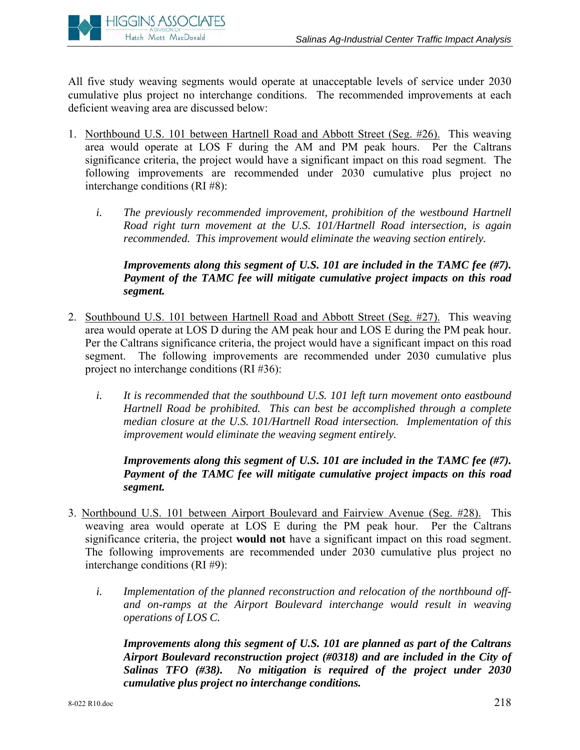

All five study weaving segments would operate at unacceptable levels of service under 2030 cumulative plus project no interchange conditions. The recommended improvements at each deficient weaving area are discussed below:

- 1. Northbound U.S. 101 between Hartnell Road and Abbott Street (Seg. #26). This weaving area would operate at LOS F during the AM and PM peak hours. Per the Caltrans significance criteria, the project would have a significant impact on this road segment. The following improvements are recommended under 2030 cumulative plus project no interchange conditions (RI #8):
	- *i. The previously recommended improvement, prohibition of the westbound Hartnell Road right turn movement at the U.S. 101/Hartnell Road intersection, is again recommended. This improvement would eliminate the weaving section entirely.*

# *Improvements along this segment of U.S. 101 are included in the TAMC fee (#7). Payment of the TAMC fee will mitigate cumulative project impacts on this road segment.*

- 2. Southbound U.S. 101 between Hartnell Road and Abbott Street (Seg. #27). This weaving area would operate at LOS D during the AM peak hour and LOS E during the PM peak hour. Per the Caltrans significance criteria, the project would have a significant impact on this road segment. The following improvements are recommended under 2030 cumulative plus project no interchange conditions (RI #36):
	- *i. It is recommended that the southbound U.S. 101 left turn movement onto eastbound Hartnell Road be prohibited. This can best be accomplished through a complete median closure at the U.S. 101/Hartnell Road intersection. Implementation of this improvement would eliminate the weaving segment entirely.*

# *Improvements along this segment of U.S. 101 are included in the TAMC fee (#7). Payment of the TAMC fee will mitigate cumulative project impacts on this road segment.*

- 3. Northbound U.S. 101 between Airport Boulevard and Fairview Avenue (Seg. #28). This weaving area would operate at LOS E during the PM peak hour. Per the Caltrans significance criteria, the project **would not** have a significant impact on this road segment. The following improvements are recommended under 2030 cumulative plus project no interchange conditions (RI #9):
	- *i. Implementation of the planned reconstruction and relocation of the northbound offand on-ramps at the Airport Boulevard interchange would result in weaving operations of LOS C.*

*Improvements along this segment of U.S. 101 are planned as part of the Caltrans Airport Boulevard reconstruction project (#0318) and are included in the City of Salinas TFO (#38). No mitigation is required of the project under 2030 cumulative plus project no interchange conditions.*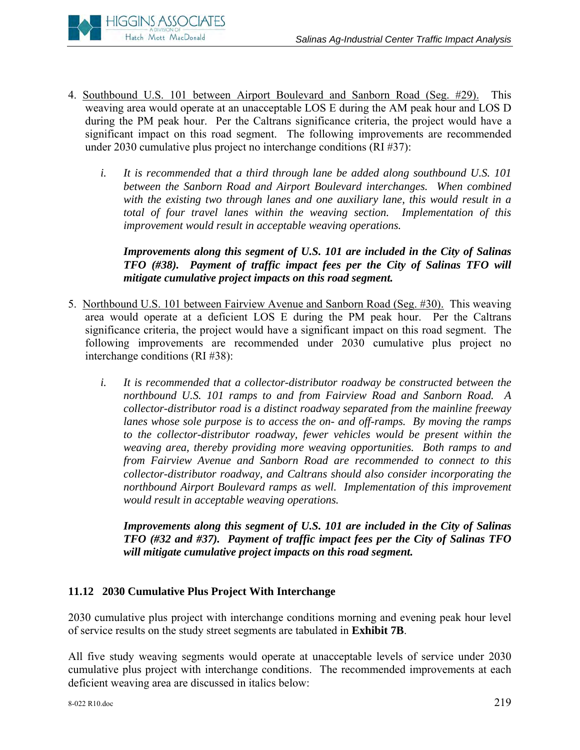

- 4. Southbound U.S. 101 between Airport Boulevard and Sanborn Road (Seg. #29). This weaving area would operate at an unacceptable LOS E during the AM peak hour and LOS D during the PM peak hour. Per the Caltrans significance criteria, the project would have a significant impact on this road segment. The following improvements are recommended under 2030 cumulative plus project no interchange conditions (RI #37):
	- *i. It is recommended that a third through lane be added along southbound U.S. 101 between the Sanborn Road and Airport Boulevard interchanges. When combined with the existing two through lanes and one auxiliary lane, this would result in a total of four travel lanes within the weaving section. Implementation of this improvement would result in acceptable weaving operations.*

*Improvements along this segment of U.S. 101 are included in the City of Salinas TFO (#38). Payment of traffic impact fees per the City of Salinas TFO will mitigate cumulative project impacts on this road segment.* 

- 5. Northbound U.S. 101 between Fairview Avenue and Sanborn Road (Seg. #30). This weaving area would operate at a deficient LOS E during the PM peak hour. Per the Caltrans significance criteria, the project would have a significant impact on this road segment. The following improvements are recommended under 2030 cumulative plus project no interchange conditions (RI #38):
	- *i. It is recommended that a collector-distributor roadway be constructed between the northbound U.S. 101 ramps to and from Fairview Road and Sanborn Road. A collector-distributor road is a distinct roadway separated from the mainline freeway lanes whose sole purpose is to access the on- and off-ramps. By moving the ramps*  to the collector-distributor roadway, fewer vehicles would be present within the *weaving area, thereby providing more weaving opportunities. Both ramps to and from Fairview Avenue and Sanborn Road are recommended to connect to this collector-distributor roadway, and Caltrans should also consider incorporating the northbound Airport Boulevard ramps as well. Implementation of this improvement would result in acceptable weaving operations.*

*Improvements along this segment of U.S. 101 are included in the City of Salinas TFO (#32 and #37). Payment of traffic impact fees per the City of Salinas TFO will mitigate cumulative project impacts on this road segment.* 

# **11.12 2030 Cumulative Plus Project With Interchange**

2030 cumulative plus project with interchange conditions morning and evening peak hour level of service results on the study street segments are tabulated in **Exhibit 7B**.

All five study weaving segments would operate at unacceptable levels of service under 2030 cumulative plus project with interchange conditions. The recommended improvements at each deficient weaving area are discussed in italics below: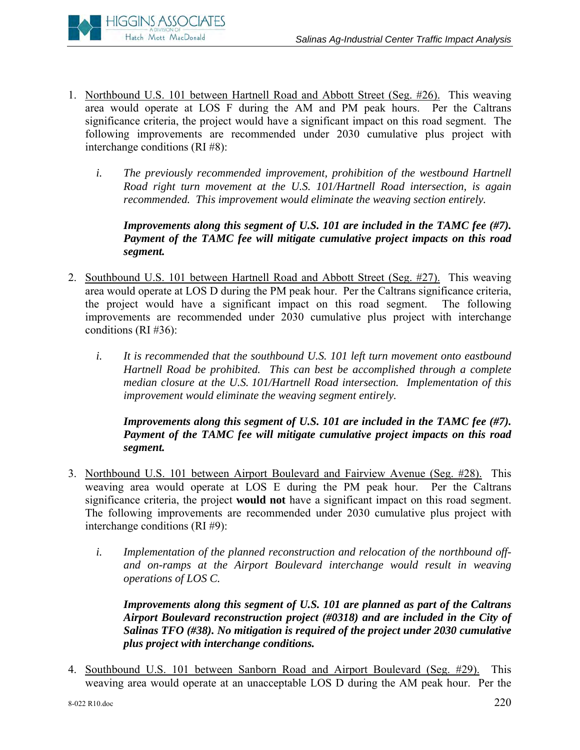

- 1. Northbound U.S. 101 between Hartnell Road and Abbott Street (Seg. #26). This weaving area would operate at LOS F during the AM and PM peak hours. Per the Caltrans significance criteria, the project would have a significant impact on this road segment. The following improvements are recommended under 2030 cumulative plus project with interchange conditions (RI #8):
	- *i. The previously recommended improvement, prohibition of the westbound Hartnell Road right turn movement at the U.S. 101/Hartnell Road intersection, is again recommended. This improvement would eliminate the weaving section entirely.*

*Improvements along this segment of U.S. 101 are included in the TAMC fee (#7). Payment of the TAMC fee will mitigate cumulative project impacts on this road segment.* 

- 2. Southbound U.S. 101 between Hartnell Road and Abbott Street (Seg. #27). This weaving area would operate at LOS D during the PM peak hour. Per the Caltrans significance criteria, the project would have a significant impact on this road segment. The following improvements are recommended under 2030 cumulative plus project with interchange conditions (RI #36):
	- *i. It is recommended that the southbound U.S. 101 left turn movement onto eastbound Hartnell Road be prohibited. This can best be accomplished through a complete median closure at the U.S. 101/Hartnell Road intersection. Implementation of this improvement would eliminate the weaving segment entirely.*

*Improvements along this segment of U.S. 101 are included in the TAMC fee (#7). Payment of the TAMC fee will mitigate cumulative project impacts on this road segment.* 

- 3. Northbound U.S. 101 between Airport Boulevard and Fairview Avenue (Seg. #28). This weaving area would operate at LOS E during the PM peak hour. Per the Caltrans significance criteria, the project **would not** have a significant impact on this road segment. The following improvements are recommended under 2030 cumulative plus project with interchange conditions (RI #9):
	- *i. Implementation of the planned reconstruction and relocation of the northbound offand on-ramps at the Airport Boulevard interchange would result in weaving operations of LOS C.*

*Improvements along this segment of U.S. 101 are planned as part of the Caltrans Airport Boulevard reconstruction project (#0318) and are included in the City of Salinas TFO (#38). No mitigation is required of the project under 2030 cumulative plus project with interchange conditions.* 

4. Southbound U.S. 101 between Sanborn Road and Airport Boulevard (Seg. #29). This weaving area would operate at an unacceptable LOS D during the AM peak hour. Per the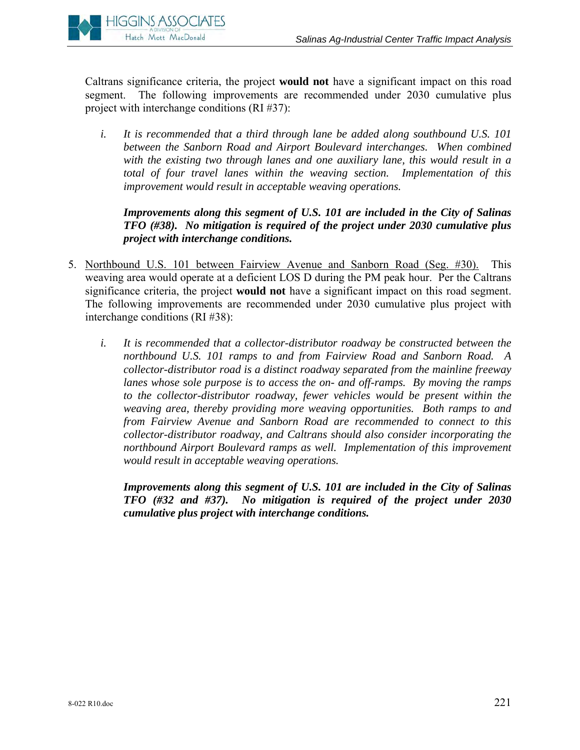

Caltrans significance criteria, the project **would not** have a significant impact on this road segment. The following improvements are recommended under 2030 cumulative plus project with interchange conditions (RI #37):

*i. It is recommended that a third through lane be added along southbound U.S. 101 between the Sanborn Road and Airport Boulevard interchanges. When combined with the existing two through lanes and one auxiliary lane, this would result in a total of four travel lanes within the weaving section. Implementation of this improvement would result in acceptable weaving operations.* 

*Improvements along this segment of U.S. 101 are included in the City of Salinas TFO (#38). No mitigation is required of the project under 2030 cumulative plus project with interchange conditions.* 

- 5. Northbound U.S. 101 between Fairview Avenue and Sanborn Road (Seg. #30). This weaving area would operate at a deficient LOS D during the PM peak hour. Per the Caltrans significance criteria, the project **would not** have a significant impact on this road segment. The following improvements are recommended under 2030 cumulative plus project with interchange conditions (RI #38):
	- *i. It is recommended that a collector-distributor roadway be constructed between the northbound U.S. 101 ramps to and from Fairview Road and Sanborn Road. A collector-distributor road is a distinct roadway separated from the mainline freeway lanes whose sole purpose is to access the on- and off-ramps. By moving the ramps to the collector-distributor roadway, fewer vehicles would be present within the weaving area, thereby providing more weaving opportunities. Both ramps to and from Fairview Avenue and Sanborn Road are recommended to connect to this collector-distributor roadway, and Caltrans should also consider incorporating the northbound Airport Boulevard ramps as well. Implementation of this improvement would result in acceptable weaving operations.*

*Improvements along this segment of U.S. 101 are included in the City of Salinas TFO (#32 and #37). No mitigation is required of the project under 2030 cumulative plus project with interchange conditions.*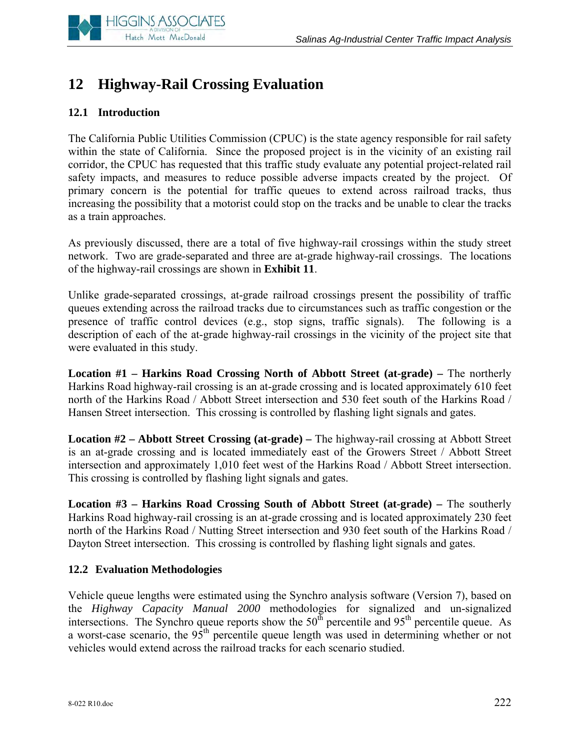

# **12 Highway-Rail Crossing Evaluation**

# **12.1 Introduction**

The California Public Utilities Commission (CPUC) is the state agency responsible for rail safety within the state of California. Since the proposed project is in the vicinity of an existing rail corridor, the CPUC has requested that this traffic study evaluate any potential project-related rail safety impacts, and measures to reduce possible adverse impacts created by the project. Of primary concern is the potential for traffic queues to extend across railroad tracks, thus increasing the possibility that a motorist could stop on the tracks and be unable to clear the tracks as a train approaches.

As previously discussed, there are a total of five highway-rail crossings within the study street network. Two are grade-separated and three are at-grade highway-rail crossings. The locations of the highway-rail crossings are shown in **Exhibit 11**.

Unlike grade-separated crossings, at-grade railroad crossings present the possibility of traffic queues extending across the railroad tracks due to circumstances such as traffic congestion or the presence of traffic control devices (e.g., stop signs, traffic signals). The following is a description of each of the at-grade highway-rail crossings in the vicinity of the project site that were evaluated in this study.

**Location #1 – Harkins Road Crossing North of Abbott Street (at-grade) –** The northerly Harkins Road highway-rail crossing is an at-grade crossing and is located approximately 610 feet north of the Harkins Road / Abbott Street intersection and 530 feet south of the Harkins Road / Hansen Street intersection. This crossing is controlled by flashing light signals and gates.

**Location #2 – Abbott Street Crossing (at-grade) –** The highway-rail crossing at Abbott Street is an at-grade crossing and is located immediately east of the Growers Street / Abbott Street intersection and approximately 1,010 feet west of the Harkins Road / Abbott Street intersection. This crossing is controlled by flashing light signals and gates.

**Location #3 – Harkins Road Crossing South of Abbott Street (at-grade) –** The southerly Harkins Road highway-rail crossing is an at-grade crossing and is located approximately 230 feet north of the Harkins Road / Nutting Street intersection and 930 feet south of the Harkins Road / Dayton Street intersection. This crossing is controlled by flashing light signals and gates.

#### **12.2 Evaluation Methodologies**

Vehicle queue lengths were estimated using the Synchro analysis software (Version 7), based on the *Highway Capacity Manual 2000* methodologies for signalized and un-signalized intersections. The Synchro queue reports show the  $50<sup>th</sup>$  percentile and  $95<sup>th</sup>$  percentile queue. As a worst-case scenario, the 95<sup>th</sup> percentile queue length was used in determining whether or not vehicles would extend across the railroad tracks for each scenario studied.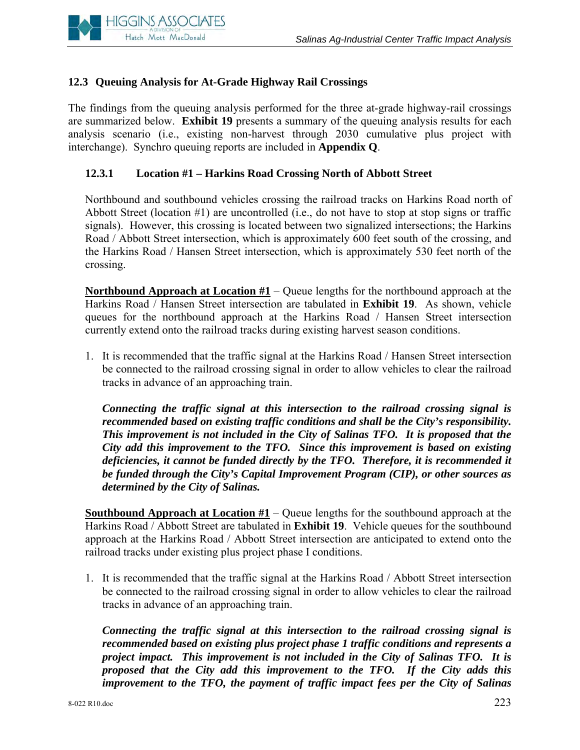

# **12.3 Queuing Analysis for At-Grade Highway Rail Crossings**

The findings from the queuing analysis performed for the three at-grade highway-rail crossings are summarized below. **Exhibit 19** presents a summary of the queuing analysis results for each analysis scenario (i.e., existing non-harvest through 2030 cumulative plus project with interchange). Synchro queuing reports are included in **Appendix Q**.

# **12.3.1 Location #1 – Harkins Road Crossing North of Abbott Street**

Northbound and southbound vehicles crossing the railroad tracks on Harkins Road north of Abbott Street (location #1) are uncontrolled (i.e., do not have to stop at stop signs or traffic signals). However, this crossing is located between two signalized intersections; the Harkins Road / Abbott Street intersection, which is approximately 600 feet south of the crossing, and the Harkins Road / Hansen Street intersection, which is approximately 530 feet north of the crossing.

**Northbound Approach at Location #1** – Queue lengths for the northbound approach at the Harkins Road / Hansen Street intersection are tabulated in **Exhibit 19**. As shown, vehicle queues for the northbound approach at the Harkins Road / Hansen Street intersection currently extend onto the railroad tracks during existing harvest season conditions.

1. It is recommended that the traffic signal at the Harkins Road / Hansen Street intersection be connected to the railroad crossing signal in order to allow vehicles to clear the railroad tracks in advance of an approaching train.

*Connecting the traffic signal at this intersection to the railroad crossing signal is recommended based on existing traffic conditions and shall be the City's responsibility. This improvement is not included in the City of Salinas TFO. It is proposed that the City add this improvement to the TFO. Since this improvement is based on existing deficiencies, it cannot be funded directly by the TFO. Therefore, it is recommended it be funded through the City's Capital Improvement Program (CIP), or other sources as determined by the City of Salinas.* 

**Southbound Approach at Location**  $#1 -$ **Queue lengths for the southbound approach at the** Harkins Road / Abbott Street are tabulated in **Exhibit 19**. Vehicle queues for the southbound approach at the Harkins Road / Abbott Street intersection are anticipated to extend onto the railroad tracks under existing plus project phase I conditions.

1. It is recommended that the traffic signal at the Harkins Road / Abbott Street intersection be connected to the railroad crossing signal in order to allow vehicles to clear the railroad tracks in advance of an approaching train.

*Connecting the traffic signal at this intersection to the railroad crossing signal is recommended based on existing plus project phase 1 traffic conditions and represents a project impact. This improvement is not included in the City of Salinas TFO. It is proposed that the City add this improvement to the TFO. If the City adds this improvement to the TFO, the payment of traffic impact fees per the City of Salinas*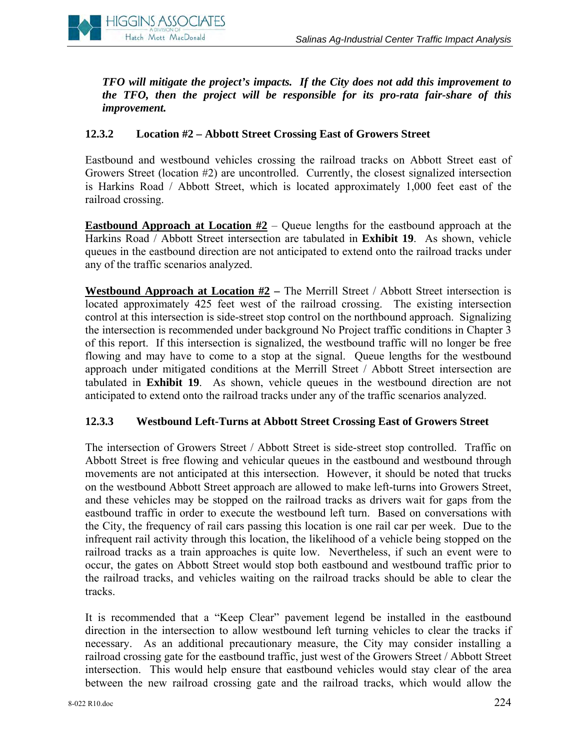*TFO will mitigate the project's impacts. If the City does not add this improvement to the TFO, then the project will be responsible for its pro-rata fair-share of this improvement.* 

# **12.3.2 Location #2 – Abbott Street Crossing East of Growers Street**

Eastbound and westbound vehicles crossing the railroad tracks on Abbott Street east of Growers Street (location #2) are uncontrolled. Currently, the closest signalized intersection is Harkins Road / Abbott Street, which is located approximately 1,000 feet east of the railroad crossing.

**Eastbound Approach at Location #2** – Queue lengths for the eastbound approach at the Harkins Road / Abbott Street intersection are tabulated in **Exhibit 19**. As shown, vehicle queues in the eastbound direction are not anticipated to extend onto the railroad tracks under any of the traffic scenarios analyzed.

**Westbound Approach at Location #2** – The Merrill Street / Abbott Street intersection is located approximately 425 feet west of the railroad crossing. The existing intersection control at this intersection is side-street stop control on the northbound approach. Signalizing the intersection is recommended under background No Project traffic conditions in Chapter 3 of this report. If this intersection is signalized, the westbound traffic will no longer be free flowing and may have to come to a stop at the signal. Queue lengths for the westbound approach under mitigated conditions at the Merrill Street / Abbott Street intersection are tabulated in **Exhibit 19**. As shown, vehicle queues in the westbound direction are not anticipated to extend onto the railroad tracks under any of the traffic scenarios analyzed.

# **12.3.3 Westbound Left-Turns at Abbott Street Crossing East of Growers Street**

The intersection of Growers Street / Abbott Street is side-street stop controlled. Traffic on Abbott Street is free flowing and vehicular queues in the eastbound and westbound through movements are not anticipated at this intersection. However, it should be noted that trucks on the westbound Abbott Street approach are allowed to make left-turns into Growers Street, and these vehicles may be stopped on the railroad tracks as drivers wait for gaps from the eastbound traffic in order to execute the westbound left turn. Based on conversations with the City, the frequency of rail cars passing this location is one rail car per week. Due to the infrequent rail activity through this location, the likelihood of a vehicle being stopped on the railroad tracks as a train approaches is quite low. Nevertheless, if such an event were to occur, the gates on Abbott Street would stop both eastbound and westbound traffic prior to the railroad tracks, and vehicles waiting on the railroad tracks should be able to clear the tracks.

It is recommended that a "Keep Clear" pavement legend be installed in the eastbound direction in the intersection to allow westbound left turning vehicles to clear the tracks if necessary. As an additional precautionary measure, the City may consider installing a railroad crossing gate for the eastbound traffic, just west of the Growers Street / Abbott Street intersection. This would help ensure that eastbound vehicles would stay clear of the area between the new railroad crossing gate and the railroad tracks, which would allow the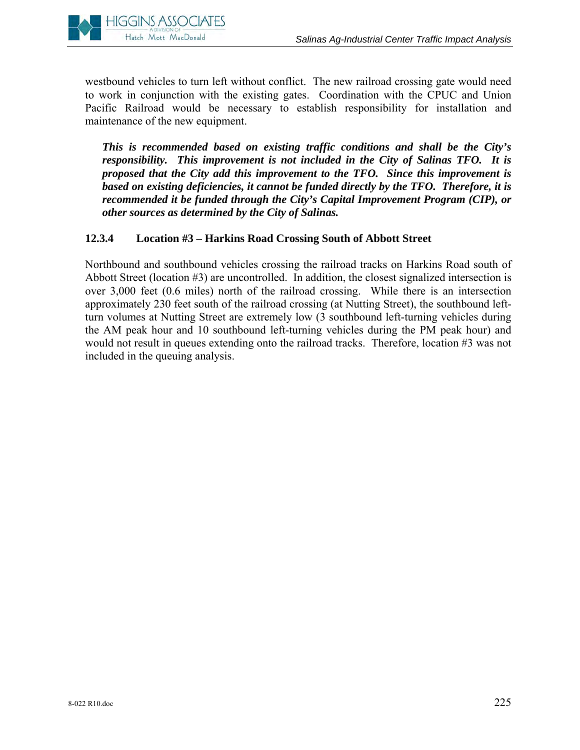

westbound vehicles to turn left without conflict. The new railroad crossing gate would need to work in conjunction with the existing gates. Coordination with the CPUC and Union Pacific Railroad would be necessary to establish responsibility for installation and maintenance of the new equipment.

*This is recommended based on existing traffic conditions and shall be the City's responsibility. This improvement is not included in the City of Salinas TFO. It is proposed that the City add this improvement to the TFO. Since this improvement is based on existing deficiencies, it cannot be funded directly by the TFO. Therefore, it is recommended it be funded through the City's Capital Improvement Program (CIP), or other sources as determined by the City of Salinas.* 

# **12.3.4 Location #3 – Harkins Road Crossing South of Abbott Street**

Northbound and southbound vehicles crossing the railroad tracks on Harkins Road south of Abbott Street (location #3) are uncontrolled. In addition, the closest signalized intersection is over 3,000 feet (0.6 miles) north of the railroad crossing. While there is an intersection approximately 230 feet south of the railroad crossing (at Nutting Street), the southbound leftturn volumes at Nutting Street are extremely low (3 southbound left-turning vehicles during the AM peak hour and 10 southbound left-turning vehicles during the PM peak hour) and would not result in queues extending onto the railroad tracks. Therefore, location #3 was not included in the queuing analysis.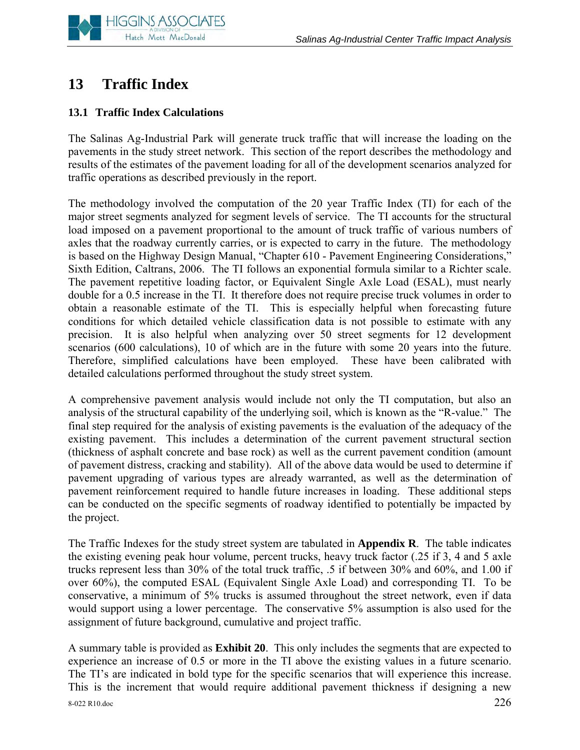

# **13 Traffic Index**

# **13.1 Traffic Index Calculations**

The Salinas Ag-Industrial Park will generate truck traffic that will increase the loading on the pavements in the study street network. This section of the report describes the methodology and results of the estimates of the pavement loading for all of the development scenarios analyzed for traffic operations as described previously in the report.

The methodology involved the computation of the 20 year Traffic Index (TI) for each of the major street segments analyzed for segment levels of service. The TI accounts for the structural load imposed on a pavement proportional to the amount of truck traffic of various numbers of axles that the roadway currently carries, or is expected to carry in the future. The methodology is based on the Highway Design Manual, "Chapter 610 - Pavement Engineering Considerations," Sixth Edition, Caltrans, 2006. The TI follows an exponential formula similar to a Richter scale. The pavement repetitive loading factor, or Equivalent Single Axle Load (ESAL), must nearly double for a 0.5 increase in the TI. It therefore does not require precise truck volumes in order to obtain a reasonable estimate of the TI. This is especially helpful when forecasting future conditions for which detailed vehicle classification data is not possible to estimate with any precision. It is also helpful when analyzing over 50 street segments for 12 development scenarios (600 calculations), 10 of which are in the future with some 20 years into the future. Therefore, simplified calculations have been employed. These have been calibrated with detailed calculations performed throughout the study street system.

A comprehensive pavement analysis would include not only the TI computation, but also an analysis of the structural capability of the underlying soil, which is known as the "R-value." The final step required for the analysis of existing pavements is the evaluation of the adequacy of the existing pavement. This includes a determination of the current pavement structural section (thickness of asphalt concrete and base rock) as well as the current pavement condition (amount of pavement distress, cracking and stability). All of the above data would be used to determine if pavement upgrading of various types are already warranted, as well as the determination of pavement reinforcement required to handle future increases in loading. These additional steps can be conducted on the specific segments of roadway identified to potentially be impacted by the project.

The Traffic Indexes for the study street system are tabulated in **Appendix R**. The table indicates the existing evening peak hour volume, percent trucks, heavy truck factor (.25 if 3, 4 and 5 axle trucks represent less than 30% of the total truck traffic, .5 if between 30% and 60%, and 1.00 if over 60%), the computed ESAL (Equivalent Single Axle Load) and corresponding TI. To be conservative, a minimum of 5% trucks is assumed throughout the street network, even if data would support using a lower percentage. The conservative 5% assumption is also used for the assignment of future background, cumulative and project traffic.

8-022 R10.doc 226 A summary table is provided as **Exhibit 20**. This only includes the segments that are expected to experience an increase of 0.5 or more in the TI above the existing values in a future scenario. The TI's are indicated in bold type for the specific scenarios that will experience this increase. This is the increment that would require additional pavement thickness if designing a new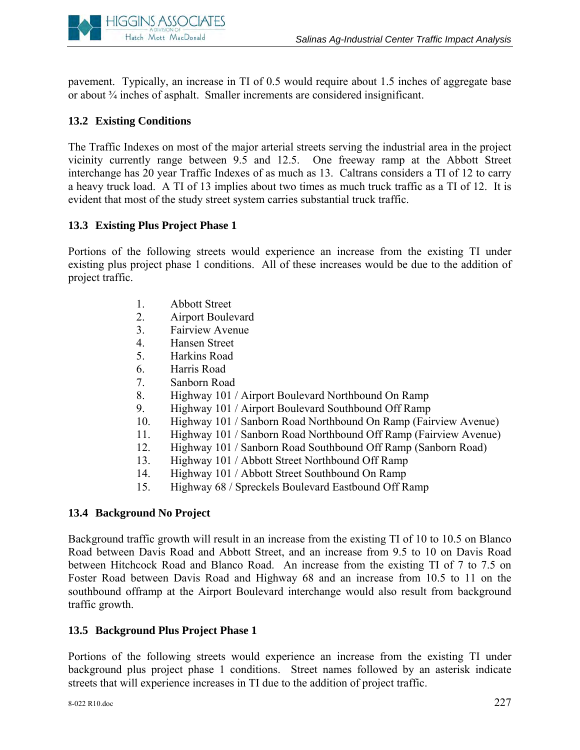

pavement. Typically, an increase in TI of 0.5 would require about 1.5 inches of aggregate base or about ¾ inches of asphalt. Smaller increments are considered insignificant.

# **13.2 Existing Conditions**

The Traffic Indexes on most of the major arterial streets serving the industrial area in the project vicinity currently range between 9.5 and 12.5. One freeway ramp at the Abbott Street interchange has 20 year Traffic Indexes of as much as 13. Caltrans considers a TI of 12 to carry a heavy truck load. A TI of 13 implies about two times as much truck traffic as a TI of 12. It is evident that most of the study street system carries substantial truck traffic.

# **13.3 Existing Plus Project Phase 1**

Portions of the following streets would experience an increase from the existing TI under existing plus project phase 1 conditions. All of these increases would be due to the addition of project traffic.

- 1. Abbott Street
- 2. Airport Boulevard
- 3. Fairview Avenue
- 4. Hansen Street
- 5. Harkins Road
- 6. Harris Road
- 7. Sanborn Road
- 8. Highway 101 / Airport Boulevard Northbound On Ramp
- 9. Highway 101 / Airport Boulevard Southbound Off Ramp
- 10. Highway 101 / Sanborn Road Northbound On Ramp (Fairview Avenue)
- 11. Highway 101 / Sanborn Road Northbound Off Ramp (Fairview Avenue)
- 12. Highway 101 / Sanborn Road Southbound Off Ramp (Sanborn Road)
- 13. Highway 101 / Abbott Street Northbound Off Ramp
- 14. Highway 101 / Abbott Street Southbound On Ramp
- 15. Highway 68 / Spreckels Boulevard Eastbound Off Ramp

# **13.4 Background No Project**

Background traffic growth will result in an increase from the existing TI of 10 to 10.5 on Blanco Road between Davis Road and Abbott Street, and an increase from 9.5 to 10 on Davis Road between Hitchcock Road and Blanco Road. An increase from the existing TI of 7 to 7.5 on Foster Road between Davis Road and Highway 68 and an increase from 10.5 to 11 on the southbound offramp at the Airport Boulevard interchange would also result from background traffic growth.

# **13.5 Background Plus Project Phase 1**

Portions of the following streets would experience an increase from the existing TI under background plus project phase 1 conditions. Street names followed by an asterisk indicate streets that will experience increases in TI due to the addition of project traffic.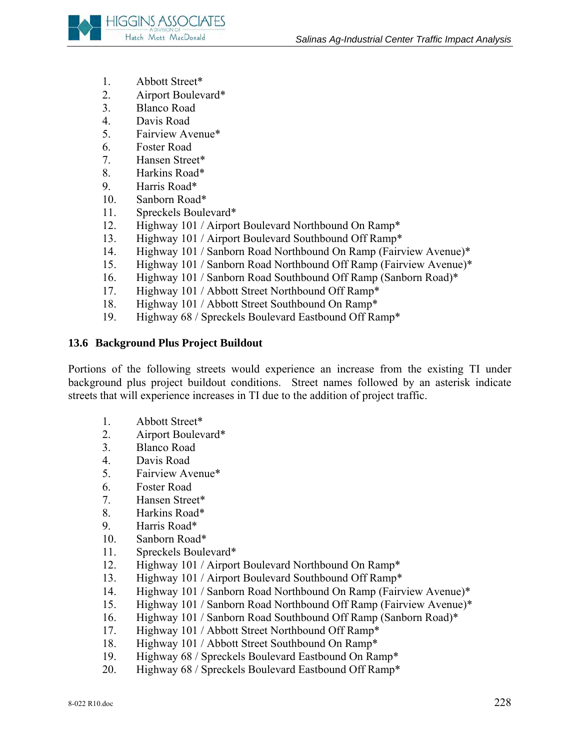

- 1. Abbott Street\*
- 2. Airport Boulevard\*
- 3. Blanco Road
- 4. Davis Road
- 5. Fairview Avenue\*
- 6. Foster Road
- 7. Hansen Street\*
- 8. Harkins Road\*
- 9. Harris Road\*
- 10. Sanborn Road\*
- 11. Spreckels Boulevard\*
- 12. Highway 101 / Airport Boulevard Northbound On Ramp\*
- 13. Highway 101 / Airport Boulevard Southbound Off Ramp\*
- 14. Highway 101 / Sanborn Road Northbound On Ramp (Fairview Avenue)\*
- 15. Highway 101 / Sanborn Road Northbound Off Ramp (Fairview Avenue)\*
- 16. Highway 101 / Sanborn Road Southbound Off Ramp (Sanborn Road)\*
- 17. Highway 101 / Abbott Street Northbound Off Ramp\*
- 18. Highway 101 / Abbott Street Southbound On Ramp\*
- 19. Highway 68 / Spreckels Boulevard Eastbound Off Ramp\*

#### **13.6 Background Plus Project Buildout**

Portions of the following streets would experience an increase from the existing TI under background plus project buildout conditions. Street names followed by an asterisk indicate streets that will experience increases in TI due to the addition of project traffic.

- 1. Abbott Street\*
- 2. Airport Boulevard\*
- 3. Blanco Road
- 4. Davis Road
- 5. Fairview Avenue\*
- 6. Foster Road
- 7. Hansen Street\*
- 8. Harkins Road\*
- 9. Harris Road\*
- 10. Sanborn Road\*
- 11. Spreckels Boulevard\*
- 12. Highway 101 / Airport Boulevard Northbound On Ramp\*
- 13. Highway 101 / Airport Boulevard Southbound Off Ramp\*
- 14. Highway 101 / Sanborn Road Northbound On Ramp (Fairview Avenue)\*
- 15. Highway 101 / Sanborn Road Northbound Off Ramp (Fairview Avenue)\*
- 16. Highway 101 / Sanborn Road Southbound Off Ramp (Sanborn Road)\*
- 17. Highway 101 / Abbott Street Northbound Off Ramp\*
- 18. Highway 101 / Abbott Street Southbound On Ramp\*
- 19. Highway 68 / Spreckels Boulevard Eastbound On Ramp\*
- 20. Highway 68 / Spreckels Boulevard Eastbound Off Ramp\*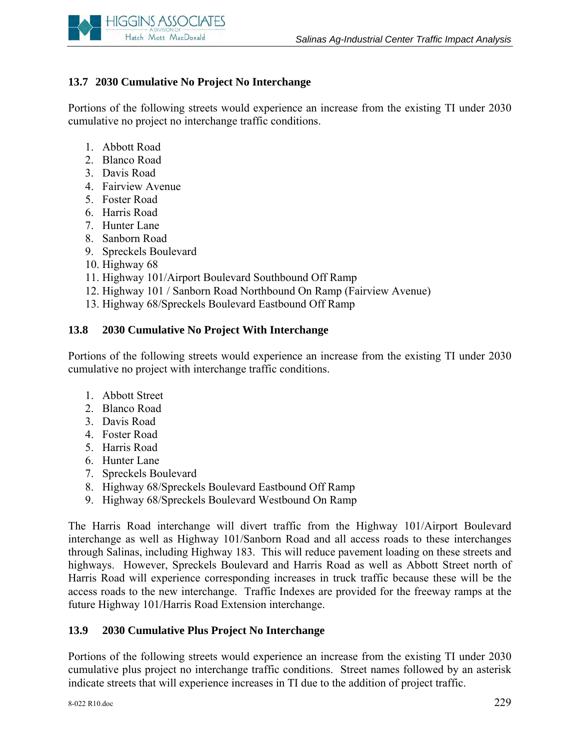

# **13.7 2030 Cumulative No Project No Interchange**

Portions of the following streets would experience an increase from the existing TI under 2030 cumulative no project no interchange traffic conditions.

- 1. Abbott Road
- 2. Blanco Road
- 3. Davis Road
- 4. Fairview Avenue
- 5. Foster Road
- 6. Harris Road
- 7. Hunter Lane
- 8. Sanborn Road
- 9. Spreckels Boulevard
- 10. Highway 68
- 11. Highway 101/Airport Boulevard Southbound Off Ramp
- 12. Highway 101 / Sanborn Road Northbound On Ramp (Fairview Avenue)
- 13. Highway 68/Spreckels Boulevard Eastbound Off Ramp

### **13.8 2030 Cumulative No Project With Interchange**

Portions of the following streets would experience an increase from the existing TI under 2030 cumulative no project with interchange traffic conditions.

- 1. Abbott Street
- 2. Blanco Road
- 3. Davis Road
- 4. Foster Road
- 5. Harris Road
- 6. Hunter Lane
- 7. Spreckels Boulevard
- 8. Highway 68/Spreckels Boulevard Eastbound Off Ramp
- 9. Highway 68/Spreckels Boulevard Westbound On Ramp

The Harris Road interchange will divert traffic from the Highway 101/Airport Boulevard interchange as well as Highway 101/Sanborn Road and all access roads to these interchanges through Salinas, including Highway 183. This will reduce pavement loading on these streets and highways. However, Spreckels Boulevard and Harris Road as well as Abbott Street north of Harris Road will experience corresponding increases in truck traffic because these will be the access roads to the new interchange. Traffic Indexes are provided for the freeway ramps at the future Highway 101/Harris Road Extension interchange.

# **13.9 2030 Cumulative Plus Project No Interchange**

Portions of the following streets would experience an increase from the existing TI under 2030 cumulative plus project no interchange traffic conditions. Street names followed by an asterisk indicate streets that will experience increases in TI due to the addition of project traffic.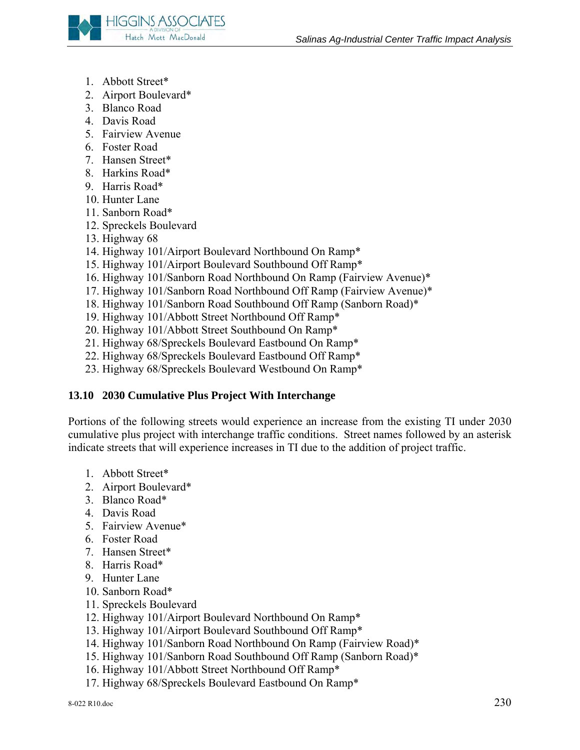

- 1. Abbott Street\*
- 2. Airport Boulevard\*
- 3. Blanco Road
- 4. Davis Road
- 5. Fairview Avenue
- 6. Foster Road
- 7. Hansen Street\*
- 8. Harkins Road\*
- 9. Harris Road\*
- 10. Hunter Lane
- 11. Sanborn Road\*
- 12. Spreckels Boulevard
- 13. Highway 68
- 14. Highway 101/Airport Boulevard Northbound On Ramp\*
- 15. Highway 101/Airport Boulevard Southbound Off Ramp\*
- 16. Highway 101/Sanborn Road Northbound On Ramp (Fairview Avenue)\*
- 17. Highway 101/Sanborn Road Northbound Off Ramp (Fairview Avenue)\*
- 18. Highway 101/Sanborn Road Southbound Off Ramp (Sanborn Road)\*
- 19. Highway 101/Abbott Street Northbound Off Ramp\*
- 20. Highway 101/Abbott Street Southbound On Ramp\*
- 21. Highway 68/Spreckels Boulevard Eastbound On Ramp\*
- 22. Highway 68/Spreckels Boulevard Eastbound Off Ramp\*
- 23. Highway 68/Spreckels Boulevard Westbound On Ramp\*

# **13.10 2030 Cumulative Plus Project With Interchange**

Portions of the following streets would experience an increase from the existing TI under 2030 cumulative plus project with interchange traffic conditions. Street names followed by an asterisk indicate streets that will experience increases in TI due to the addition of project traffic.

- 1. Abbott Street\*
- 2. Airport Boulevard\*
- 3. Blanco Road\*
- 4. Davis Road
- 5. Fairview Avenue\*
- 6. Foster Road
- 7. Hansen Street\*
- 8. Harris Road\*
- 9. Hunter Lane
- 10. Sanborn Road\*
- 11. Spreckels Boulevard
- 12. Highway 101/Airport Boulevard Northbound On Ramp\*
- 13. Highway 101/Airport Boulevard Southbound Off Ramp\*
- 14. Highway 101/Sanborn Road Northbound On Ramp (Fairview Road)\*
- 15. Highway 101/Sanborn Road Southbound Off Ramp (Sanborn Road)\*
- 16. Highway 101/Abbott Street Northbound Off Ramp\*
- 17. Highway 68/Spreckels Boulevard Eastbound On Ramp\*